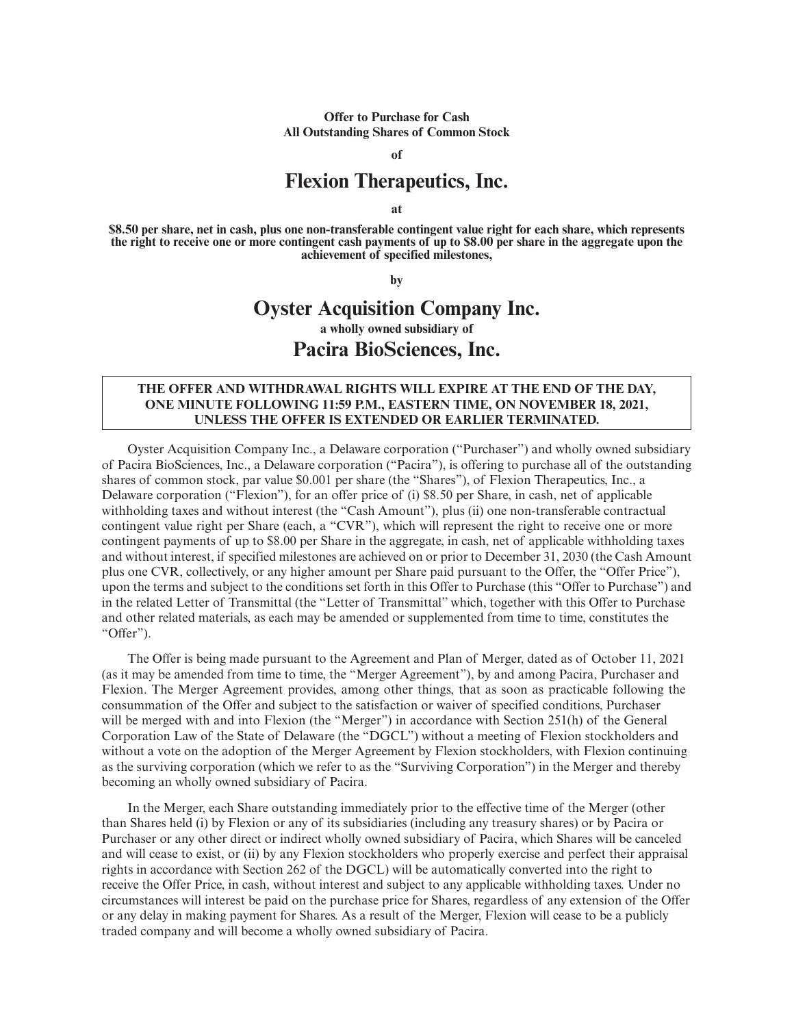**Offer to Purchase for Cash All Outstanding Shares of Common Stock**

**of**

# **Flexion Therapeutics, Inc.**

**at**

**\$8.50 per share, net in cash, plus one non-transferable contingent value right for each share, which represents the right to receive one or more contingent cash payments of up to \$8.00 per share in the aggregate upon the achievement of specified milestones,**

**by**

# **Oyster Acquisition Company Inc. a wholly owned subsidiary of Pacira BioSciences, Inc.**

## **THE OFFER AND WITHDRAWAL RIGHTS WILL EXPIRE AT THE END OF THE DAY, ONE MINUTE FOLLOWING 11:59 P.M., EASTERN TIME, ON NOVEMBER 18, 2021, UNLESS THE OFFER IS EXTENDED OR EARLIER TERMINATED.**

Oyster Acquisition Company Inc., a Delaware corporation ("Purchaser") and wholly owned subsidiary of Pacira BioSciences, Inc., a Delaware corporation ("Pacira"), is offering to purchase all of the outstanding shares of common stock, par value \$0.001 per share (the "Shares"), of Flexion Therapeutics, Inc., a Delaware corporation ("Flexion"), for an offer price of (i) \$8.50 per Share, in cash, net of applicable withholding taxes and without interest (the "Cash Amount"), plus (ii) one non-transferable contractual contingent value right per Share (each, a "CVR"), which will represent the right to receive one or more contingent payments of up to \$8.00 per Share in the aggregate, in cash, net of applicable withholding taxes and without interest, if specified milestones are achieved on or prior to December 31, 2030 (the Cash Amount plus one CVR, collectively, or any higher amount per Share paid pursuant to the Offer, the "Offer Price"), upon the terms and subject to the conditions set forth in this Offer to Purchase (this "Offer to Purchase") and in the related Letter of Transmittal (the "Letter of Transmittal" which, together with this Offer to Purchase and other related materials, as each may be amended or supplemented from time to time, constitutes the "Offer").

The Offer is being made pursuant to the Agreement and Plan of Merger, dated as of October 11, 2021 (as it may be amended from time to time, the "Merger Agreement"), by and among Pacira, Purchaser and Flexion. The Merger Agreement provides, among other things, that as soon as practicable following the consummation of the Offer and subject to the satisfaction or waiver of specified conditions, Purchaser will be merged with and into Flexion (the "Merger") in accordance with Section 251(h) of the General Corporation Law of the State of Delaware (the "DGCL") without a meeting of Flexion stockholders and without a vote on the adoption of the Merger Agreement by Flexion stockholders, with Flexion continuing as the surviving corporation (which we refer to as the "Surviving Corporation") in the Merger and thereby becoming an wholly owned subsidiary of Pacira.

In the Merger, each Share outstanding immediately prior to the effective time of the Merger (other than Shares held (i) by Flexion or any of its subsidiaries (including any treasury shares) or by Pacira or Purchaser or any other direct or indirect wholly owned subsidiary of Pacira, which Shares will be canceled and will cease to exist, or (ii) by any Flexion stockholders who properly exercise and perfect their appraisal rights in accordance with Section 262 of the DGCL) will be automatically converted into the right to receive the Offer Price, in cash, without interest and subject to any applicable withholding taxes. Under no circumstances will interest be paid on the purchase price for Shares, regardless of any extension of the Offer or any delay in making payment for Shares. As a result of the Merger, Flexion will cease to be a publicly traded company and will become a wholly owned subsidiary of Pacira.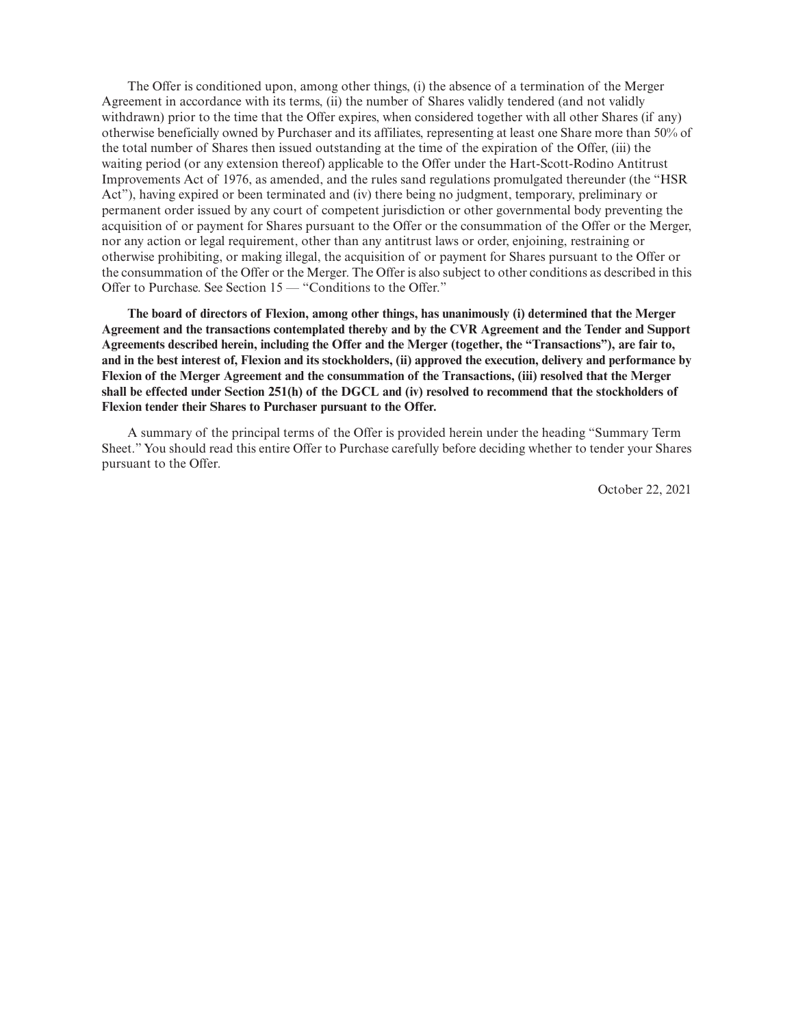The Offer is conditioned upon, among other things, (i) the absence of a termination of the Merger Agreement in accordance with its terms, (ii) the number of Shares validly tendered (and not validly withdrawn) prior to the time that the Offer expires, when considered together with all other Shares (if any) otherwise beneficially owned by Purchaser and its affiliates, representing at least one Share more than 50% of the total number of Shares then issued outstanding at the time of the expiration of the Offer, (iii) the waiting period (or any extension thereof) applicable to the Offer under the Hart-Scott-Rodino Antitrust Improvements Act of 1976, as amended, and the rules sand regulations promulgated thereunder (the "HSR Act"), having expired or been terminated and (iv) there being no judgment, temporary, preliminary or permanent order issued by any court of competent jurisdiction or other governmental body preventing the acquisition of or payment for Shares pursuant to the Offer or the consummation of the Offer or the Merger, nor any action or legal requirement, other than any antitrust laws or order, enjoining, restraining or otherwise prohibiting, or making illegal, the acquisition of or payment for Shares pursuant to the Offer or the consummation of the Offer or the Merger. The Offer is also subject to other conditions as described in this Offer to Purchase. See Section 15 — "Conditions to the Offer."

**The board of directors of Flexion, among other things, has unanimously (i) determined that the Merger Agreement and the transactions contemplated thereby and by the CVR Agreement and the Tender and Support Agreements described herein, including the Offer and the Merger (together, the "Transactions"), are fair to, and in the best interest of, Flexion and its stockholders, (ii) approved the execution, delivery and performance by Flexion of the Merger Agreement and the consummation of the Transactions, (iii) resolved that the Merger shall be effected under Section 251(h) of the DGCL and (iv) resolved to recommend that the stockholders of Flexion tender their Shares to Purchaser pursuant to the Offer.**

A summary of the principal terms of the Offer is provided herein under the heading "Summary Term Sheet." You should read this entire Offer to Purchase carefully before deciding whether to tender your Shares pursuant to the Offer.

October 22, 2021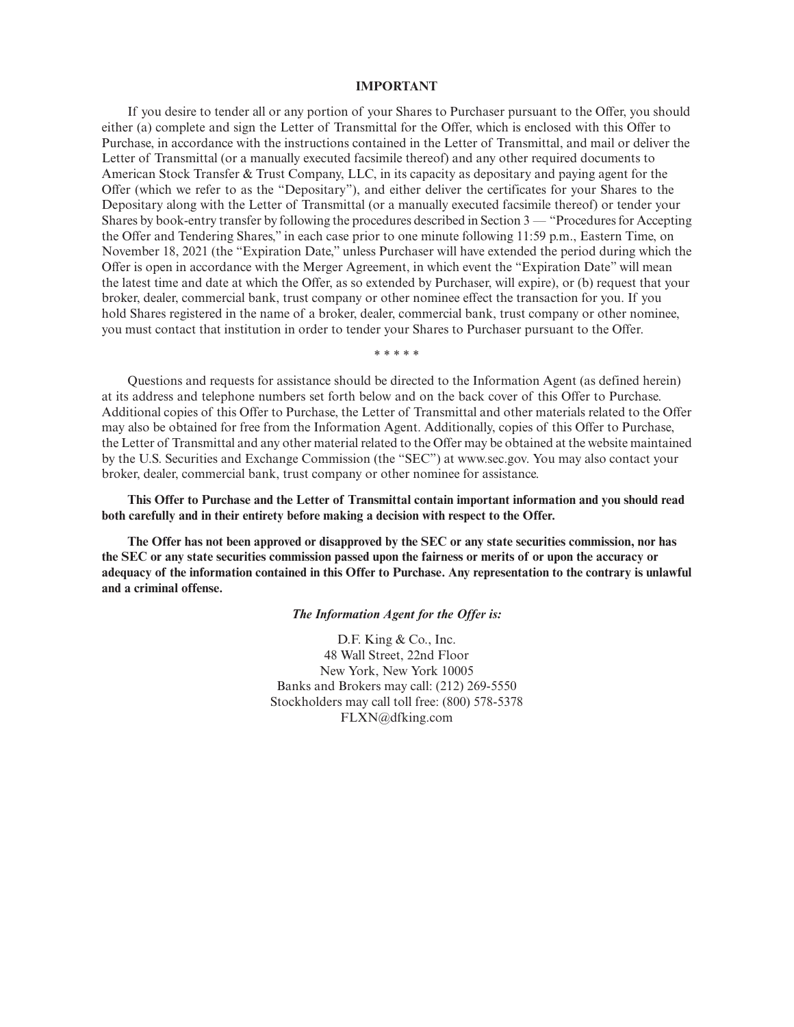#### **IMPORTANT**

If you desire to tender all or any portion of your Shares to Purchaser pursuant to the Offer, you should either (a) complete and sign the Letter of Transmittal for the Offer, which is enclosed with this Offer to Purchase, in accordance with the instructions contained in the Letter of Transmittal, and mail or deliver the Letter of Transmittal (or a manually executed facsimile thereof) and any other required documents to American Stock Transfer & Trust Company, LLC, in its capacity as depositary and paying agent for the Offer (which we refer to as the "Depositary"), and either deliver the certificates for your Shares to the Depositary along with the Letter of Transmittal (or a manually executed facsimile thereof) or tender your Shares by book-entry transfer by following the procedures described in Section 3 — "Procedures for Accepting the Offer and Tendering Shares," in each case prior to one minute following 11:59 p.m., Eastern Time, on November 18, 2021 (the "Expiration Date," unless Purchaser will have extended the period during which the Offer is open in accordance with the Merger Agreement, in which event the "Expiration Date" will mean the latest time and date at which the Offer, as so extended by Purchaser, will expire), or (b) request that your broker, dealer, commercial bank, trust company or other nominee effect the transaction for you. If you hold Shares registered in the name of a broker, dealer, commercial bank, trust company or other nominee, you must contact that institution in order to tender your Shares to Purchaser pursuant to the Offer.

\*\*\*\*\*

Questions and requests for assistance should be directed to the Information Agent (as defined herein) at its address and telephone numbers set forth below and on the back cover of this Offer to Purchase. Additional copies of this Offer to Purchase, the Letter of Transmittal and other materials related to the Offer may also be obtained for free from the Information Agent. Additionally, copies of this Offer to Purchase, the Letter of Transmittal and any other material related to the Offer may be obtained at the website maintained by the U.S. Securities and Exchange Commission (the "SEC") at www.sec.gov. You may also contact your broker, dealer, commercial bank, trust company or other nominee for assistance.

**This Offer to Purchase and the Letter of Transmittal contain important information and you should read both carefully and in their entirety before making a decision with respect to the Offer.**

**The Offer has not been approved or disapproved by the SEC or any state securities commission, nor has the SEC or any state securities commission passed upon the fairness or merits of or upon the accuracy or adequacy of the information contained in this Offer to Purchase. Any representation to the contrary is unlawful and a criminal offense.**

#### *The Information Agent for the Offer is:*

D.F. King & Co., Inc. 48 Wall Street, 22nd Floor New York, New York 10005 Banks and Brokers may call: (212) 269-5550 Stockholders may call toll free: (800) 578-5378 FLXN@dfking.com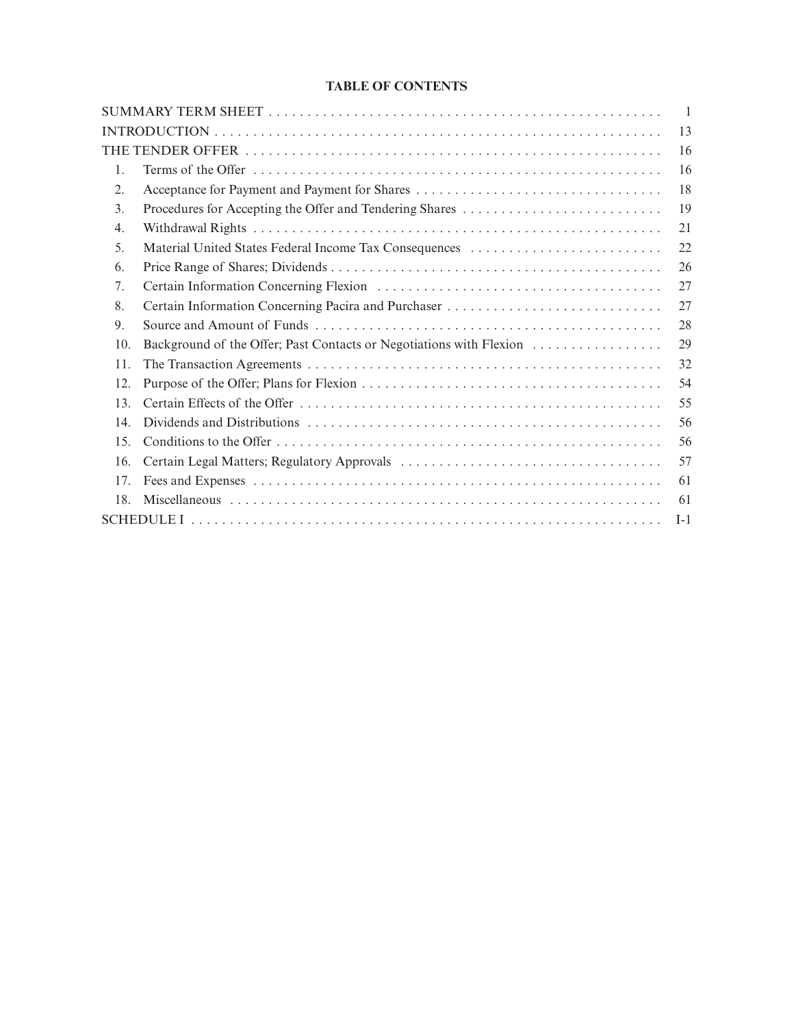# **TABLE OF CONTENTS**

|     |                                                         | $\overline{\phantom{0}}$ |
|-----|---------------------------------------------------------|--------------------------|
|     |                                                         | 13                       |
|     |                                                         | 16                       |
| 1.  |                                                         | 16                       |
| 2.  |                                                         | 18                       |
| 3.  | Procedures for Accepting the Offer and Tendering Shares | 19                       |
| 4.  |                                                         | 21                       |
| 5.  | Material United States Federal Income Tax Consequences  | 22                       |
| 6.  |                                                         | 26                       |
| 7.  |                                                         | 27                       |
| 8.  |                                                         | 27                       |
| 9.  |                                                         | 28                       |
| 10. |                                                         | 29                       |
| 11. |                                                         | 32                       |
| 12. |                                                         | 54                       |
| 13. |                                                         | 55                       |
| 14. |                                                         | 56                       |
| 15. |                                                         | 56                       |
| 16. |                                                         | 57                       |
| 17. |                                                         | 61                       |
| 18. |                                                         | 61                       |
|     |                                                         | $I-1$                    |
|     |                                                         |                          |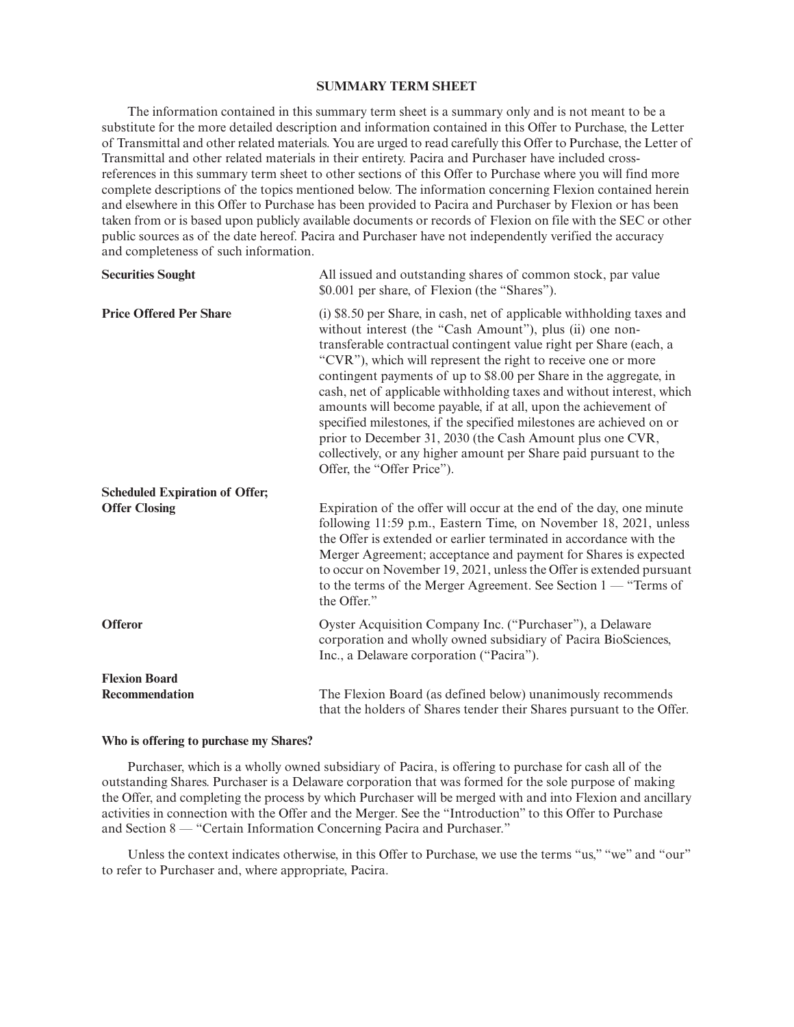## **SUMMARY TERM SHEET**

The information contained in this summary term sheet is a summary only and is not meant to be a substitute for the more detailed description and information contained in this Offer to Purchase, the Letter of Transmittal and other related materials. You are urged to read carefully this Offer to Purchase, the Letter of Transmittal and other related materials in their entirety. Pacira and Purchaser have included crossreferences in this summary term sheet to other sections of this Offer to Purchase where you will find more complete descriptions of the topics mentioned below. The information concerning Flexion contained herein and elsewhere in this Offer to Purchase has been provided to Pacira and Purchaser by Flexion or has been taken from or is based upon publicly available documents or records of Flexion on file with the SEC or other public sources as of the date hereof. Pacira and Purchaser have not independently verified the accuracy and completeness of such information.

| <b>Securities Sought</b>              | All issued and outstanding shares of common stock, par value<br>\$0.001 per share, of Flexion (the "Shares").                                                                                                                                                                                                                                                                                                                                                                                                                                                                                                                                                                                                                       |
|---------------------------------------|-------------------------------------------------------------------------------------------------------------------------------------------------------------------------------------------------------------------------------------------------------------------------------------------------------------------------------------------------------------------------------------------------------------------------------------------------------------------------------------------------------------------------------------------------------------------------------------------------------------------------------------------------------------------------------------------------------------------------------------|
| <b>Price Offered Per Share</b>        | (i) \$8.50 per Share, in cash, net of applicable withholding taxes and<br>without interest (the "Cash Amount"), plus (ii) one non-<br>transferable contractual contingent value right per Share (each, a<br>"CVR"), which will represent the right to receive one or more<br>contingent payments of up to \$8.00 per Share in the aggregate, in<br>cash, net of applicable withholding taxes and without interest, which<br>amounts will become payable, if at all, upon the achievement of<br>specified milestones, if the specified milestones are achieved on or<br>prior to December 31, 2030 (the Cash Amount plus one CVR,<br>collectively, or any higher amount per Share paid pursuant to the<br>Offer, the "Offer Price"). |
| <b>Scheduled Expiration of Offer;</b> |                                                                                                                                                                                                                                                                                                                                                                                                                                                                                                                                                                                                                                                                                                                                     |
| <b>Offer Closing</b>                  | Expiration of the offer will occur at the end of the day, one minute<br>following 11:59 p.m., Eastern Time, on November 18, 2021, unless<br>the Offer is extended or earlier terminated in accordance with the<br>Merger Agreement; acceptance and payment for Shares is expected<br>to occur on November 19, 2021, unless the Offer is extended pursuant<br>to the terms of the Merger Agreement. See Section $1 -$ "Terms of<br>the Offer."                                                                                                                                                                                                                                                                                       |
| <b>Offeror</b>                        | Oyster Acquisition Company Inc. ("Purchaser"), a Delaware<br>corporation and wholly owned subsidiary of Pacira BioSciences,<br>Inc., a Delaware corporation ("Pacira").                                                                                                                                                                                                                                                                                                                                                                                                                                                                                                                                                             |
| <b>Flexion Board</b>                  |                                                                                                                                                                                                                                                                                                                                                                                                                                                                                                                                                                                                                                                                                                                                     |
| Recommendation                        | The Flexion Board (as defined below) unanimously recommends<br>that the holders of Shares tender their Shares pursuant to the Offer.                                                                                                                                                                                                                                                                                                                                                                                                                                                                                                                                                                                                |

#### **Who is offering to purchase my Shares?**

Purchaser, which is a wholly owned subsidiary of Pacira, is offering to purchase for cash all of the outstanding Shares. Purchaser is a Delaware corporation that was formed for the sole purpose of making the Offer, and completing the process by which Purchaser will be merged with and into Flexion and ancillary activities in connection with the Offer and the Merger. See the "Introduction" to this Offer to Purchase and Section 8 — "Certain Information Concerning Pacira and Purchaser."

Unless the context indicates otherwise, in this Offer to Purchase, we use the terms "us," "we" and "our" to refer to Purchaser and, where appropriate, Pacira.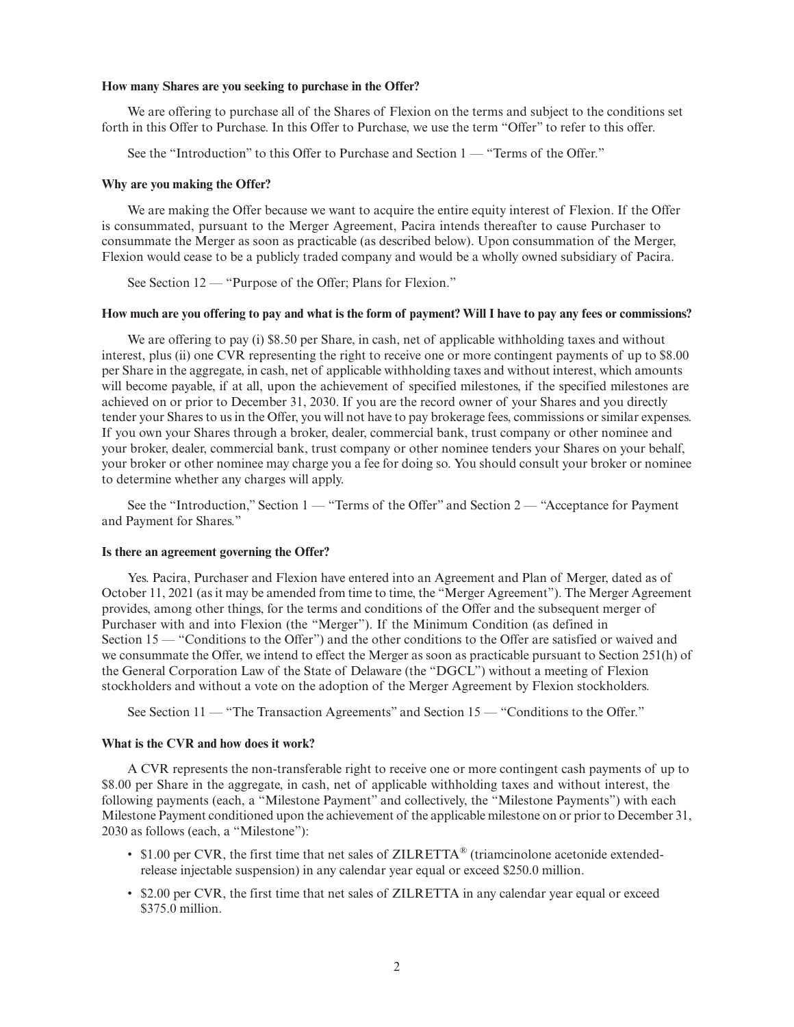## **How many Shares are you seeking to purchase in the Offer?**

We are offering to purchase all of the Shares of Flexion on the terms and subject to the conditions set forth in this Offer to Purchase. In this Offer to Purchase, we use the term "Offer" to refer to this offer.

See the "Introduction" to this Offer to Purchase and Section 1 — "Terms of the Offer."

## **Why are you making the Offer?**

We are making the Offer because we want to acquire the entire equity interest of Flexion. If the Offer is consummated, pursuant to the Merger Agreement, Pacira intends thereafter to cause Purchaser to consummate the Merger as soon as practicable (as described below). Upon consummation of the Merger, Flexion would cease to be a publicly traded company and would be a wholly owned subsidiary of Pacira.

See Section 12 — "Purpose of the Offer; Plans for Flexion."

#### **How much are you offering to pay and what is the form of payment? Will I have to pay any fees or commissions?**

We are offering to pay (i) \$8.50 per Share, in cash, net of applicable withholding taxes and without interest, plus (ii) one CVR representing the right to receive one or more contingent payments of up to \$8.00 per Share in the aggregate, in cash, net of applicable withholding taxes and without interest, which amounts will become payable, if at all, upon the achievement of specified milestones, if the specified milestones are achieved on or prior to December 31, 2030. If you are the record owner of your Shares and you directly tender your Shares to us in the Offer, you will not have to pay brokerage fees, commissions or similar expenses. If you own your Shares through a broker, dealer, commercial bank, trust company or other nominee and your broker, dealer, commercial bank, trust company or other nominee tenders your Shares on your behalf, your broker or other nominee may charge you a fee for doing so. You should consult your broker or nominee to determine whether any charges will apply.

See the "Introduction," Section 1 — "Terms of the Offer" and Section 2 — "Acceptance for Payment" and Payment for Shares."

## **Is there an agreement governing the Offer?**

Yes. Pacira, Purchaser and Flexion have entered into an Agreement and Plan of Merger, dated as of October 11, 2021 (as it may be amended from time to time, the "Merger Agreement"). The Merger Agreement provides, among other things, for the terms and conditions of the Offer and the subsequent merger of Purchaser with and into Flexion (the "Merger"). If the Minimum Condition (as defined in Section 15 — "Conditions to the Offer") and the other conditions to the Offer are satisfied or waived and we consummate the Offer, we intend to effect the Merger as soon as practicable pursuant to Section 251(h) of the General Corporation Law of the State of Delaware (the "DGCL") without a meeting of Flexion stockholders and without a vote on the adoption of the Merger Agreement by Flexion stockholders.

See Section 11 — "The Transaction Agreements" and Section 15 — "Conditions to the Offer."

#### **What is the CVR and how does it work?**

A CVR represents the non-transferable right to receive one or more contingent cash payments of up to \$8.00 per Share in the aggregate, in cash, net of applicable withholding taxes and without interest, the following payments (each, a "Milestone Payment" and collectively, the "Milestone Payments") with each Milestone Payment conditioned upon the achievement of the applicable milestone on or prior to December 31, 2030 as follows (each, a "Milestone"):

- \$1.00 per CVR, the first time that net sales of ZILRETTA<sup>®</sup> (triamcinolone acetonide extendedrelease injectable suspension) in any calendar year equal or exceed \$250.0 million.
- \$2.00 per CVR, the first time that net sales of ZILRETTA in any calendar year equal or exceed \$375.0 million.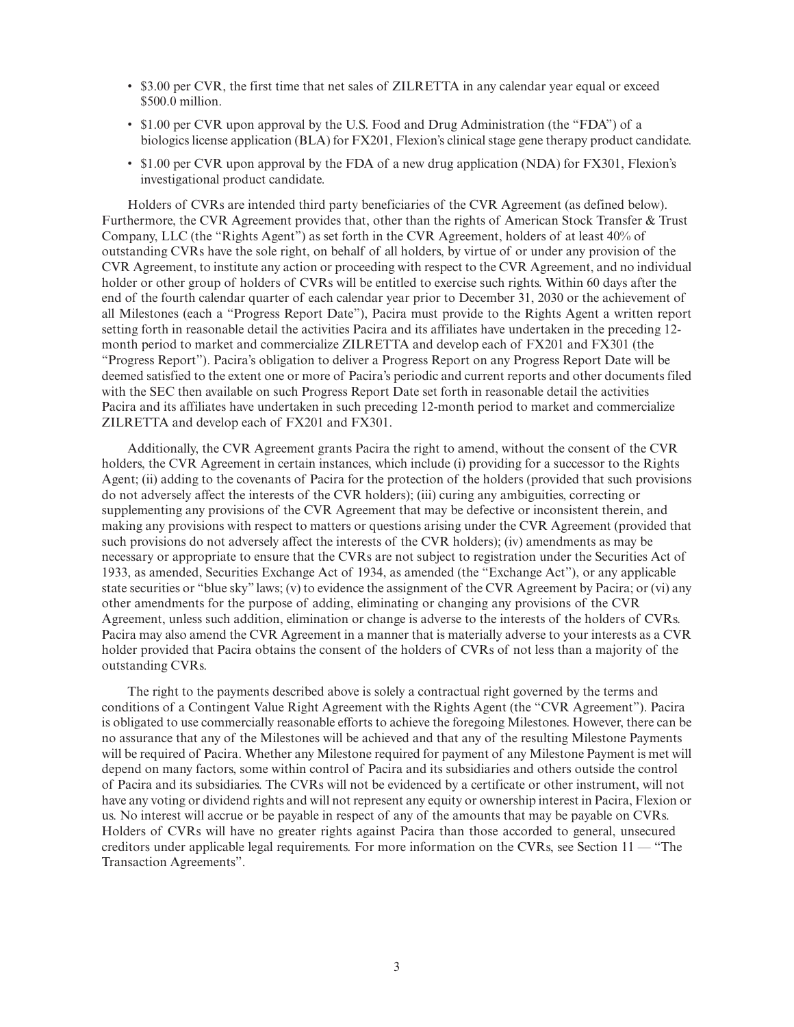- \$3.00 per CVR, the first time that net sales of ZILRETTA in any calendar year equal or exceed \$500.0 million.
- \$1.00 per CVR upon approval by the U.S. Food and Drug Administration (the "FDA") of a biologics license application (BLA) for FX201, Flexion's clinical stage gene therapy product candidate.
- \$1.00 per CVR upon approval by the FDA of a new drug application (NDA) for FX301, Flexion's investigational product candidate.

Holders of CVRs are intended third party beneficiaries of the CVR Agreement (as defined below). Furthermore, the CVR Agreement provides that, other than the rights of American Stock Transfer & Trust Company, LLC (the "Rights Agent") as set forth in the CVR Agreement, holders of at least 40% of outstanding CVRs have the sole right, on behalf of all holders, by virtue of or under any provision of the CVR Agreement, to institute any action or proceeding with respect to the CVR Agreement, and no individual holder or other group of holders of CVRs will be entitled to exercise such rights. Within 60 days after the end of the fourth calendar quarter of each calendar year prior to December 31, 2030 or the achievement of all Milestones (each a "Progress Report Date"), Pacira must provide to the Rights Agent a written report setting forth in reasonable detail the activities Pacira and its affiliates have undertaken in the preceding 12 month period to market and commercialize ZILRETTA and develop each of FX201 and FX301 (the "Progress Report"). Pacira's obligation to deliver a Progress Report on any Progress Report Date will be deemed satisfied to the extent one or more of Pacira's periodic and current reports and other documents filed with the SEC then available on such Progress Report Date set forth in reasonable detail the activities Pacira and its affiliates have undertaken in such preceding 12-month period to market and commercialize ZILRETTA and develop each of FX201 and FX301.

Additionally, the CVR Agreement grants Pacira the right to amend, without the consent of the CVR holders, the CVR Agreement in certain instances, which include (i) providing for a successor to the Rights Agent; (ii) adding to the covenants of Pacira for the protection of the holders (provided that such provisions do not adversely affect the interests of the CVR holders); (iii) curing any ambiguities, correcting or supplementing any provisions of the CVR Agreement that may be defective or inconsistent therein, and making any provisions with respect to matters or questions arising under the CVR Agreement (provided that such provisions do not adversely affect the interests of the CVR holders); (iv) amendments as may be necessary or appropriate to ensure that the CVRs are not subject to registration under the Securities Act of 1933, as amended, Securities Exchange Act of 1934, as amended (the "Exchange Act"), or any applicable state securities or "blue sky" laws; (v) to evidence the assignment of the CVR Agreement by Pacira; or (vi) any other amendments for the purpose of adding, eliminating or changing any provisions of the CVR Agreement, unless such addition, elimination or change is adverse to the interests of the holders of CVRs. Pacira may also amend the CVR Agreement in a manner that is materially adverse to your interests as a CVR holder provided that Pacira obtains the consent of the holders of CVRs of not less than a majority of the outstanding CVRs.

The right to the payments described above is solely a contractual right governed by the terms and conditions of a Contingent Value Right Agreement with the Rights Agent (the "CVR Agreement"). Pacira is obligated to use commercially reasonable efforts to achieve the foregoing Milestones. However, there can be no assurance that any of the Milestones will be achieved and that any of the resulting Milestone Payments will be required of Pacira. Whether any Milestone required for payment of any Milestone Payment is met will depend on many factors, some within control of Pacira and its subsidiaries and others outside the control of Pacira and its subsidiaries. The CVRs will not be evidenced by a certificate or other instrument, will not have any voting or dividend rights and will not represent any equity or ownership interest in Pacira, Flexion or us. No interest will accrue or be payable in respect of any of the amounts that may be payable on CVRs. Holders of CVRs will have no greater rights against Pacira than those accorded to general, unsecured creditors under applicable legal requirements. For more information on the CVRs, see Section 11 — "The Transaction Agreements".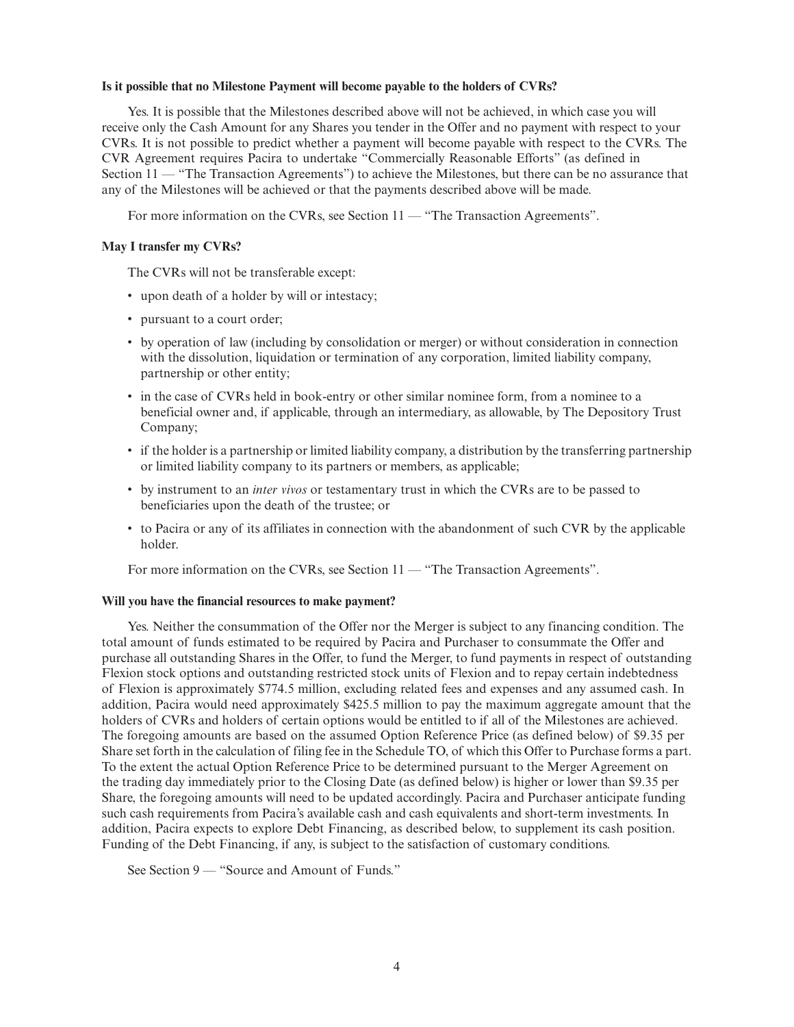## **Is it possible that no Milestone Payment will become payable to the holders of CVRs?**

Yes. It is possible that the Milestones described above will not be achieved, in which case you will receive only the Cash Amount for any Shares you tender in the Offer and no payment with respect to your CVRs. It is not possible to predict whether a payment will become payable with respect to the CVRs. The CVR Agreement requires Pacira to undertake "Commercially Reasonable Efforts" (as defined in Section 11 — "The Transaction Agreements") to achieve the Milestones, but there can be no assurance that any of the Milestones will be achieved or that the payments described above will be made.

For more information on the CVRs, see Section 11 — "The Transaction Agreements".

## **May I transfer my CVRs?**

The CVRs will not be transferable except:

- upon death of a holder by will or intestacy;
- pursuant to a court order;
- by operation of law (including by consolidation or merger) or without consideration in connection with the dissolution, liquidation or termination of any corporation, limited liability company, partnership or other entity;
- in the case of CVRs held in book-entry or other similar nominee form, from a nominee to a beneficial owner and, if applicable, through an intermediary, as allowable, by The Depository Trust Company;
- if the holder is a partnership or limited liability company, a distribution by the transferring partnership or limited liability company to its partners or members, as applicable;
- by instrument to an *inter vivos* or testamentary trust in which the CVRs are to be passed to beneficiaries upon the death of the trustee; or
- to Pacira or any of its affiliates in connection with the abandonment of such CVR by the applicable holder.

For more information on the CVRs, see Section 11 — "The Transaction Agreements".

## **Will you have the financial resources to make payment?**

Yes. Neither the consummation of the Offer nor the Merger is subject to any financing condition. The total amount of funds estimated to be required by Pacira and Purchaser to consummate the Offer and purchase all outstanding Shares in the Offer, to fund the Merger, to fund payments in respect of outstanding Flexion stock options and outstanding restricted stock units of Flexion and to repay certain indebtedness of Flexion is approximately \$774.5 million, excluding related fees and expenses and any assumed cash. In addition, Pacira would need approximately \$425.5 million to pay the maximum aggregate amount that the holders of CVRs and holders of certain options would be entitled to if all of the Milestones are achieved. The foregoing amounts are based on the assumed Option Reference Price (as defined below) of \$9.35 per Share set forth in the calculation of filing fee in the Schedule TO, of which this Offer to Purchase forms a part. To the extent the actual Option Reference Price to be determined pursuant to the Merger Agreement on the trading day immediately prior to the Closing Date (as defined below) is higher or lower than \$9.35 per Share, the foregoing amounts will need to be updated accordingly. Pacira and Purchaser anticipate funding such cash requirements from Pacira's available cash and cash equivalents and short-term investments. In addition, Pacira expects to explore Debt Financing, as described below, to supplement its cash position. Funding of the Debt Financing, if any, is subject to the satisfaction of customary conditions.

See Section 9 — "Source and Amount of Funds."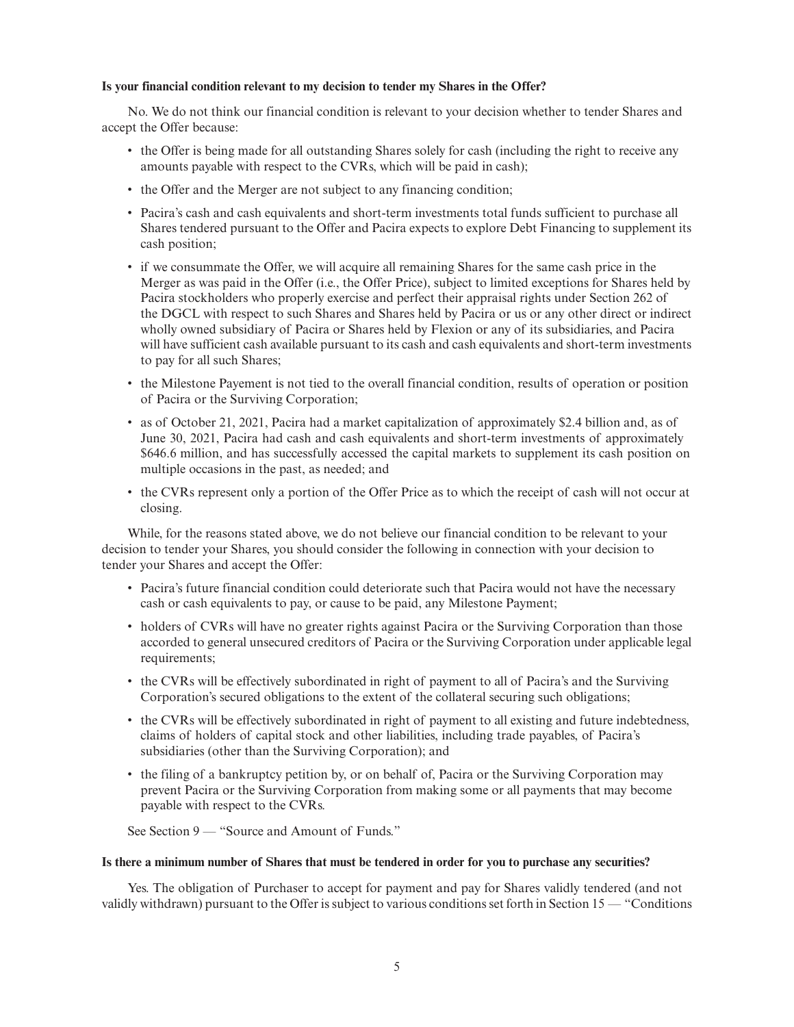## **Is your financial condition relevant to my decision to tender my Shares in the Offer?**

No. We do not think our financial condition is relevant to your decision whether to tender Shares and accept the Offer because:

- the Offer is being made for all outstanding Shares solely for cash (including the right to receive any amounts payable with respect to the CVRs, which will be paid in cash);
- the Offer and the Merger are not subject to any financing condition;
- Pacira's cash and cash equivalents and short-term investments total funds sufficient to purchase all Shares tendered pursuant to the Offer and Pacira expects to explore Debt Financing to supplement its cash position;
- if we consummate the Offer, we will acquire all remaining Shares for the same cash price in the Merger as was paid in the Offer (i.e., the Offer Price), subject to limited exceptions for Shares held by Pacira stockholders who properly exercise and perfect their appraisal rights under Section 262 of the DGCL with respect to such Shares and Shares held by Pacira or us or any other direct or indirect wholly owned subsidiary of Pacira or Shares held by Flexion or any of its subsidiaries, and Pacira will have sufficient cash available pursuant to its cash and cash equivalents and short-term investments to pay for all such Shares;
- the Milestone Payement is not tied to the overall financial condition, results of operation or position of Pacira or the Surviving Corporation;
- as of October 21, 2021, Pacira had a market capitalization of approximately \$2.4 billion and, as of June 30, 2021, Pacira had cash and cash equivalents and short-term investments of approximately \$646.6 million, and has successfully accessed the capital markets to supplement its cash position on multiple occasions in the past, as needed; and
- the CVRs represent only a portion of the Offer Price as to which the receipt of cash will not occur at closing.

While, for the reasons stated above, we do not believe our financial condition to be relevant to your decision to tender your Shares, you should consider the following in connection with your decision to tender your Shares and accept the Offer:

- Pacira's future financial condition could deteriorate such that Pacira would not have the necessary cash or cash equivalents to pay, or cause to be paid, any Milestone Payment;
- holders of CVRs will have no greater rights against Pacira or the Surviving Corporation than those accorded to general unsecured creditors of Pacira or the Surviving Corporation under applicable legal requirements;
- the CVRs will be effectively subordinated in right of payment to all of Pacira's and the Surviving Corporation's secured obligations to the extent of the collateral securing such obligations;
- the CVRs will be effectively subordinated in right of payment to all existing and future indebtedness, claims of holders of capital stock and other liabilities, including trade payables, of Pacira's subsidiaries (other than the Surviving Corporation); and
- the filing of a bankruptcy petition by, or on behalf of, Pacira or the Surviving Corporation may prevent Pacira or the Surviving Corporation from making some or all payments that may become payable with respect to the CVRs.

See Section 9 — "Source and Amount of Funds."

## **Is there a minimum number of Shares that must be tendered in order for you to purchase any securities?**

Yes. The obligation of Purchaser to accept for payment and pay for Shares validly tendered (and not validly withdrawn) pursuant to the Offer is subject to various conditions set forth in Section 15 — "Conditions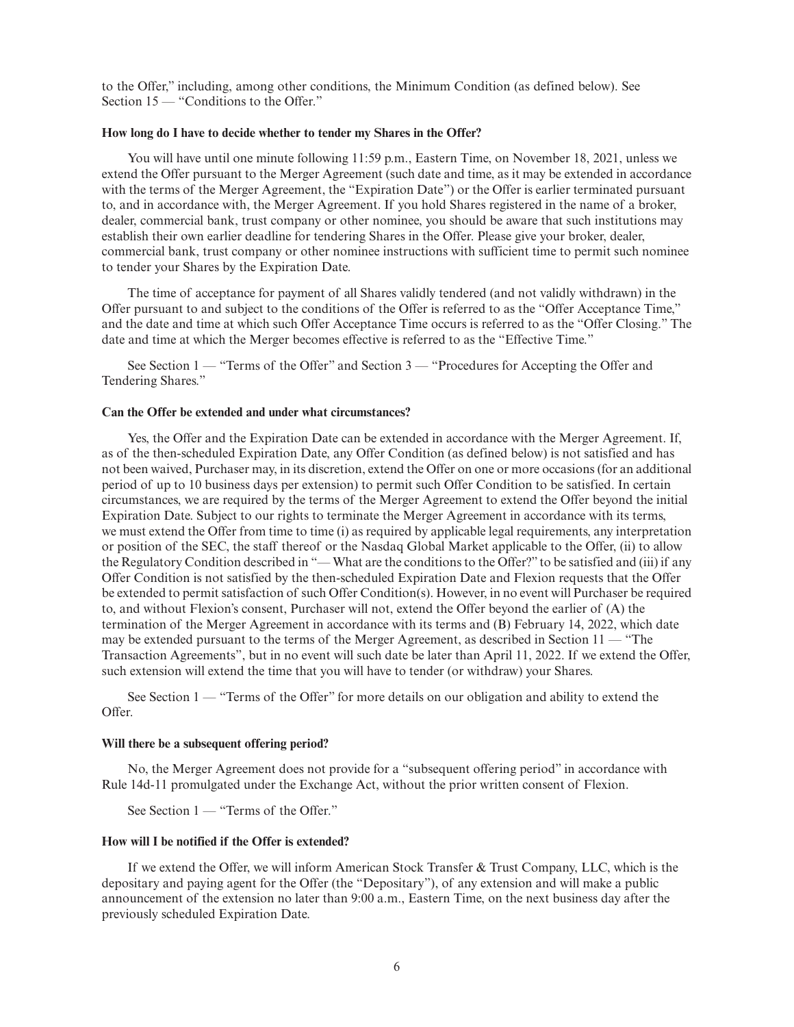to the Offer," including, among other conditions, the Minimum Condition (as defined below). See Section 15 — "Conditions to the Offer."

## **How long do I have to decide whether to tender my Shares in the Offer?**

You will have until one minute following 11:59 p.m., Eastern Time, on November 18, 2021, unless we extend the Offer pursuant to the Merger Agreement (such date and time, as it may be extended in accordance with the terms of the Merger Agreement, the "Expiration Date") or the Offer is earlier terminated pursuant to, and in accordance with, the Merger Agreement. If you hold Shares registered in the name of a broker, dealer, commercial bank, trust company or other nominee, you should be aware that such institutions may establish their own earlier deadline for tendering Shares in the Offer. Please give your broker, dealer, commercial bank, trust company or other nominee instructions with sufficient time to permit such nominee to tender your Shares by the Expiration Date.

The time of acceptance for payment of all Shares validly tendered (and not validly withdrawn) in the Offer pursuant to and subject to the conditions of the Offer is referred to as the "Offer Acceptance Time," and the date and time at which such Offer Acceptance Time occurs is referred to as the "Offer Closing." The date and time at which the Merger becomes effective is referred to as the "Effective Time."

See Section 1 — "Terms of the Offer" and Section 3 — "Procedures for Accepting the Offer and Tendering Shares."

## **Can the Offer be extended and under what circumstances?**

Yes, the Offer and the Expiration Date can be extended in accordance with the Merger Agreement. If, as of the then-scheduled Expiration Date, any Offer Condition (as defined below) is not satisfied and has not been waived, Purchaser may, in its discretion, extend the Offer on one or more occasions (for an additional period of up to 10 business days per extension) to permit such Offer Condition to be satisfied. In certain circumstances, we are required by the terms of the Merger Agreement to extend the Offer beyond the initial Expiration Date. Subject to our rights to terminate the Merger Agreement in accordance with its terms, we must extend the Offer from time to time (i) as required by applicable legal requirements, any interpretation or position of the SEC, the staff thereof or the Nasdaq Global Market applicable to the Offer, (ii) to allow the Regulatory Condition described in "— What are the conditions to the Offer?" to be satisfied and (iii) if any Offer Condition is not satisfied by the then-scheduled Expiration Date and Flexion requests that the Offer be extended to permit satisfaction of such Offer Condition(s). However, in no event will Purchaser be required to, and without Flexion's consent, Purchaser will not, extend the Offer beyond the earlier of (A) the termination of the Merger Agreement in accordance with its terms and (B) February 14, 2022, which date may be extended pursuant to the terms of the Merger Agreement, as described in Section 11 — "The Transaction Agreements", but in no event will such date be later than April 11, 2022. If we extend the Offer, such extension will extend the time that you will have to tender (or withdraw) your Shares.

See Section 1 — "Terms of the Offer" for more details on our obligation and ability to extend the Offer.

#### **Will there be a subsequent offering period?**

No, the Merger Agreement does not provide for a "subsequent offering period" in accordance with Rule 14d-11 promulgated under the Exchange Act, without the prior written consent of Flexion.

See Section 1 — "Terms of the Offer."

## **How will I be notified if the Offer is extended?**

If we extend the Offer, we will inform American Stock Transfer & Trust Company, LLC, which is the depositary and paying agent for the Offer (the "Depositary"), of any extension and will make a public announcement of the extension no later than 9:00 a.m., Eastern Time, on the next business day after the previously scheduled Expiration Date.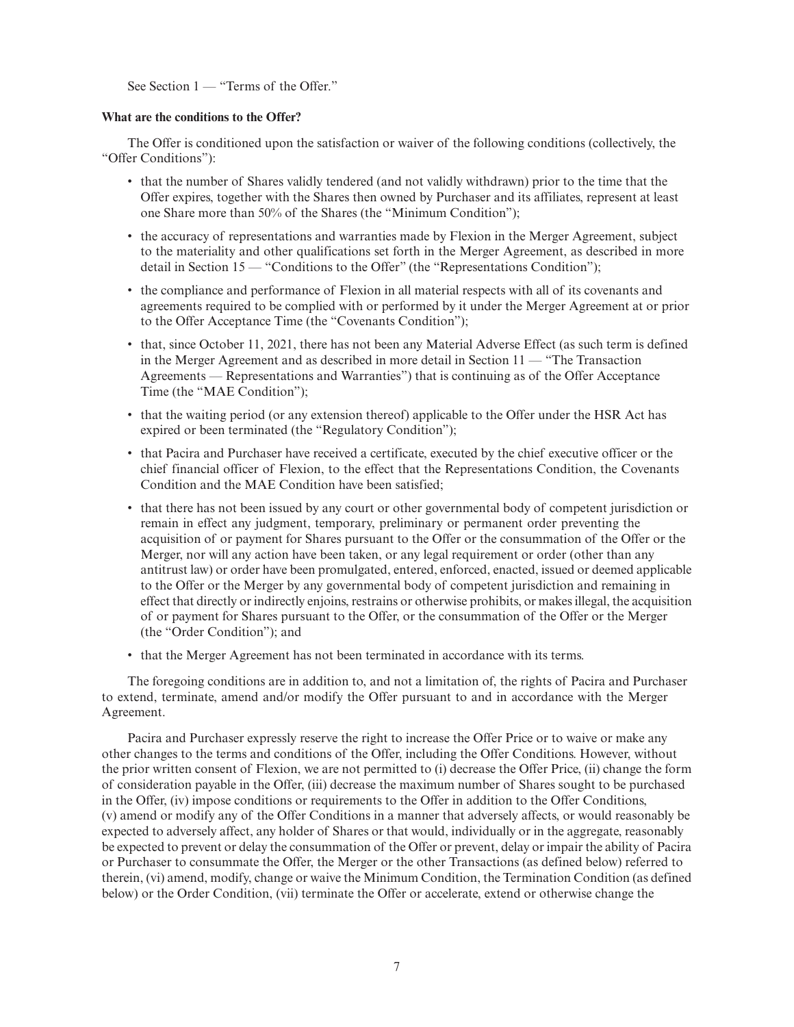See Section 1 — "Terms of the Offer."

## **What are the conditions to the Offer?**

The Offer is conditioned upon the satisfaction or waiver of the following conditions (collectively, the "Offer Conditions"):

- that the number of Shares validly tendered (and not validly withdrawn) prior to the time that the Offer expires, together with the Shares then owned by Purchaser and its affiliates, represent at least one Share more than 50% of the Shares (the "Minimum Condition");
- the accuracy of representations and warranties made by Flexion in the Merger Agreement, subject to the materiality and other qualifications set forth in the Merger Agreement, as described in more detail in Section 15 — "Conditions to the Offer" (the "Representations Condition");
- the compliance and performance of Flexion in all material respects with all of its covenants and agreements required to be complied with or performed by it under the Merger Agreement at or prior to the Offer Acceptance Time (the "Covenants Condition");
- that, since October 11, 2021, there has not been any Material Adverse Effect (as such term is defined in the Merger Agreement and as described in more detail in Section 11 — "The Transaction Agreements — Representations and Warranties") that is continuing as of the Offer Acceptance Time (the "MAE Condition");
- that the waiting period (or any extension thereof) applicable to the Offer under the HSR Act has expired or been terminated (the "Regulatory Condition");
- that Pacira and Purchaser have received a certificate, executed by the chief executive officer or the chief financial officer of Flexion, to the effect that the Representations Condition, the Covenants Condition and the MAE Condition have been satisfied;
- that there has not been issued by any court or other governmental body of competent jurisdiction or remain in effect any judgment, temporary, preliminary or permanent order preventing the acquisition of or payment for Shares pursuant to the Offer or the consummation of the Offer or the Merger, nor will any action have been taken, or any legal requirement or order (other than any antitrust law) or order have been promulgated, entered, enforced, enacted, issued or deemed applicable to the Offer or the Merger by any governmental body of competent jurisdiction and remaining in effect that directly or indirectly enjoins, restrains or otherwise prohibits, or makes illegal, the acquisition of or payment for Shares pursuant to the Offer, or the consummation of the Offer or the Merger (the "Order Condition"); and
- that the Merger Agreement has not been terminated in accordance with its terms.

The foregoing conditions are in addition to, and not a limitation of, the rights of Pacira and Purchaser to extend, terminate, amend and/or modify the Offer pursuant to and in accordance with the Merger Agreement.

Pacira and Purchaser expressly reserve the right to increase the Offer Price or to waive or make any other changes to the terms and conditions of the Offer, including the Offer Conditions. However, without the prior written consent of Flexion, we are not permitted to (i) decrease the Offer Price, (ii) change the form of consideration payable in the Offer, (iii) decrease the maximum number of Shares sought to be purchased in the Offer, (iv) impose conditions or requirements to the Offer in addition to the Offer Conditions, (v) amend or modify any of the Offer Conditions in a manner that adversely affects, or would reasonably be expected to adversely affect, any holder of Shares or that would, individually or in the aggregate, reasonably be expected to prevent or delay the consummation of the Offer or prevent, delay or impair the ability of Pacira or Purchaser to consummate the Offer, the Merger or the other Transactions (as defined below) referred to therein, (vi) amend, modify, change or waive the Minimum Condition, the Termination Condition (as defined below) or the Order Condition, (vii) terminate the Offer or accelerate, extend or otherwise change the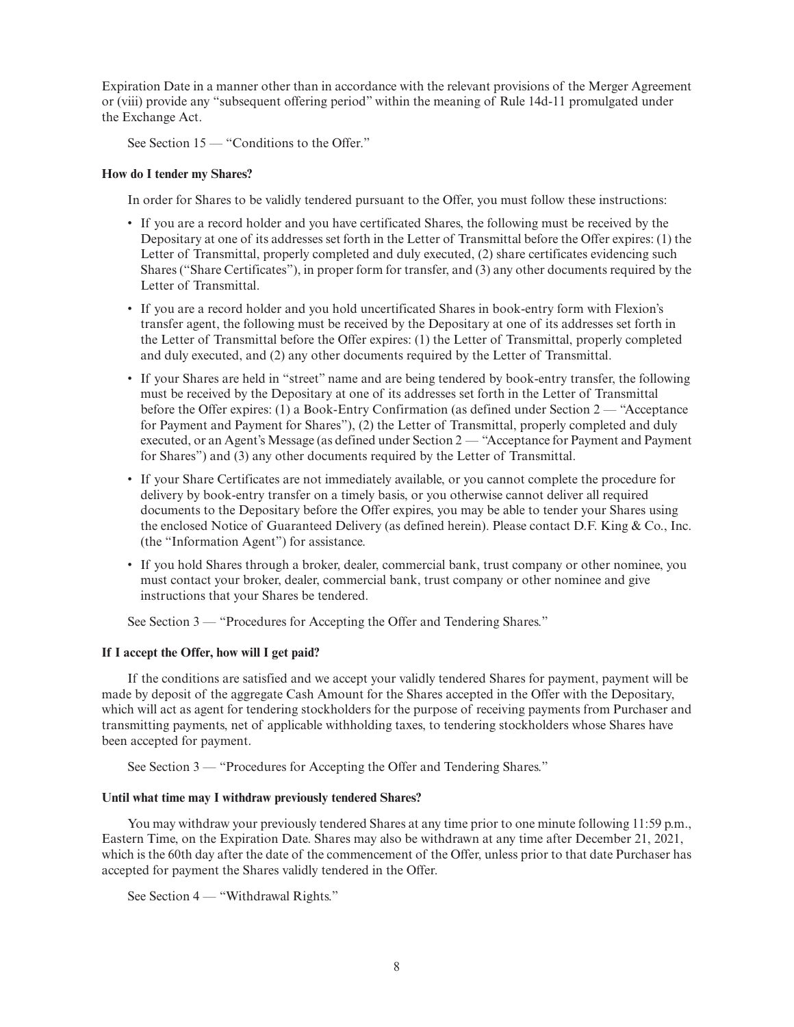Expiration Date in a manner other than in accordance with the relevant provisions of the Merger Agreement or (viii) provide any "subsequent offering period" within the meaning of Rule 14d-11 promulgated under the Exchange Act.

See Section 15 — "Conditions to the Offer."

## **How do I tender my Shares?**

In order for Shares to be validly tendered pursuant to the Offer, you must follow these instructions:

- If you are a record holder and you have certificated Shares, the following must be received by the Depositary at one of its addresses set forth in the Letter of Transmittal before the Offer expires: (1) the Letter of Transmittal, properly completed and duly executed, (2) share certificates evidencing such Shares ("Share Certificates"), in proper form for transfer, and (3) any other documents required by the Letter of Transmittal.
- If you are a record holder and you hold uncertificated Shares in book-entry form with Flexion's transfer agent, the following must be received by the Depositary at one of its addresses set forth in the Letter of Transmittal before the Offer expires: (1) the Letter of Transmittal, properly completed and duly executed, and (2) any other documents required by the Letter of Transmittal.
- If your Shares are held in "street" name and are being tendered by book-entry transfer, the following must be received by the Depositary at one of its addresses set forth in the Letter of Transmittal before the Offer expires: (1) a Book-Entry Confirmation (as defined under Section 2 — "Acceptance for Payment and Payment for Shares"), (2) the Letter of Transmittal, properly completed and duly executed, or an Agent's Message (as defined under Section 2 — "Acceptance for Payment and Payment for Shares") and (3) any other documents required by the Letter of Transmittal.
- If your Share Certificates are not immediately available, or you cannot complete the procedure for delivery by book-entry transfer on a timely basis, or you otherwise cannot deliver all required documents to the Depositary before the Offer expires, you may be able to tender your Shares using the enclosed Notice of Guaranteed Delivery (as defined herein). Please contact D.F. King & Co., Inc. (the "Information Agent") for assistance.
- If you hold Shares through a broker, dealer, commercial bank, trust company or other nominee, you must contact your broker, dealer, commercial bank, trust company or other nominee and give instructions that your Shares be tendered.

See Section 3 — "Procedures for Accepting the Offer and Tendering Shares."

## **If I accept the Offer, how will I get paid?**

If the conditions are satisfied and we accept your validly tendered Shares for payment, payment will be made by deposit of the aggregate Cash Amount for the Shares accepted in the Offer with the Depositary, which will act as agent for tendering stockholders for the purpose of receiving payments from Purchaser and transmitting payments, net of applicable withholding taxes, to tendering stockholders whose Shares have been accepted for payment.

See Section 3 — "Procedures for Accepting the Offer and Tendering Shares."

## **Until what time may I withdraw previously tendered Shares?**

You may withdraw your previously tendered Shares at any time prior to one minute following 11:59 p.m., Eastern Time, on the Expiration Date. Shares may also be withdrawn at any time after December 21, 2021, which is the 60th day after the date of the commencement of the Offer, unless prior to that date Purchaser has accepted for payment the Shares validly tendered in the Offer.

See Section 4 — "Withdrawal Rights."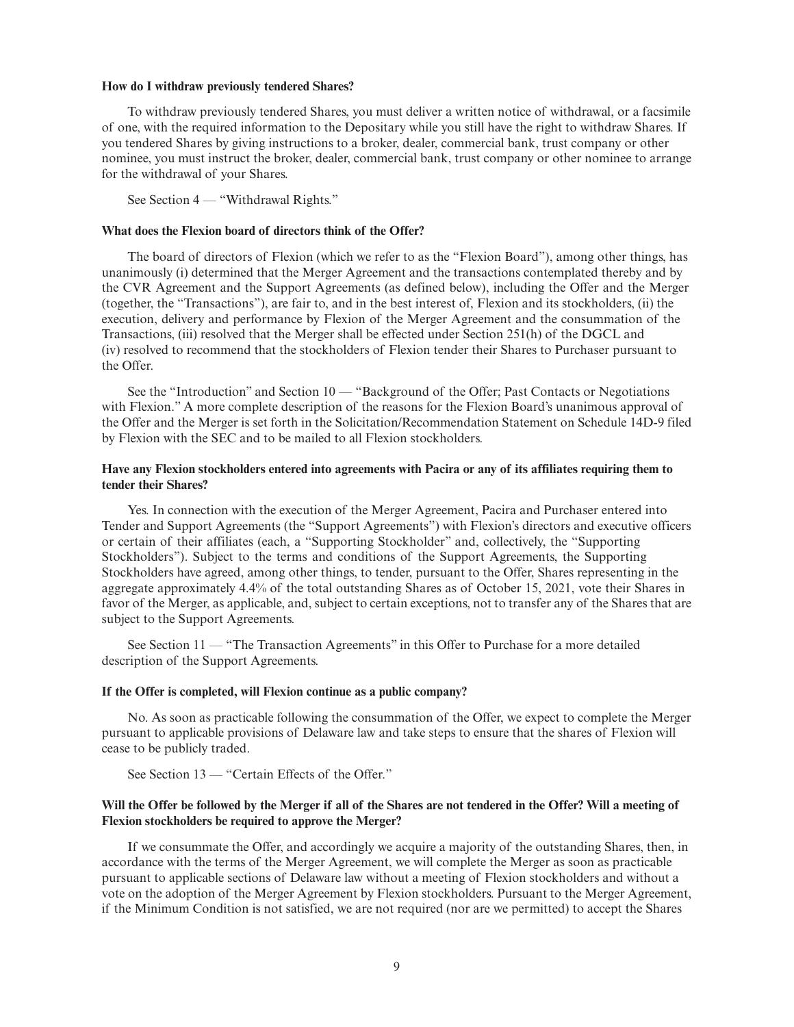#### **How do I withdraw previously tendered Shares?**

To withdraw previously tendered Shares, you must deliver a written notice of withdrawal, or a facsimile of one, with the required information to the Depositary while you still have the right to withdraw Shares. If you tendered Shares by giving instructions to a broker, dealer, commercial bank, trust company or other nominee, you must instruct the broker, dealer, commercial bank, trust company or other nominee to arrange for the withdrawal of your Shares.

See Section 4 — "Withdrawal Rights."

## **What does the Flexion board of directors think of the Offer?**

The board of directors of Flexion (which we refer to as the "Flexion Board"), among other things, has unanimously (i) determined that the Merger Agreement and the transactions contemplated thereby and by the CVR Agreement and the Support Agreements (as defined below), including the Offer and the Merger (together, the "Transactions"), are fair to, and in the best interest of, Flexion and its stockholders, (ii) the execution, delivery and performance by Flexion of the Merger Agreement and the consummation of the Transactions, (iii) resolved that the Merger shall be effected under Section 251(h) of the DGCL and (iv) resolved to recommend that the stockholders of Flexion tender their Shares to Purchaser pursuant to the Offer.

See the "Introduction" and Section 10 — "Background of the Offer; Past Contacts or Negotiations with Flexion." A more complete description of the reasons for the Flexion Board's unanimous approval of the Offer and the Merger is set forth in the Solicitation/Recommendation Statement on Schedule 14D-9 filed by Flexion with the SEC and to be mailed to all Flexion stockholders.

## **Have any Flexion stockholders entered into agreements with Pacira or any of its affiliates requiring them to tender their Shares?**

Yes. In connection with the execution of the Merger Agreement, Pacira and Purchaser entered into Tender and Support Agreements (the "Support Agreements") with Flexion's directors and executive officers or certain of their affiliates (each, a "Supporting Stockholder" and, collectively, the "Supporting Stockholders"). Subject to the terms and conditions of the Support Agreements, the Supporting Stockholders have agreed, among other things, to tender, pursuant to the Offer, Shares representing in the aggregate approximately 4.4% of the total outstanding Shares as of October 15, 2021, vote their Shares in favor of the Merger, as applicable, and, subject to certain exceptions, not to transfer any of the Shares that are subject to the Support Agreements.

See Section 11 — "The Transaction Agreements" in this Offer to Purchase for a more detailed description of the Support Agreements.

#### **If the Offer is completed, will Flexion continue as a public company?**

No. As soon as practicable following the consummation of the Offer, we expect to complete the Merger pursuant to applicable provisions of Delaware law and take steps to ensure that the shares of Flexion will cease to be publicly traded.

See Section 13 — "Certain Effects of the Offer."

## **Will the Offer be followed by the Merger if all of the Shares are not tendered in the Offer? Will a meeting of Flexion stockholders be required to approve the Merger?**

If we consummate the Offer, and accordingly we acquire a majority of the outstanding Shares, then, in accordance with the terms of the Merger Agreement, we will complete the Merger as soon as practicable pursuant to applicable sections of Delaware law without a meeting of Flexion stockholders and without a vote on the adoption of the Merger Agreement by Flexion stockholders. Pursuant to the Merger Agreement, if the Minimum Condition is not satisfied, we are not required (nor are we permitted) to accept the Shares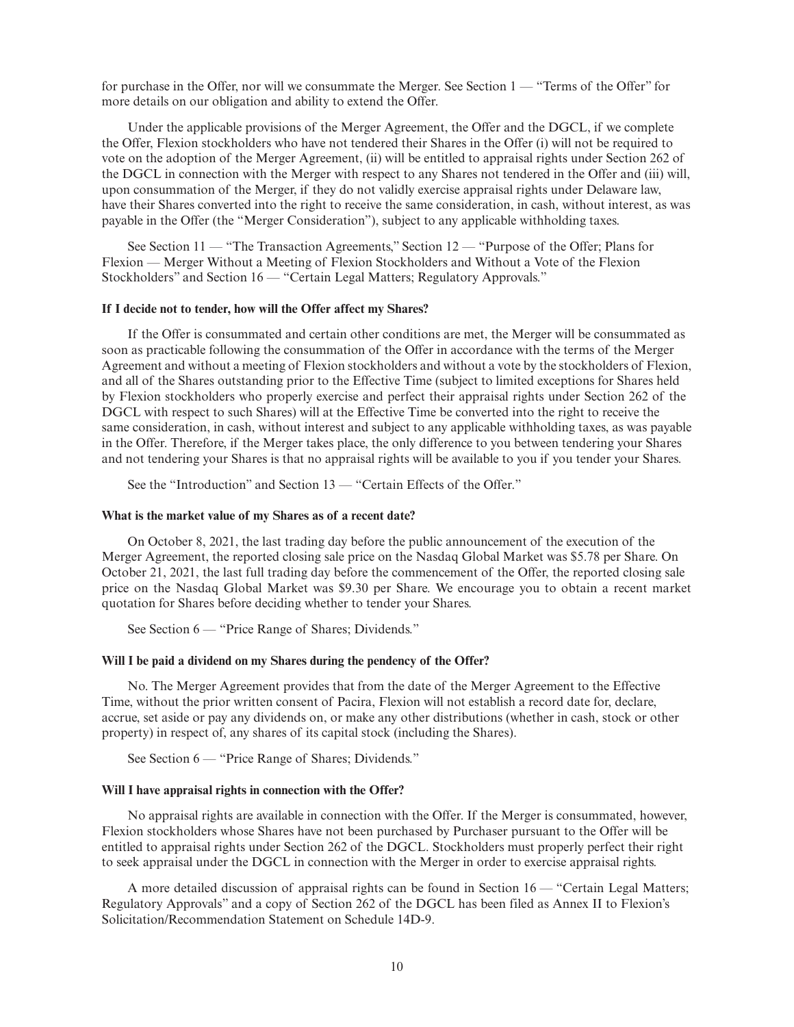for purchase in the Offer, nor will we consummate the Merger. See Section 1 — "Terms of the Offer" for more details on our obligation and ability to extend the Offer.

Under the applicable provisions of the Merger Agreement, the Offer and the DGCL, if we complete the Offer, Flexion stockholders who have not tendered their Shares in the Offer (i) will not be required to vote on the adoption of the Merger Agreement, (ii) will be entitled to appraisal rights under Section 262 of the DGCL in connection with the Merger with respect to any Shares not tendered in the Offer and (iii) will, upon consummation of the Merger, if they do not validly exercise appraisal rights under Delaware law, have their Shares converted into the right to receive the same consideration, in cash, without interest, as was payable in the Offer (the "Merger Consideration"), subject to any applicable withholding taxes.

See Section 11 — "The Transaction Agreements," Section 12 — "Purpose of the Offer; Plans for Flexion — Merger Without a Meeting of Flexion Stockholders and Without a Vote of the Flexion Stockholders" and Section 16 — "Certain Legal Matters; Regulatory Approvals."

#### **If I decide not to tender, how will the Offer affect my Shares?**

If the Offer is consummated and certain other conditions are met, the Merger will be consummated as soon as practicable following the consummation of the Offer in accordance with the terms of the Merger Agreement and without a meeting of Flexion stockholders and without a vote by the stockholders of Flexion, and all of the Shares outstanding prior to the Effective Time (subject to limited exceptions for Shares held by Flexion stockholders who properly exercise and perfect their appraisal rights under Section 262 of the DGCL with respect to such Shares) will at the Effective Time be converted into the right to receive the same consideration, in cash, without interest and subject to any applicable withholding taxes, as was payable in the Offer. Therefore, if the Merger takes place, the only difference to you between tendering your Shares and not tendering your Shares is that no appraisal rights will be available to you if you tender your Shares.

See the "Introduction" and Section 13 — "Certain Effects of the Offer."

#### **What is the market value of my Shares as of a recent date?**

On October 8, 2021, the last trading day before the public announcement of the execution of the Merger Agreement, the reported closing sale price on the Nasdaq Global Market was \$5.78 per Share. On October 21, 2021, the last full trading day before the commencement of the Offer, the reported closing sale price on the Nasdaq Global Market was \$9.30 per Share. We encourage you to obtain a recent market quotation for Shares before deciding whether to tender your Shares.

See Section 6 — "Price Range of Shares; Dividends."

#### **Will I be paid a dividend on my Shares during the pendency of the Offer?**

No. The Merger Agreement provides that from the date of the Merger Agreement to the Effective Time, without the prior written consent of Pacira, Flexion will not establish a record date for, declare, accrue, set aside or pay any dividends on, or make any other distributions (whether in cash, stock or other property) in respect of, any shares of its capital stock (including the Shares).

See Section 6 — "Price Range of Shares; Dividends."

#### **Will I have appraisal rights in connection with the Offer?**

No appraisal rights are available in connection with the Offer. If the Merger is consummated, however, Flexion stockholders whose Shares have not been purchased by Purchaser pursuant to the Offer will be entitled to appraisal rights under Section 262 of the DGCL. Stockholders must properly perfect their right to seek appraisal under the DGCL in connection with the Merger in order to exercise appraisal rights.

A more detailed discussion of appraisal rights can be found in Section 16 — "Certain Legal Matters; Regulatory Approvals" and a copy of Section 262 of the DGCL has been filed as Annex II to Flexion's Solicitation/Recommendation Statement on Schedule 14D-9.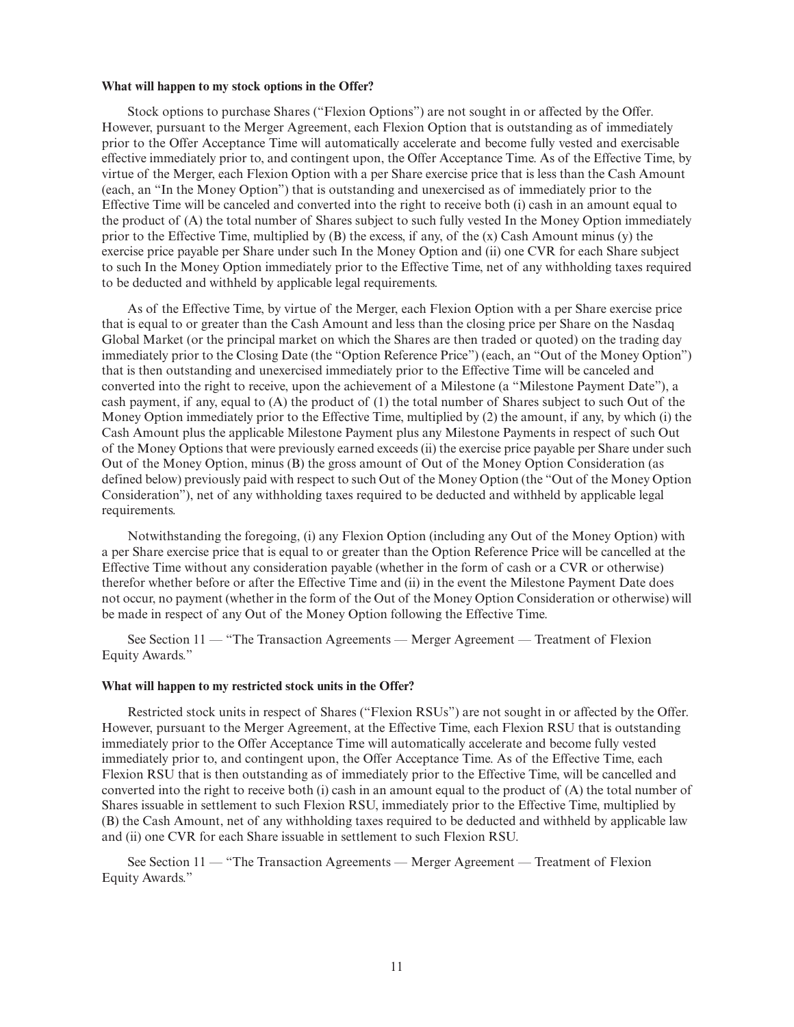#### **What will happen to my stock options in the Offer?**

Stock options to purchase Shares ("Flexion Options") are not sought in or affected by the Offer. However, pursuant to the Merger Agreement, each Flexion Option that is outstanding as of immediately prior to the Offer Acceptance Time will automatically accelerate and become fully vested and exercisable effective immediately prior to, and contingent upon, the Offer Acceptance Time. As of the Effective Time, by virtue of the Merger, each Flexion Option with a per Share exercise price that is less than the Cash Amount (each, an "In the Money Option") that is outstanding and unexercised as of immediately prior to the Effective Time will be canceled and converted into the right to receive both (i) cash in an amount equal to the product of (A) the total number of Shares subject to such fully vested In the Money Option immediately prior to the Effective Time, multiplied by  $(B)$  the excess, if any, of the  $(x)$  Cash Amount minus  $(y)$  the exercise price payable per Share under such In the Money Option and (ii) one CVR for each Share subject to such In the Money Option immediately prior to the Effective Time, net of any withholding taxes required to be deducted and withheld by applicable legal requirements.

As of the Effective Time, by virtue of the Merger, each Flexion Option with a per Share exercise price that is equal to or greater than the Cash Amount and less than the closing price per Share on the Nasdaq Global Market (or the principal market on which the Shares are then traded or quoted) on the trading day immediately prior to the Closing Date (the "Option Reference Price") (each, an "Out of the Money Option") that is then outstanding and unexercised immediately prior to the Effective Time will be canceled and converted into the right to receive, upon the achievement of a Milestone (a "Milestone Payment Date"), a cash payment, if any, equal to (A) the product of (1) the total number of Shares subject to such Out of the Money Option immediately prior to the Effective Time, multiplied by (2) the amount, if any, by which (i) the Cash Amount plus the applicable Milestone Payment plus any Milestone Payments in respect of such Out of the Money Options that were previously earned exceeds (ii) the exercise price payable per Share under such Out of the Money Option, minus (B) the gross amount of Out of the Money Option Consideration (as defined below) previously paid with respect to such Out of the Money Option (the "Out of the Money Option Consideration"), net of any withholding taxes required to be deducted and withheld by applicable legal requirements.

Notwithstanding the foregoing, (i) any Flexion Option (including any Out of the Money Option) with a per Share exercise price that is equal to or greater than the Option Reference Price will be cancelled at the Effective Time without any consideration payable (whether in the form of cash or a CVR or otherwise) therefor whether before or after the Effective Time and (ii) in the event the Milestone Payment Date does not occur, no payment (whether in the form of the Out of the Money Option Consideration or otherwise) will be made in respect of any Out of the Money Option following the Effective Time.

See Section 11 — "The Transaction Agreements — Merger Agreement — Treatment of Flexion Equity Awards."

#### **What will happen to my restricted stock units in the Offer?**

Restricted stock units in respect of Shares ("Flexion RSUs") are not sought in or affected by the Offer. However, pursuant to the Merger Agreement, at the Effective Time, each Flexion RSU that is outstanding immediately prior to the Offer Acceptance Time will automatically accelerate and become fully vested immediately prior to, and contingent upon, the Offer Acceptance Time. As of the Effective Time, each Flexion RSU that is then outstanding as of immediately prior to the Effective Time, will be cancelled and converted into the right to receive both (i) cash in an amount equal to the product of (A) the total number of Shares issuable in settlement to such Flexion RSU, immediately prior to the Effective Time, multiplied by (B) the Cash Amount, net of any withholding taxes required to be deducted and withheld by applicable law and (ii) one CVR for each Share issuable in settlement to such Flexion RSU.

See Section 11 — "The Transaction Agreements — Merger Agreement — Treatment of Flexion Equity Awards."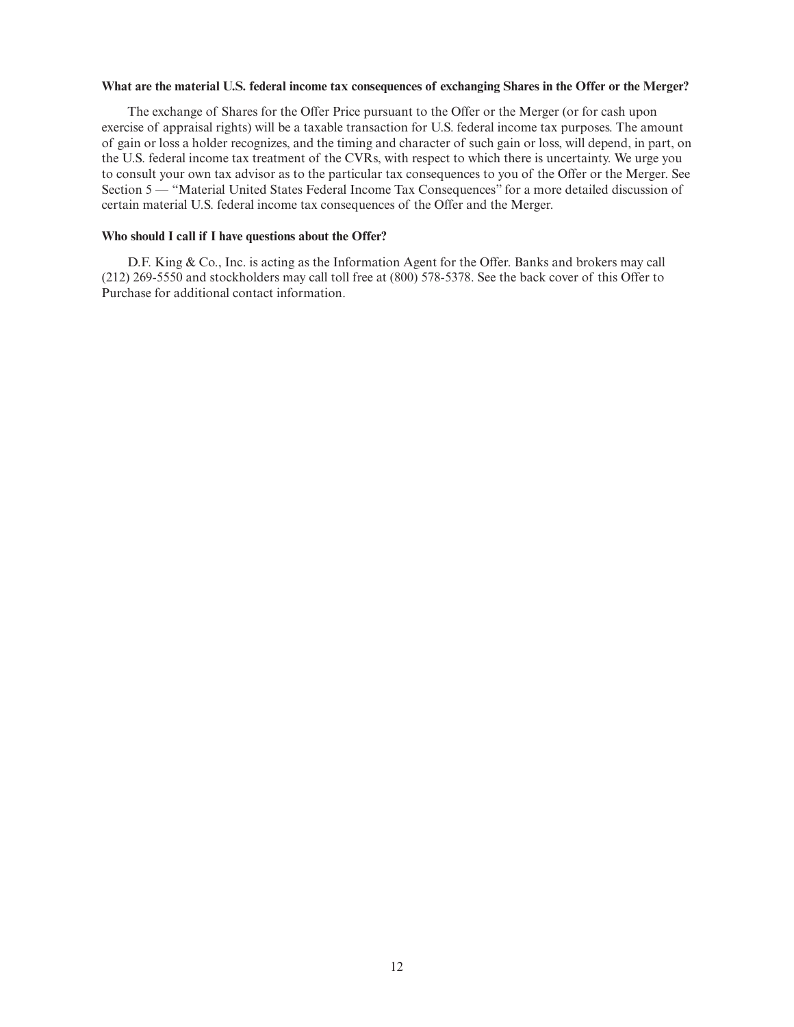## **What are the material U.S. federal income tax consequences of exchanging Shares in the Offer or the Merger?**

The exchange of Shares for the Offer Price pursuant to the Offer or the Merger (or for cash upon exercise of appraisal rights) will be a taxable transaction for U.S. federal income tax purposes. The amount of gain or loss a holder recognizes, and the timing and character of such gain or loss, will depend, in part, on the U.S. federal income tax treatment of the CVRs, with respect to which there is uncertainty. We urge you to consult your own tax advisor as to the particular tax consequences to you of the Offer or the Merger. See Section 5 — "Material United States Federal Income Tax Consequences" for a more detailed discussion of certain material U.S. federal income tax consequences of the Offer and the Merger.

## **Who should I call if I have questions about the Offer?**

D.F. King & Co., Inc. is acting as the Information Agent for the Offer. Banks and brokers may call (212) 269-5550 and stockholders may call toll free at (800) 578-5378. See the back cover of this Offer to Purchase for additional contact information.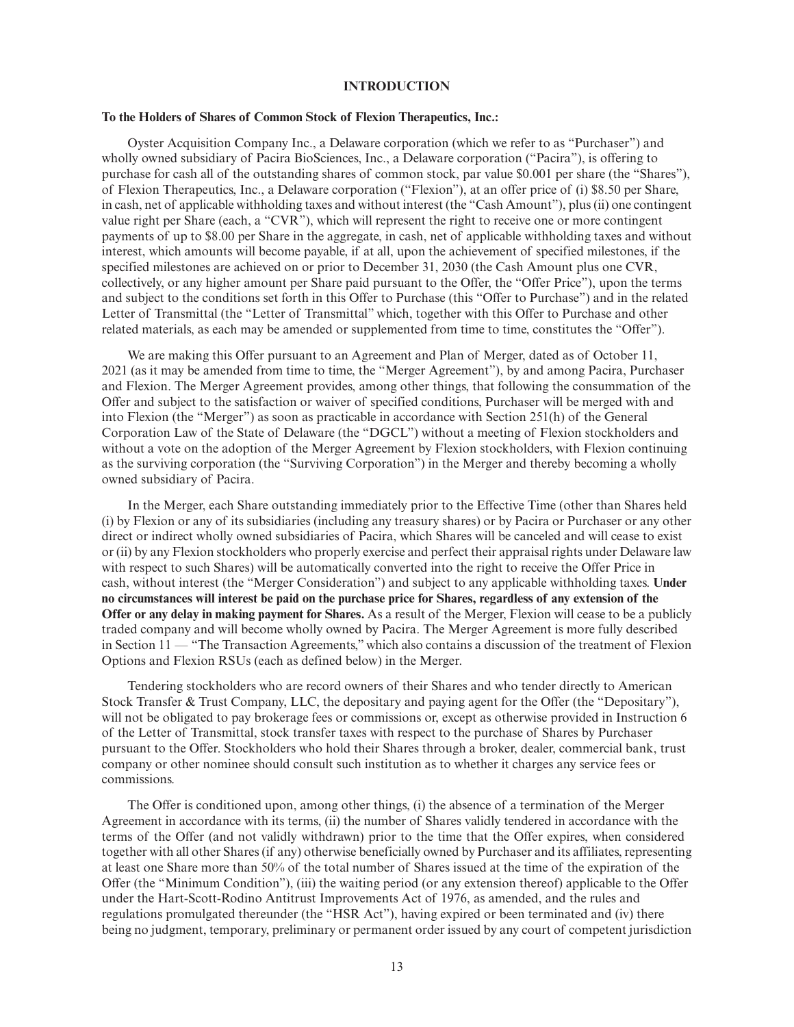## **INTRODUCTION**

#### **To the Holders of Shares of Common Stock of Flexion Therapeutics, Inc.:**

Oyster Acquisition Company Inc., a Delaware corporation (which we refer to as "Purchaser") and wholly owned subsidiary of Pacira BioSciences, Inc., a Delaware corporation ("Pacira"), is offering to purchase for cash all of the outstanding shares of common stock, par value \$0.001 per share (the "Shares"), of Flexion Therapeutics, Inc., a Delaware corporation ("Flexion"), at an offer price of (i) \$8.50 per Share, in cash, net of applicable withholding taxes and without interest (the "Cash Amount"), plus (ii) one contingent value right per Share (each, a "CVR"), which will represent the right to receive one or more contingent payments of up to \$8.00 per Share in the aggregate, in cash, net of applicable withholding taxes and without interest, which amounts will become payable, if at all, upon the achievement of specified milestones, if the specified milestones are achieved on or prior to December 31, 2030 (the Cash Amount plus one CVR, collectively, or any higher amount per Share paid pursuant to the Offer, the "Offer Price"), upon the terms and subject to the conditions set forth in this Offer to Purchase (this "Offer to Purchase") and in the related Letter of Transmittal (the "Letter of Transmittal" which, together with this Offer to Purchase and other related materials, as each may be amended or supplemented from time to time, constitutes the "Offer").

We are making this Offer pursuant to an Agreement and Plan of Merger, dated as of October 11, 2021 (as it may be amended from time to time, the "Merger Agreement"), by and among Pacira, Purchaser and Flexion. The Merger Agreement provides, among other things, that following the consummation of the Offer and subject to the satisfaction or waiver of specified conditions, Purchaser will be merged with and into Flexion (the "Merger") as soon as practicable in accordance with Section 251(h) of the General Corporation Law of the State of Delaware (the "DGCL") without a meeting of Flexion stockholders and without a vote on the adoption of the Merger Agreement by Flexion stockholders, with Flexion continuing as the surviving corporation (the "Surviving Corporation") in the Merger and thereby becoming a wholly owned subsidiary of Pacira.

In the Merger, each Share outstanding immediately prior to the Effective Time (other than Shares held (i) by Flexion or any of its subsidiaries (including any treasury shares) or by Pacira or Purchaser or any other direct or indirect wholly owned subsidiaries of Pacira, which Shares will be canceled and will cease to exist or (ii) by any Flexion stockholders who properly exercise and perfect their appraisal rights under Delaware law with respect to such Shares) will be automatically converted into the right to receive the Offer Price in cash, without interest (the "Merger Consideration") and subject to any applicable withholding taxes. **Under no circumstances will interest be paid on the purchase price for Shares, regardless of any extension of the Offer or any delay in making payment for Shares.** As a result of the Merger, Flexion will cease to be a publicly traded company and will become wholly owned by Pacira. The Merger Agreement is more fully described in Section 11 — "The Transaction Agreements," which also contains a discussion of the treatment of Flexion Options and Flexion RSUs (each as defined below) in the Merger.

Tendering stockholders who are record owners of their Shares and who tender directly to American Stock Transfer & Trust Company, LLC, the depositary and paying agent for the Offer (the "Depositary"), will not be obligated to pay brokerage fees or commissions or, except as otherwise provided in Instruction 6 of the Letter of Transmittal, stock transfer taxes with respect to the purchase of Shares by Purchaser pursuant to the Offer. Stockholders who hold their Shares through a broker, dealer, commercial bank, trust company or other nominee should consult such institution as to whether it charges any service fees or commissions.

The Offer is conditioned upon, among other things, (i) the absence of a termination of the Merger Agreement in accordance with its terms, (ii) the number of Shares validly tendered in accordance with the terms of the Offer (and not validly withdrawn) prior to the time that the Offer expires, when considered together with all other Shares (if any) otherwise beneficially owned by Purchaser and its affiliates, representing at least one Share more than 50% of the total number of Shares issued at the time of the expiration of the Offer (the "Minimum Condition"), (iii) the waiting period (or any extension thereof) applicable to the Offer under the Hart-Scott-Rodino Antitrust Improvements Act of 1976, as amended, and the rules and regulations promulgated thereunder (the "HSR Act"), having expired or been terminated and (iv) there being no judgment, temporary, preliminary or permanent order issued by any court of competent jurisdiction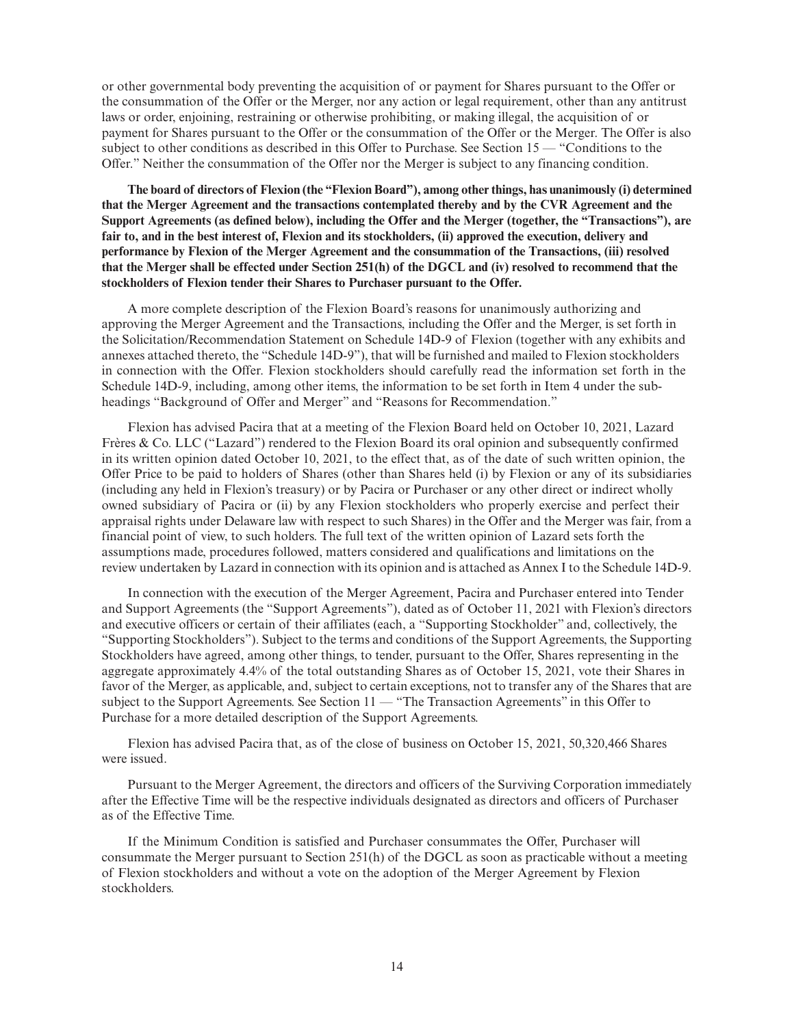or other governmental body preventing the acquisition of or payment for Shares pursuant to the Offer or the consummation of the Offer or the Merger, nor any action or legal requirement, other than any antitrust laws or order, enjoining, restraining or otherwise prohibiting, or making illegal, the acquisition of or payment for Shares pursuant to the Offer or the consummation of the Offer or the Merger. The Offer is also subject to other conditions as described in this Offer to Purchase. See Section 15 — "Conditions to the Offer." Neither the consummation of the Offer nor the Merger is subject to any financing condition.

**The board of directors of Flexion (the "Flexion Board"), among other things, has unanimously (i) determined that the Merger Agreement and the transactions contemplated thereby and by the CVR Agreement and the Support Agreements (as defined below), including the Offer and the Merger (together, the "Transactions"), are fair to, and in the best interest of, Flexion and its stockholders, (ii) approved the execution, delivery and performance by Flexion of the Merger Agreement and the consummation of the Transactions, (iii) resolved that the Merger shall be effected under Section 251(h) of the DGCL and (iv) resolved to recommend that the stockholders of Flexion tender their Shares to Purchaser pursuant to the Offer.**

A more complete description of the Flexion Board's reasons for unanimously authorizing and approving the Merger Agreement and the Transactions, including the Offer and the Merger, is set forth in the Solicitation/Recommendation Statement on Schedule 14D-9 of Flexion (together with any exhibits and annexes attached thereto, the "Schedule 14D-9"), that will be furnished and mailed to Flexion stockholders in connection with the Offer. Flexion stockholders should carefully read the information set forth in the Schedule 14D-9, including, among other items, the information to be set forth in Item 4 under the subheadings "Background of Offer and Merger" and "Reasons for Recommendation."

Flexion has advised Pacira that at a meeting of the Flexion Board held on October 10, 2021, Lazard Frères & Co. LLC ("Lazard") rendered to the Flexion Board its oral opinion and subsequently confirmed in its written opinion dated October 10, 2021, to the effect that, as of the date of such written opinion, the Offer Price to be paid to holders of Shares (other than Shares held (i) by Flexion or any of its subsidiaries (including any held in Flexion's treasury) or by Pacira or Purchaser or any other direct or indirect wholly owned subsidiary of Pacira or (ii) by any Flexion stockholders who properly exercise and perfect their appraisal rights under Delaware law with respect to such Shares) in the Offer and the Merger was fair, from a financial point of view, to such holders. The full text of the written opinion of Lazard sets forth the assumptions made, procedures followed, matters considered and qualifications and limitations on the review undertaken by Lazard in connection with its opinion and is attached as Annex I to the Schedule 14D-9.

In connection with the execution of the Merger Agreement, Pacira and Purchaser entered into Tender and Support Agreements (the "Support Agreements"), dated as of October 11, 2021 with Flexion's directors and executive officers or certain of their affiliates (each, a "Supporting Stockholder" and, collectively, the "Supporting Stockholders"). Subject to the terms and conditions of the Support Agreements, the Supporting Stockholders have agreed, among other things, to tender, pursuant to the Offer, Shares representing in the aggregate approximately 4.4% of the total outstanding Shares as of October 15, 2021, vote their Shares in favor of the Merger, as applicable, and, subject to certain exceptions, not to transfer any of the Shares that are subject to the Support Agreements. See Section 11 — "The Transaction Agreements" in this Offer to Purchase for a more detailed description of the Support Agreements.

Flexion has advised Pacira that, as of the close of business on October 15, 2021, 50,320,466 Shares were issued.

Pursuant to the Merger Agreement, the directors and officers of the Surviving Corporation immediately after the Effective Time will be the respective individuals designated as directors and officers of Purchaser as of the Effective Time.

If the Minimum Condition is satisfied and Purchaser consummates the Offer, Purchaser will consummate the Merger pursuant to Section 251(h) of the DGCL as soon as practicable without a meeting of Flexion stockholders and without a vote on the adoption of the Merger Agreement by Flexion stockholders.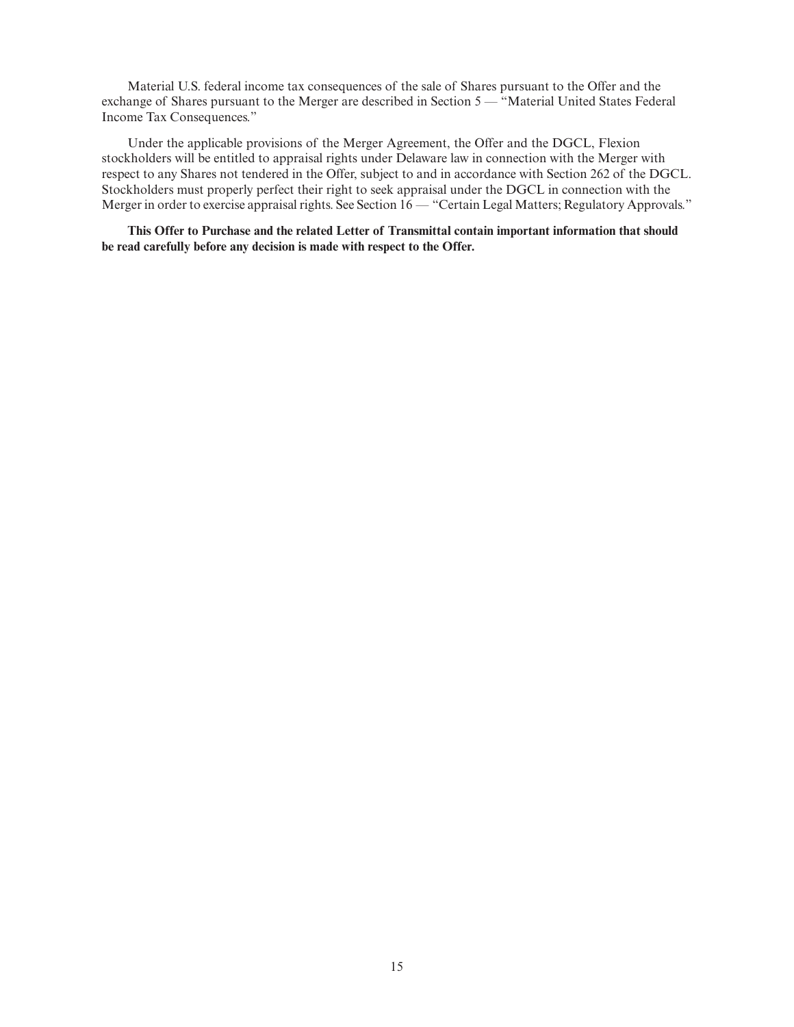Material U.S. federal income tax consequences of the sale of Shares pursuant to the Offer and the exchange of Shares pursuant to the Merger are described in Section 5 — "Material United States Federal Income Tax Consequences."

Under the applicable provisions of the Merger Agreement, the Offer and the DGCL, Flexion stockholders will be entitled to appraisal rights under Delaware law in connection with the Merger with respect to any Shares not tendered in the Offer, subject to and in accordance with Section 262 of the DGCL. Stockholders must properly perfect their right to seek appraisal under the DGCL in connection with the Merger in order to exercise appraisal rights. See Section 16 — "Certain Legal Matters; Regulatory Approvals."

**This Offer to Purchase and the related Letter of Transmittal contain important information that should be read carefully before any decision is made with respect to the Offer.**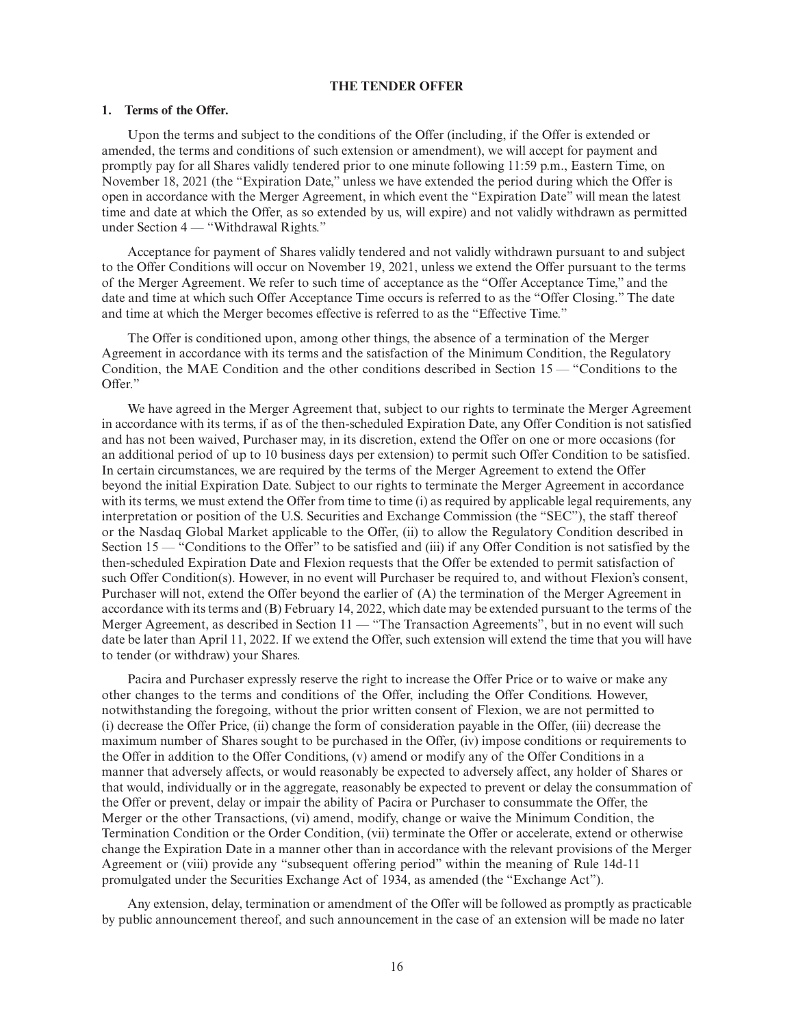## **THE TENDER OFFER**

## **1. Terms of the Offer.**

Upon the terms and subject to the conditions of the Offer (including, if the Offer is extended or amended, the terms and conditions of such extension or amendment), we will accept for payment and promptly pay for all Shares validly tendered prior to one minute following 11:59 p.m., Eastern Time, on November 18, 2021 (the "Expiration Date," unless we have extended the period during which the Offer is open in accordance with the Merger Agreement, in which event the "Expiration Date" will mean the latest time and date at which the Offer, as so extended by us, will expire) and not validly withdrawn as permitted under Section 4 — "Withdrawal Rights."

Acceptance for payment of Shares validly tendered and not validly withdrawn pursuant to and subject to the Offer Conditions will occur on November 19, 2021, unless we extend the Offer pursuant to the terms of the Merger Agreement. We refer to such time of acceptance as the "Offer Acceptance Time," and the date and time at which such Offer Acceptance Time occurs is referred to as the "Offer Closing." The date and time at which the Merger becomes effective is referred to as the "Effective Time."

The Offer is conditioned upon, among other things, the absence of a termination of the Merger Agreement in accordance with its terms and the satisfaction of the Minimum Condition, the Regulatory Condition, the MAE Condition and the other conditions described in Section 15 — "Conditions to the Offer."

We have agreed in the Merger Agreement that, subject to our rights to terminate the Merger Agreement in accordance with its terms, if as of the then-scheduled Expiration Date, any Offer Condition is not satisfied and has not been waived, Purchaser may, in its discretion, extend the Offer on one or more occasions (for an additional period of up to 10 business days per extension) to permit such Offer Condition to be satisfied. In certain circumstances, we are required by the terms of the Merger Agreement to extend the Offer beyond the initial Expiration Date. Subject to our rights to terminate the Merger Agreement in accordance with its terms, we must extend the Offer from time to time (i) as required by applicable legal requirements, any interpretation or position of the U.S. Securities and Exchange Commission (the "SEC"), the staff thereof or the Nasdaq Global Market applicable to the Offer, (ii) to allow the Regulatory Condition described in Section 15 — "Conditions to the Offer" to be satisfied and (iii) if any Offer Condition is not satisfied by the then-scheduled Expiration Date and Flexion requests that the Offer be extended to permit satisfaction of such Offer Condition(s). However, in no event will Purchaser be required to, and without Flexion's consent, Purchaser will not, extend the Offer beyond the earlier of (A) the termination of the Merger Agreement in accordance with its terms and (B) February 14, 2022, which date may be extended pursuant to the terms of the Merger Agreement, as described in Section 11 — "The Transaction Agreements", but in no event will such date be later than April 11, 2022. If we extend the Offer, such extension will extend the time that you will have to tender (or withdraw) your Shares.

Pacira and Purchaser expressly reserve the right to increase the Offer Price or to waive or make any other changes to the terms and conditions of the Offer, including the Offer Conditions. However, notwithstanding the foregoing, without the prior written consent of Flexion, we are not permitted to (i) decrease the Offer Price, (ii) change the form of consideration payable in the Offer, (iii) decrease the maximum number of Shares sought to be purchased in the Offer, (iv) impose conditions or requirements to the Offer in addition to the Offer Conditions, (v) amend or modify any of the Offer Conditions in a manner that adversely affects, or would reasonably be expected to adversely affect, any holder of Shares or that would, individually or in the aggregate, reasonably be expected to prevent or delay the consummation of the Offer or prevent, delay or impair the ability of Pacira or Purchaser to consummate the Offer, the Merger or the other Transactions, (vi) amend, modify, change or waive the Minimum Condition, the Termination Condition or the Order Condition, (vii) terminate the Offer or accelerate, extend or otherwise change the Expiration Date in a manner other than in accordance with the relevant provisions of the Merger Agreement or (viii) provide any "subsequent offering period" within the meaning of Rule 14d-11 promulgated under the Securities Exchange Act of 1934, as amended (the "Exchange Act").

Any extension, delay, termination or amendment of the Offer will be followed as promptly as practicable by public announcement thereof, and such announcement in the case of an extension will be made no later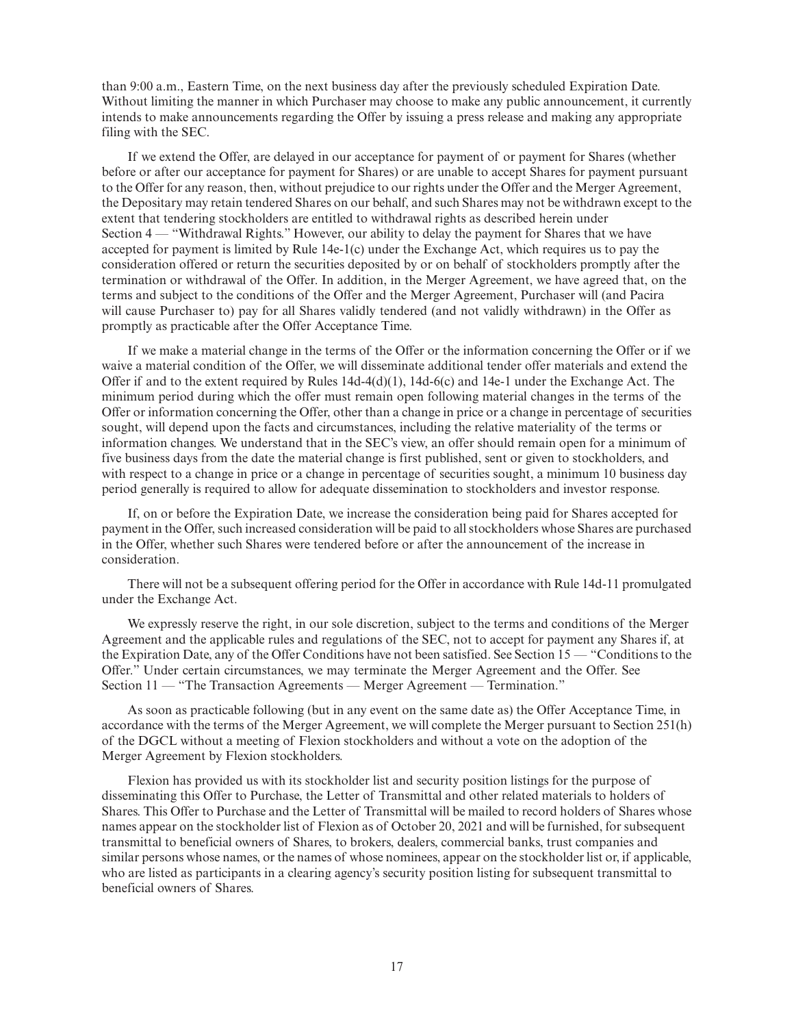than 9:00 a.m., Eastern Time, on the next business day after the previously scheduled Expiration Date. Without limiting the manner in which Purchaser may choose to make any public announcement, it currently intends to make announcements regarding the Offer by issuing a press release and making any appropriate filing with the SEC.

If we extend the Offer, are delayed in our acceptance for payment of or payment for Shares (whether before or after our acceptance for payment for Shares) or are unable to accept Shares for payment pursuant to the Offer for any reason, then, without prejudice to our rights under the Offer and the Merger Agreement, the Depositary may retain tendered Shares on our behalf, and such Shares may not be withdrawn except to the extent that tendering stockholders are entitled to withdrawal rights as described herein under Section 4 — "Withdrawal Rights." However, our ability to delay the payment for Shares that we have accepted for payment is limited by Rule 14e-1(c) under the Exchange Act, which requires us to pay the consideration offered or return the securities deposited by or on behalf of stockholders promptly after the termination or withdrawal of the Offer. In addition, in the Merger Agreement, we have agreed that, on the terms and subject to the conditions of the Offer and the Merger Agreement, Purchaser will (and Pacira will cause Purchaser to) pay for all Shares validly tendered (and not validly withdrawn) in the Offer as promptly as practicable after the Offer Acceptance Time.

If we make a material change in the terms of the Offer or the information concerning the Offer or if we waive a material condition of the Offer, we will disseminate additional tender offer materials and extend the Offer if and to the extent required by Rules  $14d-4(d)(1)$ ,  $14d-6(c)$  and  $14e-1$  under the Exchange Act. The minimum period during which the offer must remain open following material changes in the terms of the Offer or information concerning the Offer, other than a change in price or a change in percentage of securities sought, will depend upon the facts and circumstances, including the relative materiality of the terms or information changes. We understand that in the SEC's view, an offer should remain open for a minimum of five business days from the date the material change is first published, sent or given to stockholders, and with respect to a change in price or a change in percentage of securities sought, a minimum 10 business day period generally is required to allow for adequate dissemination to stockholders and investor response.

If, on or before the Expiration Date, we increase the consideration being paid for Shares accepted for payment in the Offer, such increased consideration will be paid to all stockholders whose Shares are purchased in the Offer, whether such Shares were tendered before or after the announcement of the increase in consideration.

There will not be a subsequent offering period for the Offer in accordance with Rule 14d-11 promulgated under the Exchange Act.

We expressly reserve the right, in our sole discretion, subject to the terms and conditions of the Merger Agreement and the applicable rules and regulations of the SEC, not to accept for payment any Shares if, at the Expiration Date, any of the Offer Conditions have not been satisfied. See Section 15 — "Conditions to the Offer." Under certain circumstances, we may terminate the Merger Agreement and the Offer. See Section 11 — "The Transaction Agreements — Merger Agreement — Termination."

As soon as practicable following (but in any event on the same date as) the Offer Acceptance Time, in accordance with the terms of the Merger Agreement, we will complete the Merger pursuant to Section 251(h) of the DGCL without a meeting of Flexion stockholders and without a vote on the adoption of the Merger Agreement by Flexion stockholders.

Flexion has provided us with its stockholder list and security position listings for the purpose of disseminating this Offer to Purchase, the Letter of Transmittal and other related materials to holders of Shares. This Offer to Purchase and the Letter of Transmittal will be mailed to record holders of Shares whose names appear on the stockholder list of Flexion as of October 20, 2021 and will be furnished, for subsequent transmittal to beneficial owners of Shares, to brokers, dealers, commercial banks, trust companies and similar persons whose names, or the names of whose nominees, appear on the stockholder list or, if applicable, who are listed as participants in a clearing agency's security position listing for subsequent transmittal to beneficial owners of Shares.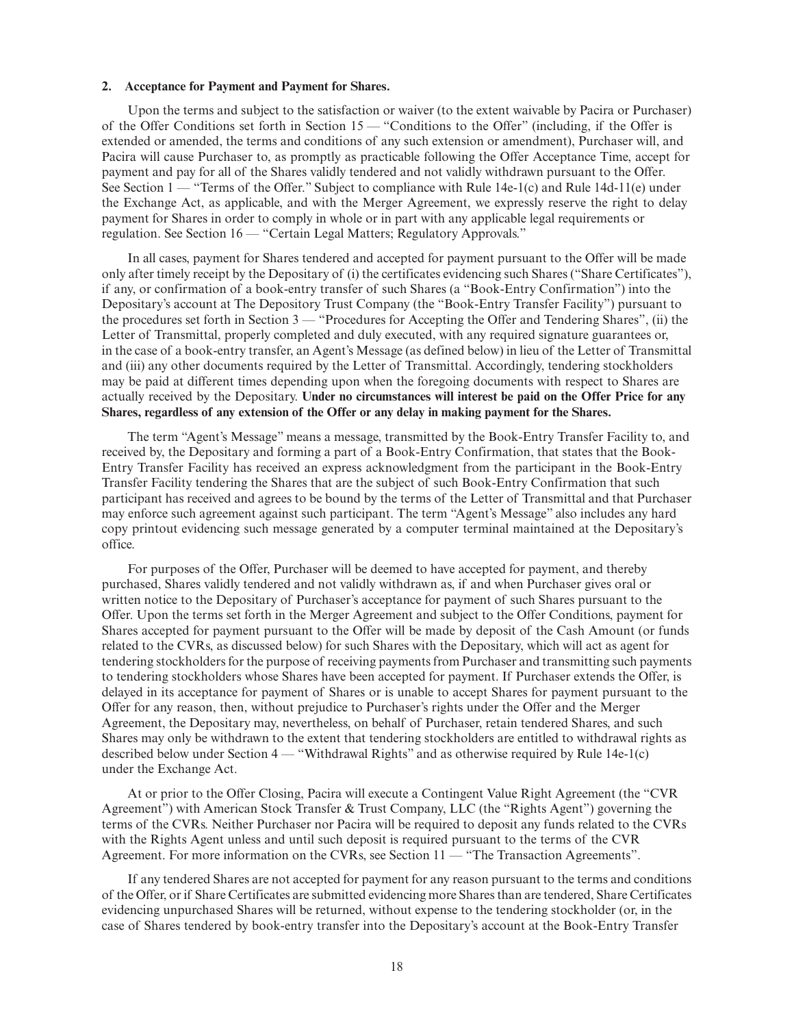#### **2. Acceptance for Payment and Payment for Shares.**

Upon the terms and subject to the satisfaction or waiver (to the extent waivable by Pacira or Purchaser) of the Offer Conditions set forth in Section 15 — "Conditions to the Offer" (including, if the Offer is extended or amended, the terms and conditions of any such extension or amendment), Purchaser will, and Pacira will cause Purchaser to, as promptly as practicable following the Offer Acceptance Time, accept for payment and pay for all of the Shares validly tendered and not validly withdrawn pursuant to the Offer. See Section 1 — "Terms of the Offer." Subject to compliance with Rule 14e-1(c) and Rule 14d-11(e) under the Exchange Act, as applicable, and with the Merger Agreement, we expressly reserve the right to delay payment for Shares in order to comply in whole or in part with any applicable legal requirements or regulation. See Section 16 — "Certain Legal Matters; Regulatory Approvals."

In all cases, payment for Shares tendered and accepted for payment pursuant to the Offer will be made only after timely receipt by the Depositary of (i) the certificates evidencing such Shares ("Share Certificates"), if any, or confirmation of a book-entry transfer of such Shares (a "Book-Entry Confirmation") into the Depositary's account at The Depository Trust Company (the "Book-Entry Transfer Facility") pursuant to the procedures set forth in Section 3 — "Procedures for Accepting the Offer and Tendering Shares", (ii) the Letter of Transmittal, properly completed and duly executed, with any required signature guarantees or, in the case of a book-entry transfer, an Agent's Message (as defined below) in lieu of the Letter of Transmittal and (iii) any other documents required by the Letter of Transmittal. Accordingly, tendering stockholders may be paid at different times depending upon when the foregoing documents with respect to Shares are actually received by the Depositary. **Under no circumstances will interest be paid on the Offer Price for any Shares, regardless of any extension of the Offer or any delay in making payment for the Shares.**

The term "Agent's Message" means a message, transmitted by the Book-Entry Transfer Facility to, and received by, the Depositary and forming a part of a Book-Entry Confirmation, that states that the Book-Entry Transfer Facility has received an express acknowledgment from the participant in the Book-Entry Transfer Facility tendering the Shares that are the subject of such Book-Entry Confirmation that such participant has received and agrees to be bound by the terms of the Letter of Transmittal and that Purchaser may enforce such agreement against such participant. The term "Agent's Message" also includes any hard copy printout evidencing such message generated by a computer terminal maintained at the Depositary's office.

For purposes of the Offer, Purchaser will be deemed to have accepted for payment, and thereby purchased, Shares validly tendered and not validly withdrawn as, if and when Purchaser gives oral or written notice to the Depositary of Purchaser's acceptance for payment of such Shares pursuant to the Offer. Upon the terms set forth in the Merger Agreement and subject to the Offer Conditions, payment for Shares accepted for payment pursuant to the Offer will be made by deposit of the Cash Amount (or funds related to the CVRs, as discussed below) for such Shares with the Depositary, which will act as agent for tendering stockholders for the purpose of receiving payments from Purchaser and transmitting such payments to tendering stockholders whose Shares have been accepted for payment. If Purchaser extends the Offer, is delayed in its acceptance for payment of Shares or is unable to accept Shares for payment pursuant to the Offer for any reason, then, without prejudice to Purchaser's rights under the Offer and the Merger Agreement, the Depositary may, nevertheless, on behalf of Purchaser, retain tendered Shares, and such Shares may only be withdrawn to the extent that tendering stockholders are entitled to withdrawal rights as described below under Section 4 — "Withdrawal Rights" and as otherwise required by Rule 14e-1(c) under the Exchange Act.

At or prior to the Offer Closing, Pacira will execute a Contingent Value Right Agreement (the "CVR Agreement") with American Stock Transfer & Trust Company, LLC (the "Rights Agent") governing the terms of the CVRs. Neither Purchaser nor Pacira will be required to deposit any funds related to the CVRs with the Rights Agent unless and until such deposit is required pursuant to the terms of the CVR Agreement. For more information on the CVRs, see Section 11 — "The Transaction Agreements".

If any tendered Shares are not accepted for payment for any reason pursuant to the terms and conditions of the Offer, or if Share Certificates are submitted evidencing more Shares than are tendered, Share Certificates evidencing unpurchased Shares will be returned, without expense to the tendering stockholder (or, in the case of Shares tendered by book-entry transfer into the Depositary's account at the Book-Entry Transfer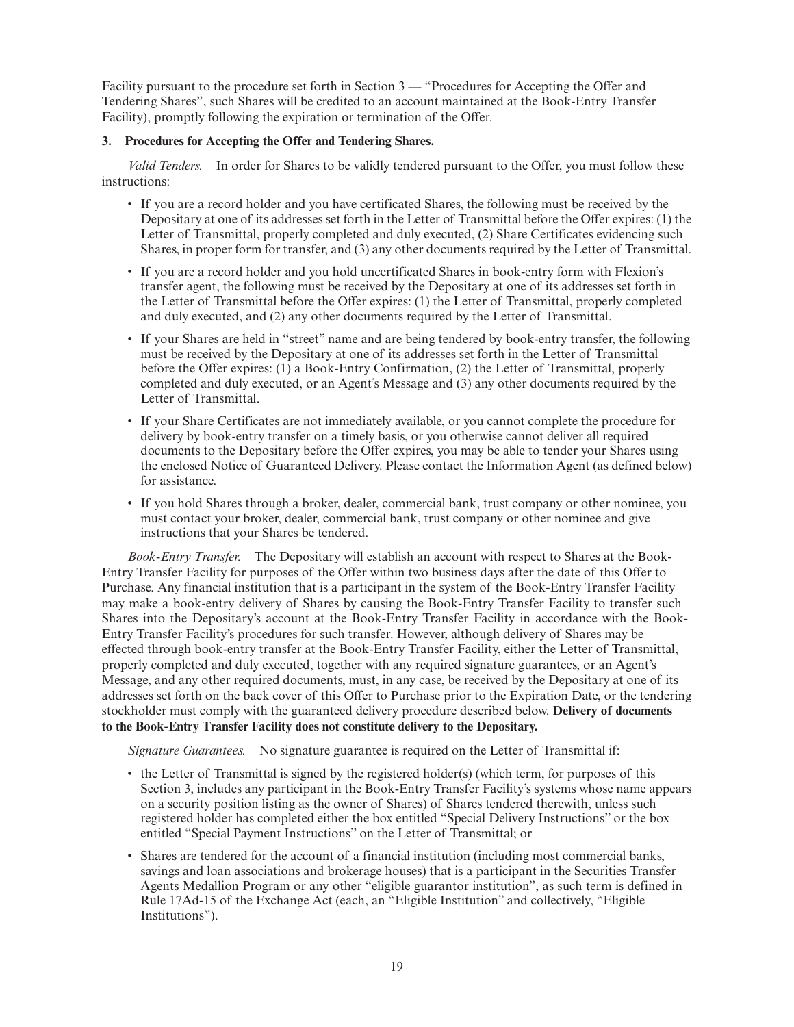Facility pursuant to the procedure set forth in Section 3 — "Procedures for Accepting the Offer and Tendering Shares", such Shares will be credited to an account maintained at the Book-Entry Transfer Facility), promptly following the expiration or termination of the Offer.

## **3. Procedures for Accepting the Offer and Tendering Shares.**

*Valid Tenders.* In order for Shares to be validly tendered pursuant to the Offer, you must follow these instructions:

- If you are a record holder and you have certificated Shares, the following must be received by the Depositary at one of its addresses set forth in the Letter of Transmittal before the Offer expires: (1) the Letter of Transmittal, properly completed and duly executed, (2) Share Certificates evidencing such Shares, in proper form for transfer, and (3) any other documents required by the Letter of Transmittal.
- If you are a record holder and you hold uncertificated Shares in book-entry form with Flexion's transfer agent, the following must be received by the Depositary at one of its addresses set forth in the Letter of Transmittal before the Offer expires: (1) the Letter of Transmittal, properly completed and duly executed, and (2) any other documents required by the Letter of Transmittal.
- If your Shares are held in "street" name and are being tendered by book-entry transfer, the following must be received by the Depositary at one of its addresses set forth in the Letter of Transmittal before the Offer expires: (1) a Book-Entry Confirmation, (2) the Letter of Transmittal, properly completed and duly executed, or an Agent's Message and (3) any other documents required by the Letter of Transmittal.
- If your Share Certificates are not immediately available, or you cannot complete the procedure for delivery by book-entry transfer on a timely basis, or you otherwise cannot deliver all required documents to the Depositary before the Offer expires, you may be able to tender your Shares using the enclosed Notice of Guaranteed Delivery. Please contact the Information Agent (as defined below) for assistance.
- If you hold Shares through a broker, dealer, commercial bank, trust company or other nominee, you must contact your broker, dealer, commercial bank, trust company or other nominee and give instructions that your Shares be tendered.

*Book-Entry Transfer.* The Depositary will establish an account with respect to Shares at the Book-Entry Transfer Facility for purposes of the Offer within two business days after the date of this Offer to Purchase. Any financial institution that is a participant in the system of the Book-Entry Transfer Facility may make a book-entry delivery of Shares by causing the Book-Entry Transfer Facility to transfer such Shares into the Depositary's account at the Book-Entry Transfer Facility in accordance with the Book-Entry Transfer Facility's procedures for such transfer. However, although delivery of Shares may be effected through book-entry transfer at the Book-Entry Transfer Facility, either the Letter of Transmittal, properly completed and duly executed, together with any required signature guarantees, or an Agent's Message, and any other required documents, must, in any case, be received by the Depositary at one of its addresses set forth on the back cover of this Offer to Purchase prior to the Expiration Date, or the tendering stockholder must comply with the guaranteed delivery procedure described below. **Delivery of documents to the Book-Entry Transfer Facility does not constitute delivery to the Depositary.**

*Signature Guarantees.* No signature guarantee is required on the Letter of Transmittal if:

- the Letter of Transmittal is signed by the registered holder(s) (which term, for purposes of this Section 3, includes any participant in the Book-Entry Transfer Facility's systems whose name appears on a security position listing as the owner of Shares) of Shares tendered therewith, unless such registered holder has completed either the box entitled "Special Delivery Instructions" or the box entitled "Special Payment Instructions" on the Letter of Transmittal; or
- Shares are tendered for the account of a financial institution (including most commercial banks, savings and loan associations and brokerage houses) that is a participant in the Securities Transfer Agents Medallion Program or any other "eligible guarantor institution", as such term is defined in Rule 17Ad-15 of the Exchange Act (each, an "Eligible Institution" and collectively, "Eligible Institutions").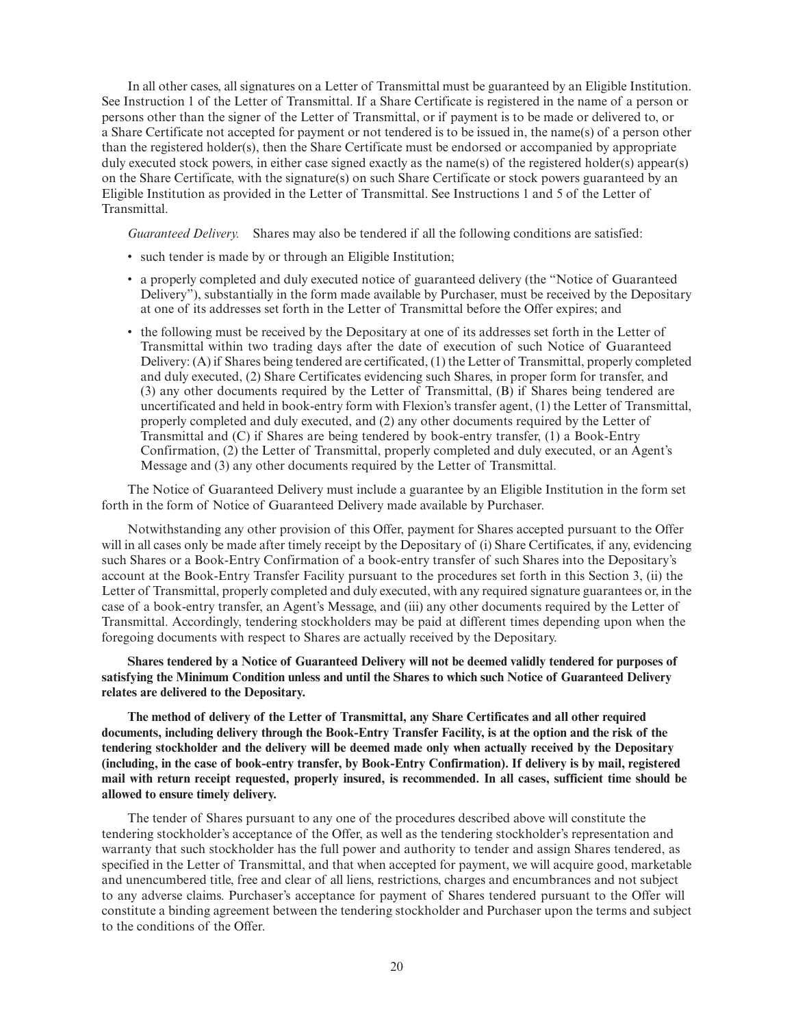In all other cases, all signatures on a Letter of Transmittal must be guaranteed by an Eligible Institution. See Instruction 1 of the Letter of Transmittal. If a Share Certificate is registered in the name of a person or persons other than the signer of the Letter of Transmittal, or if payment is to be made or delivered to, or a Share Certificate not accepted for payment or not tendered is to be issued in, the name(s) of a person other than the registered holder(s), then the Share Certificate must be endorsed or accompanied by appropriate duly executed stock powers, in either case signed exactly as the name(s) of the registered holder(s) appear(s) on the Share Certificate, with the signature(s) on such Share Certificate or stock powers guaranteed by an Eligible Institution as provided in the Letter of Transmittal. See Instructions 1 and 5 of the Letter of Transmittal.

*Guaranteed Delivery.* Shares may also be tendered if all the following conditions are satisfied:

- such tender is made by or through an Eligible Institution;
- a properly completed and duly executed notice of guaranteed delivery (the "Notice of Guaranteed Delivery"), substantially in the form made available by Purchaser, must be received by the Depositary at one of its addresses set forth in the Letter of Transmittal before the Offer expires; and
- the following must be received by the Depositary at one of its addresses set forth in the Letter of Transmittal within two trading days after the date of execution of such Notice of Guaranteed Delivery: (A) if Shares being tendered are certificated, (1) the Letter of Transmittal, properly completed and duly executed, (2) Share Certificates evidencing such Shares, in proper form for transfer, and (3) any other documents required by the Letter of Transmittal, (B) if Shares being tendered are uncertificated and held in book-entry form with Flexion's transfer agent, (1) the Letter of Transmittal, properly completed and duly executed, and (2) any other documents required by the Letter of Transmittal and (C) if Shares are being tendered by book-entry transfer, (1) a Book-Entry Confirmation, (2) the Letter of Transmittal, properly completed and duly executed, or an Agent's Message and (3) any other documents required by the Letter of Transmittal.

The Notice of Guaranteed Delivery must include a guarantee by an Eligible Institution in the form set forth in the form of Notice of Guaranteed Delivery made available by Purchaser.

Notwithstanding any other provision of this Offer, payment for Shares accepted pursuant to the Offer will in all cases only be made after timely receipt by the Depositary of (i) Share Certificates, if any, evidencing such Shares or a Book-Entry Confirmation of a book-entry transfer of such Shares into the Depositary's account at the Book-Entry Transfer Facility pursuant to the procedures set forth in this Section 3, (ii) the Letter of Transmittal, properly completed and duly executed, with any required signature guarantees or, in the case of a book-entry transfer, an Agent's Message, and (iii) any other documents required by the Letter of Transmittal. Accordingly, tendering stockholders may be paid at different times depending upon when the foregoing documents with respect to Shares are actually received by the Depositary.

**Shares tendered by a Notice of Guaranteed Delivery will not be deemed validly tendered for purposes of satisfying the Minimum Condition unless and until the Shares to which such Notice of Guaranteed Delivery relates are delivered to the Depositary.**

**The method of delivery of the Letter of Transmittal, any Share Certificates and all other required documents, including delivery through the Book-Entry Transfer Facility, is at the option and the risk of the tendering stockholder and the delivery will be deemed made only when actually received by the Depositary (including, in the case of book-entry transfer, by Book-Entry Confirmation). If delivery is by mail, registered mail with return receipt requested, properly insured, is recommended. In all cases, sufficient time should be allowed to ensure timely delivery.**

The tender of Shares pursuant to any one of the procedures described above will constitute the tendering stockholder's acceptance of the Offer, as well as the tendering stockholder's representation and warranty that such stockholder has the full power and authority to tender and assign Shares tendered, as specified in the Letter of Transmittal, and that when accepted for payment, we will acquire good, marketable and unencumbered title, free and clear of all liens, restrictions, charges and encumbrances and not subject to any adverse claims. Purchaser's acceptance for payment of Shares tendered pursuant to the Offer will constitute a binding agreement between the tendering stockholder and Purchaser upon the terms and subject to the conditions of the Offer.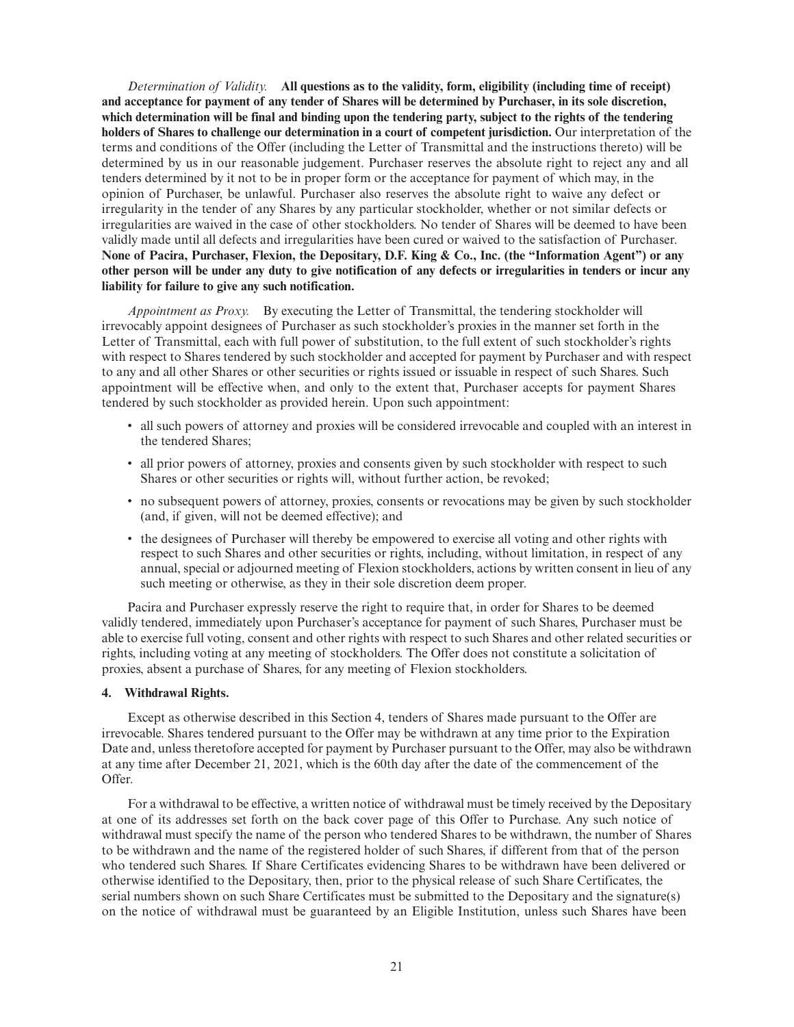*Determination of Validity.* **All questions as to the validity, form, eligibility (including time of receipt) and acceptance for payment of any tender of Shares will be determined by Purchaser, in its sole discretion, which determination will be final and binding upon the tendering party, subject to the rights of the tendering holders of Shares to challenge our determination in a court of competent jurisdiction.** Our interpretation of the terms and conditions of the Offer (including the Letter of Transmittal and the instructions thereto) will be determined by us in our reasonable judgement. Purchaser reserves the absolute right to reject any and all tenders determined by it not to be in proper form or the acceptance for payment of which may, in the opinion of Purchaser, be unlawful. Purchaser also reserves the absolute right to waive any defect or irregularity in the tender of any Shares by any particular stockholder, whether or not similar defects or irregularities are waived in the case of other stockholders. No tender of Shares will be deemed to have been validly made until all defects and irregularities have been cured or waived to the satisfaction of Purchaser. **None of Pacira, Purchaser, Flexion, the Depositary, D.F. King & Co., Inc. (the "Information Agent") or any other person will be under any duty to give notification of any defects or irregularities in tenders or incur any liability for failure to give any such notification.**

*Appointment as Proxy.* By executing the Letter of Transmittal, the tendering stockholder will irrevocably appoint designees of Purchaser as such stockholder's proxies in the manner set forth in the Letter of Transmittal, each with full power of substitution, to the full extent of such stockholder's rights with respect to Shares tendered by such stockholder and accepted for payment by Purchaser and with respect to any and all other Shares or other securities or rights issued or issuable in respect of such Shares. Such appointment will be effective when, and only to the extent that, Purchaser accepts for payment Shares tendered by such stockholder as provided herein. Upon such appointment:

- all such powers of attorney and proxies will be considered irrevocable and coupled with an interest in the tendered Shares;
- all prior powers of attorney, proxies and consents given by such stockholder with respect to such Shares or other securities or rights will, without further action, be revoked;
- no subsequent powers of attorney, proxies, consents or revocations may be given by such stockholder (and, if given, will not be deemed effective); and
- the designees of Purchaser will thereby be empowered to exercise all voting and other rights with respect to such Shares and other securities or rights, including, without limitation, in respect of any annual, special or adjourned meeting of Flexion stockholders, actions by written consent in lieu of any such meeting or otherwise, as they in their sole discretion deem proper.

Pacira and Purchaser expressly reserve the right to require that, in order for Shares to be deemed validly tendered, immediately upon Purchaser's acceptance for payment of such Shares, Purchaser must be able to exercise full voting, consent and other rights with respect to such Shares and other related securities or rights, including voting at any meeting of stockholders. The Offer does not constitute a solicitation of proxies, absent a purchase of Shares, for any meeting of Flexion stockholders.

## **4. Withdrawal Rights.**

Except as otherwise described in this Section 4, tenders of Shares made pursuant to the Offer are irrevocable. Shares tendered pursuant to the Offer may be withdrawn at any time prior to the Expiration Date and, unless theretofore accepted for payment by Purchaser pursuant to the Offer, may also be withdrawn at any time after December 21, 2021, which is the 60th day after the date of the commencement of the Offer.

For a withdrawal to be effective, a written notice of withdrawal must be timely received by the Depositary at one of its addresses set forth on the back cover page of this Offer to Purchase. Any such notice of withdrawal must specify the name of the person who tendered Shares to be withdrawn, the number of Shares to be withdrawn and the name of the registered holder of such Shares, if different from that of the person who tendered such Shares. If Share Certificates evidencing Shares to be withdrawn have been delivered or otherwise identified to the Depositary, then, prior to the physical release of such Share Certificates, the serial numbers shown on such Share Certificates must be submitted to the Depositary and the signature(s) on the notice of withdrawal must be guaranteed by an Eligible Institution, unless such Shares have been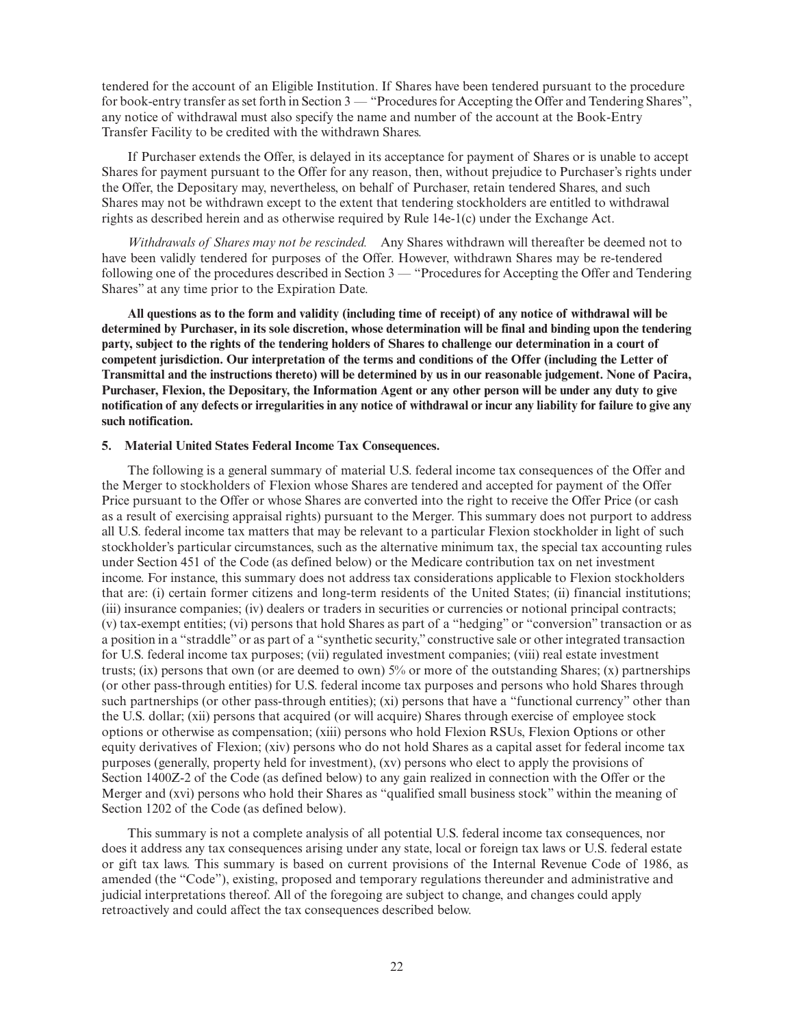tendered for the account of an Eligible Institution. If Shares have been tendered pursuant to the procedure for book-entry transfer as set forth in Section 3 — "Procedures for Accepting the Offer and Tendering Shares", any notice of withdrawal must also specify the name and number of the account at the Book-Entry Transfer Facility to be credited with the withdrawn Shares.

If Purchaser extends the Offer, is delayed in its acceptance for payment of Shares or is unable to accept Shares for payment pursuant to the Offer for any reason, then, without prejudice to Purchaser's rights under the Offer, the Depositary may, nevertheless, on behalf of Purchaser, retain tendered Shares, and such Shares may not be withdrawn except to the extent that tendering stockholders are entitled to withdrawal rights as described herein and as otherwise required by Rule 14e-1(c) under the Exchange Act.

*Withdrawals of Shares may not be rescinded.* Any Shares withdrawn will thereafter be deemed not to have been validly tendered for purposes of the Offer. However, withdrawn Shares may be re-tendered following one of the procedures described in Section 3 — "Procedures for Accepting the Offer and Tendering Shares" at any time prior to the Expiration Date.

**All questions as to the form and validity (including time of receipt) of any notice of withdrawal will be determined by Purchaser, in its sole discretion, whose determination will be final and binding upon the tendering party, subject to the rights of the tendering holders of Shares to challenge our determination in a court of competent jurisdiction. Our interpretation of the terms and conditions of the Offer (including the Letter of Transmittal and the instructions thereto) will be determined by us in our reasonable judgement. None of Pacira, Purchaser, Flexion, the Depositary, the Information Agent or any other person will be under any duty to give notification of any defects or irregularities in any notice of withdrawal or incur any liability for failure to give any such notification.**

## **5. Material United States Federal Income Tax Consequences.**

The following is a general summary of material U.S. federal income tax consequences of the Offer and the Merger to stockholders of Flexion whose Shares are tendered and accepted for payment of the Offer Price pursuant to the Offer or whose Shares are converted into the right to receive the Offer Price (or cash as a result of exercising appraisal rights) pursuant to the Merger. This summary does not purport to address all U.S. federal income tax matters that may be relevant to a particular Flexion stockholder in light of such stockholder's particular circumstances, such as the alternative minimum tax, the special tax accounting rules under Section 451 of the Code (as defined below) or the Medicare contribution tax on net investment income. For instance, this summary does not address tax considerations applicable to Flexion stockholders that are: (i) certain former citizens and long-term residents of the United States; (ii) financial institutions; (iii) insurance companies; (iv) dealers or traders in securities or currencies or notional principal contracts; (v) tax-exempt entities; (vi) persons that hold Shares as part of a "hedging" or "conversion" transaction or as a position in a "straddle" or as part of a "synthetic security," constructive sale or other integrated transaction for U.S. federal income tax purposes; (vii) regulated investment companies; (viii) real estate investment trusts; (ix) persons that own (or are deemed to own)  $5\%$  or more of the outstanding Shares; (x) partnerships (or other pass-through entities) for U.S. federal income tax purposes and persons who hold Shares through such partnerships (or other pass-through entities); (xi) persons that have a "functional currency" other than the U.S. dollar; (xii) persons that acquired (or will acquire) Shares through exercise of employee stock options or otherwise as compensation; (xiii) persons who hold Flexion RSUs, Flexion Options or other equity derivatives of Flexion; (xiv) persons who do not hold Shares as a capital asset for federal income tax purposes (generally, property held for investment), (xv) persons who elect to apply the provisions of Section 1400Z-2 of the Code (as defined below) to any gain realized in connection with the Offer or the Merger and (xvi) persons who hold their Shares as "qualified small business stock" within the meaning of Section 1202 of the Code (as defined below).

This summary is not a complete analysis of all potential U.S. federal income tax consequences, nor does it address any tax consequences arising under any state, local or foreign tax laws or U.S. federal estate or gift tax laws. This summary is based on current provisions of the Internal Revenue Code of 1986, as amended (the "Code"), existing, proposed and temporary regulations thereunder and administrative and judicial interpretations thereof. All of the foregoing are subject to change, and changes could apply retroactively and could affect the tax consequences described below.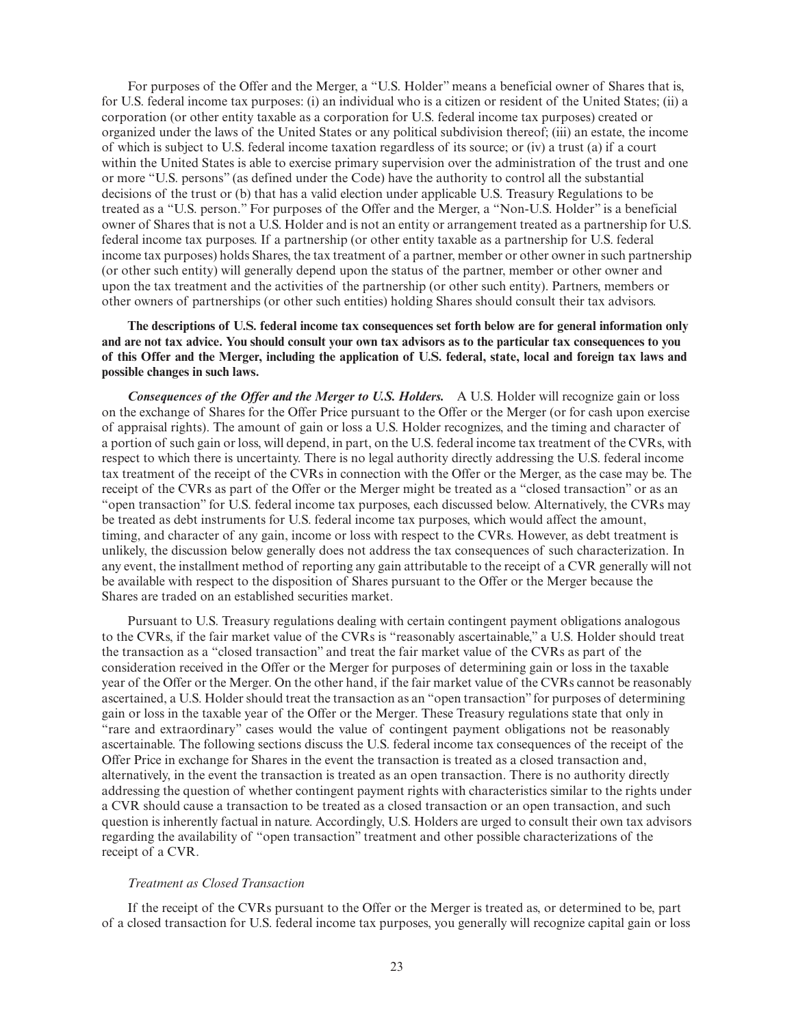For purposes of the Offer and the Merger, a "U.S. Holder" means a beneficial owner of Shares that is, for U.S. federal income tax purposes: (i) an individual who is a citizen or resident of the United States; (ii) a corporation (or other entity taxable as a corporation for U.S. federal income tax purposes) created or organized under the laws of the United States or any political subdivision thereof; (iii) an estate, the income of which is subject to U.S. federal income taxation regardless of its source; or (iv) a trust (a) if a court within the United States is able to exercise primary supervision over the administration of the trust and one or more "U.S. persons" (as defined under the Code) have the authority to control all the substantial decisions of the trust or (b) that has a valid election under applicable U.S. Treasury Regulations to be treated as a "U.S. person." For purposes of the Offer and the Merger, a "Non-U.S. Holder" is a beneficial owner of Shares that is not a U.S. Holder and is not an entity or arrangement treated as a partnership for U.S. federal income tax purposes. If a partnership (or other entity taxable as a partnership for U.S. federal income tax purposes) holds Shares, the tax treatment of a partner, member or other owner in such partnership (or other such entity) will generally depend upon the status of the partner, member or other owner and upon the tax treatment and the activities of the partnership (or other such entity). Partners, members or other owners of partnerships (or other such entities) holding Shares should consult their tax advisors.

**The descriptions of U.S. federal income tax consequences set forth below are for general information only and are not tax advice. You should consult your own tax advisors as to the particular tax consequences to you of this Offer and the Merger, including the application of U.S. federal, state, local and foreign tax laws and possible changes in such laws.**

*Consequences of the Offer and the Merger to U.S. Holders.* A U.S. Holder will recognize gain or loss on the exchange of Shares for the Offer Price pursuant to the Offer or the Merger (or for cash upon exercise of appraisal rights). The amount of gain or loss a U.S. Holder recognizes, and the timing and character of a portion of such gain or loss, will depend, in part, on the U.S. federal income tax treatment of the CVRs, with respect to which there is uncertainty. There is no legal authority directly addressing the U.S. federal income tax treatment of the receipt of the CVRs in connection with the Offer or the Merger, as the case may be. The receipt of the CVRs as part of the Offer or the Merger might be treated as a "closed transaction" or as an "open transaction" for U.S. federal income tax purposes, each discussed below. Alternatively, the CVRs may be treated as debt instruments for U.S. federal income tax purposes, which would affect the amount, timing, and character of any gain, income or loss with respect to the CVRs. However, as debt treatment is unlikely, the discussion below generally does not address the tax consequences of such characterization. In any event, the installment method of reporting any gain attributable to the receipt of a CVR generally will not be available with respect to the disposition of Shares pursuant to the Offer or the Merger because the Shares are traded on an established securities market.

Pursuant to U.S. Treasury regulations dealing with certain contingent payment obligations analogous to the CVRs, if the fair market value of the CVRs is "reasonably ascertainable," a U.S. Holder should treat the transaction as a "closed transaction" and treat the fair market value of the CVRs as part of the consideration received in the Offer or the Merger for purposes of determining gain or loss in the taxable year of the Offer or the Merger. On the other hand, if the fair market value of the CVRs cannot be reasonably ascertained, a U.S. Holder should treat the transaction as an "open transaction" for purposes of determining gain or loss in the taxable year of the Offer or the Merger. These Treasury regulations state that only in "rare and extraordinary" cases would the value of contingent payment obligations not be reasonably ascertainable. The following sections discuss the U.S. federal income tax consequences of the receipt of the Offer Price in exchange for Shares in the event the transaction is treated as a closed transaction and, alternatively, in the event the transaction is treated as an open transaction. There is no authority directly addressing the question of whether contingent payment rights with characteristics similar to the rights under a CVR should cause a transaction to be treated as a closed transaction or an open transaction, and such question is inherently factual in nature. Accordingly, U.S. Holders are urged to consult their own tax advisors regarding the availability of "open transaction" treatment and other possible characterizations of the receipt of a CVR.

## *Treatment as Closed Transaction*

If the receipt of the CVRs pursuant to the Offer or the Merger is treated as, or determined to be, part of a closed transaction for U.S. federal income tax purposes, you generally will recognize capital gain or loss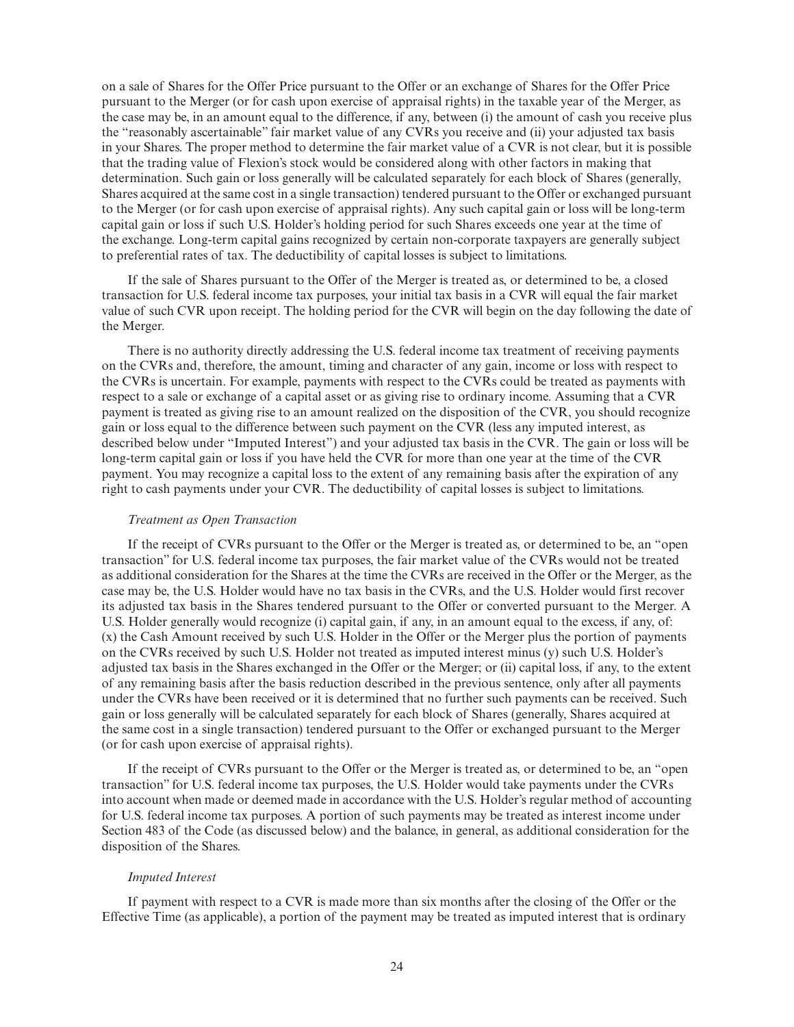on a sale of Shares for the Offer Price pursuant to the Offer or an exchange of Shares for the Offer Price pursuant to the Merger (or for cash upon exercise of appraisal rights) in the taxable year of the Merger, as the case may be, in an amount equal to the difference, if any, between (i) the amount of cash you receive plus the "reasonably ascertainable" fair market value of any CVRs you receive and (ii) your adjusted tax basis in your Shares. The proper method to determine the fair market value of a CVR is not clear, but it is possible that the trading value of Flexion's stock would be considered along with other factors in making that determination. Such gain or loss generally will be calculated separately for each block of Shares (generally, Shares acquired at the same cost in a single transaction) tendered pursuant to the Offer or exchanged pursuant to the Merger (or for cash upon exercise of appraisal rights). Any such capital gain or loss will be long-term capital gain or loss if such U.S. Holder's holding period for such Shares exceeds one year at the time of the exchange. Long-term capital gains recognized by certain non-corporate taxpayers are generally subject to preferential rates of tax. The deductibility of capital losses is subject to limitations.

If the sale of Shares pursuant to the Offer of the Merger is treated as, or determined to be, a closed transaction for U.S. federal income tax purposes, your initial tax basis in a CVR will equal the fair market value of such CVR upon receipt. The holding period for the CVR will begin on the day following the date of the Merger.

There is no authority directly addressing the U.S. federal income tax treatment of receiving payments on the CVRs and, therefore, the amount, timing and character of any gain, income or loss with respect to the CVRs is uncertain. For example, payments with respect to the CVRs could be treated as payments with respect to a sale or exchange of a capital asset or as giving rise to ordinary income. Assuming that a CVR payment is treated as giving rise to an amount realized on the disposition of the CVR, you should recognize gain or loss equal to the difference between such payment on the CVR (less any imputed interest, as described below under "Imputed Interest") and your adjusted tax basis in the CVR. The gain or loss will be long-term capital gain or loss if you have held the CVR for more than one year at the time of the CVR payment. You may recognize a capital loss to the extent of any remaining basis after the expiration of any right to cash payments under your CVR. The deductibility of capital losses is subject to limitations.

## *Treatment as Open Transaction*

If the receipt of CVRs pursuant to the Offer or the Merger is treated as, or determined to be, an "open transaction" for U.S. federal income tax purposes, the fair market value of the CVRs would not be treated as additional consideration for the Shares at the time the CVRs are received in the Offer or the Merger, as the case may be, the U.S. Holder would have no tax basis in the CVRs, and the U.S. Holder would first recover its adjusted tax basis in the Shares tendered pursuant to the Offer or converted pursuant to the Merger. A U.S. Holder generally would recognize (i) capital gain, if any, in an amount equal to the excess, if any, of: (x) the Cash Amount received by such U.S. Holder in the Offer or the Merger plus the portion of payments on the CVRs received by such U.S. Holder not treated as imputed interest minus (y) such U.S. Holder's adjusted tax basis in the Shares exchanged in the Offer or the Merger; or (ii) capital loss, if any, to the extent of any remaining basis after the basis reduction described in the previous sentence, only after all payments under the CVRs have been received or it is determined that no further such payments can be received. Such gain or loss generally will be calculated separately for each block of Shares (generally, Shares acquired at the same cost in a single transaction) tendered pursuant to the Offer or exchanged pursuant to the Merger (or for cash upon exercise of appraisal rights).

If the receipt of CVRs pursuant to the Offer or the Merger is treated as, or determined to be, an "open transaction" for U.S. federal income tax purposes, the U.S. Holder would take payments under the CVRs into account when made or deemed made in accordance with the U.S. Holder's regular method of accounting for U.S. federal income tax purposes. A portion of such payments may be treated as interest income under Section 483 of the Code (as discussed below) and the balance, in general, as additional consideration for the disposition of the Shares.

## *Imputed Interest*

If payment with respect to a CVR is made more than six months after the closing of the Offer or the Effective Time (as applicable), a portion of the payment may be treated as imputed interest that is ordinary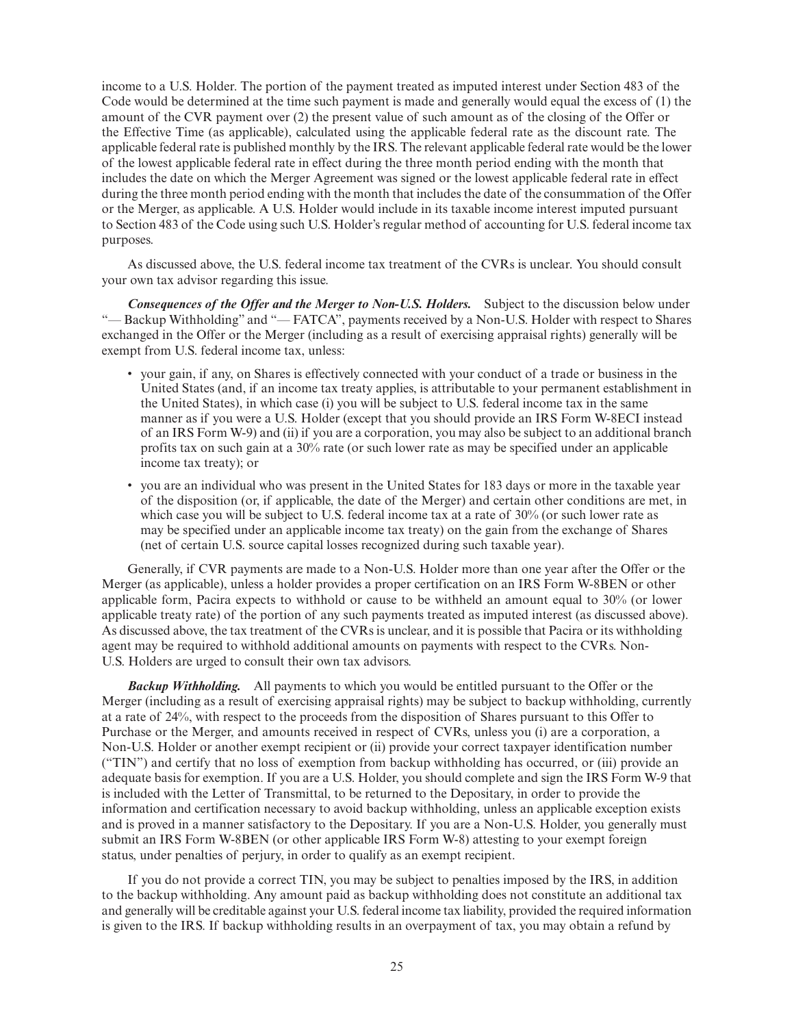income to a U.S. Holder. The portion of the payment treated as imputed interest under Section 483 of the Code would be determined at the time such payment is made and generally would equal the excess of (1) the amount of the CVR payment over (2) the present value of such amount as of the closing of the Offer or the Effective Time (as applicable), calculated using the applicable federal rate as the discount rate. The applicable federal rate is published monthly by the IRS. The relevant applicable federal rate would be the lower of the lowest applicable federal rate in effect during the three month period ending with the month that includes the date on which the Merger Agreement was signed or the lowest applicable federal rate in effect during the three month period ending with the month that includes the date of the consummation of the Offer or the Merger, as applicable. A U.S. Holder would include in its taxable income interest imputed pursuant to Section 483 of the Code using such U.S. Holder's regular method of accounting for U.S. federal income tax purposes.

As discussed above, the U.S. federal income tax treatment of the CVRs is unclear. You should consult your own tax advisor regarding this issue.

*Consequences of the Offer and the Merger to Non-U.S. Holders.* Subject to the discussion below under "— Backup Withholding" and "— FATCA", payments received by a Non-U.S. Holder with respect to Shares exchanged in the Offer or the Merger (including as a result of exercising appraisal rights) generally will be exempt from U.S. federal income tax, unless:

- your gain, if any, on Shares is effectively connected with your conduct of a trade or business in the United States (and, if an income tax treaty applies, is attributable to your permanent establishment in the United States), in which case (i) you will be subject to U.S. federal income tax in the same manner as if you were a U.S. Holder (except that you should provide an IRS Form W-8ECI instead of an IRS Form W-9) and (ii) if you are a corporation, you may also be subject to an additional branch profits tax on such gain at a 30% rate (or such lower rate as may be specified under an applicable income tax treaty); or
- you are an individual who was present in the United States for 183 days or more in the taxable year of the disposition (or, if applicable, the date of the Merger) and certain other conditions are met, in which case you will be subject to U.S. federal income tax at a rate of 30% (or such lower rate as may be specified under an applicable income tax treaty) on the gain from the exchange of Shares (net of certain U.S. source capital losses recognized during such taxable year).

Generally, if CVR payments are made to a Non-U.S. Holder more than one year after the Offer or the Merger (as applicable), unless a holder provides a proper certification on an IRS Form W-8BEN or other applicable form, Pacira expects to withhold or cause to be withheld an amount equal to 30% (or lower applicable treaty rate) of the portion of any such payments treated as imputed interest (as discussed above). As discussed above, the tax treatment of the CVRs is unclear, and it is possible that Pacira or its withholding agent may be required to withhold additional amounts on payments with respect to the CVRs. Non-U.S. Holders are urged to consult their own tax advisors.

*Backup Withholding.* All payments to which you would be entitled pursuant to the Offer or the Merger (including as a result of exercising appraisal rights) may be subject to backup withholding, currently at a rate of 24%, with respect to the proceeds from the disposition of Shares pursuant to this Offer to Purchase or the Merger, and amounts received in respect of CVRs, unless you (i) are a corporation, a Non-U.S. Holder or another exempt recipient or (ii) provide your correct taxpayer identification number ("TIN") and certify that no loss of exemption from backup withholding has occurred, or (iii) provide an adequate basis for exemption. If you are a U.S. Holder, you should complete and sign the IRS Form W-9 that is included with the Letter of Transmittal, to be returned to the Depositary, in order to provide the information and certification necessary to avoid backup withholding, unless an applicable exception exists and is proved in a manner satisfactory to the Depositary. If you are a Non-U.S. Holder, you generally must submit an IRS Form W-8BEN (or other applicable IRS Form W-8) attesting to your exempt foreign status, under penalties of perjury, in order to qualify as an exempt recipient.

If you do not provide a correct TIN, you may be subject to penalties imposed by the IRS, in addition to the backup withholding. Any amount paid as backup withholding does not constitute an additional tax and generally will be creditable against your U.S. federal income tax liability, provided the required information is given to the IRS. If backup withholding results in an overpayment of tax, you may obtain a refund by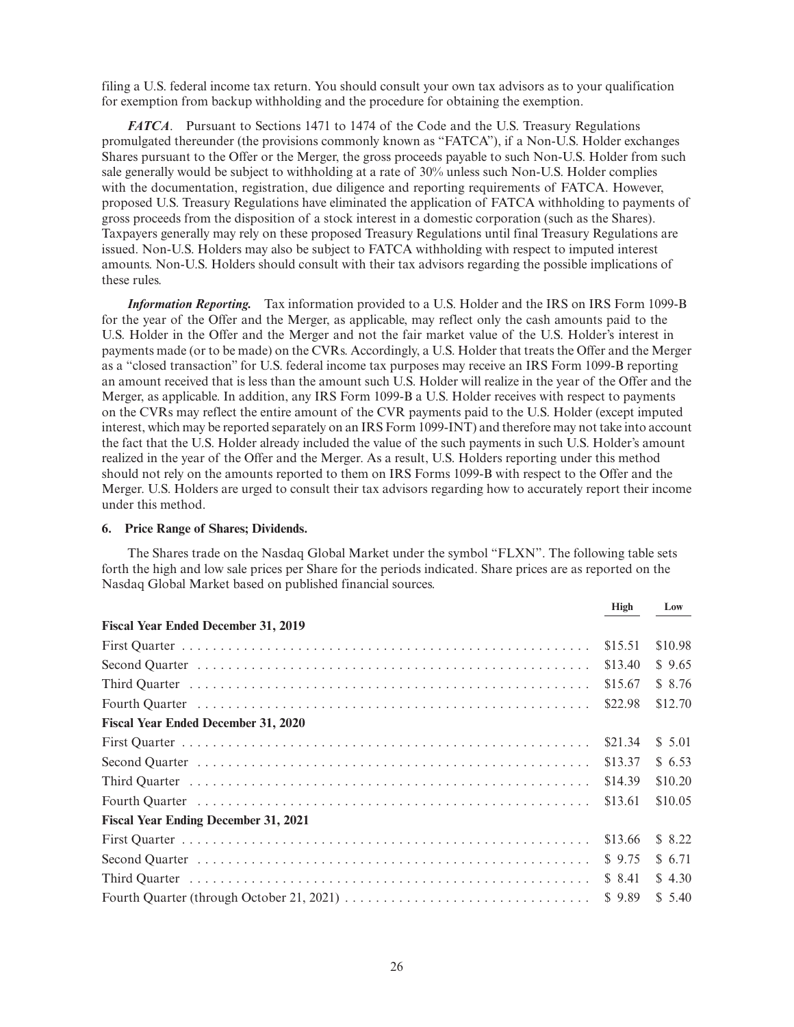filing a U.S. federal income tax return. You should consult your own tax advisors as to your qualification for exemption from backup withholding and the procedure for obtaining the exemption.

*FATCA*. Pursuant to Sections 1471 to 1474 of the Code and the U.S. Treasury Regulations promulgated thereunder (the provisions commonly known as "FATCA"), if a Non-U.S. Holder exchanges Shares pursuant to the Offer or the Merger, the gross proceeds payable to such Non-U.S. Holder from such sale generally would be subject to withholding at a rate of 30% unless such Non-U.S. Holder complies with the documentation, registration, due diligence and reporting requirements of FATCA. However, proposed U.S. Treasury Regulations have eliminated the application of FATCA withholding to payments of gross proceeds from the disposition of a stock interest in a domestic corporation (such as the Shares). Taxpayers generally may rely on these proposed Treasury Regulations until final Treasury Regulations are issued. Non-U.S. Holders may also be subject to FATCA withholding with respect to imputed interest amounts. Non-U.S. Holders should consult with their tax advisors regarding the possible implications of these rules.

*Information Reporting.* Tax information provided to a U.S. Holder and the IRS on IRS Form 1099-B for the year of the Offer and the Merger, as applicable, may reflect only the cash amounts paid to the U.S. Holder in the Offer and the Merger and not the fair market value of the U.S. Holder's interest in payments made (or to be made) on the CVRs. Accordingly, a U.S. Holder that treats the Offer and the Merger as a "closed transaction" for U.S. federal income tax purposes may receive an IRS Form 1099-B reporting an amount received that is less than the amount such U.S. Holder will realize in the year of the Offer and the Merger, as applicable. In addition, any IRS Form 1099-B a U.S. Holder receives with respect to payments on the CVRs may reflect the entire amount of the CVR payments paid to the U.S. Holder (except imputed interest, which may be reported separately on an IRS Form 1099-INT) and therefore may not take into account the fact that the U.S. Holder already included the value of the such payments in such U.S. Holder's amount realized in the year of the Offer and the Merger. As a result, U.S. Holders reporting under this method should not rely on the amounts reported to them on IRS Forms 1099-B with respect to the Offer and the Merger. U.S. Holders are urged to consult their tax advisors regarding how to accurately report their income under this method.

## **6. Price Range of Shares; Dividends.**

The Shares trade on the Nasdaq Global Market under the symbol "FLXN". The following table sets forth the high and low sale prices per Share for the periods indicated. Share prices are as reported on the Nasdaq Global Market based on published financial sources.

|                                             | High    | Low     |
|---------------------------------------------|---------|---------|
| <b>Fiscal Year Ended December 31, 2019</b>  |         |         |
|                                             | \$15.51 | \$10.98 |
|                                             | \$13.40 | \$9.65  |
|                                             | \$15.67 | \$ 8.76 |
|                                             | \$22.98 | \$12.70 |
| <b>Fiscal Year Ended December 31, 2020</b>  |         |         |
|                                             | \$21.34 | \$5.01  |
|                                             | \$13.37 | \$ 6.53 |
|                                             | \$14.39 | \$10.20 |
|                                             | \$13.61 | \$10.05 |
| <b>Fiscal Year Ending December 31, 2021</b> |         |         |
|                                             | \$13.66 | \$ 8.22 |
|                                             | \$9.75  | \$6.71  |
|                                             | \$ 8.41 | \$4.30  |
|                                             | \$9.89  | \$5.40  |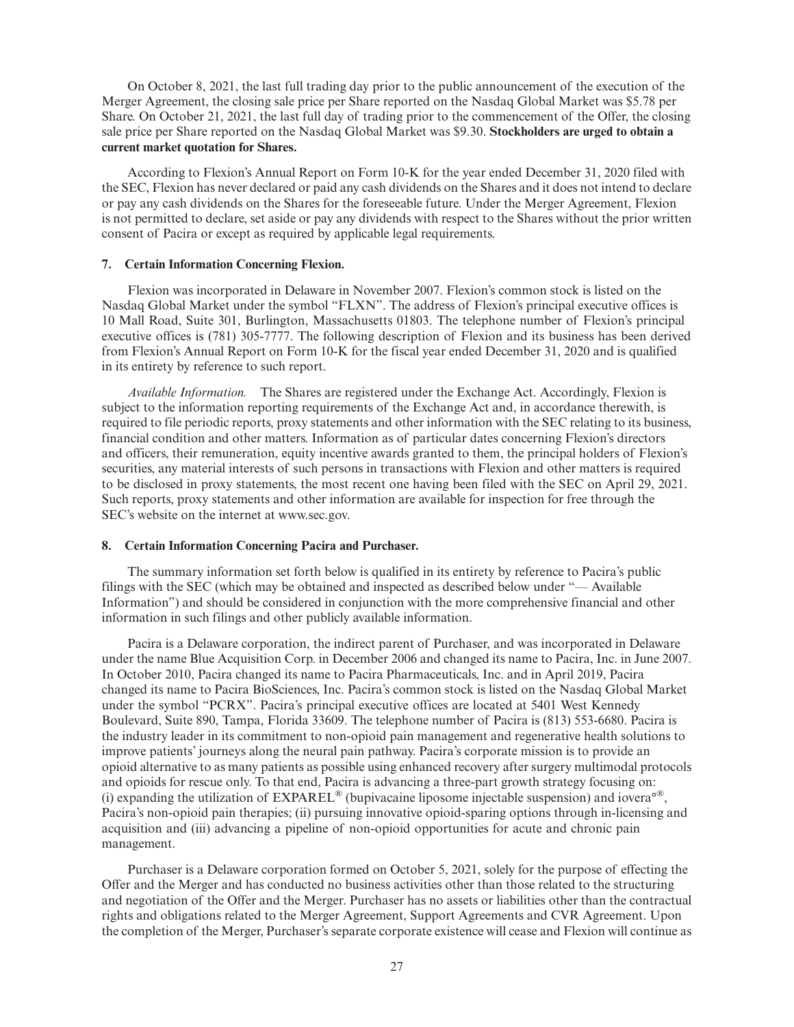On October 8, 2021, the last full trading day prior to the public announcement of the execution of the Merger Agreement, the closing sale price per Share reported on the Nasdaq Global Market was \$5.78 per Share. On October 21, 2021, the last full day of trading prior to the commencement of the Offer, the closing sale price per Share reported on the Nasdaq Global Market was \$9.30. **Stockholders are urged to obtain a current market quotation for Shares.**

According to Flexion's Annual Report on Form 10-K for the year ended December 31, 2020 filed with the SEC, Flexion has never declared or paid any cash dividends on the Shares and it does not intend to declare or pay any cash dividends on the Shares for the foreseeable future. Under the Merger Agreement, Flexion is not permitted to declare, set aside or pay any dividends with respect to the Shares without the prior written consent of Pacira or except as required by applicable legal requirements.

## **7. Certain Information Concerning Flexion.**

Flexion was incorporated in Delaware in November 2007. Flexion's common stock is listed on the Nasdaq Global Market under the symbol "FLXN". The address of Flexion's principal executive offices is 10 Mall Road, Suite 301, Burlington, Massachusetts 01803. The telephone number of Flexion's principal executive offices is (781) 305-7777. The following description of Flexion and its business has been derived from Flexion's Annual Report on Form 10-K for the fiscal year ended December 31, 2020 and is qualified in its entirety by reference to such report.

*Available Information.* The Shares are registered under the Exchange Act. Accordingly, Flexion is subject to the information reporting requirements of the Exchange Act and, in accordance therewith, is required to file periodic reports, proxy statements and other information with the SEC relating to its business, financial condition and other matters. Information as of particular dates concerning Flexion's directors and officers, their remuneration, equity incentive awards granted to them, the principal holders of Flexion's securities, any material interests of such persons in transactions with Flexion and other matters is required to be disclosed in proxy statements, the most recent one having been filed with the SEC on April 29, 2021. Such reports, proxy statements and other information are available for inspection for free through the SEC's website on the internet at www.sec.gov.

## **8. Certain Information Concerning Pacira and Purchaser.**

The summary information set forth below is qualified in its entirety by reference to Pacira's public filings with the SEC (which may be obtained and inspected as described below under "— Available Information") and should be considered in conjunction with the more comprehensive financial and other information in such filings and other publicly available information.

Pacira is a Delaware corporation, the indirect parent of Purchaser, and was incorporated in Delaware under the name Blue Acquisition Corp. in December 2006 and changed its name to Pacira, Inc. in June 2007. In October 2010, Pacira changed its name to Pacira Pharmaceuticals, Inc. and in April 2019, Pacira changed its name to Pacira BioSciences, Inc. Pacira's common stock is listed on the Nasdaq Global Market under the symbol "PCRX". Pacira's principal executive offices are located at 5401 West Kennedy Boulevard, Suite 890, Tampa, Florida 33609. The telephone number of Pacira is (813) 553-6680. Pacira is the industry leader in its commitment to non-opioid pain management and regenerative health solutions to improve patients' journeys along the neural pain pathway. Pacira's corporate mission is to provide an opioid alternative to as many patients as possible using enhanced recovery after surgery multimodal protocols and opioids for rescue only. To that end, Pacira is advancing a three-part growth strategy focusing on: (i) expanding the utilization of  $EXPAREL^{\mathcal{D}}$  (bupivacaine liposome injectable suspension) and iovera<sup>o®</sup>. Pacira's non-opioid pain therapies; (ii) pursuing innovative opioid-sparing options through in-licensing and acquisition and (iii) advancing a pipeline of non-opioid opportunities for acute and chronic pain management.

Purchaser is a Delaware corporation formed on October 5, 2021, solely for the purpose of effecting the Offer and the Merger and has conducted no business activities other than those related to the structuring and negotiation of the Offer and the Merger. Purchaser has no assets or liabilities other than the contractual rights and obligations related to the Merger Agreement, Support Agreements and CVR Agreement. Upon the completion of the Merger, Purchaser's separate corporate existence will cease and Flexion will continue as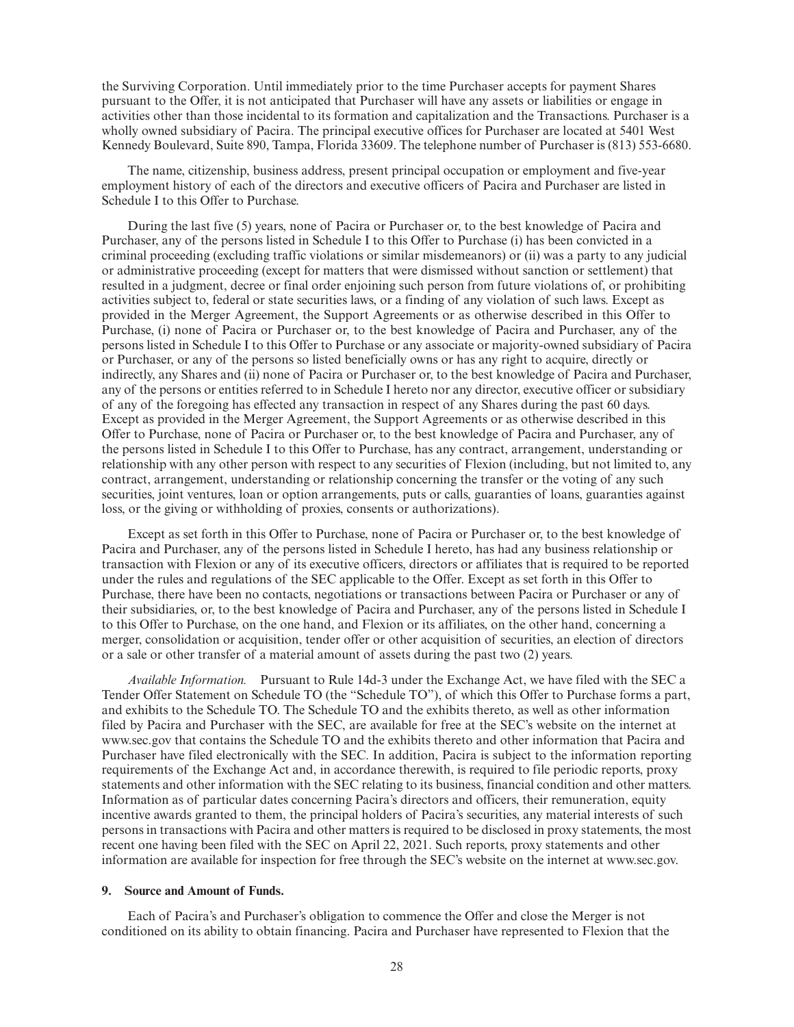the Surviving Corporation. Until immediately prior to the time Purchaser accepts for payment Shares pursuant to the Offer, it is not anticipated that Purchaser will have any assets or liabilities or engage in activities other than those incidental to its formation and capitalization and the Transactions. Purchaser is a wholly owned subsidiary of Pacira. The principal executive offices for Purchaser are located at 5401 West Kennedy Boulevard, Suite 890, Tampa, Florida 33609. The telephone number of Purchaser is (813) 553-6680.

The name, citizenship, business address, present principal occupation or employment and five-year employment history of each of the directors and executive officers of Pacira and Purchaser are listed in Schedule I to this Offer to Purchase.

During the last five (5) years, none of Pacira or Purchaser or, to the best knowledge of Pacira and Purchaser, any of the persons listed in Schedule I to this Offer to Purchase (i) has been convicted in a criminal proceeding (excluding traffic violations or similar misdemeanors) or (ii) was a party to any judicial or administrative proceeding (except for matters that were dismissed without sanction or settlement) that resulted in a judgment, decree or final order enjoining such person from future violations of, or prohibiting activities subject to, federal or state securities laws, or a finding of any violation of such laws. Except as provided in the Merger Agreement, the Support Agreements or as otherwise described in this Offer to Purchase, (i) none of Pacira or Purchaser or, to the best knowledge of Pacira and Purchaser, any of the persons listed in Schedule I to this Offer to Purchase or any associate or majority-owned subsidiary of Pacira or Purchaser, or any of the persons so listed beneficially owns or has any right to acquire, directly or indirectly, any Shares and (ii) none of Pacira or Purchaser or, to the best knowledge of Pacira and Purchaser, any of the persons or entities referred to in Schedule I hereto nor any director, executive officer or subsidiary of any of the foregoing has effected any transaction in respect of any Shares during the past 60 days. Except as provided in the Merger Agreement, the Support Agreements or as otherwise described in this Offer to Purchase, none of Pacira or Purchaser or, to the best knowledge of Pacira and Purchaser, any of the persons listed in Schedule I to this Offer to Purchase, has any contract, arrangement, understanding or relationship with any other person with respect to any securities of Flexion (including, but not limited to, any contract, arrangement, understanding or relationship concerning the transfer or the voting of any such securities, joint ventures, loan or option arrangements, puts or calls, guaranties of loans, guaranties against loss, or the giving or withholding of proxies, consents or authorizations).

Except as set forth in this Offer to Purchase, none of Pacira or Purchaser or, to the best knowledge of Pacira and Purchaser, any of the persons listed in Schedule I hereto, has had any business relationship or transaction with Flexion or any of its executive officers, directors or affiliates that is required to be reported under the rules and regulations of the SEC applicable to the Offer. Except as set forth in this Offer to Purchase, there have been no contacts, negotiations or transactions between Pacira or Purchaser or any of their subsidiaries, or, to the best knowledge of Pacira and Purchaser, any of the persons listed in Schedule I to this Offer to Purchase, on the one hand, and Flexion or its affiliates, on the other hand, concerning a merger, consolidation or acquisition, tender offer or other acquisition of securities, an election of directors or a sale or other transfer of a material amount of assets during the past two (2) years.

*Available Information.* Pursuant to Rule 14d-3 under the Exchange Act, we have filed with the SEC a Tender Offer Statement on Schedule TO (the "Schedule TO"), of which this Offer to Purchase forms a part, and exhibits to the Schedule TO. The Schedule TO and the exhibits thereto, as well as other information filed by Pacira and Purchaser with the SEC, are available for free at the SEC's website on the internet at www.sec.gov that contains the Schedule TO and the exhibits thereto and other information that Pacira and Purchaser have filed electronically with the SEC. In addition, Pacira is subject to the information reporting requirements of the Exchange Act and, in accordance therewith, is required to file periodic reports, proxy statements and other information with the SEC relating to its business, financial condition and other matters. Information as of particular dates concerning Pacira's directors and officers, their remuneration, equity incentive awards granted to them, the principal holders of Pacira's securities, any material interests of such persons in transactions with Pacira and other matters is required to be disclosed in proxy statements, the most recent one having been filed with the SEC on April 22, 2021. Such reports, proxy statements and other information are available for inspection for free through the SEC's website on the internet at www.sec.gov.

## **9. Source and Amount of Funds.**

Each of Pacira's and Purchaser's obligation to commence the Offer and close the Merger is not conditioned on its ability to obtain financing. Pacira and Purchaser have represented to Flexion that the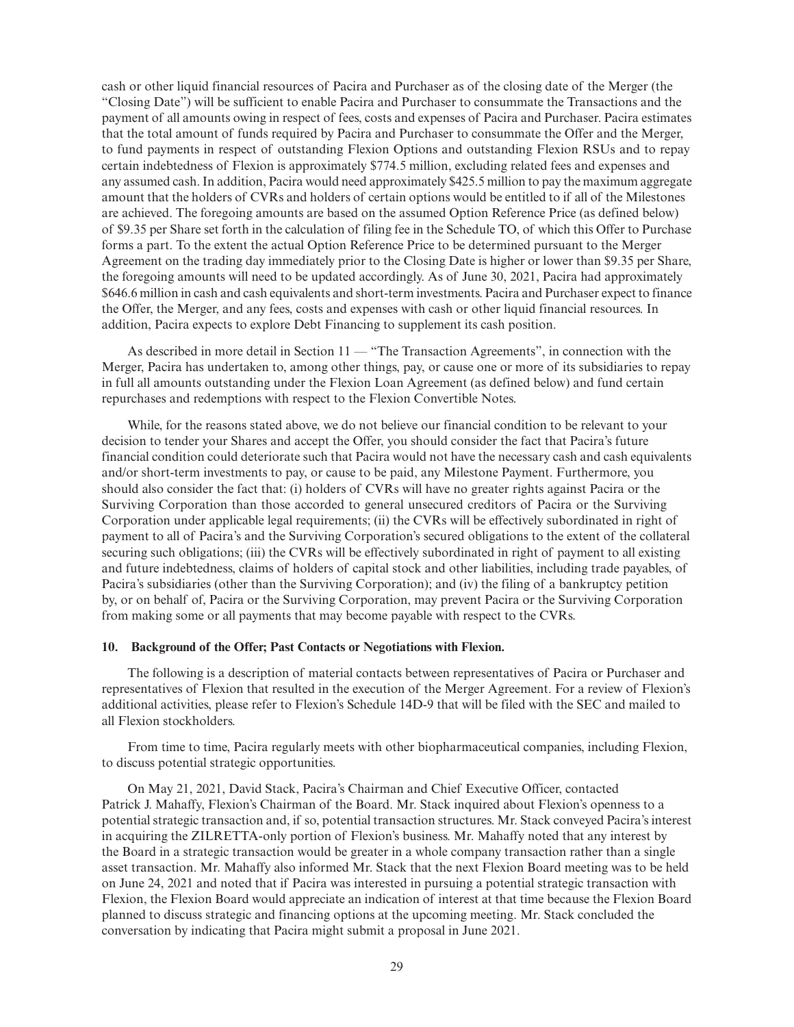cash or other liquid financial resources of Pacira and Purchaser as of the closing date of the Merger (the "Closing Date") will be sufficient to enable Pacira and Purchaser to consummate the Transactions and the payment of all amounts owing in respect of fees, costs and expenses of Pacira and Purchaser. Pacira estimates that the total amount of funds required by Pacira and Purchaser to consummate the Offer and the Merger, to fund payments in respect of outstanding Flexion Options and outstanding Flexion RSUs and to repay certain indebtedness of Flexion is approximately \$774.5 million, excluding related fees and expenses and any assumed cash. In addition, Pacira would need approximately \$425.5 million to pay the maximum aggregate amount that the holders of CVRs and holders of certain options would be entitled to if all of the Milestones are achieved. The foregoing amounts are based on the assumed Option Reference Price (as defined below) of \$9.35 per Share set forth in the calculation of filing fee in the Schedule TO, of which this Offer to Purchase forms a part. To the extent the actual Option Reference Price to be determined pursuant to the Merger Agreement on the trading day immediately prior to the Closing Date is higher or lower than \$9.35 per Share, the foregoing amounts will need to be updated accordingly. As of June 30, 2021, Pacira had approximately \$646.6 million in cash and cash equivalents and short-term investments. Pacira and Purchaser expect to finance the Offer, the Merger, and any fees, costs and expenses with cash or other liquid financial resources. In addition, Pacira expects to explore Debt Financing to supplement its cash position.

As described in more detail in Section 11 — "The Transaction Agreements", in connection with the Merger, Pacira has undertaken to, among other things, pay, or cause one or more of its subsidiaries to repay in full all amounts outstanding under the Flexion Loan Agreement (as defined below) and fund certain repurchases and redemptions with respect to the Flexion Convertible Notes.

While, for the reasons stated above, we do not believe our financial condition to be relevant to your decision to tender your Shares and accept the Offer, you should consider the fact that Pacira's future financial condition could deteriorate such that Pacira would not have the necessary cash and cash equivalents and/or short-term investments to pay, or cause to be paid, any Milestone Payment. Furthermore, you should also consider the fact that: (i) holders of CVRs will have no greater rights against Pacira or the Surviving Corporation than those accorded to general unsecured creditors of Pacira or the Surviving Corporation under applicable legal requirements; (ii) the CVRs will be effectively subordinated in right of payment to all of Pacira's and the Surviving Corporation's secured obligations to the extent of the collateral securing such obligations; (iii) the CVRs will be effectively subordinated in right of payment to all existing and future indebtedness, claims of holders of capital stock and other liabilities, including trade payables, of Pacira's subsidiaries (other than the Surviving Corporation); and (iv) the filing of a bankruptcy petition by, or on behalf of, Pacira or the Surviving Corporation, may prevent Pacira or the Surviving Corporation from making some or all payments that may become payable with respect to the CVRs.

## **10. Background of the Offer; Past Contacts or Negotiations with Flexion.**

The following is a description of material contacts between representatives of Pacira or Purchaser and representatives of Flexion that resulted in the execution of the Merger Agreement. For a review of Flexion's additional activities, please refer to Flexion's Schedule 14D-9 that will be filed with the SEC and mailed to all Flexion stockholders.

From time to time, Pacira regularly meets with other biopharmaceutical companies, including Flexion, to discuss potential strategic opportunities.

On May 21, 2021, David Stack, Pacira's Chairman and Chief Executive Officer, contacted Patrick J. Mahaffy, Flexion's Chairman of the Board. Mr. Stack inquired about Flexion's openness to a potential strategic transaction and, if so, potential transaction structures. Mr. Stack conveyed Pacira's interest in acquiring the ZILRETTA-only portion of Flexion's business. Mr. Mahaffy noted that any interest by the Board in a strategic transaction would be greater in a whole company transaction rather than a single asset transaction. Mr. Mahaffy also informed Mr. Stack that the next Flexion Board meeting was to be held on June 24, 2021 and noted that if Pacira was interested in pursuing a potential strategic transaction with Flexion, the Flexion Board would appreciate an indication of interest at that time because the Flexion Board planned to discuss strategic and financing options at the upcoming meeting. Mr. Stack concluded the conversation by indicating that Pacira might submit a proposal in June 2021.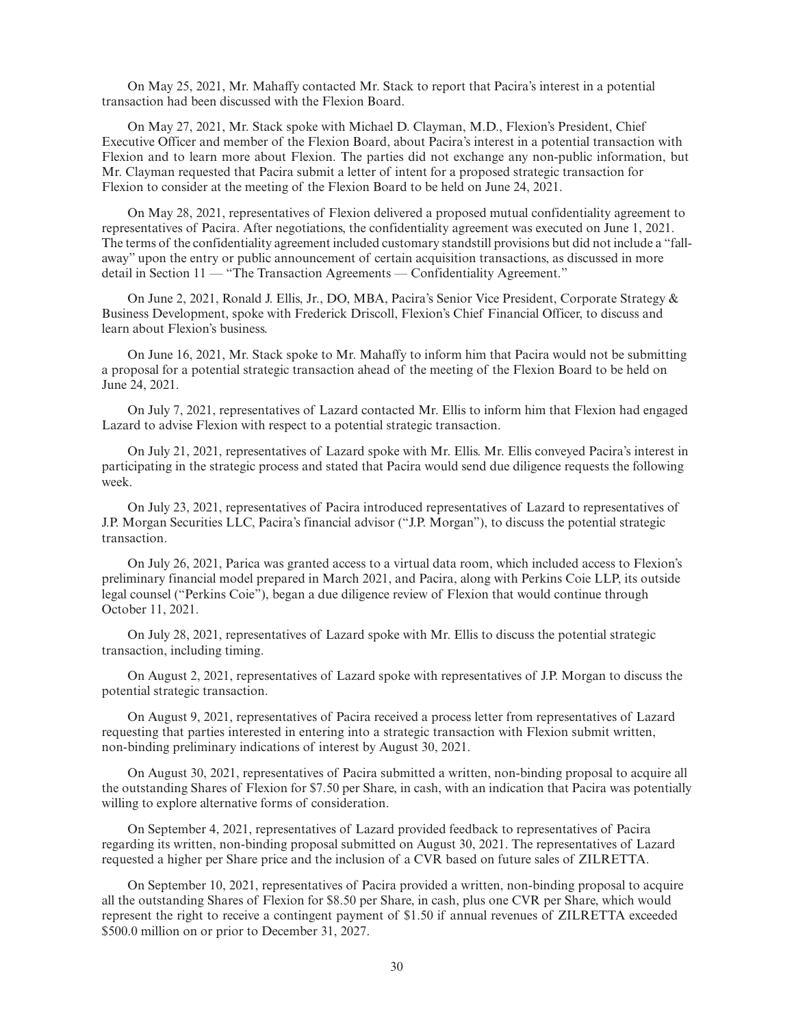On May 25, 2021, Mr. Mahaffy contacted Mr. Stack to report that Pacira's interest in a potential transaction had been discussed with the Flexion Board.

On May 27, 2021, Mr. Stack spoke with Michael D. Clayman, M.D., Flexion's President, Chief Executive Officer and member of the Flexion Board, about Pacira's interest in a potential transaction with Flexion and to learn more about Flexion. The parties did not exchange any non-public information, but Mr. Clayman requested that Pacira submit a letter of intent for a proposed strategic transaction for Flexion to consider at the meeting of the Flexion Board to be held on June 24, 2021.

On May 28, 2021, representatives of Flexion delivered a proposed mutual confidentiality agreement to representatives of Pacira. After negotiations, the confidentiality agreement was executed on June 1, 2021. The terms of the confidentiality agreement included customary standstill provisions but did not include a "fallaway" upon the entry or public announcement of certain acquisition transactions, as discussed in more detail in Section 11 — "The Transaction Agreements — Confidentiality Agreement."

On June 2, 2021, Ronald J. Ellis, Jr., DO, MBA, Pacira's Senior Vice President, Corporate Strategy & Business Development, spoke with Frederick Driscoll, Flexion's Chief Financial Officer, to discuss and learn about Flexion's business.

On June 16, 2021, Mr. Stack spoke to Mr. Mahaffy to inform him that Pacira would not be submitting a proposal for a potential strategic transaction ahead of the meeting of the Flexion Board to be held on June 24, 2021.

On July 7, 2021, representatives of Lazard contacted Mr. Ellis to inform him that Flexion had engaged Lazard to advise Flexion with respect to a potential strategic transaction.

On July 21, 2021, representatives of Lazard spoke with Mr. Ellis. Mr. Ellis conveyed Pacira's interest in participating in the strategic process and stated that Pacira would send due diligence requests the following week.

On July 23, 2021, representatives of Pacira introduced representatives of Lazard to representatives of J.P. Morgan Securities LLC, Pacira's financial advisor ("J.P. Morgan"), to discuss the potential strategic transaction.

On July 26, 2021, Parica was granted access to a virtual data room, which included access to Flexion's preliminary financial model prepared in March 2021, and Pacira, along with Perkins Coie LLP, its outside legal counsel ("Perkins Coie"), began a due diligence review of Flexion that would continue through October 11, 2021.

On July 28, 2021, representatives of Lazard spoke with Mr. Ellis to discuss the potential strategic transaction, including timing.

On August 2, 2021, representatives of Lazard spoke with representatives of J.P. Morgan to discuss the potential strategic transaction.

On August 9, 2021, representatives of Pacira received a process letter from representatives of Lazard requesting that parties interested in entering into a strategic transaction with Flexion submit written, non-binding preliminary indications of interest by August 30, 2021.

On August 30, 2021, representatives of Pacira submitted a written, non-binding proposal to acquire all the outstanding Shares of Flexion for \$7.50 per Share, in cash, with an indication that Pacira was potentially willing to explore alternative forms of consideration.

On September 4, 2021, representatives of Lazard provided feedback to representatives of Pacira regarding its written, non-binding proposal submitted on August 30, 2021. The representatives of Lazard requested a higher per Share price and the inclusion of a CVR based on future sales of ZILRETTA.

On September 10, 2021, representatives of Pacira provided a written, non-binding proposal to acquire all the outstanding Shares of Flexion for \$8.50 per Share, in cash, plus one CVR per Share, which would represent the right to receive a contingent payment of \$1.50 if annual revenues of ZILRETTA exceeded \$500.0 million on or prior to December 31, 2027.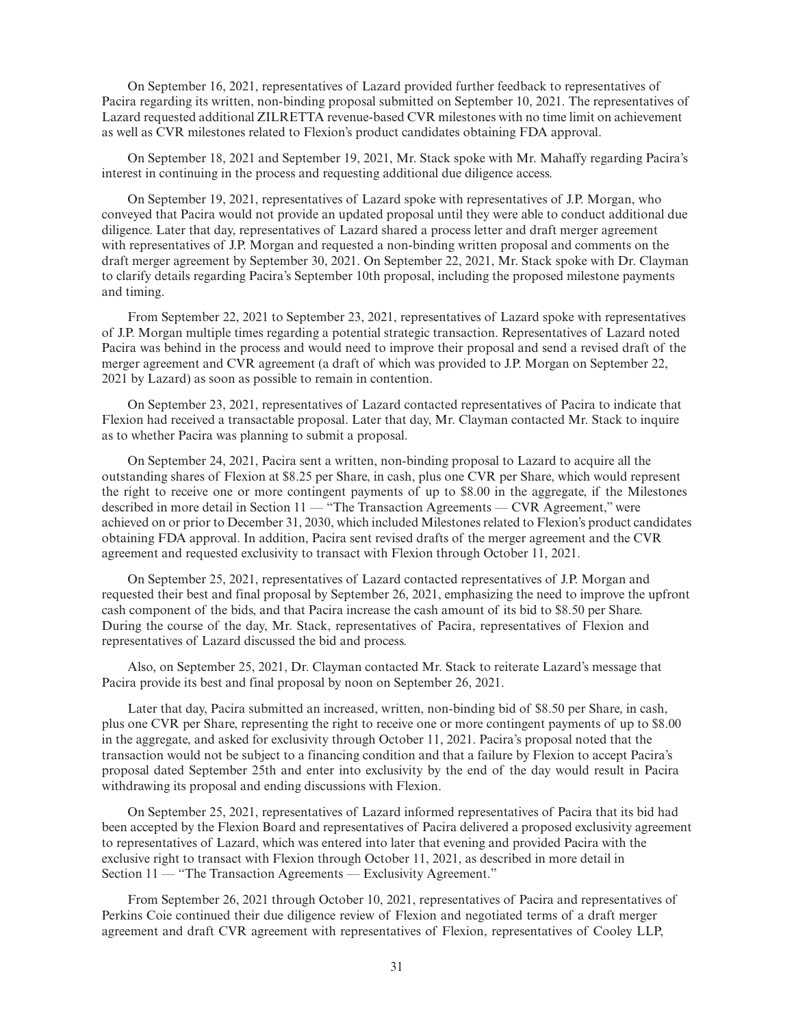On September 16, 2021, representatives of Lazard provided further feedback to representatives of Pacira regarding its written, non-binding proposal submitted on September 10, 2021. The representatives of Lazard requested additional ZILRETTA revenue-based CVR milestones with no time limit on achievement as well as CVR milestones related to Flexion's product candidates obtaining FDA approval.

On September 18, 2021 and September 19, 2021, Mr. Stack spoke with Mr. Mahaffy regarding Pacira's interest in continuing in the process and requesting additional due diligence access.

On September 19, 2021, representatives of Lazard spoke with representatives of J.P. Morgan, who conveyed that Pacira would not provide an updated proposal until they were able to conduct additional due diligence. Later that day, representatives of Lazard shared a process letter and draft merger agreement with representatives of J.P. Morgan and requested a non-binding written proposal and comments on the draft merger agreement by September 30, 2021. On September 22, 2021, Mr. Stack spoke with Dr. Clayman to clarify details regarding Pacira's September 10th proposal, including the proposed milestone payments and timing.

From September 22, 2021 to September 23, 2021, representatives of Lazard spoke with representatives of J.P. Morgan multiple times regarding a potential strategic transaction. Representatives of Lazard noted Pacira was behind in the process and would need to improve their proposal and send a revised draft of the merger agreement and CVR agreement (a draft of which was provided to J.P. Morgan on September 22, 2021 by Lazard) as soon as possible to remain in contention.

On September 23, 2021, representatives of Lazard contacted representatives of Pacira to indicate that Flexion had received a transactable proposal. Later that day, Mr. Clayman contacted Mr. Stack to inquire as to whether Pacira was planning to submit a proposal.

On September 24, 2021, Pacira sent a written, non-binding proposal to Lazard to acquire all the outstanding shares of Flexion at \$8.25 per Share, in cash, plus one CVR per Share, which would represent the right to receive one or more contingent payments of up to \$8.00 in the aggregate, if the Milestones described in more detail in Section 11 — "The Transaction Agreements — CVR Agreement," were achieved on or prior to December 31, 2030, which included Milestones related to Flexion's product candidates obtaining FDA approval. In addition, Pacira sent revised drafts of the merger agreement and the CVR agreement and requested exclusivity to transact with Flexion through October 11, 2021.

On September 25, 2021, representatives of Lazard contacted representatives of J.P. Morgan and requested their best and final proposal by September 26, 2021, emphasizing the need to improve the upfront cash component of the bids, and that Pacira increase the cash amount of its bid to \$8.50 per Share. During the course of the day, Mr. Stack, representatives of Pacira, representatives of Flexion and representatives of Lazard discussed the bid and process.

Also, on September 25, 2021, Dr. Clayman contacted Mr. Stack to reiterate Lazard's message that Pacira provide its best and final proposal by noon on September 26, 2021.

Later that day, Pacira submitted an increased, written, non-binding bid of \$8.50 per Share, in cash, plus one CVR per Share, representing the right to receive one or more contingent payments of up to \$8.00 in the aggregate, and asked for exclusivity through October 11, 2021. Pacira's proposal noted that the transaction would not be subject to a financing condition and that a failure by Flexion to accept Pacira's proposal dated September 25th and enter into exclusivity by the end of the day would result in Pacira withdrawing its proposal and ending discussions with Flexion.

On September 25, 2021, representatives of Lazard informed representatives of Pacira that its bid had been accepted by the Flexion Board and representatives of Pacira delivered a proposed exclusivity agreement to representatives of Lazard, which was entered into later that evening and provided Pacira with the exclusive right to transact with Flexion through October 11, 2021, as described in more detail in Section 11 — "The Transaction Agreements — Exclusivity Agreement."

From September 26, 2021 through October 10, 2021, representatives of Pacira and representatives of Perkins Coie continued their due diligence review of Flexion and negotiated terms of a draft merger agreement and draft CVR agreement with representatives of Flexion, representatives of Cooley LLP,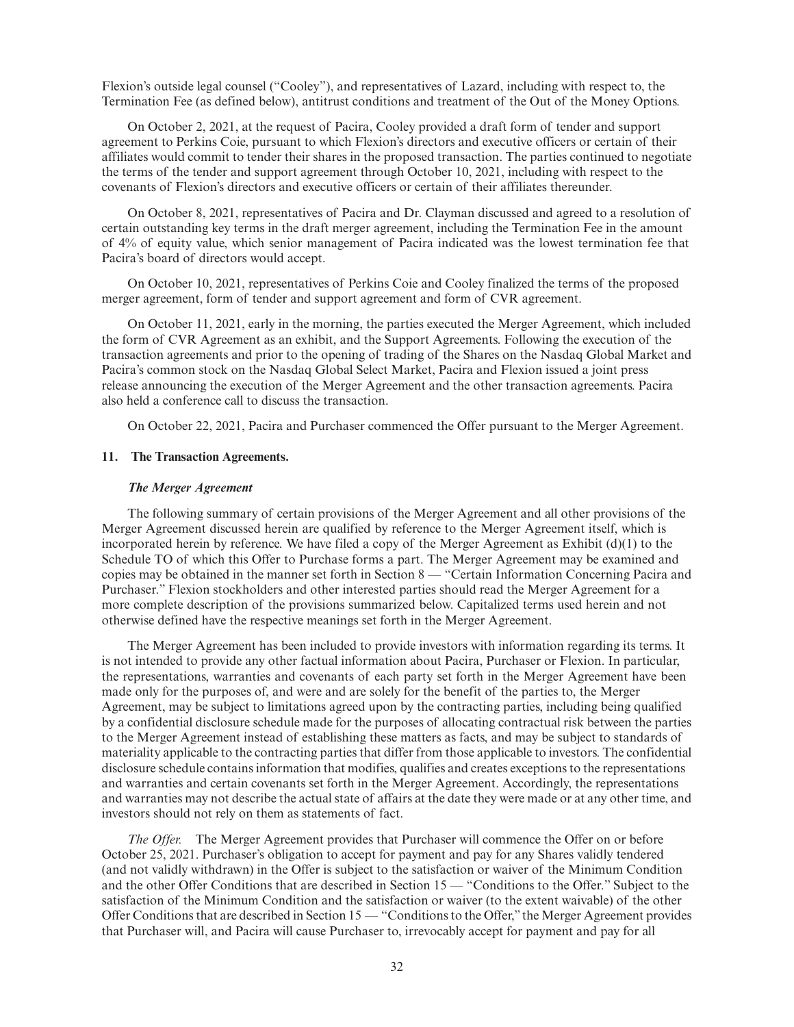Flexion's outside legal counsel ("Cooley"), and representatives of Lazard, including with respect to, the Termination Fee (as defined below), antitrust conditions and treatment of the Out of the Money Options.

On October 2, 2021, at the request of Pacira, Cooley provided a draft form of tender and support agreement to Perkins Coie, pursuant to which Flexion's directors and executive officers or certain of their affiliates would commit to tender their shares in the proposed transaction. The parties continued to negotiate the terms of the tender and support agreement through October 10, 2021, including with respect to the covenants of Flexion's directors and executive officers or certain of their affiliates thereunder.

On October 8, 2021, representatives of Pacira and Dr. Clayman discussed and agreed to a resolution of certain outstanding key terms in the draft merger agreement, including the Termination Fee in the amount of 4% of equity value, which senior management of Pacira indicated was the lowest termination fee that Pacira's board of directors would accept.

On October 10, 2021, representatives of Perkins Coie and Cooley finalized the terms of the proposed merger agreement, form of tender and support agreement and form of CVR agreement.

On October 11, 2021, early in the morning, the parties executed the Merger Agreement, which included the form of CVR Agreement as an exhibit, and the Support Agreements. Following the execution of the transaction agreements and prior to the opening of trading of the Shares on the Nasdaq Global Market and Pacira's common stock on the Nasdaq Global Select Market, Pacira and Flexion issued a joint press release announcing the execution of the Merger Agreement and the other transaction agreements. Pacira also held a conference call to discuss the transaction.

On October 22, 2021, Pacira and Purchaser commenced the Offer pursuant to the Merger Agreement.

## **11. The Transaction Agreements.**

#### *The Merger Agreement*

The following summary of certain provisions of the Merger Agreement and all other provisions of the Merger Agreement discussed herein are qualified by reference to the Merger Agreement itself, which is incorporated herein by reference. We have filed a copy of the Merger Agreement as Exhibit (d)(1) to the Schedule TO of which this Offer to Purchase forms a part. The Merger Agreement may be examined and copies may be obtained in the manner set forth in Section 8 — "Certain Information Concerning Pacira and Purchaser." Flexion stockholders and other interested parties should read the Merger Agreement for a more complete description of the provisions summarized below. Capitalized terms used herein and not otherwise defined have the respective meanings set forth in the Merger Agreement.

The Merger Agreement has been included to provide investors with information regarding its terms. It is not intended to provide any other factual information about Pacira, Purchaser or Flexion. In particular, the representations, warranties and covenants of each party set forth in the Merger Agreement have been made only for the purposes of, and were and are solely for the benefit of the parties to, the Merger Agreement, may be subject to limitations agreed upon by the contracting parties, including being qualified by a confidential disclosure schedule made for the purposes of allocating contractual risk between the parties to the Merger Agreement instead of establishing these matters as facts, and may be subject to standards of materiality applicable to the contracting parties that differ from those applicable to investors. The confidential disclosure schedule contains information that modifies, qualifies and creates exceptions to the representations and warranties and certain covenants set forth in the Merger Agreement. Accordingly, the representations and warranties may not describe the actual state of affairs at the date they were made or at any other time, and investors should not rely on them as statements of fact.

*The Offer.* The Merger Agreement provides that Purchaser will commence the Offer on or before October 25, 2021. Purchaser's obligation to accept for payment and pay for any Shares validly tendered (and not validly withdrawn) in the Offer is subject to the satisfaction or waiver of the Minimum Condition and the other Offer Conditions that are described in Section 15 — "Conditions to the Offer." Subject to the satisfaction of the Minimum Condition and the satisfaction or waiver (to the extent waivable) of the other Offer Conditions that are described in Section 15 — "Conditions to the Offer," the Merger Agreement provides that Purchaser will, and Pacira will cause Purchaser to, irrevocably accept for payment and pay for all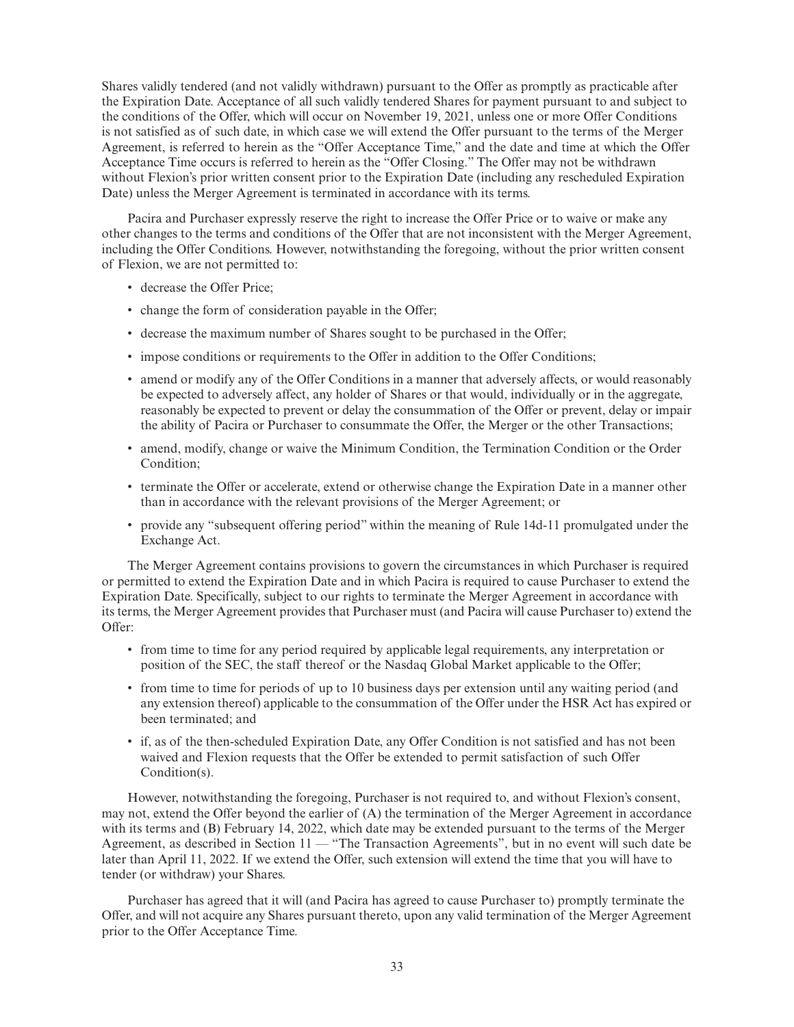Shares validly tendered (and not validly withdrawn) pursuant to the Offer as promptly as practicable after the Expiration Date. Acceptance of all such validly tendered Shares for payment pursuant to and subject to the conditions of the Offer, which will occur on November 19, 2021, unless one or more Offer Conditions is not satisfied as of such date, in which case we will extend the Offer pursuant to the terms of the Merger Agreement, is referred to herein as the "Offer Acceptance Time," and the date and time at which the Offer Acceptance Time occurs is referred to herein as the "Offer Closing." The Offer may not be withdrawn without Flexion's prior written consent prior to the Expiration Date (including any rescheduled Expiration Date) unless the Merger Agreement is terminated in accordance with its terms.

Pacira and Purchaser expressly reserve the right to increase the Offer Price or to waive or make any other changes to the terms and conditions of the Offer that are not inconsistent with the Merger Agreement, including the Offer Conditions. However, notwithstanding the foregoing, without the prior written consent of Flexion, we are not permitted to:

- decrease the Offer Price;
- change the form of consideration payable in the Offer;
- decrease the maximum number of Shares sought to be purchased in the Offer;
- impose conditions or requirements to the Offer in addition to the Offer Conditions;
- amend or modify any of the Offer Conditions in a manner that adversely affects, or would reasonably be expected to adversely affect, any holder of Shares or that would, individually or in the aggregate, reasonably be expected to prevent or delay the consummation of the Offer or prevent, delay or impair the ability of Pacira or Purchaser to consummate the Offer, the Merger or the other Transactions;
- amend, modify, change or waive the Minimum Condition, the Termination Condition or the Order Condition;
- terminate the Offer or accelerate, extend or otherwise change the Expiration Date in a manner other than in accordance with the relevant provisions of the Merger Agreement; or
- provide any "subsequent offering period" within the meaning of Rule 14d-11 promulgated under the Exchange Act.

The Merger Agreement contains provisions to govern the circumstances in which Purchaser is required or permitted to extend the Expiration Date and in which Pacira is required to cause Purchaser to extend the Expiration Date. Specifically, subject to our rights to terminate the Merger Agreement in accordance with its terms, the Merger Agreement provides that Purchaser must (and Pacira will cause Purchaser to) extend the Offer:

- from time to time for any period required by applicable legal requirements, any interpretation or position of the SEC, the staff thereof or the Nasdaq Global Market applicable to the Offer;
- from time to time for periods of up to 10 business days per extension until any waiting period (and any extension thereof) applicable to the consummation of the Offer under the HSR Act has expired or been terminated; and
- if, as of the then-scheduled Expiration Date, any Offer Condition is not satisfied and has not been waived and Flexion requests that the Offer be extended to permit satisfaction of such Offer Condition(s).

However, notwithstanding the foregoing, Purchaser is not required to, and without Flexion's consent, may not, extend the Offer beyond the earlier of (A) the termination of the Merger Agreement in accordance with its terms and (B) February 14, 2022, which date may be extended pursuant to the terms of the Merger Agreement, as described in Section 11 — "The Transaction Agreements", but in no event will such date be later than April 11, 2022. If we extend the Offer, such extension will extend the time that you will have to tender (or withdraw) your Shares.

Purchaser has agreed that it will (and Pacira has agreed to cause Purchaser to) promptly terminate the Offer, and will not acquire any Shares pursuant thereto, upon any valid termination of the Merger Agreement prior to the Offer Acceptance Time.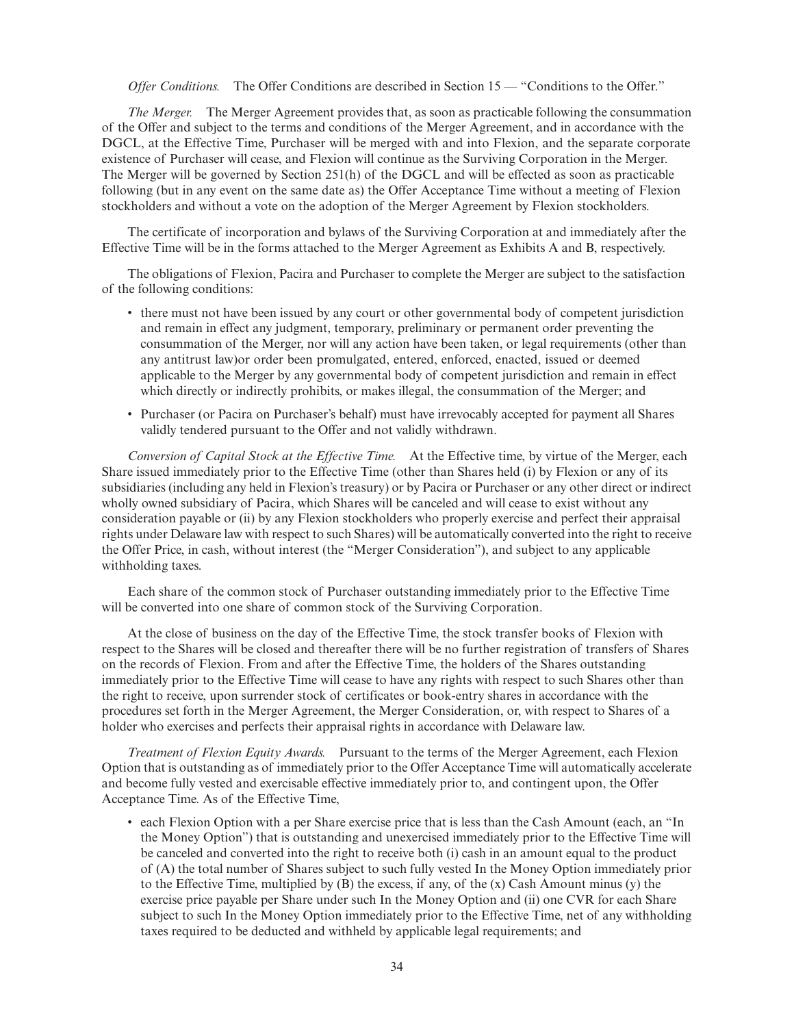*Offer Conditions.* The Offer Conditions are described in Section 15 — "Conditions to the Offer."

*The Merger.* The Merger Agreement provides that, as soon as practicable following the consummation of the Offer and subject to the terms and conditions of the Merger Agreement, and in accordance with the DGCL, at the Effective Time, Purchaser will be merged with and into Flexion, and the separate corporate existence of Purchaser will cease, and Flexion will continue as the Surviving Corporation in the Merger. The Merger will be governed by Section 251(h) of the DGCL and will be effected as soon as practicable following (but in any event on the same date as) the Offer Acceptance Time without a meeting of Flexion stockholders and without a vote on the adoption of the Merger Agreement by Flexion stockholders.

The certificate of incorporation and bylaws of the Surviving Corporation at and immediately after the Effective Time will be in the forms attached to the Merger Agreement as Exhibits A and B, respectively.

The obligations of Flexion, Pacira and Purchaser to complete the Merger are subject to the satisfaction of the following conditions:

- there must not have been issued by any court or other governmental body of competent jurisdiction and remain in effect any judgment, temporary, preliminary or permanent order preventing the consummation of the Merger, nor will any action have been taken, or legal requirements (other than any antitrust law)or order been promulgated, entered, enforced, enacted, issued or deemed applicable to the Merger by any governmental body of competent jurisdiction and remain in effect which directly or indirectly prohibits, or makes illegal, the consummation of the Merger; and
- Purchaser (or Pacira on Purchaser's behalf) must have irrevocably accepted for payment all Shares validly tendered pursuant to the Offer and not validly withdrawn.

*Conversion of Capital Stock at the Effective Time.* At the Effective time, by virtue of the Merger, each Share issued immediately prior to the Effective Time (other than Shares held (i) by Flexion or any of its subsidiaries (including any held in Flexion's treasury) or by Pacira or Purchaser or any other direct or indirect wholly owned subsidiary of Pacira, which Shares will be canceled and will cease to exist without any consideration payable or (ii) by any Flexion stockholders who properly exercise and perfect their appraisal rights under Delaware law with respect to such Shares) will be automatically converted into the right to receive the Offer Price, in cash, without interest (the "Merger Consideration"), and subject to any applicable withholding taxes.

Each share of the common stock of Purchaser outstanding immediately prior to the Effective Time will be converted into one share of common stock of the Surviving Corporation.

At the close of business on the day of the Effective Time, the stock transfer books of Flexion with respect to the Shares will be closed and thereafter there will be no further registration of transfers of Shares on the records of Flexion. From and after the Effective Time, the holders of the Shares outstanding immediately prior to the Effective Time will cease to have any rights with respect to such Shares other than the right to receive, upon surrender stock of certificates or book-entry shares in accordance with the procedures set forth in the Merger Agreement, the Merger Consideration, or, with respect to Shares of a holder who exercises and perfects their appraisal rights in accordance with Delaware law.

*Treatment of Flexion Equity Awards.* Pursuant to the terms of the Merger Agreement, each Flexion Option that is outstanding as of immediately prior to the Offer Acceptance Time will automatically accelerate and become fully vested and exercisable effective immediately prior to, and contingent upon, the Offer Acceptance Time. As of the Effective Time,

• each Flexion Option with a per Share exercise price that is less than the Cash Amount (each, an "In the Money Option") that is outstanding and unexercised immediately prior to the Effective Time will be canceled and converted into the right to receive both (i) cash in an amount equal to the product of (A) the total number of Shares subject to such fully vested In the Money Option immediately prior to the Effective Time, multiplied by  $(B)$  the excess, if any, of the  $(x)$  Cash Amount minus  $(y)$  the exercise price payable per Share under such In the Money Option and (ii) one CVR for each Share subject to such In the Money Option immediately prior to the Effective Time, net of any withholding taxes required to be deducted and withheld by applicable legal requirements; and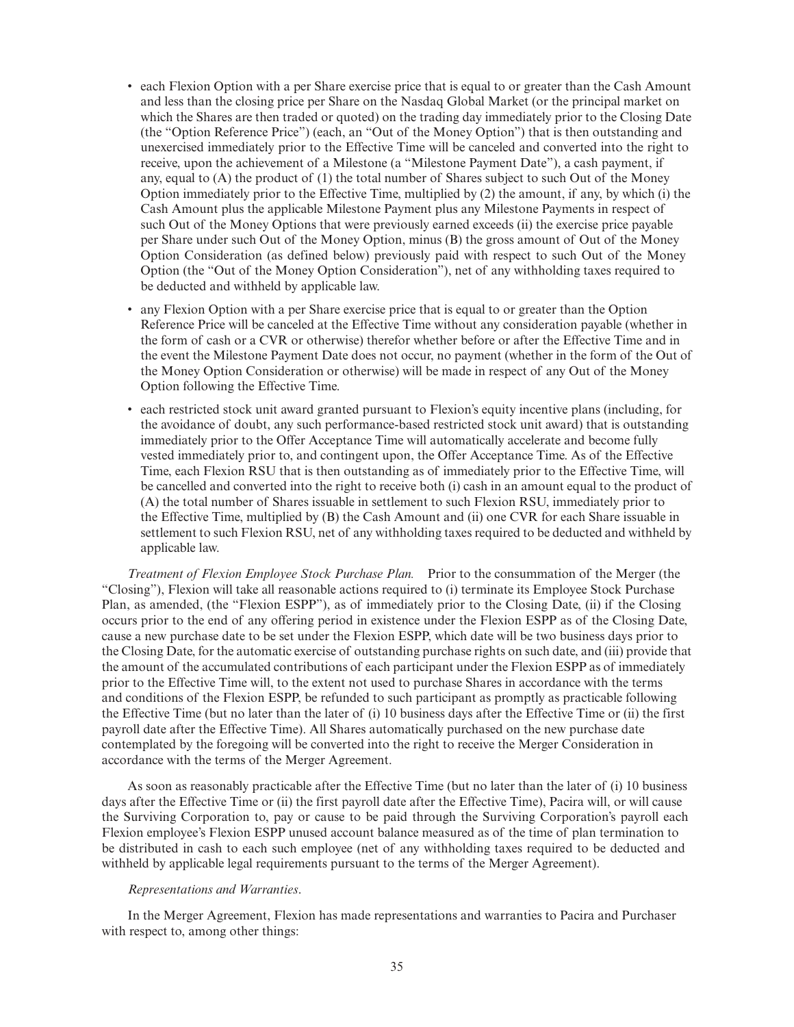- each Flexion Option with a per Share exercise price that is equal to or greater than the Cash Amount and less than the closing price per Share on the Nasdaq Global Market (or the principal market on which the Shares are then traded or quoted) on the trading day immediately prior to the Closing Date (the "Option Reference Price") (each, an "Out of the Money Option") that is then outstanding and unexercised immediately prior to the Effective Time will be canceled and converted into the right to receive, upon the achievement of a Milestone (a "Milestone Payment Date"), a cash payment, if any, equal to (A) the product of (1) the total number of Shares subject to such Out of the Money Option immediately prior to the Effective Time, multiplied by (2) the amount, if any, by which (i) the Cash Amount plus the applicable Milestone Payment plus any Milestone Payments in respect of such Out of the Money Options that were previously earned exceeds (ii) the exercise price payable per Share under such Out of the Money Option, minus (B) the gross amount of Out of the Money Option Consideration (as defined below) previously paid with respect to such Out of the Money Option (the "Out of the Money Option Consideration"), net of any withholding taxes required to be deducted and withheld by applicable law.
- any Flexion Option with a per Share exercise price that is equal to or greater than the Option Reference Price will be canceled at the Effective Time without any consideration payable (whether in the form of cash or a CVR or otherwise) therefor whether before or after the Effective Time and in the event the Milestone Payment Date does not occur, no payment (whether in the form of the Out of the Money Option Consideration or otherwise) will be made in respect of any Out of the Money Option following the Effective Time.
- each restricted stock unit award granted pursuant to Flexion's equity incentive plans (including, for the avoidance of doubt, any such performance-based restricted stock unit award) that is outstanding immediately prior to the Offer Acceptance Time will automatically accelerate and become fully vested immediately prior to, and contingent upon, the Offer Acceptance Time. As of the Effective Time, each Flexion RSU that is then outstanding as of immediately prior to the Effective Time, will be cancelled and converted into the right to receive both (i) cash in an amount equal to the product of (A) the total number of Shares issuable in settlement to such Flexion RSU, immediately prior to the Effective Time, multiplied by (B) the Cash Amount and (ii) one CVR for each Share issuable in settlement to such Flexion RSU, net of any withholding taxes required to be deducted and withheld by applicable law.

*Treatment of Flexion Employee Stock Purchase Plan.* Prior to the consummation of the Merger (the "Closing"), Flexion will take all reasonable actions required to (i) terminate its Employee Stock Purchase Plan, as amended, (the "Flexion ESPP"), as of immediately prior to the Closing Date, (ii) if the Closing occurs prior to the end of any offering period in existence under the Flexion ESPP as of the Closing Date, cause a new purchase date to be set under the Flexion ESPP, which date will be two business days prior to the Closing Date, for the automatic exercise of outstanding purchase rights on such date, and (iii) provide that the amount of the accumulated contributions of each participant under the Flexion ESPP as of immediately prior to the Effective Time will, to the extent not used to purchase Shares in accordance with the terms and conditions of the Flexion ESPP, be refunded to such participant as promptly as practicable following the Effective Time (but no later than the later of (i) 10 business days after the Effective Time or (ii) the first payroll date after the Effective Time). All Shares automatically purchased on the new purchase date contemplated by the foregoing will be converted into the right to receive the Merger Consideration in accordance with the terms of the Merger Agreement.

As soon as reasonably practicable after the Effective Time (but no later than the later of (i) 10 business days after the Effective Time or (ii) the first payroll date after the Effective Time), Pacira will, or will cause the Surviving Corporation to, pay or cause to be paid through the Surviving Corporation's payroll each Flexion employee's Flexion ESPP unused account balance measured as of the time of plan termination to be distributed in cash to each such employee (net of any withholding taxes required to be deducted and withheld by applicable legal requirements pursuant to the terms of the Merger Agreement).

# *Representations and Warranties*.

In the Merger Agreement, Flexion has made representations and warranties to Pacira and Purchaser with respect to, among other things: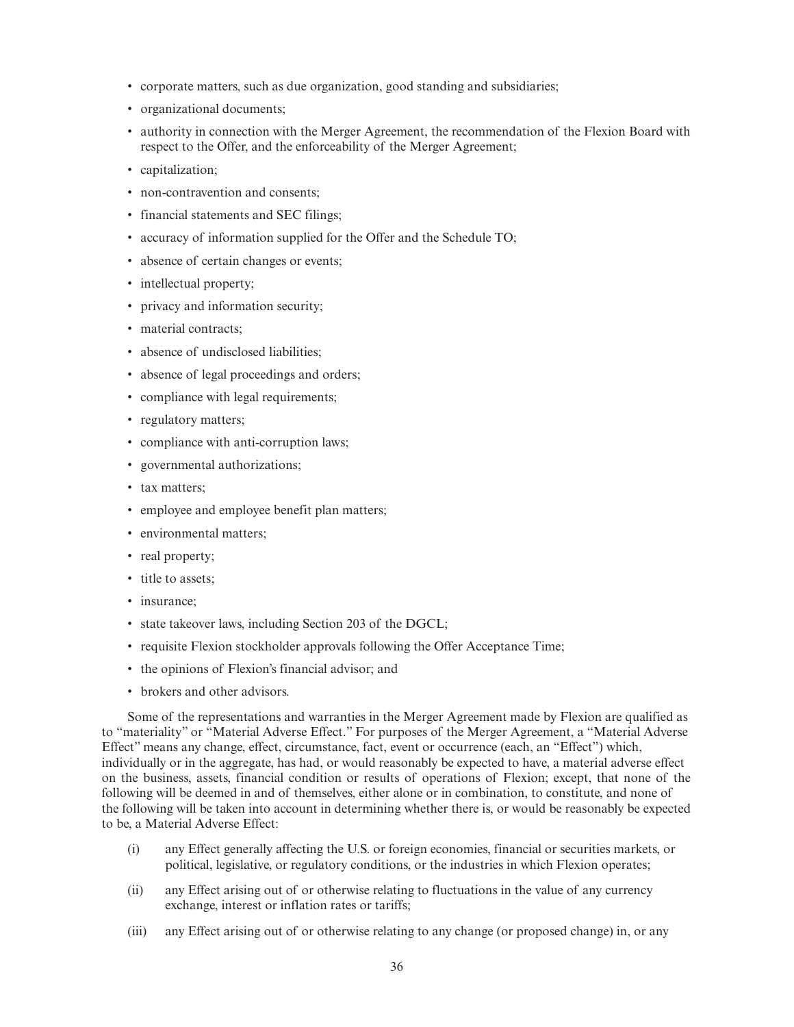- corporate matters, such as due organization, good standing and subsidiaries;
- organizational documents;
- authority in connection with the Merger Agreement, the recommendation of the Flexion Board with respect to the Offer, and the enforceability of the Merger Agreement;
- capitalization;
- non-contravention and consents;
- financial statements and SEC filings;
- accuracy of information supplied for the Offer and the Schedule TO;
- absence of certain changes or events;
- intellectual property;
- privacy and information security;
- material contracts:
- absence of undisclosed liabilities;
- absence of legal proceedings and orders;
- compliance with legal requirements;
- regulatory matters;
- compliance with anti-corruption laws;
- governmental authorizations;
- tax matters;
- employee and employee benefit plan matters;
- environmental matters;
- real property;
- title to assets:
- insurance;
- state takeover laws, including Section 203 of the DGCL;
- requisite Flexion stockholder approvals following the Offer Acceptance Time;
- the opinions of Flexion's financial advisor; and
- brokers and other advisors.

Some of the representations and warranties in the Merger Agreement made by Flexion are qualified as to "materiality" or "Material Adverse Effect." For purposes of the Merger Agreement, a "Material Adverse Effect" means any change, effect, circumstance, fact, event or occurrence (each, an "Effect") which, individually or in the aggregate, has had, or would reasonably be expected to have, a material adverse effect on the business, assets, financial condition or results of operations of Flexion; except, that none of the following will be deemed in and of themselves, either alone or in combination, to constitute, and none of the following will be taken into account in determining whether there is, or would be reasonably be expected to be, a Material Adverse Effect:

- (i) any Effect generally affecting the U.S. or foreign economies, financial or securities markets, or political, legislative, or regulatory conditions, or the industries in which Flexion operates;
- (ii) any Effect arising out of or otherwise relating to fluctuations in the value of any currency exchange, interest or inflation rates or tariffs;
- (iii) any Effect arising out of or otherwise relating to any change (or proposed change) in, or any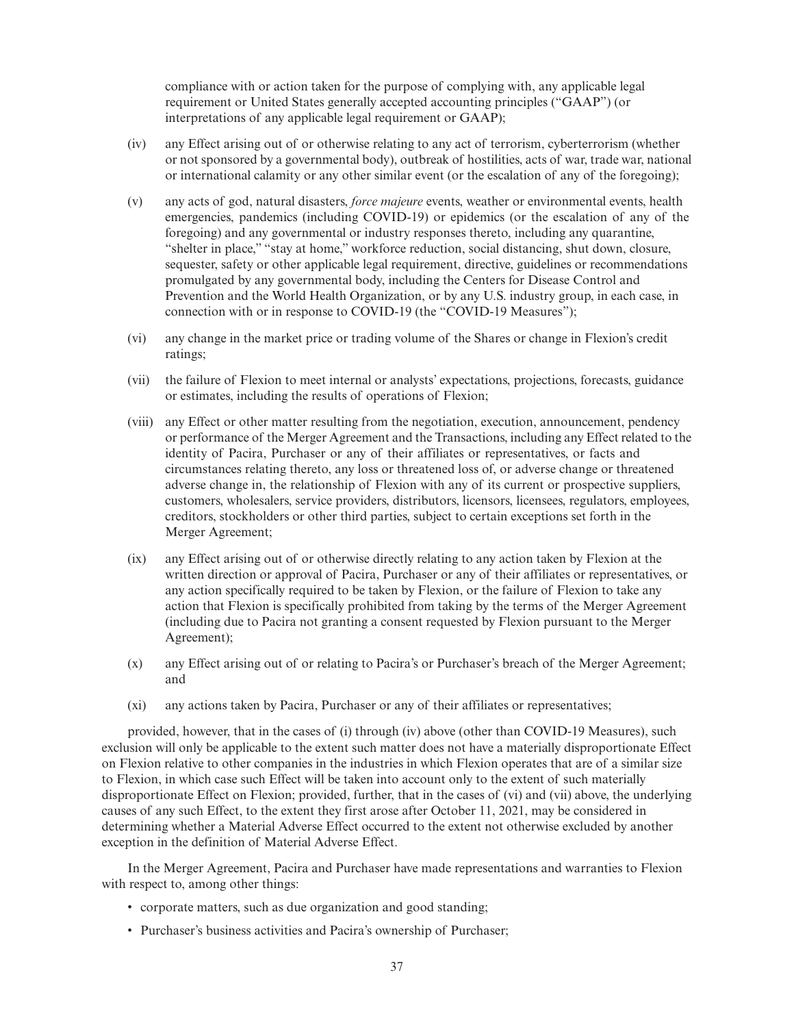compliance with or action taken for the purpose of complying with, any applicable legal requirement or United States generally accepted accounting principles ("GAAP") (or interpretations of any applicable legal requirement or GAAP);

- (iv) any Effect arising out of or otherwise relating to any act of terrorism, cyberterrorism (whether or not sponsored by a governmental body), outbreak of hostilities, acts of war, trade war, national or international calamity or any other similar event (or the escalation of any of the foregoing);
- (v) any acts of god, natural disasters, *force majeure* events, weather or environmental events, health emergencies, pandemics (including COVID-19) or epidemics (or the escalation of any of the foregoing) and any governmental or industry responses thereto, including any quarantine, "shelter in place," "stay at home," workforce reduction, social distancing, shut down, closure, sequester, safety or other applicable legal requirement, directive, guidelines or recommendations promulgated by any governmental body, including the Centers for Disease Control and Prevention and the World Health Organization, or by any U.S. industry group, in each case, in connection with or in response to COVID-19 (the "COVID-19 Measures");
- (vi) any change in the market price or trading volume of the Shares or change in Flexion's credit ratings;
- (vii) the failure of Flexion to meet internal or analysts' expectations, projections, forecasts, guidance or estimates, including the results of operations of Flexion;
- (viii) any Effect or other matter resulting from the negotiation, execution, announcement, pendency or performance of the Merger Agreement and the Transactions, including any Effect related to the identity of Pacira, Purchaser or any of their affiliates or representatives, or facts and circumstances relating thereto, any loss or threatened loss of, or adverse change or threatened adverse change in, the relationship of Flexion with any of its current or prospective suppliers, customers, wholesalers, service providers, distributors, licensors, licensees, regulators, employees, creditors, stockholders or other third parties, subject to certain exceptions set forth in the Merger Agreement;
- (ix) any Effect arising out of or otherwise directly relating to any action taken by Flexion at the written direction or approval of Pacira, Purchaser or any of their affiliates or representatives, or any action specifically required to be taken by Flexion, or the failure of Flexion to take any action that Flexion is specifically prohibited from taking by the terms of the Merger Agreement (including due to Pacira not granting a consent requested by Flexion pursuant to the Merger Agreement);
- (x) any Effect arising out of or relating to Pacira's or Purchaser's breach of the Merger Agreement; and
- (xi) any actions taken by Pacira, Purchaser or any of their affiliates or representatives;

provided, however, that in the cases of (i) through (iv) above (other than COVID-19 Measures), such exclusion will only be applicable to the extent such matter does not have a materially disproportionate Effect on Flexion relative to other companies in the industries in which Flexion operates that are of a similar size to Flexion, in which case such Effect will be taken into account only to the extent of such materially disproportionate Effect on Flexion; provided, further, that in the cases of (vi) and (vii) above, the underlying causes of any such Effect, to the extent they first arose after October 11, 2021, may be considered in determining whether a Material Adverse Effect occurred to the extent not otherwise excluded by another exception in the definition of Material Adverse Effect.

In the Merger Agreement, Pacira and Purchaser have made representations and warranties to Flexion with respect to, among other things:

- corporate matters, such as due organization and good standing;
- Purchaser's business activities and Pacira's ownership of Purchaser;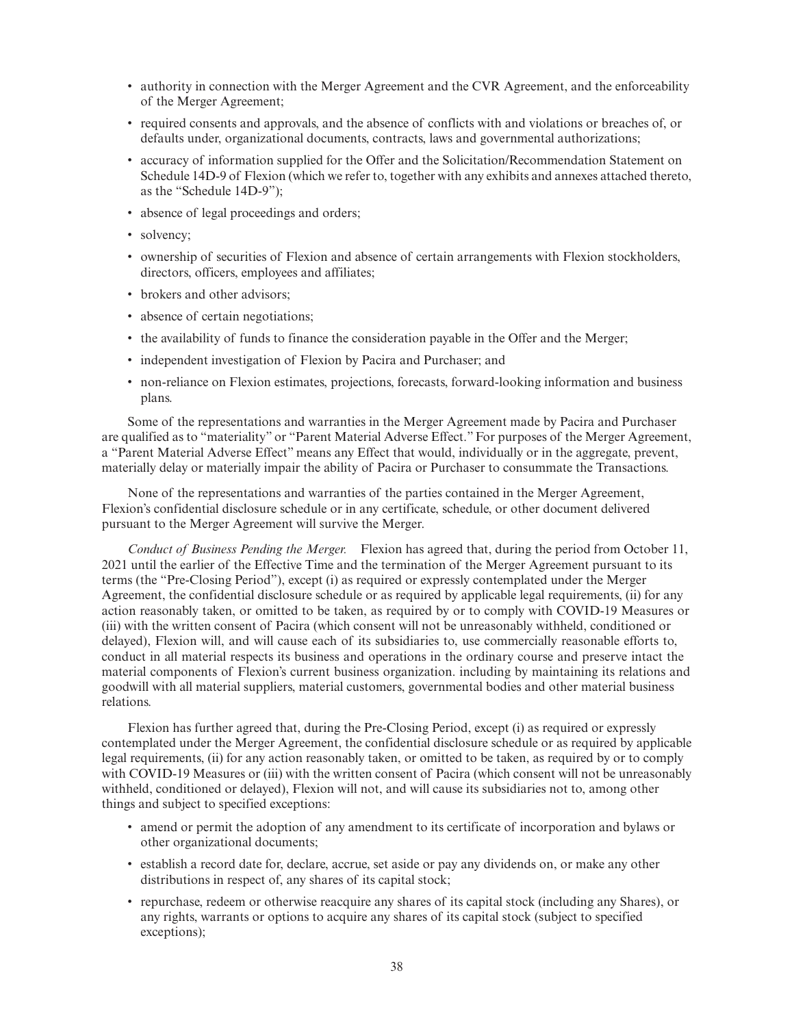- authority in connection with the Merger Agreement and the CVR Agreement, and the enforceability of the Merger Agreement;
- required consents and approvals, and the absence of conflicts with and violations or breaches of, or defaults under, organizational documents, contracts, laws and governmental authorizations;
- accuracy of information supplied for the Offer and the Solicitation/Recommendation Statement on Schedule 14D-9 of Flexion (which we refer to, together with any exhibits and annexes attached thereto, as the "Schedule 14D-9");
- absence of legal proceedings and orders;
- solvency;
- ownership of securities of Flexion and absence of certain arrangements with Flexion stockholders, directors, officers, employees and affiliates;
- brokers and other advisors:
- absence of certain negotiations;
- the availability of funds to finance the consideration payable in the Offer and the Merger;
- independent investigation of Flexion by Pacira and Purchaser; and
- non-reliance on Flexion estimates, projections, forecasts, forward-looking information and business plans.

Some of the representations and warranties in the Merger Agreement made by Pacira and Purchaser are qualified as to "materiality" or "Parent Material Adverse Effect." For purposes of the Merger Agreement, a "Parent Material Adverse Effect" means any Effect that would, individually or in the aggregate, prevent, materially delay or materially impair the ability of Pacira or Purchaser to consummate the Transactions.

None of the representations and warranties of the parties contained in the Merger Agreement, Flexion's confidential disclosure schedule or in any certificate, schedule, or other document delivered pursuant to the Merger Agreement will survive the Merger.

*Conduct of Business Pending the Merger.* Flexion has agreed that, during the period from October 11, 2021 until the earlier of the Effective Time and the termination of the Merger Agreement pursuant to its terms (the "Pre-Closing Period"), except (i) as required or expressly contemplated under the Merger Agreement, the confidential disclosure schedule or as required by applicable legal requirements, (ii) for any action reasonably taken, or omitted to be taken, as required by or to comply with COVID-19 Measures or (iii) with the written consent of Pacira (which consent will not be unreasonably withheld, conditioned or delayed), Flexion will, and will cause each of its subsidiaries to, use commercially reasonable efforts to, conduct in all material respects its business and operations in the ordinary course and preserve intact the material components of Flexion's current business organization. including by maintaining its relations and goodwill with all material suppliers, material customers, governmental bodies and other material business relations.

Flexion has further agreed that, during the Pre-Closing Period, except (i) as required or expressly contemplated under the Merger Agreement, the confidential disclosure schedule or as required by applicable legal requirements, (ii) for any action reasonably taken, or omitted to be taken, as required by or to comply with COVID-19 Measures or (iii) with the written consent of Pacira (which consent will not be unreasonably withheld, conditioned or delayed), Flexion will not, and will cause its subsidiaries not to, among other things and subject to specified exceptions:

- amend or permit the adoption of any amendment to its certificate of incorporation and bylaws or other organizational documents;
- establish a record date for, declare, accrue, set aside or pay any dividends on, or make any other distributions in respect of, any shares of its capital stock;
- repurchase, redeem or otherwise reacquire any shares of its capital stock (including any Shares), or any rights, warrants or options to acquire any shares of its capital stock (subject to specified exceptions);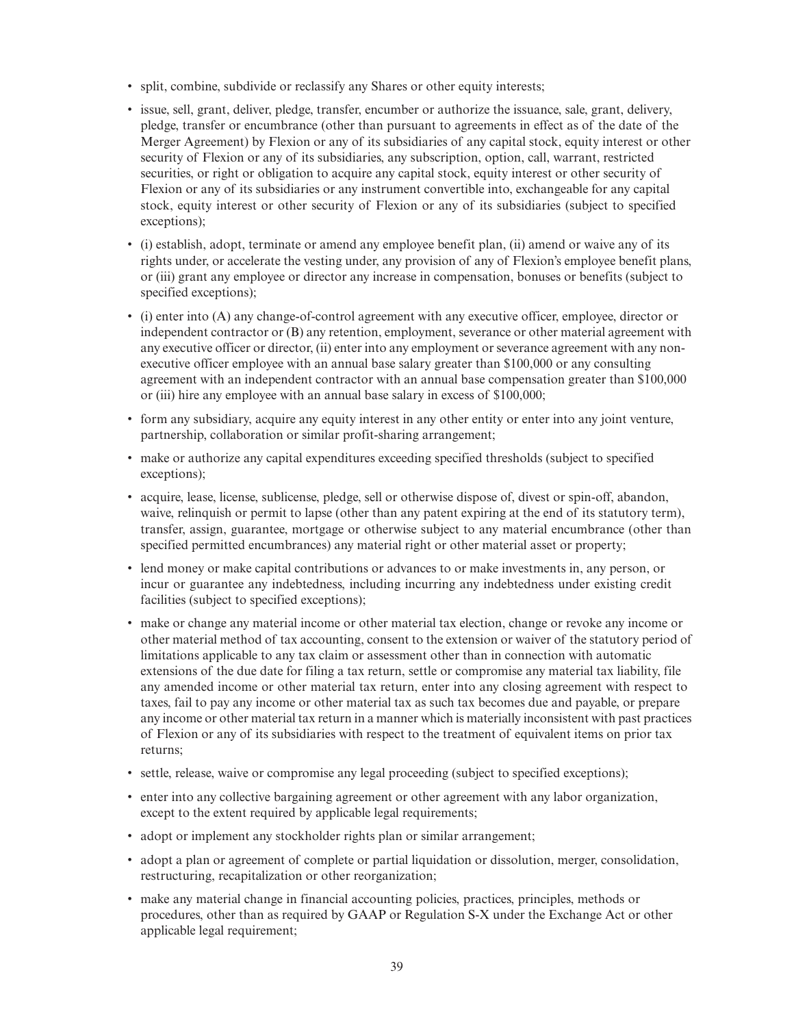- split, combine, subdivide or reclassify any Shares or other equity interests;
- issue, sell, grant, deliver, pledge, transfer, encumber or authorize the issuance, sale, grant, delivery, pledge, transfer or encumbrance (other than pursuant to agreements in effect as of the date of the Merger Agreement) by Flexion or any of its subsidiaries of any capital stock, equity interest or other security of Flexion or any of its subsidiaries, any subscription, option, call, warrant, restricted securities, or right or obligation to acquire any capital stock, equity interest or other security of Flexion or any of its subsidiaries or any instrument convertible into, exchangeable for any capital stock, equity interest or other security of Flexion or any of its subsidiaries (subject to specified exceptions);
- (i) establish, adopt, terminate or amend any employee benefit plan, (ii) amend or waive any of its rights under, or accelerate the vesting under, any provision of any of Flexion's employee benefit plans, or (iii) grant any employee or director any increase in compensation, bonuses or benefits (subject to specified exceptions);
- (i) enter into (A) any change-of-control agreement with any executive officer, employee, director or independent contractor or (B) any retention, employment, severance or other material agreement with any executive officer or director, (ii) enter into any employment or severance agreement with any nonexecutive officer employee with an annual base salary greater than \$100,000 or any consulting agreement with an independent contractor with an annual base compensation greater than \$100,000 or (iii) hire any employee with an annual base salary in excess of \$100,000;
- form any subsidiary, acquire any equity interest in any other entity or enter into any joint venture, partnership, collaboration or similar profit-sharing arrangement;
- make or authorize any capital expenditures exceeding specified thresholds (subject to specified exceptions);
- acquire, lease, license, sublicense, pledge, sell or otherwise dispose of, divest or spin-off, abandon, waive, relinquish or permit to lapse (other than any patent expiring at the end of its statutory term), transfer, assign, guarantee, mortgage or otherwise subject to any material encumbrance (other than specified permitted encumbrances) any material right or other material asset or property;
- lend money or make capital contributions or advances to or make investments in, any person, or incur or guarantee any indebtedness, including incurring any indebtedness under existing credit facilities (subject to specified exceptions);
- make or change any material income or other material tax election, change or revoke any income or other material method of tax accounting, consent to the extension or waiver of the statutory period of limitations applicable to any tax claim or assessment other than in connection with automatic extensions of the due date for filing a tax return, settle or compromise any material tax liability, file any amended income or other material tax return, enter into any closing agreement with respect to taxes, fail to pay any income or other material tax as such tax becomes due and payable, or prepare any income or other material tax return in a manner which is materially inconsistent with past practices of Flexion or any of its subsidiaries with respect to the treatment of equivalent items on prior tax returns;
- settle, release, waive or compromise any legal proceeding (subject to specified exceptions);
- enter into any collective bargaining agreement or other agreement with any labor organization, except to the extent required by applicable legal requirements;
- adopt or implement any stockholder rights plan or similar arrangement;
- adopt a plan or agreement of complete or partial liquidation or dissolution, merger, consolidation, restructuring, recapitalization or other reorganization;
- make any material change in financial accounting policies, practices, principles, methods or procedures, other than as required by GAAP or Regulation S-X under the Exchange Act or other applicable legal requirement;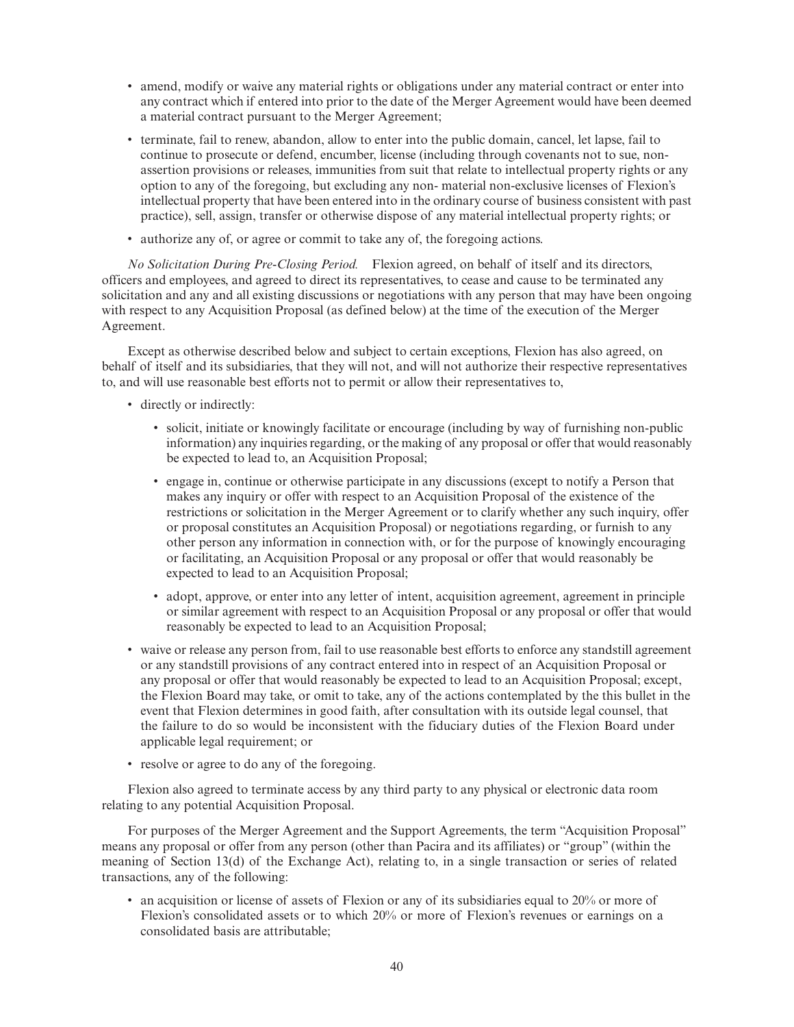- amend, modify or waive any material rights or obligations under any material contract or enter into any contract which if entered into prior to the date of the Merger Agreement would have been deemed a material contract pursuant to the Merger Agreement;
- terminate, fail to renew, abandon, allow to enter into the public domain, cancel, let lapse, fail to continue to prosecute or defend, encumber, license (including through covenants not to sue, nonassertion provisions or releases, immunities from suit that relate to intellectual property rights or any option to any of the foregoing, but excluding any non- material non-exclusive licenses of Flexion's intellectual property that have been entered into in the ordinary course of business consistent with past practice), sell, assign, transfer or otherwise dispose of any material intellectual property rights; or
- authorize any of, or agree or commit to take any of, the foregoing actions.

*No Solicitation During Pre-Closing Period.* Flexion agreed, on behalf of itself and its directors, officers and employees, and agreed to direct its representatives, to cease and cause to be terminated any solicitation and any and all existing discussions or negotiations with any person that may have been ongoing with respect to any Acquisition Proposal (as defined below) at the time of the execution of the Merger Agreement.

Except as otherwise described below and subject to certain exceptions, Flexion has also agreed, on behalf of itself and its subsidiaries, that they will not, and will not authorize their respective representatives to, and will use reasonable best efforts not to permit or allow their representatives to,

- directly or indirectly:
	- solicit, initiate or knowingly facilitate or encourage (including by way of furnishing non-public information) any inquiries regarding, or the making of any proposal or offer that would reasonably be expected to lead to, an Acquisition Proposal;
	- engage in, continue or otherwise participate in any discussions (except to notify a Person that makes any inquiry or offer with respect to an Acquisition Proposal of the existence of the restrictions or solicitation in the Merger Agreement or to clarify whether any such inquiry, offer or proposal constitutes an Acquisition Proposal) or negotiations regarding, or furnish to any other person any information in connection with, or for the purpose of knowingly encouraging or facilitating, an Acquisition Proposal or any proposal or offer that would reasonably be expected to lead to an Acquisition Proposal;
	- adopt, approve, or enter into any letter of intent, acquisition agreement, agreement in principle or similar agreement with respect to an Acquisition Proposal or any proposal or offer that would reasonably be expected to lead to an Acquisition Proposal;
- waive or release any person from, fail to use reasonable best efforts to enforce any standstill agreement or any standstill provisions of any contract entered into in respect of an Acquisition Proposal or any proposal or offer that would reasonably be expected to lead to an Acquisition Proposal; except, the Flexion Board may take, or omit to take, any of the actions contemplated by the this bullet in the event that Flexion determines in good faith, after consultation with its outside legal counsel, that the failure to do so would be inconsistent with the fiduciary duties of the Flexion Board under applicable legal requirement; or
- resolve or agree to do any of the foregoing.

Flexion also agreed to terminate access by any third party to any physical or electronic data room relating to any potential Acquisition Proposal.

For purposes of the Merger Agreement and the Support Agreements, the term "Acquisition Proposal" means any proposal or offer from any person (other than Pacira and its affiliates) or "group" (within the meaning of Section 13(d) of the Exchange Act), relating to, in a single transaction or series of related transactions, any of the following:

• an acquisition or license of assets of Flexion or any of its subsidiaries equal to 20% or more of Flexion's consolidated assets or to which 20% or more of Flexion's revenues or earnings on a consolidated basis are attributable;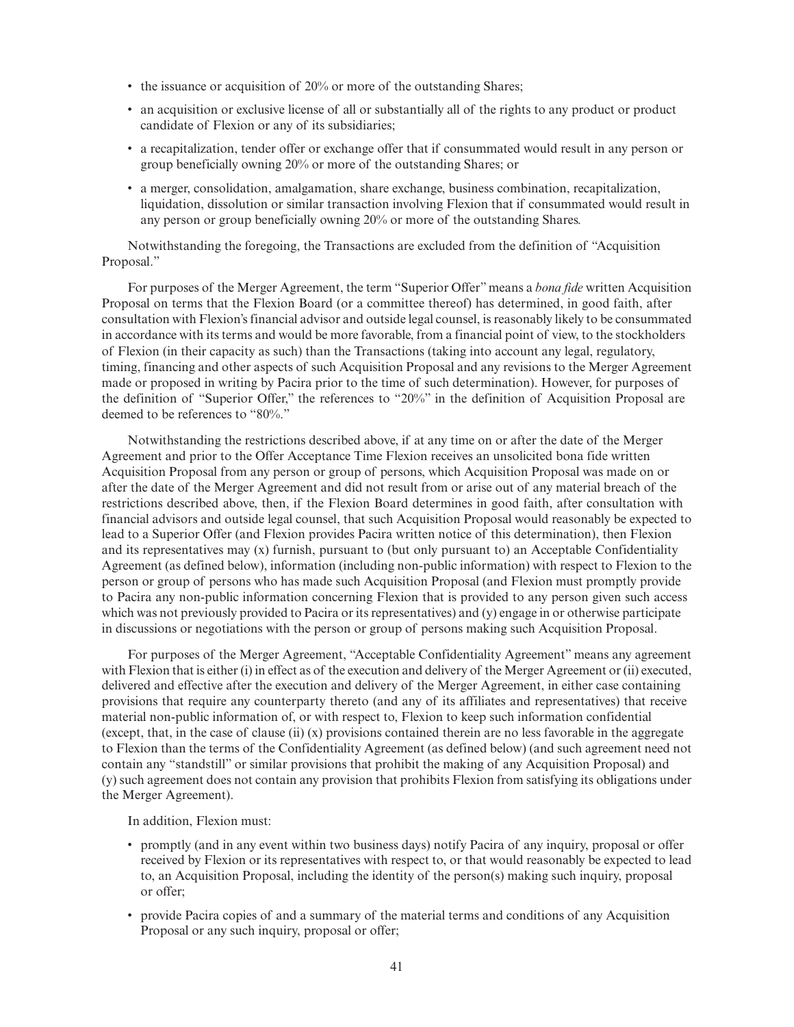- the issuance or acquisition of 20% or more of the outstanding Shares;
- an acquisition or exclusive license of all or substantially all of the rights to any product or product candidate of Flexion or any of its subsidiaries;
- a recapitalization, tender offer or exchange offer that if consummated would result in any person or group beneficially owning 20% or more of the outstanding Shares; or
- a merger, consolidation, amalgamation, share exchange, business combination, recapitalization, liquidation, dissolution or similar transaction involving Flexion that if consummated would result in any person or group beneficially owning 20% or more of the outstanding Shares.

Notwithstanding the foregoing, the Transactions are excluded from the definition of "Acquisition Proposal."

For purposes of the Merger Agreement, the term "Superior Offer" means a *bona fide* written Acquisition Proposal on terms that the Flexion Board (or a committee thereof) has determined, in good faith, after consultation with Flexion's financial advisor and outside legal counsel, is reasonably likely to be consummated in accordance with its terms and would be more favorable, from a financial point of view, to the stockholders of Flexion (in their capacity as such) than the Transactions (taking into account any legal, regulatory, timing, financing and other aspects of such Acquisition Proposal and any revisions to the Merger Agreement made or proposed in writing by Pacira prior to the time of such determination). However, for purposes of the definition of "Superior Offer," the references to "20%" in the definition of Acquisition Proposal are deemed to be references to "80%."

Notwithstanding the restrictions described above, if at any time on or after the date of the Merger Agreement and prior to the Offer Acceptance Time Flexion receives an unsolicited bona fide written Acquisition Proposal from any person or group of persons, which Acquisition Proposal was made on or after the date of the Merger Agreement and did not result from or arise out of any material breach of the restrictions described above, then, if the Flexion Board determines in good faith, after consultation with financial advisors and outside legal counsel, that such Acquisition Proposal would reasonably be expected to lead to a Superior Offer (and Flexion provides Pacira written notice of this determination), then Flexion and its representatives may (x) furnish, pursuant to (but only pursuant to) an Acceptable Confidentiality Agreement (as defined below), information (including non-public information) with respect to Flexion to the person or group of persons who has made such Acquisition Proposal (and Flexion must promptly provide to Pacira any non-public information concerning Flexion that is provided to any person given such access which was not previously provided to Pacira or its representatives) and (y) engage in or otherwise participate in discussions or negotiations with the person or group of persons making such Acquisition Proposal.

For purposes of the Merger Agreement, "Acceptable Confidentiality Agreement" means any agreement with Flexion that is either (i) in effect as of the execution and delivery of the Merger Agreement or (ii) executed, delivered and effective after the execution and delivery of the Merger Agreement, in either case containing provisions that require any counterparty thereto (and any of its affiliates and representatives) that receive material non-public information of, or with respect to, Flexion to keep such information confidential (except, that, in the case of clause (ii)  $(x)$  provisions contained therein are no less favorable in the aggregate to Flexion than the terms of the Confidentiality Agreement (as defined below) (and such agreement need not contain any "standstill" or similar provisions that prohibit the making of any Acquisition Proposal) and (y) such agreement does not contain any provision that prohibits Flexion from satisfying its obligations under the Merger Agreement).

In addition, Flexion must:

- promptly (and in any event within two business days) notify Pacira of any inquiry, proposal or offer received by Flexion or its representatives with respect to, or that would reasonably be expected to lead to, an Acquisition Proposal, including the identity of the person(s) making such inquiry, proposal or offer;
- provide Pacira copies of and a summary of the material terms and conditions of any Acquisition Proposal or any such inquiry, proposal or offer;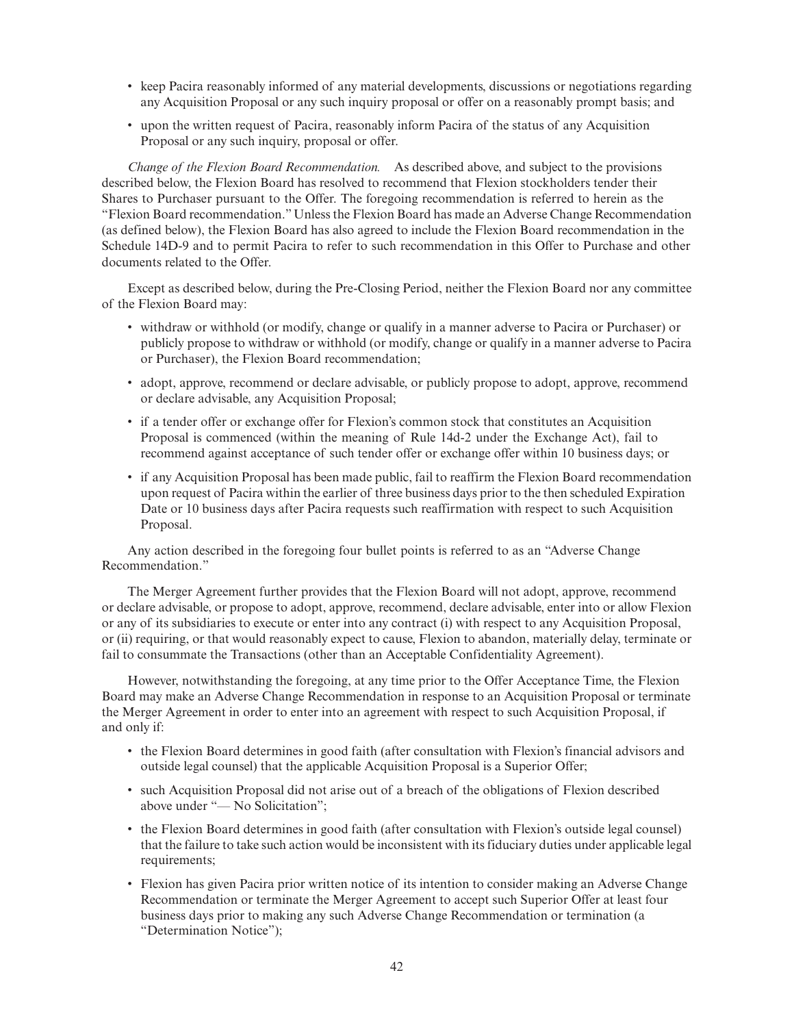- keep Pacira reasonably informed of any material developments, discussions or negotiations regarding any Acquisition Proposal or any such inquiry proposal or offer on a reasonably prompt basis; and
- upon the written request of Pacira, reasonably inform Pacira of the status of any Acquisition Proposal or any such inquiry, proposal or offer.

*Change of the Flexion Board Recommendation.* As described above, and subject to the provisions described below, the Flexion Board has resolved to recommend that Flexion stockholders tender their Shares to Purchaser pursuant to the Offer. The foregoing recommendation is referred to herein as the "Flexion Board recommendation."Unless the Flexion Board has made an Adverse Change Recommendation (as defined below), the Flexion Board has also agreed to include the Flexion Board recommendation in the Schedule 14D-9 and to permit Pacira to refer to such recommendation in this Offer to Purchase and other documents related to the Offer.

Except as described below, during the Pre-Closing Period, neither the Flexion Board nor any committee of the Flexion Board may:

- withdraw or withhold (or modify, change or qualify in a manner adverse to Pacira or Purchaser) or publicly propose to withdraw or withhold (or modify, change or qualify in a manner adverse to Pacira or Purchaser), the Flexion Board recommendation;
- adopt, approve, recommend or declare advisable, or publicly propose to adopt, approve, recommend or declare advisable, any Acquisition Proposal;
- if a tender offer or exchange offer for Flexion's common stock that constitutes an Acquisition Proposal is commenced (within the meaning of Rule 14d-2 under the Exchange Act), fail to recommend against acceptance of such tender offer or exchange offer within 10 business days; or
- if any Acquisition Proposal has been made public, fail to reaffirm the Flexion Board recommendation upon request of Pacira within the earlier of three business days prior to the then scheduled Expiration Date or 10 business days after Pacira requests such reaffirmation with respect to such Acquisition Proposal.

Any action described in the foregoing four bullet points is referred to as an "Adverse Change Recommendation."

The Merger Agreement further provides that the Flexion Board will not adopt, approve, recommend or declare advisable, or propose to adopt, approve, recommend, declare advisable, enter into or allow Flexion or any of its subsidiaries to execute or enter into any contract (i) with respect to any Acquisition Proposal, or (ii) requiring, or that would reasonably expect to cause, Flexion to abandon, materially delay, terminate or fail to consummate the Transactions (other than an Acceptable Confidentiality Agreement).

However, notwithstanding the foregoing, at any time prior to the Offer Acceptance Time, the Flexion Board may make an Adverse Change Recommendation in response to an Acquisition Proposal or terminate the Merger Agreement in order to enter into an agreement with respect to such Acquisition Proposal, if and only if:

- the Flexion Board determines in good faith (after consultation with Flexion's financial advisors and outside legal counsel) that the applicable Acquisition Proposal is a Superior Offer;
- such Acquisition Proposal did not arise out of a breach of the obligations of Flexion described above under "— No Solicitation";
- the Flexion Board determines in good faith (after consultation with Flexion's outside legal counsel) that the failure to take such action would be inconsistent with its fiduciary duties under applicable legal requirements;
- Flexion has given Pacira prior written notice of its intention to consider making an Adverse Change Recommendation or terminate the Merger Agreement to accept such Superior Offer at least four business days prior to making any such Adverse Change Recommendation or termination (a "Determination Notice");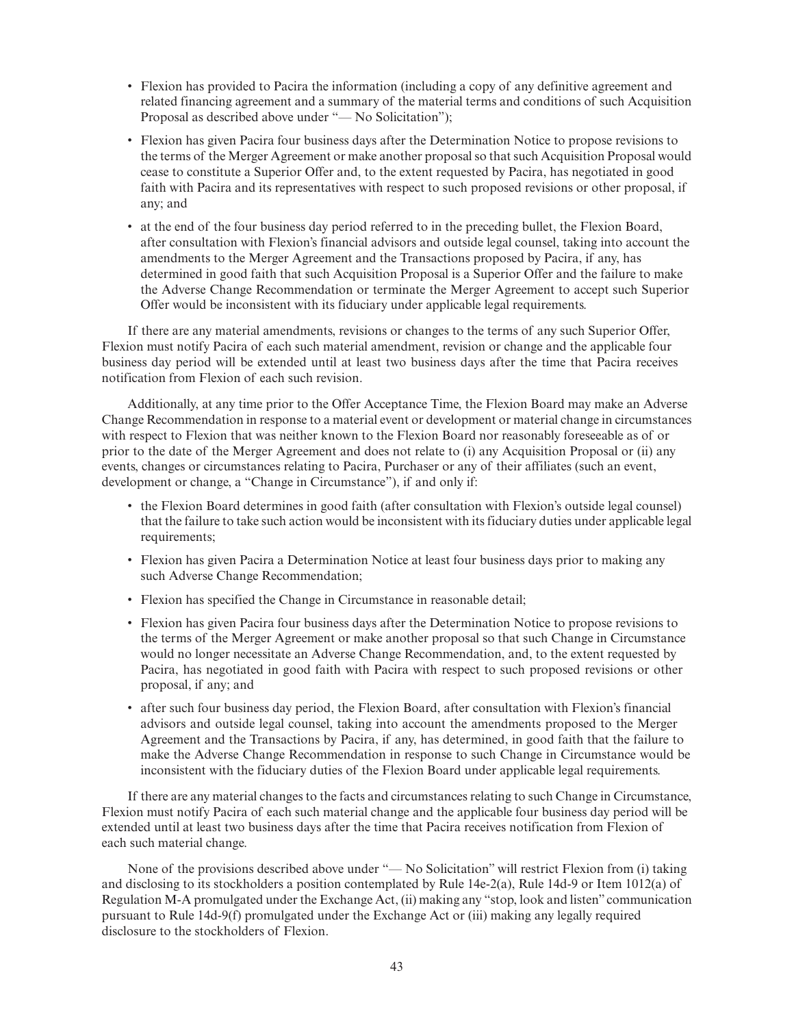- Flexion has provided to Pacira the information (including a copy of any definitive agreement and related financing agreement and a summary of the material terms and conditions of such Acquisition Proposal as described above under "— No Solicitation");
- Flexion has given Pacira four business days after the Determination Notice to propose revisions to the terms of the Merger Agreement or make another proposal so that such Acquisition Proposal would cease to constitute a Superior Offer and, to the extent requested by Pacira, has negotiated in good faith with Pacira and its representatives with respect to such proposed revisions or other proposal, if any; and
- at the end of the four business day period referred to in the preceding bullet, the Flexion Board, after consultation with Flexion's financial advisors and outside legal counsel, taking into account the amendments to the Merger Agreement and the Transactions proposed by Pacira, if any, has determined in good faith that such Acquisition Proposal is a Superior Offer and the failure to make the Adverse Change Recommendation or terminate the Merger Agreement to accept such Superior Offer would be inconsistent with its fiduciary under applicable legal requirements.

If there are any material amendments, revisions or changes to the terms of any such Superior Offer, Flexion must notify Pacira of each such material amendment, revision or change and the applicable four business day period will be extended until at least two business days after the time that Pacira receives notification from Flexion of each such revision.

Additionally, at any time prior to the Offer Acceptance Time, the Flexion Board may make an Adverse Change Recommendation in response to a material event or development or material change in circumstances with respect to Flexion that was neither known to the Flexion Board nor reasonably foreseeable as of or prior to the date of the Merger Agreement and does not relate to (i) any Acquisition Proposal or (ii) any events, changes or circumstances relating to Pacira, Purchaser or any of their affiliates (such an event, development or change, a "Change in Circumstance"), if and only if:

- the Flexion Board determines in good faith (after consultation with Flexion's outside legal counsel) that the failure to take such action would be inconsistent with its fiduciary duties under applicable legal requirements;
- Flexion has given Pacira a Determination Notice at least four business days prior to making any such Adverse Change Recommendation;
- Flexion has specified the Change in Circumstance in reasonable detail;
- Flexion has given Pacira four business days after the Determination Notice to propose revisions to the terms of the Merger Agreement or make another proposal so that such Change in Circumstance would no longer necessitate an Adverse Change Recommendation, and, to the extent requested by Pacira, has negotiated in good faith with Pacira with respect to such proposed revisions or other proposal, if any; and
- after such four business day period, the Flexion Board, after consultation with Flexion's financial advisors and outside legal counsel, taking into account the amendments proposed to the Merger Agreement and the Transactions by Pacira, if any, has determined, in good faith that the failure to make the Adverse Change Recommendation in response to such Change in Circumstance would be inconsistent with the fiduciary duties of the Flexion Board under applicable legal requirements.

If there are any material changes to the facts and circumstances relating to such Change in Circumstance, Flexion must notify Pacira of each such material change and the applicable four business day period will be extended until at least two business days after the time that Pacira receives notification from Flexion of each such material change.

None of the provisions described above under "— No Solicitation" will restrict Flexion from (i) taking and disclosing to its stockholders a position contemplated by Rule 14e-2(a), Rule 14d-9 or Item 1012(a) of Regulation M-A promulgated under the Exchange Act, (ii) making any "stop, look and listen" communication pursuant to Rule 14d-9(f) promulgated under the Exchange Act or (iii) making any legally required disclosure to the stockholders of Flexion.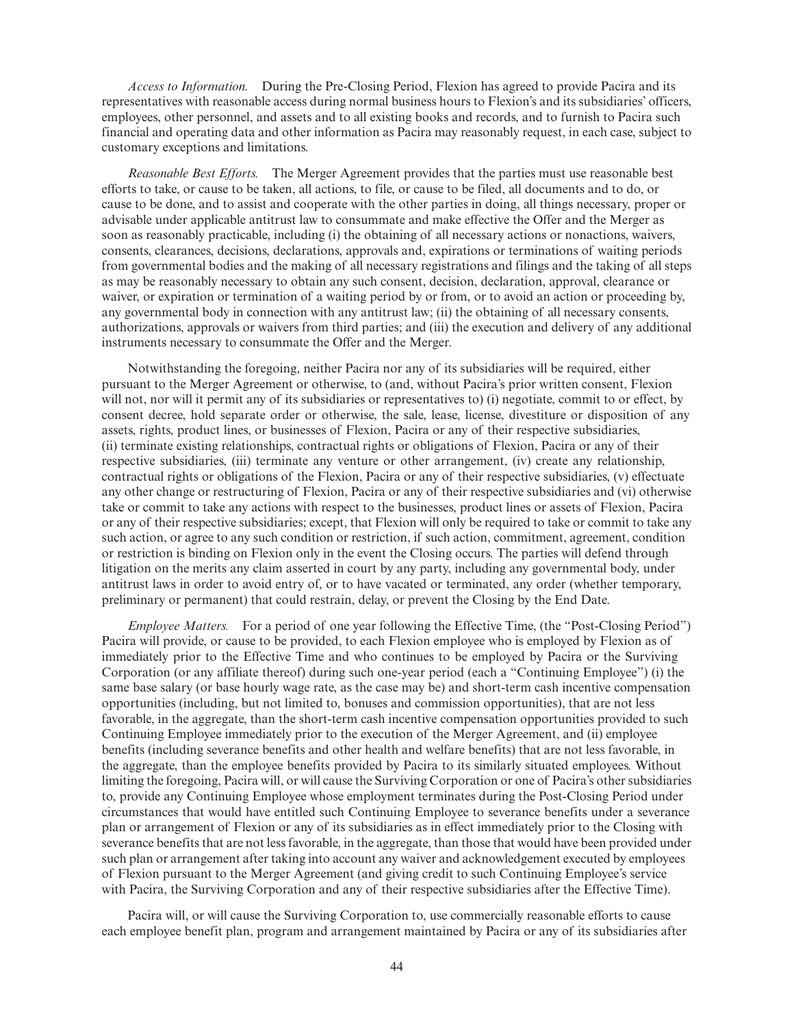*Access to Information.* During the Pre-Closing Period, Flexion has agreed to provide Pacira and its representatives with reasonable access during normal business hours to Flexion's and its subsidiaries' officers, employees, other personnel, and assets and to all existing books and records, and to furnish to Pacira such financial and operating data and other information as Pacira may reasonably request, in each case, subject to customary exceptions and limitations.

*Reasonable Best Efforts.* The Merger Agreement provides that the parties must use reasonable best efforts to take, or cause to be taken, all actions, to file, or cause to be filed, all documents and to do, or cause to be done, and to assist and cooperate with the other parties in doing, all things necessary, proper or advisable under applicable antitrust law to consummate and make effective the Offer and the Merger as soon as reasonably practicable, including (i) the obtaining of all necessary actions or nonactions, waivers, consents, clearances, decisions, declarations, approvals and, expirations or terminations of waiting periods from governmental bodies and the making of all necessary registrations and filings and the taking of all steps as may be reasonably necessary to obtain any such consent, decision, declaration, approval, clearance or waiver, or expiration or termination of a waiting period by or from, or to avoid an action or proceeding by, any governmental body in connection with any antitrust law; (ii) the obtaining of all necessary consents, authorizations, approvals or waivers from third parties; and (iii) the execution and delivery of any additional instruments necessary to consummate the Offer and the Merger.

Notwithstanding the foregoing, neither Pacira nor any of its subsidiaries will be required, either pursuant to the Merger Agreement or otherwise, to (and, without Pacira's prior written consent, Flexion will not, nor will it permit any of its subsidiaries or representatives to) (i) negotiate, commit to or effect, by consent decree, hold separate order or otherwise, the sale, lease, license, divestiture or disposition of any assets, rights, product lines, or businesses of Flexion, Pacira or any of their respective subsidiaries, (ii) terminate existing relationships, contractual rights or obligations of Flexion, Pacira or any of their respective subsidiaries, (iii) terminate any venture or other arrangement, (iv) create any relationship, contractual rights or obligations of the Flexion, Pacira or any of their respective subsidiaries, (v) effectuate any other change or restructuring of Flexion, Pacira or any of their respective subsidiaries and (vi) otherwise take or commit to take any actions with respect to the businesses, product lines or assets of Flexion, Pacira or any of their respective subsidiaries; except, that Flexion will only be required to take or commit to take any such action, or agree to any such condition or restriction, if such action, commitment, agreement, condition or restriction is binding on Flexion only in the event the Closing occurs. The parties will defend through litigation on the merits any claim asserted in court by any party, including any governmental body, under antitrust laws in order to avoid entry of, or to have vacated or terminated, any order (whether temporary, preliminary or permanent) that could restrain, delay, or prevent the Closing by the End Date.

*Employee Matters.* For a period of one year following the Effective Time, (the "Post-Closing Period") Pacira will provide, or cause to be provided, to each Flexion employee who is employed by Flexion as of immediately prior to the Effective Time and who continues to be employed by Pacira or the Surviving Corporation (or any affiliate thereof) during such one-year period (each a "Continuing Employee") (i) the same base salary (or base hourly wage rate, as the case may be) and short-term cash incentive compensation opportunities (including, but not limited to, bonuses and commission opportunities), that are not less favorable, in the aggregate, than the short-term cash incentive compensation opportunities provided to such Continuing Employee immediately prior to the execution of the Merger Agreement, and (ii) employee benefits (including severance benefits and other health and welfare benefits) that are not less favorable, in the aggregate, than the employee benefits provided by Pacira to its similarly situated employees. Without limiting the foregoing, Pacira will, or will cause the Surviving Corporation or one of Pacira's other subsidiaries to, provide any Continuing Employee whose employment terminates during the Post-Closing Period under circumstances that would have entitled such Continuing Employee to severance benefits under a severance plan or arrangement of Flexion or any of its subsidiaries as in effect immediately prior to the Closing with severance benefits that are not less favorable, in the aggregate, than those that would have been provided under such plan or arrangement after taking into account any waiver and acknowledgement executed by employees of Flexion pursuant to the Merger Agreement (and giving credit to such Continuing Employee's service with Pacira, the Surviving Corporation and any of their respective subsidiaries after the Effective Time).

Pacira will, or will cause the Surviving Corporation to, use commercially reasonable efforts to cause each employee benefit plan, program and arrangement maintained by Pacira or any of its subsidiaries after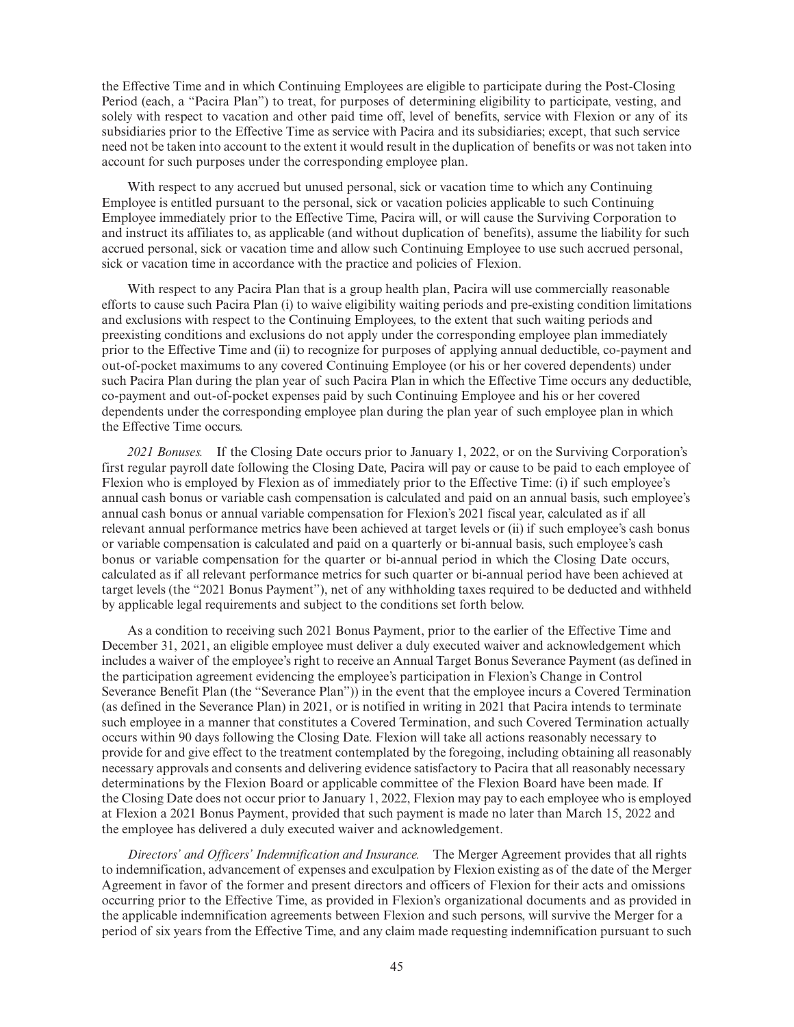the Effective Time and in which Continuing Employees are eligible to participate during the Post-Closing Period (each, a "Pacira Plan") to treat, for purposes of determining eligibility to participate, vesting, and solely with respect to vacation and other paid time off, level of benefits, service with Flexion or any of its subsidiaries prior to the Effective Time as service with Pacira and its subsidiaries; except, that such service need not be taken into account to the extent it would result in the duplication of benefits or was not taken into account for such purposes under the corresponding employee plan.

With respect to any accrued but unused personal, sick or vacation time to which any Continuing Employee is entitled pursuant to the personal, sick or vacation policies applicable to such Continuing Employee immediately prior to the Effective Time, Pacira will, or will cause the Surviving Corporation to and instruct its affiliates to, as applicable (and without duplication of benefits), assume the liability for such accrued personal, sick or vacation time and allow such Continuing Employee to use such accrued personal, sick or vacation time in accordance with the practice and policies of Flexion.

With respect to any Pacira Plan that is a group health plan, Pacira will use commercially reasonable efforts to cause such Pacira Plan (i) to waive eligibility waiting periods and pre-existing condition limitations and exclusions with respect to the Continuing Employees, to the extent that such waiting periods and preexisting conditions and exclusions do not apply under the corresponding employee plan immediately prior to the Effective Time and (ii) to recognize for purposes of applying annual deductible, co-payment and out-of-pocket maximums to any covered Continuing Employee (or his or her covered dependents) under such Pacira Plan during the plan year of such Pacira Plan in which the Effective Time occurs any deductible, co-payment and out-of-pocket expenses paid by such Continuing Employee and his or her covered dependents under the corresponding employee plan during the plan year of such employee plan in which the Effective Time occurs.

2021 Bonuses. If the Closing Date occurs prior to January 1, 2022, or on the Surviving Corporation's first regular payroll date following the Closing Date, Pacira will pay or cause to be paid to each employee of Flexion who is employed by Flexion as of immediately prior to the Effective Time: (i) if such employee's annual cash bonus or variable cash compensation is calculated and paid on an annual basis, such employee's annual cash bonus or annual variable compensation for Flexion's 2021 fiscal year, calculated as if all relevant annual performance metrics have been achieved at target levels or (ii) if such employee's cash bonus or variable compensation is calculated and paid on a quarterly or bi-annual basis, such employee's cash bonus or variable compensation for the quarter or bi-annual period in which the Closing Date occurs, calculated as if all relevant performance metrics for such quarter or bi-annual period have been achieved at target levels (the "2021 Bonus Payment"), net of any withholding taxes required to be deducted and withheld by applicable legal requirements and subject to the conditions set forth below.

As a condition to receiving such 2021 Bonus Payment, prior to the earlier of the Effective Time and December 31, 2021, an eligible employee must deliver a duly executed waiver and acknowledgement which includes a waiver of the employee's right to receive an Annual Target Bonus Severance Payment (as defined in the participation agreement evidencing the employee's participation in Flexion's Change in Control Severance Benefit Plan (the "Severance Plan")) in the event that the employee incurs a Covered Termination (as defined in the Severance Plan) in 2021, or is notified in writing in 2021 that Pacira intends to terminate such employee in a manner that constitutes a Covered Termination, and such Covered Termination actually occurs within 90 days following the Closing Date. Flexion will take all actions reasonably necessary to provide for and give effect to the treatment contemplated by the foregoing, including obtaining all reasonably necessary approvals and consents and delivering evidence satisfactory to Pacira that all reasonably necessary determinations by the Flexion Board or applicable committee of the Flexion Board have been made. If the Closing Date does not occur prior to January 1, 2022, Flexion may pay to each employee who is employed at Flexion a 2021 Bonus Payment, provided that such payment is made no later than March 15, 2022 and the employee has delivered a duly executed waiver and acknowledgement.

*Directors' and Officers' Indemnification and Insurance.* The Merger Agreement provides that all rights to indemnification, advancement of expenses and exculpation by Flexion existing as of the date of the Merger Agreement in favor of the former and present directors and officers of Flexion for their acts and omissions occurring prior to the Effective Time, as provided in Flexion's organizational documents and as provided in the applicable indemnification agreements between Flexion and such persons, will survive the Merger for a period of six years from the Effective Time, and any claim made requesting indemnification pursuant to such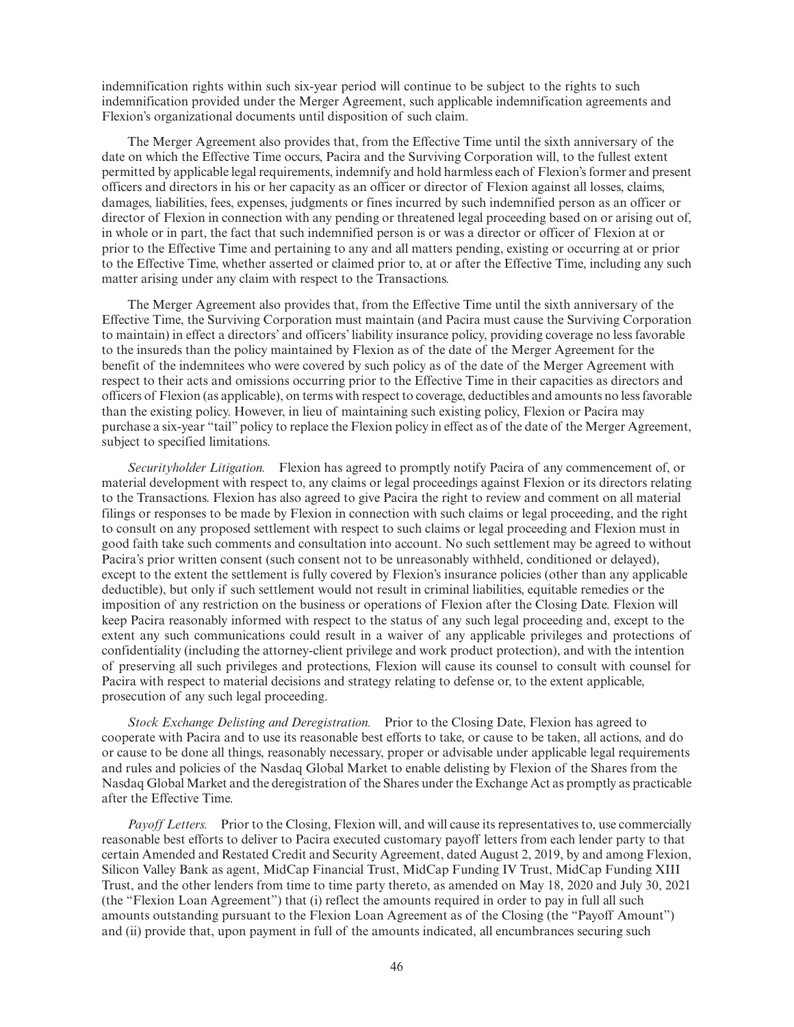indemnification rights within such six-year period will continue to be subject to the rights to such indemnification provided under the Merger Agreement, such applicable indemnification agreements and Flexion's organizational documents until disposition of such claim.

The Merger Agreement also provides that, from the Effective Time until the sixth anniversary of the date on which the Effective Time occurs, Pacira and the Surviving Corporation will, to the fullest extent permitted by applicable legal requirements, indemnify and hold harmless each of Flexion's former and present officers and directors in his or her capacity as an officer or director of Flexion against all losses, claims, damages, liabilities, fees, expenses, judgments or fines incurred by such indemnified person as an officer or director of Flexion in connection with any pending or threatened legal proceeding based on or arising out of, in whole or in part, the fact that such indemnified person is or was a director or officer of Flexion at or prior to the Effective Time and pertaining to any and all matters pending, existing or occurring at or prior to the Effective Time, whether asserted or claimed prior to, at or after the Effective Time, including any such matter arising under any claim with respect to the Transactions.

The Merger Agreement also provides that, from the Effective Time until the sixth anniversary of the Effective Time, the Surviving Corporation must maintain (and Pacira must cause the Surviving Corporation to maintain) in effect a directors' and officers' liability insurance policy, providing coverage no less favorable to the insureds than the policy maintained by Flexion as of the date of the Merger Agreement for the benefit of the indemnitees who were covered by such policy as of the date of the Merger Agreement with respect to their acts and omissions occurring prior to the Effective Time in their capacities as directors and officers of Flexion (as applicable), on terms with respect to coverage, deductibles and amounts no less favorable than the existing policy. However, in lieu of maintaining such existing policy, Flexion or Pacira may purchase a six-year "tail" policy to replace the Flexion policy in effect as of the date of the Merger Agreement, subject to specified limitations.

*Securityholder Litigation.* Flexion has agreed to promptly notify Pacira of any commencement of, or material development with respect to, any claims or legal proceedings against Flexion or its directors relating to the Transactions. Flexion has also agreed to give Pacira the right to review and comment on all material filings or responses to be made by Flexion in connection with such claims or legal proceeding, and the right to consult on any proposed settlement with respect to such claims or legal proceeding and Flexion must in good faith take such comments and consultation into account. No such settlement may be agreed to without Pacira's prior written consent (such consent not to be unreasonably withheld, conditioned or delayed), except to the extent the settlement is fully covered by Flexion's insurance policies (other than any applicable deductible), but only if such settlement would not result in criminal liabilities, equitable remedies or the imposition of any restriction on the business or operations of Flexion after the Closing Date. Flexion will keep Pacira reasonably informed with respect to the status of any such legal proceeding and, except to the extent any such communications could result in a waiver of any applicable privileges and protections of confidentiality (including the attorney-client privilege and work product protection), and with the intention of preserving all such privileges and protections, Flexion will cause its counsel to consult with counsel for Pacira with respect to material decisions and strategy relating to defense or, to the extent applicable, prosecution of any such legal proceeding.

*Stock Exchange Delisting and Deregistration.* Prior to the Closing Date, Flexion has agreed to cooperate with Pacira and to use its reasonable best efforts to take, or cause to be taken, all actions, and do or cause to be done all things, reasonably necessary, proper or advisable under applicable legal requirements and rules and policies of the Nasdaq Global Market to enable delisting by Flexion of the Shares from the Nasdaq Global Market and the deregistration of the Shares under the Exchange Act as promptly as practicable after the Effective Time.

*Payoff Letters.* Prior to the Closing, Flexion will, and will cause its representatives to, use commercially reasonable best efforts to deliver to Pacira executed customary payoff letters from each lender party to that certain Amended and Restated Credit and Security Agreement, dated August 2, 2019, by and among Flexion, Silicon Valley Bank as agent, MidCap Financial Trust, MidCap Funding IV Trust, MidCap Funding XIII Trust, and the other lenders from time to time party thereto, as amended on May 18, 2020 and July 30, 2021 (the "Flexion Loan Agreement") that (i) reflect the amounts required in order to pay in full all such amounts outstanding pursuant to the Flexion Loan Agreement as of the Closing (the "Payoff Amount") and (ii) provide that, upon payment in full of the amounts indicated, all encumbrances securing such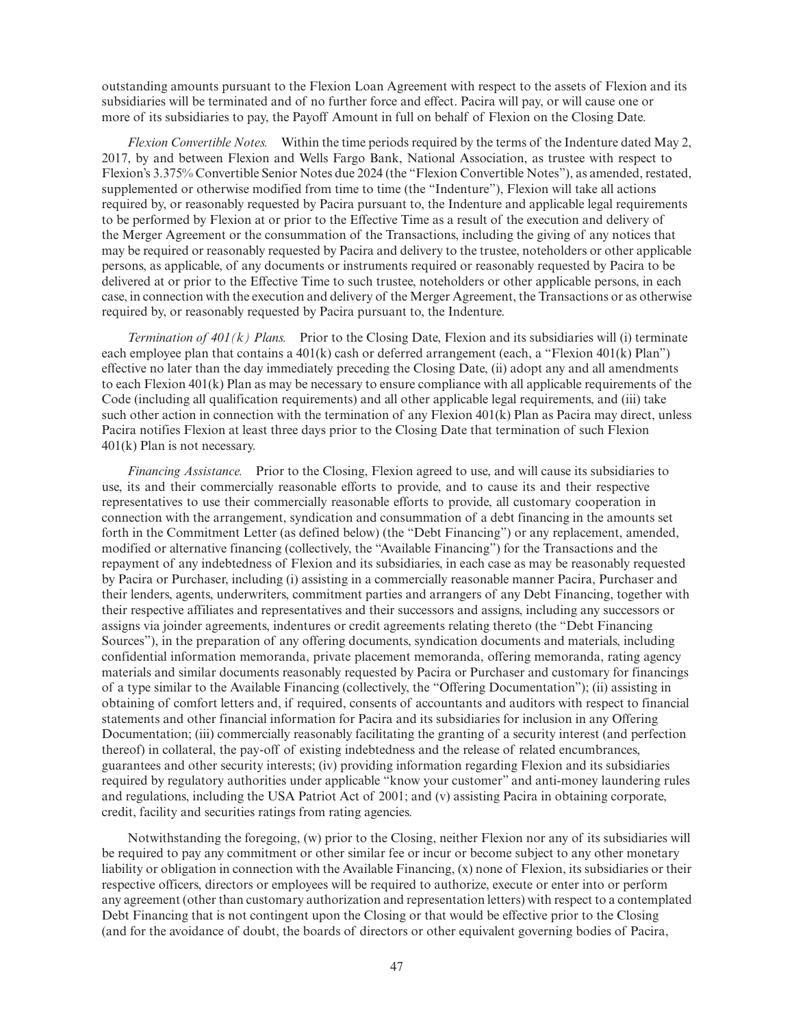outstanding amounts pursuant to the Flexion Loan Agreement with respect to the assets of Flexion and its subsidiaries will be terminated and of no further force and effect. Pacira will pay, or will cause one or more of its subsidiaries to pay, the Payoff Amount in full on behalf of Flexion on the Closing Date.

*Flexion Convertible Notes.* Within the time periods required by the terms of the Indenture dated May 2, 2017, by and between Flexion and Wells Fargo Bank, National Association, as trustee with respect to Flexion's 3.375% Convertible Senior Notes due 2024 (the "Flexion Convertible Notes"), as amended, restated, supplemented or otherwise modified from time to time (the "Indenture"), Flexion will take all actions required by, or reasonably requested by Pacira pursuant to, the Indenture and applicable legal requirements to be performed by Flexion at or prior to the Effective Time as a result of the execution and delivery of the Merger Agreement or the consummation of the Transactions, including the giving of any notices that may be required or reasonably requested by Pacira and delivery to the trustee, noteholders or other applicable persons, as applicable, of any documents or instruments required or reasonably requested by Pacira to be delivered at or prior to the Effective Time to such trustee, noteholders or other applicable persons, in each case, in connection with the execution and delivery of the Merger Agreement, the Transactions or as otherwise required by, or reasonably requested by Pacira pursuant to, the Indenture.

*Termination of 401(k) Plans.* Prior to the Closing Date, Flexion and its subsidiaries will (i) terminate each employee plan that contains a 401(k) cash or deferred arrangement (each, a "Flexion 401(k) Plan") effective no later than the day immediately preceding the Closing Date, (ii) adopt any and all amendments to each Flexion 401(k) Plan as may be necessary to ensure compliance with all applicable requirements of the Code (including all qualification requirements) and all other applicable legal requirements, and (iii) take such other action in connection with the termination of any Flexion 401(k) Plan as Pacira may direct, unless Pacira notifies Flexion at least three days prior to the Closing Date that termination of such Flexion 401(k) Plan is not necessary.

*Financing Assistance.* Prior to the Closing, Flexion agreed to use, and will cause its subsidiaries to use, its and their commercially reasonable efforts to provide, and to cause its and their respective representatives to use their commercially reasonable efforts to provide, all customary cooperation in connection with the arrangement, syndication and consummation of a debt financing in the amounts set forth in the Commitment Letter (as defined below) (the "Debt Financing") or any replacement, amended, modified or alternative financing (collectively, the "Available Financing") for the Transactions and the repayment of any indebtedness of Flexion and its subsidiaries, in each case as may be reasonably requested by Pacira or Purchaser, including (i) assisting in a commercially reasonable manner Pacira, Purchaser and their lenders, agents, underwriters, commitment parties and arrangers of any Debt Financing, together with their respective affiliates and representatives and their successors and assigns, including any successors or assigns via joinder agreements, indentures or credit agreements relating thereto (the "Debt Financing Sources"), in the preparation of any offering documents, syndication documents and materials, including confidential information memoranda, private placement memoranda, offering memoranda, rating agency materials and similar documents reasonably requested by Pacira or Purchaser and customary for financings of a type similar to the Available Financing (collectively, the "Offering Documentation"); (ii) assisting in obtaining of comfort letters and, if required, consents of accountants and auditors with respect to financial statements and other financial information for Pacira and its subsidiaries for inclusion in any Offering Documentation; (iii) commercially reasonably facilitating the granting of a security interest (and perfection thereof) in collateral, the pay-off of existing indebtedness and the release of related encumbrances, guarantees and other security interests; (iv) providing information regarding Flexion and its subsidiaries required by regulatory authorities under applicable "know your customer" and anti-money laundering rules and regulations, including the USA Patriot Act of 2001; and (v) assisting Pacira in obtaining corporate, credit, facility and securities ratings from rating agencies.

Notwithstanding the foregoing, (w) prior to the Closing, neither Flexion nor any of its subsidiaries will be required to pay any commitment or other similar fee or incur or become subject to any other monetary liability or obligation in connection with the Available Financing, (x) none of Flexion, its subsidiaries or their respective officers, directors or employees will be required to authorize, execute or enter into or perform any agreement (other than customary authorization and representation letters) with respect to a contemplated Debt Financing that is not contingent upon the Closing or that would be effective prior to the Closing (and for the avoidance of doubt, the boards of directors or other equivalent governing bodies of Pacira,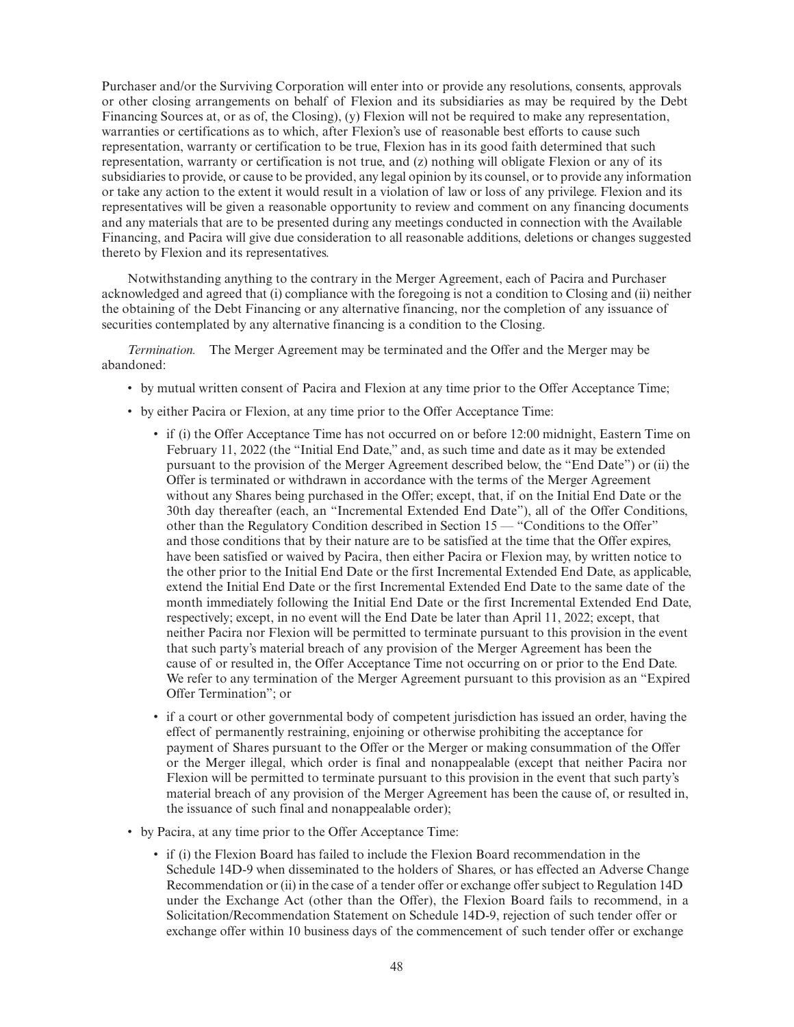Purchaser and/or the Surviving Corporation will enter into or provide any resolutions, consents, approvals or other closing arrangements on behalf of Flexion and its subsidiaries as may be required by the Debt Financing Sources at, or as of, the Closing), (y) Flexion will not be required to make any representation, warranties or certifications as to which, after Flexion's use of reasonable best efforts to cause such representation, warranty or certification to be true, Flexion has in its good faith determined that such representation, warranty or certification is not true, and (z) nothing will obligate Flexion or any of its subsidiaries to provide, or cause to be provided, any legal opinion by its counsel, or to provide any information or take any action to the extent it would result in a violation of law or loss of any privilege. Flexion and its representatives will be given a reasonable opportunity to review and comment on any financing documents and any materials that are to be presented during any meetings conducted in connection with the Available Financing, and Pacira will give due consideration to all reasonable additions, deletions or changes suggested thereto by Flexion and its representatives.

Notwithstanding anything to the contrary in the Merger Agreement, each of Pacira and Purchaser acknowledged and agreed that (i) compliance with the foregoing is not a condition to Closing and (ii) neither the obtaining of the Debt Financing or any alternative financing, nor the completion of any issuance of securities contemplated by any alternative financing is a condition to the Closing.

*Termination.* The Merger Agreement may be terminated and the Offer and the Merger may be abandoned:

- by mutual written consent of Pacira and Flexion at any time prior to the Offer Acceptance Time;
- by either Pacira or Flexion, at any time prior to the Offer Acceptance Time:
	- if (i) the Offer Acceptance Time has not occurred on or before 12:00 midnight, Eastern Time on February 11, 2022 (the "Initial End Date," and, as such time and date as it may be extended pursuant to the provision of the Merger Agreement described below, the "End Date") or (ii) the Offer is terminated or withdrawn in accordance with the terms of the Merger Agreement without any Shares being purchased in the Offer; except, that, if on the Initial End Date or the 30th day thereafter (each, an "Incremental Extended End Date"), all of the Offer Conditions, other than the Regulatory Condition described in Section 15 — "Conditions to the Offer" and those conditions that by their nature are to be satisfied at the time that the Offer expires, have been satisfied or waived by Pacira, then either Pacira or Flexion may, by written notice to the other prior to the Initial End Date or the first Incremental Extended End Date, as applicable, extend the Initial End Date or the first Incremental Extended End Date to the same date of the month immediately following the Initial End Date or the first Incremental Extended End Date, respectively; except, in no event will the End Date be later than April 11, 2022; except, that neither Pacira nor Flexion will be permitted to terminate pursuant to this provision in the event that such party's material breach of any provision of the Merger Agreement has been the cause of or resulted in, the Offer Acceptance Time not occurring on or prior to the End Date. We refer to any termination of the Merger Agreement pursuant to this provision as an "Expired Offer Termination"; or
	- if a court or other governmental body of competent jurisdiction has issued an order, having the effect of permanently restraining, enjoining or otherwise prohibiting the acceptance for payment of Shares pursuant to the Offer or the Merger or making consummation of the Offer or the Merger illegal, which order is final and nonappealable (except that neither Pacira nor Flexion will be permitted to terminate pursuant to this provision in the event that such party's material breach of any provision of the Merger Agreement has been the cause of, or resulted in, the issuance of such final and nonappealable order);
- by Pacira, at any time prior to the Offer Acceptance Time:
	- if (i) the Flexion Board has failed to include the Flexion Board recommendation in the Schedule 14D-9 when disseminated to the holders of Shares, or has effected an Adverse Change Recommendation or (ii) in the case of a tender offer or exchange offer subject to Regulation 14D under the Exchange Act (other than the Offer), the Flexion Board fails to recommend, in a Solicitation/Recommendation Statement on Schedule 14D-9, rejection of such tender offer or exchange offer within 10 business days of the commencement of such tender offer or exchange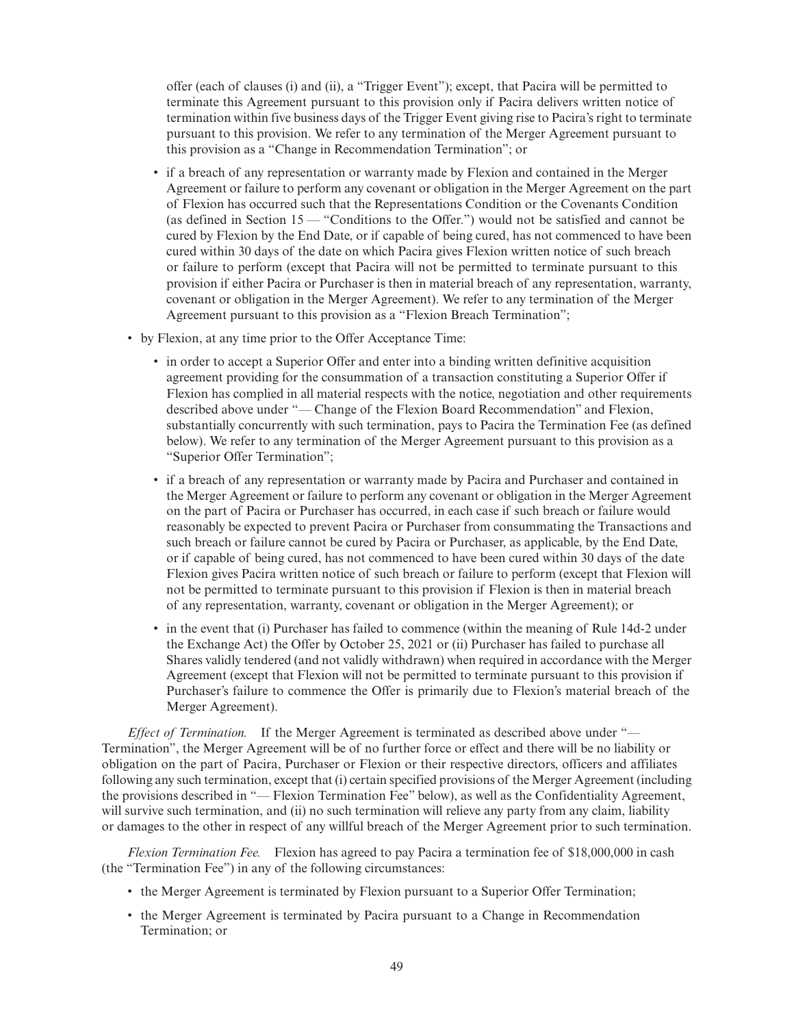offer (each of clauses (i) and (ii), a "Trigger Event"); except, that Pacira will be permitted to terminate this Agreement pursuant to this provision only if Pacira delivers written notice of termination within five business days of the Trigger Event giving rise to Pacira's right to terminate pursuant to this provision. We refer to any termination of the Merger Agreement pursuant to this provision as a "Change in Recommendation Termination"; or

- if a breach of any representation or warranty made by Flexion and contained in the Merger Agreement or failure to perform any covenant or obligation in the Merger Agreement on the part of Flexion has occurred such that the Representations Condition or the Covenants Condition (as defined in Section 15 — "Conditions to the Offer.") would not be satisfied and cannot be cured by Flexion by the End Date, or if capable of being cured, has not commenced to have been cured within 30 days of the date on which Pacira gives Flexion written notice of such breach or failure to perform (except that Pacira will not be permitted to terminate pursuant to this provision if either Pacira or Purchaser is then in material breach of any representation, warranty, covenant or obligation in the Merger Agreement). We refer to any termination of the Merger Agreement pursuant to this provision as a "Flexion Breach Termination";
- by Flexion, at any time prior to the Offer Acceptance Time:
	- in order to accept a Superior Offer and enter into a binding written definitive acquisition agreement providing for the consummation of a transaction constituting a Superior Offer if Flexion has complied in all material respects with the notice, negotiation and other requirements described above under "— Change of the Flexion Board Recommendation" and Flexion, substantially concurrently with such termination, pays to Pacira the Termination Fee (as defined below). We refer to any termination of the Merger Agreement pursuant to this provision as a "Superior Offer Termination";
	- if a breach of any representation or warranty made by Pacira and Purchaser and contained in the Merger Agreement or failure to perform any covenant or obligation in the Merger Agreement on the part of Pacira or Purchaser has occurred, in each case if such breach or failure would reasonably be expected to prevent Pacira or Purchaser from consummating the Transactions and such breach or failure cannot be cured by Pacira or Purchaser, as applicable, by the End Date, or if capable of being cured, has not commenced to have been cured within 30 days of the date Flexion gives Pacira written notice of such breach or failure to perform (except that Flexion will not be permitted to terminate pursuant to this provision if Flexion is then in material breach of any representation, warranty, covenant or obligation in the Merger Agreement); or
	- in the event that (i) Purchaser has failed to commence (within the meaning of Rule 14d-2 under the Exchange Act) the Offer by October 25, 2021 or (ii) Purchaser has failed to purchase all Shares validly tendered (and not validly withdrawn) when required in accordance with the Merger Agreement (except that Flexion will not be permitted to terminate pursuant to this provision if Purchaser's failure to commence the Offer is primarily due to Flexion's material breach of the Merger Agreement).

*Effect of Termination.* If the Merger Agreement is terminated as described above under "— Termination", the Merger Agreement will be of no further force or effect and there will be no liability or obligation on the part of Pacira, Purchaser or Flexion or their respective directors, officers and affiliates following any such termination, except that (i) certain specified provisions of the Merger Agreement (including the provisions described in "— Flexion Termination Fee" below), as well as the Confidentiality Agreement, will survive such termination, and (ii) no such termination will relieve any party from any claim, liability or damages to the other in respect of any willful breach of the Merger Agreement prior to such termination.

*Flexion Termination Fee.* Flexion has agreed to pay Pacira a termination fee of \$18,000,000 in cash (the "Termination Fee") in any of the following circumstances:

- the Merger Agreement is terminated by Flexion pursuant to a Superior Offer Termination;
- the Merger Agreement is terminated by Pacira pursuant to a Change in Recommendation Termination; or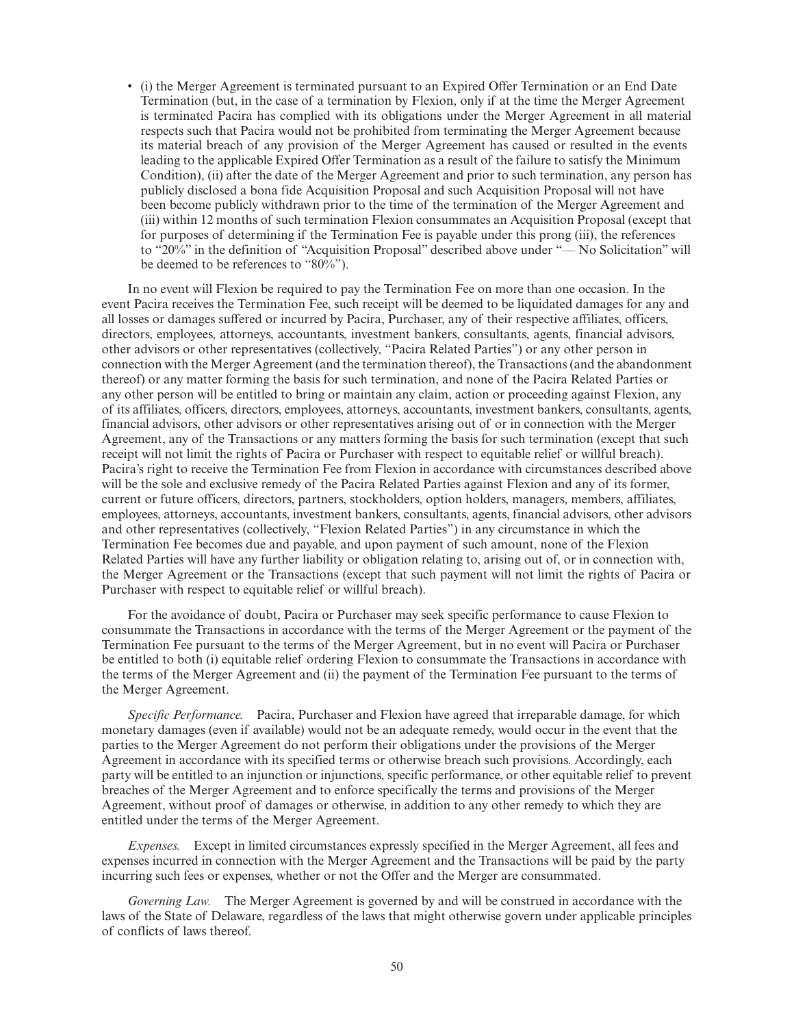• (i) the Merger Agreement is terminated pursuant to an Expired Offer Termination or an End Date Termination (but, in the case of a termination by Flexion, only if at the time the Merger Agreement is terminated Pacira has complied with its obligations under the Merger Agreement in all material respects such that Pacira would not be prohibited from terminating the Merger Agreement because its material breach of any provision of the Merger Agreement has caused or resulted in the events leading to the applicable Expired Offer Termination as a result of the failure to satisfy the Minimum Condition), (ii) after the date of the Merger Agreement and prior to such termination, any person has publicly disclosed a bona fide Acquisition Proposal and such Acquisition Proposal will not have been become publicly withdrawn prior to the time of the termination of the Merger Agreement and (iii) within 12 months of such termination Flexion consummates an Acquisition Proposal (except that for purposes of determining if the Termination Fee is payable under this prong (iii), the references to "20%" in the definition of "Acquisition Proposal" described above under "— No Solicitation" will be deemed to be references to " $80\degree$ ").

In no event will Flexion be required to pay the Termination Fee on more than one occasion. In the event Pacira receives the Termination Fee, such receipt will be deemed to be liquidated damages for any and all losses or damages suffered or incurred by Pacira, Purchaser, any of their respective affiliates, officers, directors, employees, attorneys, accountants, investment bankers, consultants, agents, financial advisors, other advisors or other representatives (collectively, "Pacira Related Parties") or any other person in connection with the Merger Agreement (and the termination thereof), the Transactions (and the abandonment thereof) or any matter forming the basis for such termination, and none of the Pacira Related Parties or any other person will be entitled to bring or maintain any claim, action or proceeding against Flexion, any of its affiliates, officers, directors, employees, attorneys, accountants, investment bankers, consultants, agents, financial advisors, other advisors or other representatives arising out of or in connection with the Merger Agreement, any of the Transactions or any matters forming the basis for such termination (except that such receipt will not limit the rights of Pacira or Purchaser with respect to equitable relief or willful breach). Pacira's right to receive the Termination Fee from Flexion in accordance with circumstances described above will be the sole and exclusive remedy of the Pacira Related Parties against Flexion and any of its former, current or future officers, directors, partners, stockholders, option holders, managers, members, affiliates, employees, attorneys, accountants, investment bankers, consultants, agents, financial advisors, other advisors and other representatives (collectively, "Flexion Related Parties") in any circumstance in which the Termination Fee becomes due and payable, and upon payment of such amount, none of the Flexion Related Parties will have any further liability or obligation relating to, arising out of, or in connection with, the Merger Agreement or the Transactions (except that such payment will not limit the rights of Pacira or Purchaser with respect to equitable relief or willful breach).

For the avoidance of doubt, Pacira or Purchaser may seek specific performance to cause Flexion to consummate the Transactions in accordance with the terms of the Merger Agreement or the payment of the Termination Fee pursuant to the terms of the Merger Agreement, but in no event will Pacira or Purchaser be entitled to both (i) equitable relief ordering Flexion to consummate the Transactions in accordance with the terms of the Merger Agreement and (ii) the payment of the Termination Fee pursuant to the terms of the Merger Agreement.

*Specific Performance.* Pacira, Purchaser and Flexion have agreed that irreparable damage, for which monetary damages (even if available) would not be an adequate remedy, would occur in the event that the parties to the Merger Agreement do not perform their obligations under the provisions of the Merger Agreement in accordance with its specified terms or otherwise breach such provisions. Accordingly, each party will be entitled to an injunction or injunctions, specific performance, or other equitable relief to prevent breaches of the Merger Agreement and to enforce specifically the terms and provisions of the Merger Agreement, without proof of damages or otherwise, in addition to any other remedy to which they are entitled under the terms of the Merger Agreement.

*Expenses.* Except in limited circumstances expressly specified in the Merger Agreement, all fees and expenses incurred in connection with the Merger Agreement and the Transactions will be paid by the party incurring such fees or expenses, whether or not the Offer and the Merger are consummated.

*Governing Law.* The Merger Agreement is governed by and will be construed in accordance with the laws of the State of Delaware, regardless of the laws that might otherwise govern under applicable principles of conflicts of laws thereof.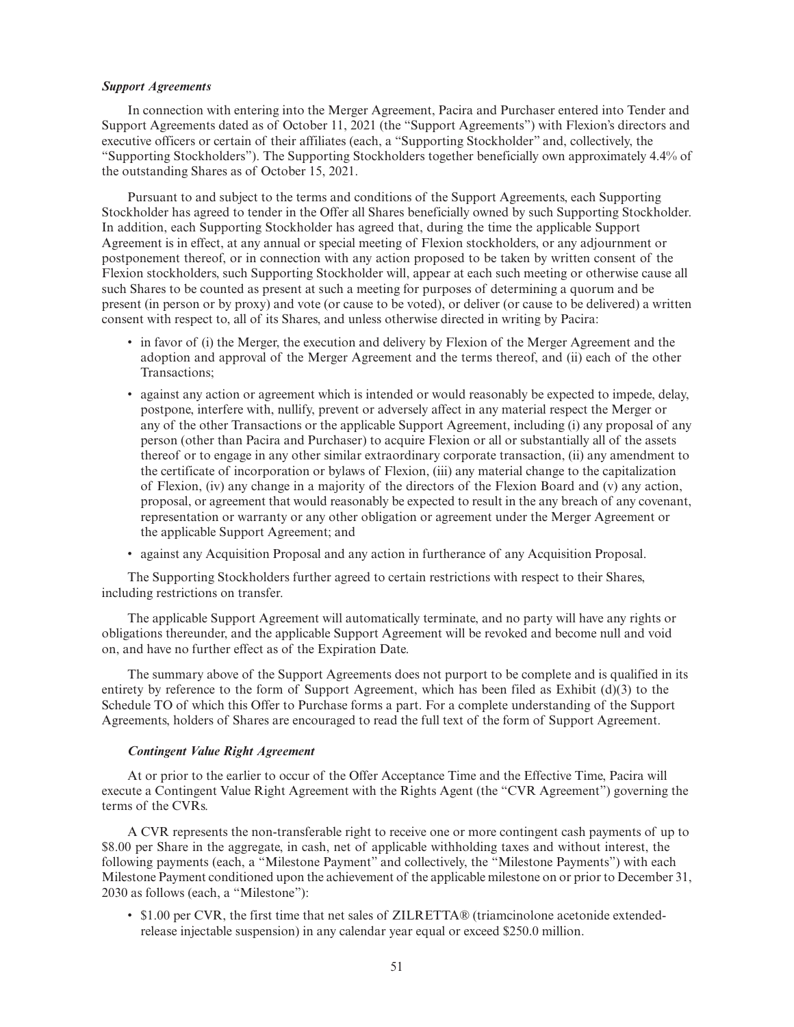#### *Support Agreements*

In connection with entering into the Merger Agreement, Pacira and Purchaser entered into Tender and Support Agreements dated as of October 11, 2021 (the "Support Agreements") with Flexion's directors and executive officers or certain of their affiliates (each, a "Supporting Stockholder" and, collectively, the "Supporting Stockholders"). The Supporting Stockholders together beneficially own approximately 4.4% of the outstanding Shares as of October 15, 2021.

Pursuant to and subject to the terms and conditions of the Support Agreements, each Supporting Stockholder has agreed to tender in the Offer all Shares beneficially owned by such Supporting Stockholder. In addition, each Supporting Stockholder has agreed that, during the time the applicable Support Agreement is in effect, at any annual or special meeting of Flexion stockholders, or any adjournment or postponement thereof, or in connection with any action proposed to be taken by written consent of the Flexion stockholders, such Supporting Stockholder will, appear at each such meeting or otherwise cause all such Shares to be counted as present at such a meeting for purposes of determining a quorum and be present (in person or by proxy) and vote (or cause to be voted), or deliver (or cause to be delivered) a written consent with respect to, all of its Shares, and unless otherwise directed in writing by Pacira:

- in favor of (i) the Merger, the execution and delivery by Flexion of the Merger Agreement and the adoption and approval of the Merger Agreement and the terms thereof, and (ii) each of the other Transactions;
- against any action or agreement which is intended or would reasonably be expected to impede, delay, postpone, interfere with, nullify, prevent or adversely affect in any material respect the Merger or any of the other Transactions or the applicable Support Agreement, including (i) any proposal of any person (other than Pacira and Purchaser) to acquire Flexion or all or substantially all of the assets thereof or to engage in any other similar extraordinary corporate transaction, (ii) any amendment to the certificate of incorporation or bylaws of Flexion, (iii) any material change to the capitalization of Flexion, (iv) any change in a majority of the directors of the Flexion Board and (v) any action, proposal, or agreement that would reasonably be expected to result in the any breach of any covenant, representation or warranty or any other obligation or agreement under the Merger Agreement or the applicable Support Agreement; and
- against any Acquisition Proposal and any action in furtherance of any Acquisition Proposal.

The Supporting Stockholders further agreed to certain restrictions with respect to their Shares, including restrictions on transfer.

The applicable Support Agreement will automatically terminate, and no party will have any rights or obligations thereunder, and the applicable Support Agreement will be revoked and become null and void on, and have no further effect as of the Expiration Date.

The summary above of the Support Agreements does not purport to be complete and is qualified in its entirety by reference to the form of Support Agreement, which has been filed as Exhibit (d)(3) to the Schedule TO of which this Offer to Purchase forms a part. For a complete understanding of the Support Agreements, holders of Shares are encouraged to read the full text of the form of Support Agreement.

#### *Contingent Value Right Agreement*

At or prior to the earlier to occur of the Offer Acceptance Time and the Effective Time, Pacira will execute a Contingent Value Right Agreement with the Rights Agent (the "CVR Agreement") governing the terms of the CVRs.

A CVR represents the non-transferable right to receive one or more contingent cash payments of up to \$8.00 per Share in the aggregate, in cash, net of applicable withholding taxes and without interest, the following payments (each, a "Milestone Payment" and collectively, the "Milestone Payments") with each Milestone Payment conditioned upon the achievement of the applicable milestone on or prior to December 31, 2030 as follows (each, a "Milestone"):

• \$1.00 per CVR, the first time that net sales of ZILRETTA® (triamcinolone acetonide extendedrelease injectable suspension) in any calendar year equal or exceed \$250.0 million.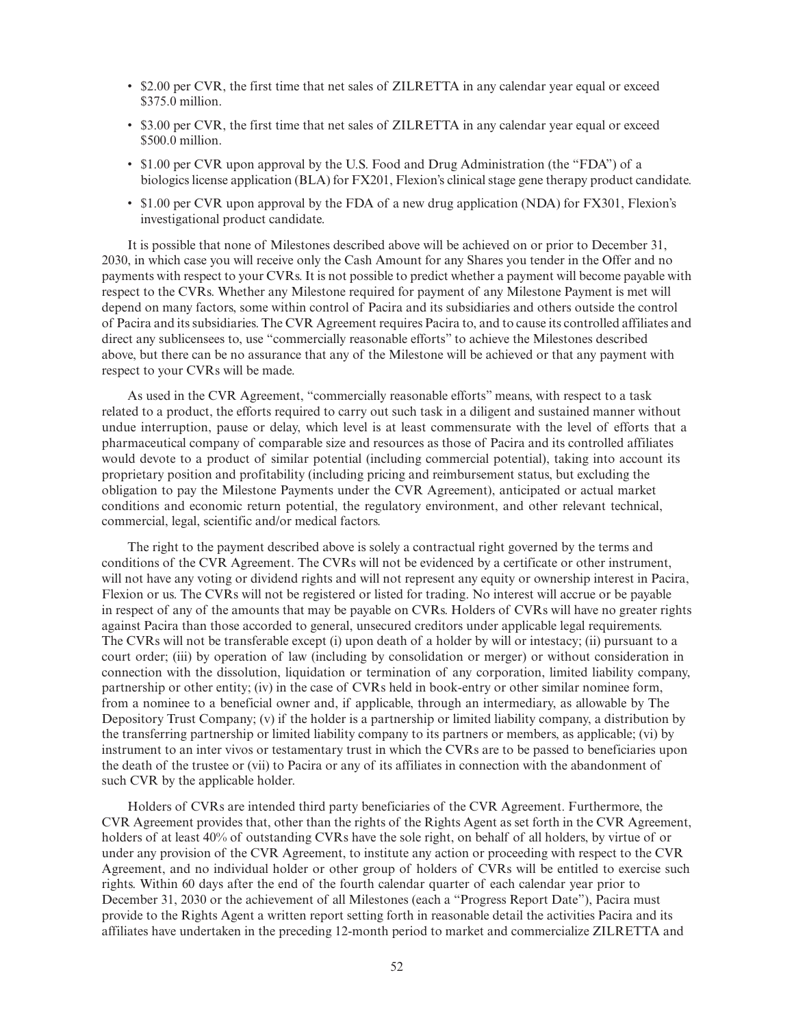- \$2.00 per CVR, the first time that net sales of ZILRETTA in any calendar year equal or exceed \$375.0 million.
- \$3.00 per CVR, the first time that net sales of ZILRETTA in any calendar year equal or exceed \$500.0 million.
- \$1.00 per CVR upon approval by the U.S. Food and Drug Administration (the "FDA") of a biologics license application (BLA) for FX201, Flexion's clinical stage gene therapy product candidate.
- \$1.00 per CVR upon approval by the FDA of a new drug application (NDA) for FX301, Flexion's investigational product candidate.

It is possible that none of Milestones described above will be achieved on or prior to December 31, 2030, in which case you will receive only the Cash Amount for any Shares you tender in the Offer and no payments with respect to your CVRs. It is not possible to predict whether a payment will become payable with respect to the CVRs. Whether any Milestone required for payment of any Milestone Payment is met will depend on many factors, some within control of Pacira and its subsidiaries and others outside the control of Pacira and its subsidiaries. The CVR Agreement requires Pacira to, and to cause its controlled affiliates and direct any sublicensees to, use "commercially reasonable efforts" to achieve the Milestones described above, but there can be no assurance that any of the Milestone will be achieved or that any payment with respect to your CVRs will be made.

As used in the CVR Agreement, "commercially reasonable efforts" means, with respect to a task related to a product, the efforts required to carry out such task in a diligent and sustained manner without undue interruption, pause or delay, which level is at least commensurate with the level of efforts that a pharmaceutical company of comparable size and resources as those of Pacira and its controlled affiliates would devote to a product of similar potential (including commercial potential), taking into account its proprietary position and profitability (including pricing and reimbursement status, but excluding the obligation to pay the Milestone Payments under the CVR Agreement), anticipated or actual market conditions and economic return potential, the regulatory environment, and other relevant technical, commercial, legal, scientific and/or medical factors.

The right to the payment described above is solely a contractual right governed by the terms and conditions of the CVR Agreement. The CVRs will not be evidenced by a certificate or other instrument, will not have any voting or dividend rights and will not represent any equity or ownership interest in Pacira, Flexion or us. The CVRs will not be registered or listed for trading. No interest will accrue or be payable in respect of any of the amounts that may be payable on CVRs. Holders of CVRs will have no greater rights against Pacira than those accorded to general, unsecured creditors under applicable legal requirements. The CVRs will not be transferable except (i) upon death of a holder by will or intestacy; (ii) pursuant to a court order; (iii) by operation of law (including by consolidation or merger) or without consideration in connection with the dissolution, liquidation or termination of any corporation, limited liability company, partnership or other entity; (iv) in the case of CVRs held in book-entry or other similar nominee form, from a nominee to a beneficial owner and, if applicable, through an intermediary, as allowable by The Depository Trust Company; (v) if the holder is a partnership or limited liability company, a distribution by the transferring partnership or limited liability company to its partners or members, as applicable; (vi) by instrument to an inter vivos or testamentary trust in which the CVRs are to be passed to beneficiaries upon the death of the trustee or (vii) to Pacira or any of its affiliates in connection with the abandonment of such CVR by the applicable holder.

Holders of CVRs are intended third party beneficiaries of the CVR Agreement. Furthermore, the CVR Agreement provides that, other than the rights of the Rights Agent as set forth in the CVR Agreement, holders of at least 40% of outstanding CVRs have the sole right, on behalf of all holders, by virtue of or under any provision of the CVR Agreement, to institute any action or proceeding with respect to the CVR Agreement, and no individual holder or other group of holders of CVRs will be entitled to exercise such rights. Within 60 days after the end of the fourth calendar quarter of each calendar year prior to December 31, 2030 or the achievement of all Milestones (each a "Progress Report Date"), Pacira must provide to the Rights Agent a written report setting forth in reasonable detail the activities Pacira and its affiliates have undertaken in the preceding 12-month period to market and commercialize ZILRETTA and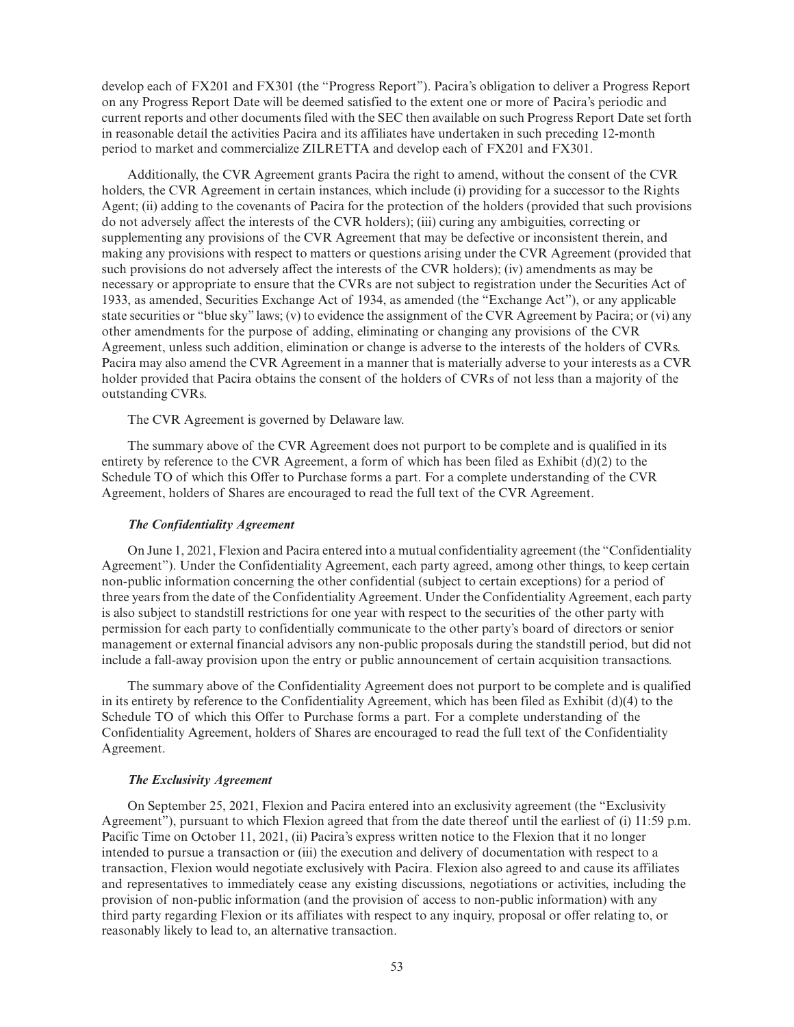develop each of FX201 and FX301 (the "Progress Report"). Pacira's obligation to deliver a Progress Report on any Progress Report Date will be deemed satisfied to the extent one or more of Pacira's periodic and current reports and other documents filed with the SEC then available on such Progress Report Date set forth in reasonable detail the activities Pacira and its affiliates have undertaken in such preceding 12-month period to market and commercialize ZILRETTA and develop each of FX201 and FX301.

Additionally, the CVR Agreement grants Pacira the right to amend, without the consent of the CVR holders, the CVR Agreement in certain instances, which include (i) providing for a successor to the Rights Agent; (ii) adding to the covenants of Pacira for the protection of the holders (provided that such provisions do not adversely affect the interests of the CVR holders); (iii) curing any ambiguities, correcting or supplementing any provisions of the CVR Agreement that may be defective or inconsistent therein, and making any provisions with respect to matters or questions arising under the CVR Agreement (provided that such provisions do not adversely affect the interests of the CVR holders); (iv) amendments as may be necessary or appropriate to ensure that the CVRs are not subject to registration under the Securities Act of 1933, as amended, Securities Exchange Act of 1934, as amended (the "Exchange Act"), or any applicable state securities or "blue sky" laws; (v) to evidence the assignment of the CVR Agreement by Pacira; or (vi) any other amendments for the purpose of adding, eliminating or changing any provisions of the CVR Agreement, unless such addition, elimination or change is adverse to the interests of the holders of CVRs. Pacira may also amend the CVR Agreement in a manner that is materially adverse to your interests as a CVR holder provided that Pacira obtains the consent of the holders of CVRs of not less than a majority of the outstanding CVRs.

The CVR Agreement is governed by Delaware law.

The summary above of the CVR Agreement does not purport to be complete and is qualified in its entirety by reference to the CVR Agreement, a form of which has been filed as Exhibit (d)(2) to the Schedule TO of which this Offer to Purchase forms a part. For a complete understanding of the CVR Agreement, holders of Shares are encouraged to read the full text of the CVR Agreement.

### *The Confidentiality Agreement*

On June 1, 2021, Flexion and Pacira entered into a mutual confidentiality agreement (the "Confidentiality Agreement"). Under the Confidentiality Agreement, each party agreed, among other things, to keep certain non-public information concerning the other confidential (subject to certain exceptions) for a period of three years from the date of the Confidentiality Agreement. Under the Confidentiality Agreement, each party is also subject to standstill restrictions for one year with respect to the securities of the other party with permission for each party to confidentially communicate to the other party's board of directors or senior management or external financial advisors any non-public proposals during the standstill period, but did not include a fall-away provision upon the entry or public announcement of certain acquisition transactions.

The summary above of the Confidentiality Agreement does not purport to be complete and is qualified in its entirety by reference to the Confidentiality Agreement, which has been filed as Exhibit (d)(4) to the Schedule TO of which this Offer to Purchase forms a part. For a complete understanding of the Confidentiality Agreement, holders of Shares are encouraged to read the full text of the Confidentiality Agreement.

### *The Exclusivity Agreement*

On September 25, 2021, Flexion and Pacira entered into an exclusivity agreement (the "Exclusivity Agreement"), pursuant to which Flexion agreed that from the date thereof until the earliest of (i) 11:59 p.m. Pacific Time on October 11, 2021, (ii) Pacira's express written notice to the Flexion that it no longer intended to pursue a transaction or (iii) the execution and delivery of documentation with respect to a transaction, Flexion would negotiate exclusively with Pacira. Flexion also agreed to and cause its affiliates and representatives to immediately cease any existing discussions, negotiations or activities, including the provision of non-public information (and the provision of access to non-public information) with any third party regarding Flexion or its affiliates with respect to any inquiry, proposal or offer relating to, or reasonably likely to lead to, an alternative transaction.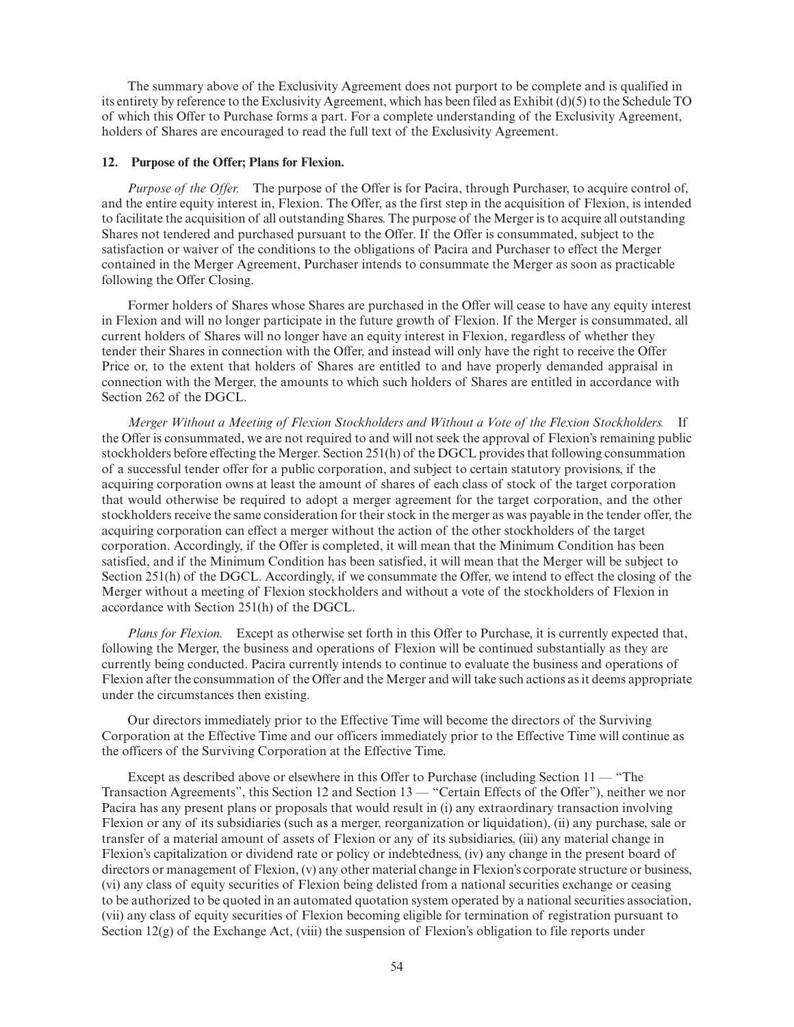The summary above of the Exclusivity Agreement does not purport to be complete and is qualified in its entirety by reference to the Exclusivity Agreement, which has been filed as Exhibit (d)(5) to the Schedule TO of which this Offer to Purchase forms a part. For a complete understanding of the Exclusivity Agreement, holders of Shares are encouraged to read the full text of the Exclusivity Agreement.

# **12. Purpose of the Offer; Plans for Flexion.**

*Purpose of the Offer.* The purpose of the Offer is for Pacira, through Purchaser, to acquire control of, and the entire equity interest in, Flexion. The Offer, as the first step in the acquisition of Flexion, is intended to facilitate the acquisition of all outstanding Shares. The purpose of the Merger is to acquire all outstanding Shares not tendered and purchased pursuant to the Offer. If the Offer is consummated, subject to the satisfaction or waiver of the conditions to the obligations of Pacira and Purchaser to effect the Merger contained in the Merger Agreement, Purchaser intends to consummate the Merger as soon as practicable following the Offer Closing.

Former holders of Shares whose Shares are purchased in the Offer will cease to have any equity interest in Flexion and will no longer participate in the future growth of Flexion. If the Merger is consummated, all current holders of Shares will no longer have an equity interest in Flexion, regardless of whether they tender their Shares in connection with the Offer, and instead will only have the right to receive the Offer Price or, to the extent that holders of Shares are entitled to and have properly demanded appraisal in connection with the Merger, the amounts to which such holders of Shares are entitled in accordance with Section 262 of the DGCL.

*Merger Without a Meeting of Flexion Stockholders and Without a Vote of the Flexion Stockholders.* If the Offer is consummated, we are not required to and will not seek the approval of Flexion's remaining public stockholders before effecting the Merger. Section 251(h) of the DGCL provides that following consummation of a successful tender offer for a public corporation, and subject to certain statutory provisions, if the acquiring corporation owns at least the amount of shares of each class of stock of the target corporation that would otherwise be required to adopt a merger agreement for the target corporation, and the other stockholders receive the same consideration for their stock in the merger as was payable in the tender offer, the acquiring corporation can effect a merger without the action of the other stockholders of the target corporation. Accordingly, if the Offer is completed, it will mean that the Minimum Condition has been satisfied, and if the Minimum Condition has been satisfied, it will mean that the Merger will be subject to Section 251(h) of the DGCL. Accordingly, if we consummate the Offer, we intend to effect the closing of the Merger without a meeting of Flexion stockholders and without a vote of the stockholders of Flexion in accordance with Section 251(h) of the DGCL.

*Plans for Flexion.* Except as otherwise set forth in this Offer to Purchase, it is currently expected that, following the Merger, the business and operations of Flexion will be continued substantially as they are currently being conducted. Pacira currently intends to continue to evaluate the business and operations of Flexion after the consummation of the Offer and the Merger and will take such actions as it deems appropriate under the circumstances then existing.

Our directors immediately prior to the Effective Time will become the directors of the Surviving Corporation at the Effective Time and our officers immediately prior to the Effective Time will continue as the officers of the Surviving Corporation at the Effective Time.

Except as described above or elsewhere in this Offer to Purchase (including Section 11 — "The Transaction Agreements", this Section 12 and Section 13 — "Certain Effects of the Offer"), neither we nor Pacira has any present plans or proposals that would result in (i) any extraordinary transaction involving Flexion or any of its subsidiaries (such as a merger, reorganization or liquidation), (ii) any purchase, sale or transfer of a material amount of assets of Flexion or any of its subsidiaries, (iii) any material change in Flexion's capitalization or dividend rate or policy or indebtedness, (iv) any change in the present board of directors or management of Flexion, (v) any other material change in Flexion's corporate structure or business, (vi) any class of equity securities of Flexion being delisted from a national securities exchange or ceasing to be authorized to be quoted in an automated quotation system operated by a national securities association, (vii) any class of equity securities of Flexion becoming eligible for termination of registration pursuant to Section 12(g) of the Exchange Act, (viii) the suspension of Flexion's obligation to file reports under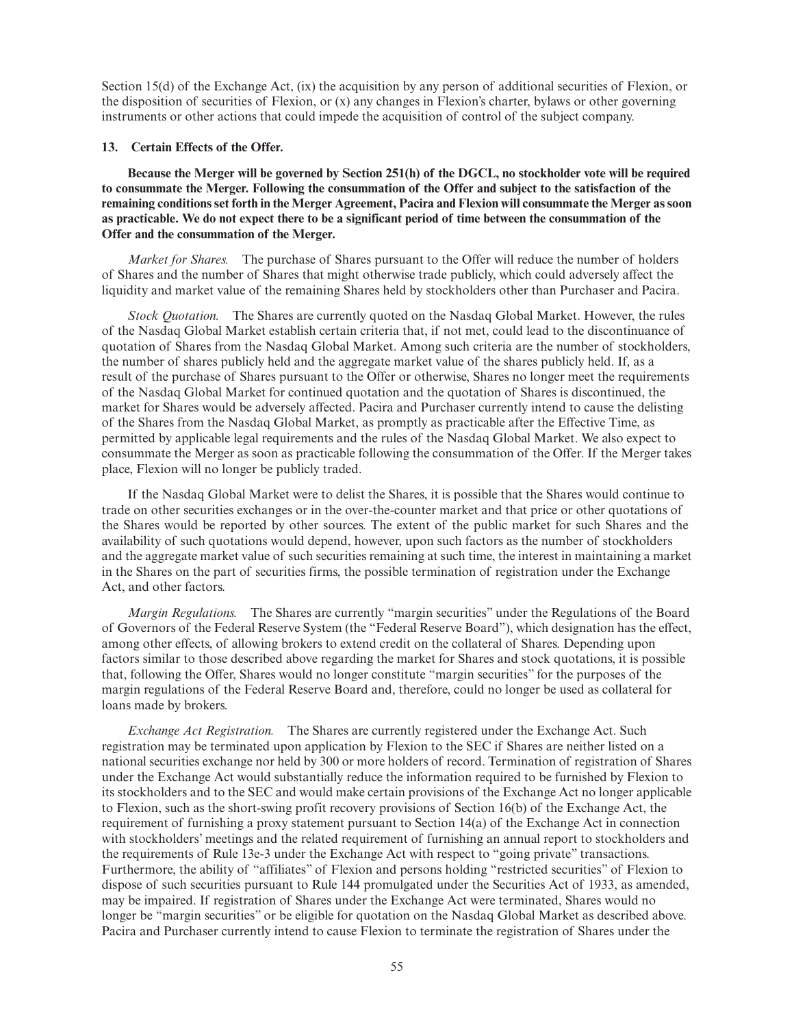Section 15(d) of the Exchange Act, (ix) the acquisition by any person of additional securities of Flexion, or the disposition of securities of Flexion, or (x) any changes in Flexion's charter, bylaws or other governing instruments or other actions that could impede the acquisition of control of the subject company.

# **13. Certain Effects of the Offer.**

**Because the Merger will be governed by Section 251(h) of the DGCL, no stockholder vote will be required to consummate the Merger. Following the consummation of the Offer and subject to the satisfaction of the remaining conditions set forth in the Merger Agreement, Pacira and Flexion will consummate the Merger as soon as practicable. We do not expect there to be a significant period of time between the consummation of the Offer and the consummation of the Merger.**

*Market for Shares.* The purchase of Shares pursuant to the Offer will reduce the number of holders of Shares and the number of Shares that might otherwise trade publicly, which could adversely affect the liquidity and market value of the remaining Shares held by stockholders other than Purchaser and Pacira.

*Stock Quotation.* The Shares are currently quoted on the Nasdaq Global Market. However, the rules of the Nasdaq Global Market establish certain criteria that, if not met, could lead to the discontinuance of quotation of Shares from the Nasdaq Global Market. Among such criteria are the number of stockholders, the number of shares publicly held and the aggregate market value of the shares publicly held. If, as a result of the purchase of Shares pursuant to the Offer or otherwise, Shares no longer meet the requirements of the Nasdaq Global Market for continued quotation and the quotation of Shares is discontinued, the market for Shares would be adversely affected. Pacira and Purchaser currently intend to cause the delisting of the Shares from the Nasdaq Global Market, as promptly as practicable after the Effective Time, as permitted by applicable legal requirements and the rules of the Nasdaq Global Market. We also expect to consummate the Merger as soon as practicable following the consummation of the Offer. If the Merger takes place, Flexion will no longer be publicly traded.

If the Nasdaq Global Market were to delist the Shares, it is possible that the Shares would continue to trade on other securities exchanges or in the over-the-counter market and that price or other quotations of the Shares would be reported by other sources. The extent of the public market for such Shares and the availability of such quotations would depend, however, upon such factors as the number of stockholders and the aggregate market value of such securities remaining at such time, the interest in maintaining a market in the Shares on the part of securities firms, the possible termination of registration under the Exchange Act, and other factors.

*Margin Regulations.* The Shares are currently "margin securities" under the Regulations of the Board of Governors of the Federal Reserve System (the "Federal Reserve Board"), which designation has the effect, among other effects, of allowing brokers to extend credit on the collateral of Shares. Depending upon factors similar to those described above regarding the market for Shares and stock quotations, it is possible that, following the Offer, Shares would no longer constitute "margin securities" for the purposes of the margin regulations of the Federal Reserve Board and, therefore, could no longer be used as collateral for loans made by brokers.

*Exchange Act Registration.* The Shares are currently registered under the Exchange Act. Such registration may be terminated upon application by Flexion to the SEC if Shares are neither listed on a national securities exchange nor held by 300 or more holders of record. Termination of registration of Shares under the Exchange Act would substantially reduce the information required to be furnished by Flexion to its stockholders and to the SEC and would make certain provisions of the Exchange Act no longer applicable to Flexion, such as the short-swing profit recovery provisions of Section 16(b) of the Exchange Act, the requirement of furnishing a proxy statement pursuant to Section 14(a) of the Exchange Act in connection with stockholders' meetings and the related requirement of furnishing an annual report to stockholders and the requirements of Rule 13e-3 under the Exchange Act with respect to "going private" transactions. Furthermore, the ability of "affiliates" of Flexion and persons holding "restricted securities" of Flexion to dispose of such securities pursuant to Rule 144 promulgated under the Securities Act of 1933, as amended, may be impaired. If registration of Shares under the Exchange Act were terminated, Shares would no longer be "margin securities" or be eligible for quotation on the Nasdaq Global Market as described above. Pacira and Purchaser currently intend to cause Flexion to terminate the registration of Shares under the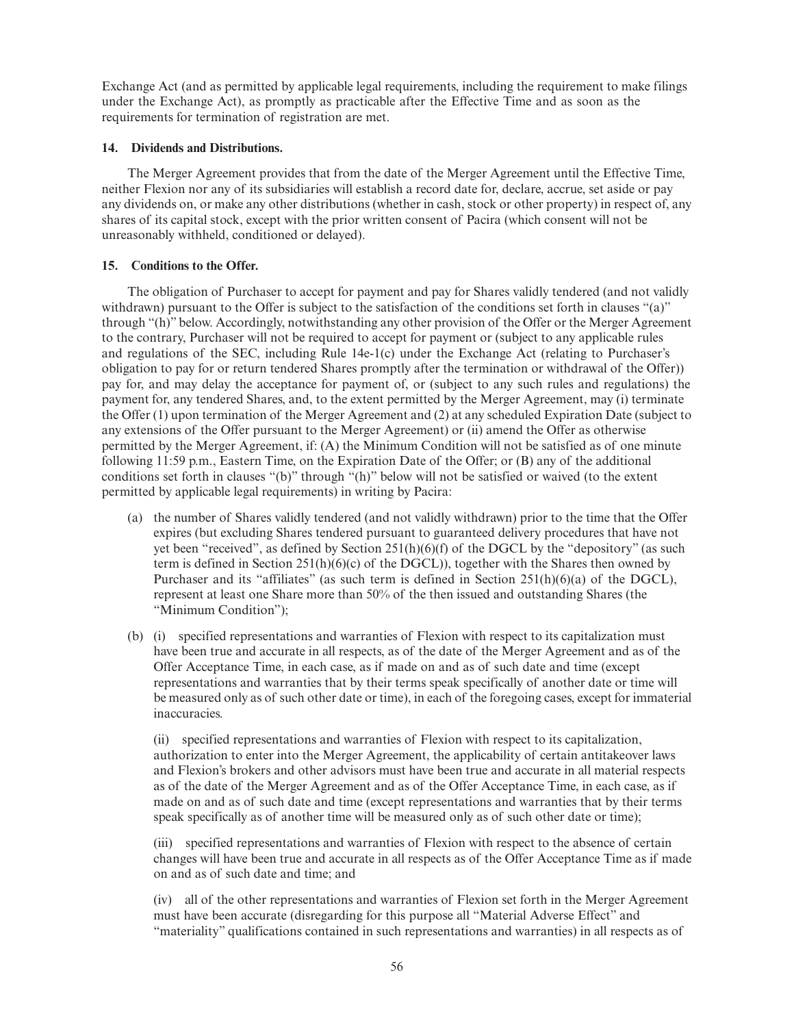Exchange Act (and as permitted by applicable legal requirements, including the requirement to make filings under the Exchange Act), as promptly as practicable after the Effective Time and as soon as the requirements for termination of registration are met.

# **14. Dividends and Distributions.**

The Merger Agreement provides that from the date of the Merger Agreement until the Effective Time, neither Flexion nor any of its subsidiaries will establish a record date for, declare, accrue, set aside or pay any dividends on, or make any other distributions (whether in cash, stock or other property) in respect of, any shares of its capital stock, except with the prior written consent of Pacira (which consent will not be unreasonably withheld, conditioned or delayed).

# **15. Conditions to the Offer.**

The obligation of Purchaser to accept for payment and pay for Shares validly tendered (and not validly withdrawn) pursuant to the Offer is subject to the satisfaction of the conditions set forth in clauses "(a)" through "(h)" below. Accordingly, notwithstanding any other provision of the Offer or the Merger Agreement to the contrary, Purchaser will not be required to accept for payment or (subject to any applicable rules and regulations of the SEC, including Rule 14e-1(c) under the Exchange Act (relating to Purchaser's obligation to pay for or return tendered Shares promptly after the termination or withdrawal of the Offer)) pay for, and may delay the acceptance for payment of, or (subject to any such rules and regulations) the payment for, any tendered Shares, and, to the extent permitted by the Merger Agreement, may (i) terminate the Offer (1) upon termination of the Merger Agreement and (2) at any scheduled Expiration Date (subject to any extensions of the Offer pursuant to the Merger Agreement) or (ii) amend the Offer as otherwise permitted by the Merger Agreement, if: (A) the Minimum Condition will not be satisfied as of one minute following 11:59 p.m., Eastern Time, on the Expiration Date of the Offer; or (B) any of the additional conditions set forth in clauses "(b)" through "(h)" below will not be satisfied or waived (to the extent permitted by applicable legal requirements) in writing by Pacira:

- (a) the number of Shares validly tendered (and not validly withdrawn) prior to the time that the Offer expires (but excluding Shares tendered pursuant to guaranteed delivery procedures that have not yet been "received", as defined by Section  $251(h)(6)(f)$  of the DGCL by the "depository" (as such term is defined in Section 251(h)( $6$ )(c) of the DGCL)), together with the Shares then owned by Purchaser and its "affiliates" (as such term is defined in Section 251(h)(6)(a) of the DGCL), represent at least one Share more than 50% of the then issued and outstanding Shares (the "Minimum Condition");
- (b) (i) specified representations and warranties of Flexion with respect to its capitalization must have been true and accurate in all respects, as of the date of the Merger Agreement and as of the Offer Acceptance Time, in each case, as if made on and as of such date and time (except representations and warranties that by their terms speak specifically of another date or time will be measured only as of such other date or time), in each of the foregoing cases, except for immaterial inaccuracies.

(ii) specified representations and warranties of Flexion with respect to its capitalization, authorization to enter into the Merger Agreement, the applicability of certain antitakeover laws and Flexion's brokers and other advisors must have been true and accurate in all material respects as of the date of the Merger Agreement and as of the Offer Acceptance Time, in each case, as if made on and as of such date and time (except representations and warranties that by their terms speak specifically as of another time will be measured only as of such other date or time);

(iii) specified representations and warranties of Flexion with respect to the absence of certain changes will have been true and accurate in all respects as of the Offer Acceptance Time as if made on and as of such date and time; and

(iv) all of the other representations and warranties of Flexion set forth in the Merger Agreement must have been accurate (disregarding for this purpose all "Material Adverse Effect" and "materiality" qualifications contained in such representations and warranties) in all respects as of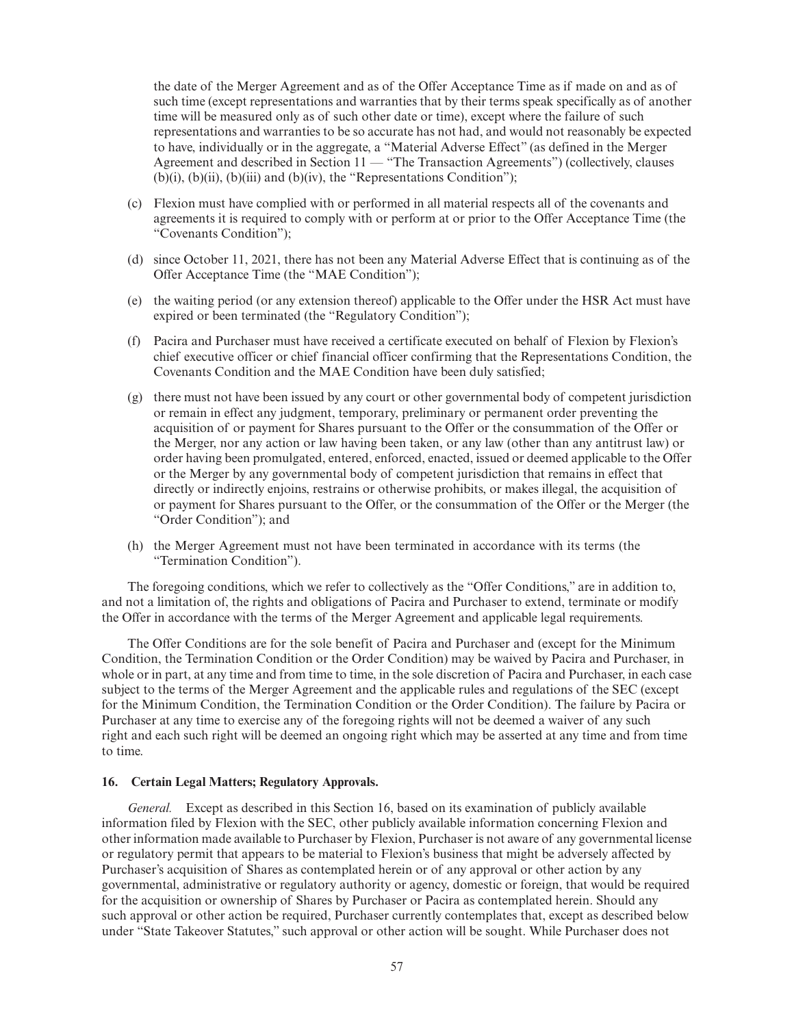the date of the Merger Agreement and as of the Offer Acceptance Time as if made on and as of such time (except representations and warranties that by their terms speak specifically as of another time will be measured only as of such other date or time), except where the failure of such representations and warranties to be so accurate has not had, and would not reasonably be expected to have, individually or in the aggregate, a "Material Adverse Effect" (as defined in the Merger Agreement and described in Section  $11 -$  "The Transaction Agreements") (collectively, clauses (b)(i), (b)(ii), (b)(iii) and (b)(iv), the "Representations Condition");

- (c) Flexion must have complied with or performed in all material respects all of the covenants and agreements it is required to comply with or perform at or prior to the Offer Acceptance Time (the "Covenants Condition");
- (d) since October 11, 2021, there has not been any Material Adverse Effect that is continuing as of the Offer Acceptance Time (the "MAE Condition");
- (e) the waiting period (or any extension thereof) applicable to the Offer under the HSR Act must have expired or been terminated (the "Regulatory Condition");
- (f) Pacira and Purchaser must have received a certificate executed on behalf of Flexion by Flexion's chief executive officer or chief financial officer confirming that the Representations Condition, the Covenants Condition and the MAE Condition have been duly satisfied;
- (g) there must not have been issued by any court or other governmental body of competent jurisdiction or remain in effect any judgment, temporary, preliminary or permanent order preventing the acquisition of or payment for Shares pursuant to the Offer or the consummation of the Offer or the Merger, nor any action or law having been taken, or any law (other than any antitrust law) or order having been promulgated, entered, enforced, enacted, issued or deemed applicable to the Offer or the Merger by any governmental body of competent jurisdiction that remains in effect that directly or indirectly enjoins, restrains or otherwise prohibits, or makes illegal, the acquisition of or payment for Shares pursuant to the Offer, or the consummation of the Offer or the Merger (the "Order Condition"); and
- (h) the Merger Agreement must not have been terminated in accordance with its terms (the "Termination Condition").

The foregoing conditions, which we refer to collectively as the "Offer Conditions," are in addition to, and not a limitation of, the rights and obligations of Pacira and Purchaser to extend, terminate or modify the Offer in accordance with the terms of the Merger Agreement and applicable legal requirements.

The Offer Conditions are for the sole benefit of Pacira and Purchaser and (except for the Minimum Condition, the Termination Condition or the Order Condition) may be waived by Pacira and Purchaser, in whole or in part, at any time and from time to time, in the sole discretion of Pacira and Purchaser, in each case subject to the terms of the Merger Agreement and the applicable rules and regulations of the SEC (except for the Minimum Condition, the Termination Condition or the Order Condition). The failure by Pacira or Purchaser at any time to exercise any of the foregoing rights will not be deemed a waiver of any such right and each such right will be deemed an ongoing right which may be asserted at any time and from time to time.

# **16. Certain Legal Matters; Regulatory Approvals.**

*General.* Except as described in this Section 16, based on its examination of publicly available information filed by Flexion with the SEC, other publicly available information concerning Flexion and other information made available to Purchaser by Flexion, Purchaser is not aware of any governmental license or regulatory permit that appears to be material to Flexion's business that might be adversely affected by Purchaser's acquisition of Shares as contemplated herein or of any approval or other action by any governmental, administrative or regulatory authority or agency, domestic or foreign, that would be required for the acquisition or ownership of Shares by Purchaser or Pacira as contemplated herein. Should any such approval or other action be required, Purchaser currently contemplates that, except as described below under "State Takeover Statutes," such approval or other action will be sought. While Purchaser does not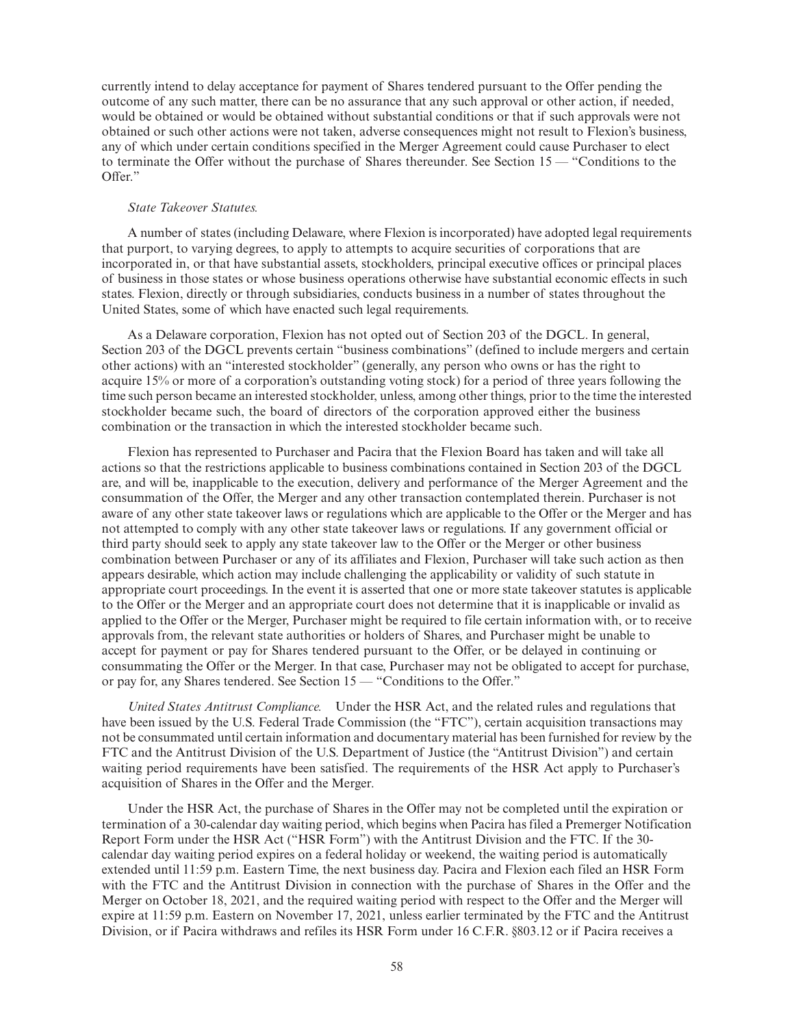currently intend to delay acceptance for payment of Shares tendered pursuant to the Offer pending the outcome of any such matter, there can be no assurance that any such approval or other action, if needed, would be obtained or would be obtained without substantial conditions or that if such approvals were not obtained or such other actions were not taken, adverse consequences might not result to Flexion's business, any of which under certain conditions specified in the Merger Agreement could cause Purchaser to elect to terminate the Offer without the purchase of Shares thereunder. See Section 15 — "Conditions to the Offer."

#### *State Takeover Statutes.*

A number of states (including Delaware, where Flexion is incorporated) have adopted legal requirements that purport, to varying degrees, to apply to attempts to acquire securities of corporations that are incorporated in, or that have substantial assets, stockholders, principal executive offices or principal places of business in those states or whose business operations otherwise have substantial economic effects in such states. Flexion, directly or through subsidiaries, conducts business in a number of states throughout the United States, some of which have enacted such legal requirements.

As a Delaware corporation, Flexion has not opted out of Section 203 of the DGCL. In general, Section 203 of the DGCL prevents certain "business combinations" (defined to include mergers and certain other actions) with an "interested stockholder" (generally, any person who owns or has the right to acquire 15% or more of a corporation's outstanding voting stock) for a period of three years following the time such person became an interested stockholder, unless, among other things, prior to the time the interested stockholder became such, the board of directors of the corporation approved either the business combination or the transaction in which the interested stockholder became such.

Flexion has represented to Purchaser and Pacira that the Flexion Board has taken and will take all actions so that the restrictions applicable to business combinations contained in Section 203 of the DGCL are, and will be, inapplicable to the execution, delivery and performance of the Merger Agreement and the consummation of the Offer, the Merger and any other transaction contemplated therein. Purchaser is not aware of any other state takeover laws or regulations which are applicable to the Offer or the Merger and has not attempted to comply with any other state takeover laws or regulations. If any government official or third party should seek to apply any state takeover law to the Offer or the Merger or other business combination between Purchaser or any of its affiliates and Flexion, Purchaser will take such action as then appears desirable, which action may include challenging the applicability or validity of such statute in appropriate court proceedings. In the event it is asserted that one or more state takeover statutes is applicable to the Offer or the Merger and an appropriate court does not determine that it is inapplicable or invalid as applied to the Offer or the Merger, Purchaser might be required to file certain information with, or to receive approvals from, the relevant state authorities or holders of Shares, and Purchaser might be unable to accept for payment or pay for Shares tendered pursuant to the Offer, or be delayed in continuing or consummating the Offer or the Merger. In that case, Purchaser may not be obligated to accept for purchase, or pay for, any Shares tendered. See Section 15 — "Conditions to the Offer."

*United States Antitrust Compliance.* Under the HSR Act, and the related rules and regulations that have been issued by the U.S. Federal Trade Commission (the "FTC"), certain acquisition transactions may not be consummated until certain information and documentary material has been furnished for review by the FTC and the Antitrust Division of the U.S. Department of Justice (the "Antitrust Division") and certain waiting period requirements have been satisfied. The requirements of the HSR Act apply to Purchaser's acquisition of Shares in the Offer and the Merger.

Under the HSR Act, the purchase of Shares in the Offer may not be completed until the expiration or termination of a 30-calendar day waiting period, which begins when Pacira has filed a Premerger Notification Report Form under the HSR Act ("HSR Form") with the Antitrust Division and the FTC. If the 30 calendar day waiting period expires on a federal holiday or weekend, the waiting period is automatically extended until 11:59 p.m. Eastern Time, the next business day. Pacira and Flexion each filed an HSR Form with the FTC and the Antitrust Division in connection with the purchase of Shares in the Offer and the Merger on October 18, 2021, and the required waiting period with respect to the Offer and the Merger will expire at 11:59 p.m. Eastern on November 17, 2021, unless earlier terminated by the FTC and the Antitrust Division, or if Pacira withdraws and refiles its HSR Form under 16 C.F.R. §803.12 or if Pacira receives a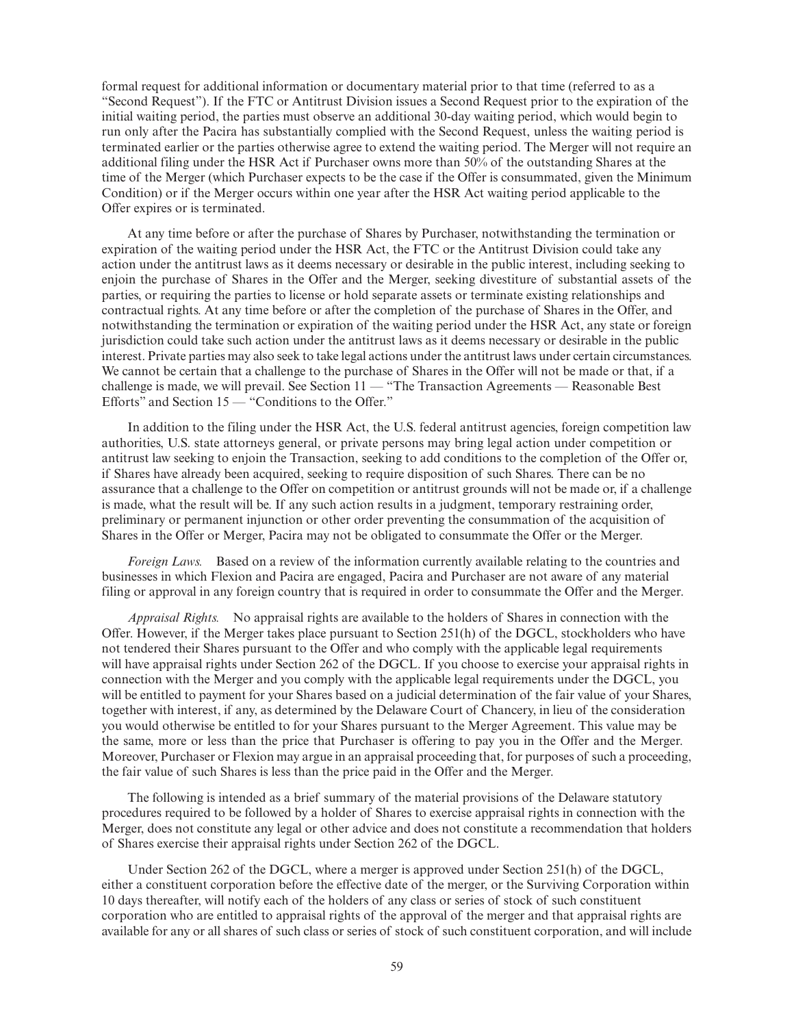formal request for additional information or documentary material prior to that time (referred to as a "Second Request"). If the FTC or Antitrust Division issues a Second Request prior to the expiration of the initial waiting period, the parties must observe an additional 30-day waiting period, which would begin to run only after the Pacira has substantially complied with the Second Request, unless the waiting period is terminated earlier or the parties otherwise agree to extend the waiting period. The Merger will not require an additional filing under the HSR Act if Purchaser owns more than 50% of the outstanding Shares at the time of the Merger (which Purchaser expects to be the case if the Offer is consummated, given the Minimum Condition) or if the Merger occurs within one year after the HSR Act waiting period applicable to the Offer expires or is terminated.

At any time before or after the purchase of Shares by Purchaser, notwithstanding the termination or expiration of the waiting period under the HSR Act, the FTC or the Antitrust Division could take any action under the antitrust laws as it deems necessary or desirable in the public interest, including seeking to enjoin the purchase of Shares in the Offer and the Merger, seeking divestiture of substantial assets of the parties, or requiring the parties to license or hold separate assets or terminate existing relationships and contractual rights. At any time before or after the completion of the purchase of Shares in the Offer, and notwithstanding the termination or expiration of the waiting period under the HSR Act, any state or foreign jurisdiction could take such action under the antitrust laws as it deems necessary or desirable in the public interest. Private parties may also seek to take legal actions under the antitrust laws under certain circumstances. We cannot be certain that a challenge to the purchase of Shares in the Offer will not be made or that, if a challenge is made, we will prevail. See Section 11 — "The Transaction Agreements — Reasonable Best Efforts" and Section  $15$  — "Conditions to the Offer."

In addition to the filing under the HSR Act, the U.S. federal antitrust agencies, foreign competition law authorities, U.S. state attorneys general, or private persons may bring legal action under competition or antitrust law seeking to enjoin the Transaction, seeking to add conditions to the completion of the Offer or, if Shares have already been acquired, seeking to require disposition of such Shares. There can be no assurance that a challenge to the Offer on competition or antitrust grounds will not be made or, if a challenge is made, what the result will be. If any such action results in a judgment, temporary restraining order, preliminary or permanent injunction or other order preventing the consummation of the acquisition of Shares in the Offer or Merger, Pacira may not be obligated to consummate the Offer or the Merger.

*Foreign Laws.* Based on a review of the information currently available relating to the countries and businesses in which Flexion and Pacira are engaged, Pacira and Purchaser are not aware of any material filing or approval in any foreign country that is required in order to consummate the Offer and the Merger.

*Appraisal Rights.* No appraisal rights are available to the holders of Shares in connection with the Offer. However, if the Merger takes place pursuant to Section 251(h) of the DGCL, stockholders who have not tendered their Shares pursuant to the Offer and who comply with the applicable legal requirements will have appraisal rights under Section 262 of the DGCL. If you choose to exercise your appraisal rights in connection with the Merger and you comply with the applicable legal requirements under the DGCL, you will be entitled to payment for your Shares based on a judicial determination of the fair value of your Shares, together with interest, if any, as determined by the Delaware Court of Chancery, in lieu of the consideration you would otherwise be entitled to for your Shares pursuant to the Merger Agreement. This value may be the same, more or less than the price that Purchaser is offering to pay you in the Offer and the Merger. Moreover, Purchaser or Flexion may argue in an appraisal proceeding that, for purposes of such a proceeding, the fair value of such Shares is less than the price paid in the Offer and the Merger.

The following is intended as a brief summary of the material provisions of the Delaware statutory procedures required to be followed by a holder of Shares to exercise appraisal rights in connection with the Merger, does not constitute any legal or other advice and does not constitute a recommendation that holders of Shares exercise their appraisal rights under Section 262 of the DGCL.

Under Section 262 of the DGCL, where a merger is approved under Section 251(h) of the DGCL, either a constituent corporation before the effective date of the merger, or the Surviving Corporation within 10 days thereafter, will notify each of the holders of any class or series of stock of such constituent corporation who are entitled to appraisal rights of the approval of the merger and that appraisal rights are available for any or all shares of such class or series of stock of such constituent corporation, and will include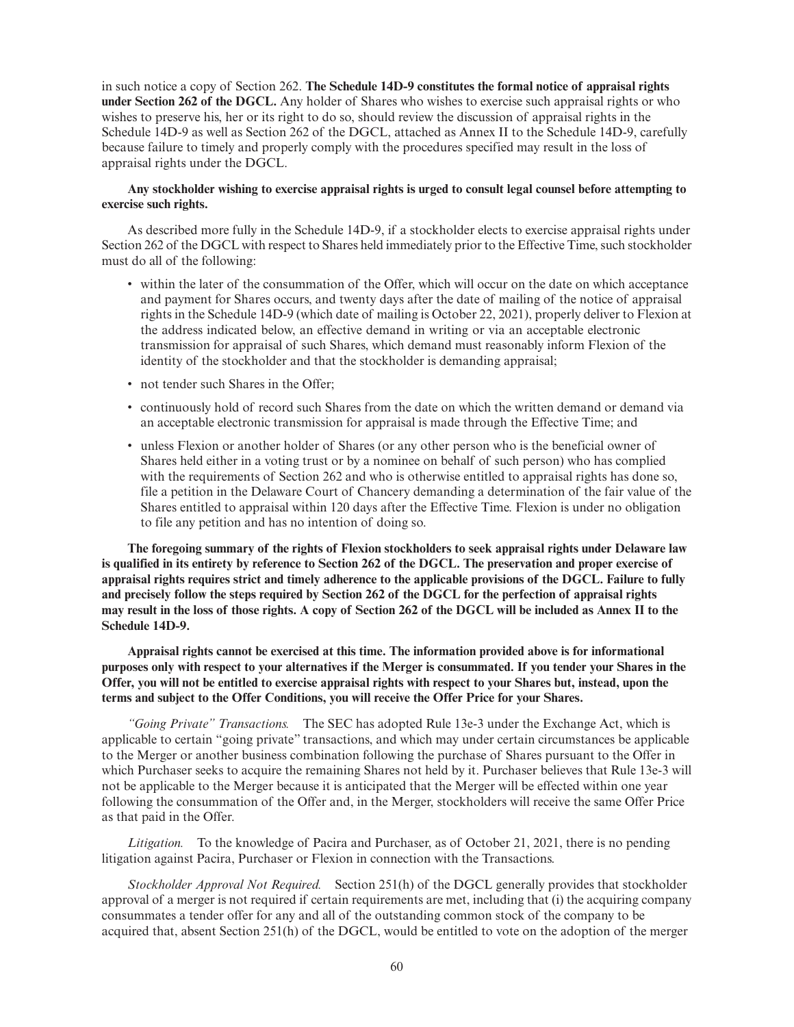in such notice a copy of Section 262. **The Schedule 14D-9 constitutes the formal notice of appraisal rights under Section 262 of the DGCL.** Any holder of Shares who wishes to exercise such appraisal rights or who wishes to preserve his, her or its right to do so, should review the discussion of appraisal rights in the Schedule 14D-9 as well as Section 262 of the DGCL, attached as Annex II to the Schedule 14D-9, carefully because failure to timely and properly comply with the procedures specified may result in the loss of appraisal rights under the DGCL.

# **Any stockholder wishing to exercise appraisal rights is urged to consult legal counsel before attempting to exercise such rights.**

As described more fully in the Schedule 14D-9, if a stockholder elects to exercise appraisal rights under Section 262 of the DGCL with respect to Shares held immediately prior to the Effective Time, such stockholder must do all of the following:

- within the later of the consummation of the Offer, which will occur on the date on which acceptance and payment for Shares occurs, and twenty days after the date of mailing of the notice of appraisal rights in the Schedule 14D-9 (which date of mailing is October 22, 2021), properly deliver to Flexion at the address indicated below, an effective demand in writing or via an acceptable electronic transmission for appraisal of such Shares, which demand must reasonably inform Flexion of the identity of the stockholder and that the stockholder is demanding appraisal;
- not tender such Shares in the Offer:
- continuously hold of record such Shares from the date on which the written demand or demand via an acceptable electronic transmission for appraisal is made through the Effective Time; and
- unless Flexion or another holder of Shares (or any other person who is the beneficial owner of Shares held either in a voting trust or by a nominee on behalf of such person) who has complied with the requirements of Section 262 and who is otherwise entitled to appraisal rights has done so, file a petition in the Delaware Court of Chancery demanding a determination of the fair value of the Shares entitled to appraisal within 120 days after the Effective Time. Flexion is under no obligation to file any petition and has no intention of doing so.

**The foregoing summary of the rights of Flexion stockholders to seek appraisal rights under Delaware law is qualified in its entirety by reference to Section 262 of the DGCL. The preservation and proper exercise of appraisal rights requires strict and timely adherence to the applicable provisions of the DGCL. Failure to fully and precisely follow the steps required by Section 262 of the DGCL for the perfection of appraisal rights may result in the loss of those rights. A copy of Section 262 of the DGCL will be included as Annex II to the Schedule 14D-9.**

**Appraisal rights cannot be exercised at this time. The information provided above is for informational purposes only with respect to your alternatives if the Merger is consummated. If you tender your Shares in the Offer, you will not be entitled to exercise appraisal rights with respect to your Shares but, instead, upon the terms and subject to the Offer Conditions, you will receive the Offer Price for your Shares.**

*"Going Private" Transactions.* The SEC has adopted Rule 13e-3 under the Exchange Act, which is applicable to certain "going private" transactions, and which may under certain circumstances be applicable to the Merger or another business combination following the purchase of Shares pursuant to the Offer in which Purchaser seeks to acquire the remaining Shares not held by it. Purchaser believes that Rule 13e-3 will not be applicable to the Merger because it is anticipated that the Merger will be effected within one year following the consummation of the Offer and, in the Merger, stockholders will receive the same Offer Price as that paid in the Offer.

*Litigation.* To the knowledge of Pacira and Purchaser, as of October 21, 2021, there is no pending litigation against Pacira, Purchaser or Flexion in connection with the Transactions.

*Stockholder Approval Not Required.* Section 251(h) of the DGCL generally provides that stockholder approval of a merger is not required if certain requirements are met, including that (i) the acquiring company consummates a tender offer for any and all of the outstanding common stock of the company to be acquired that, absent Section 251(h) of the DGCL, would be entitled to vote on the adoption of the merger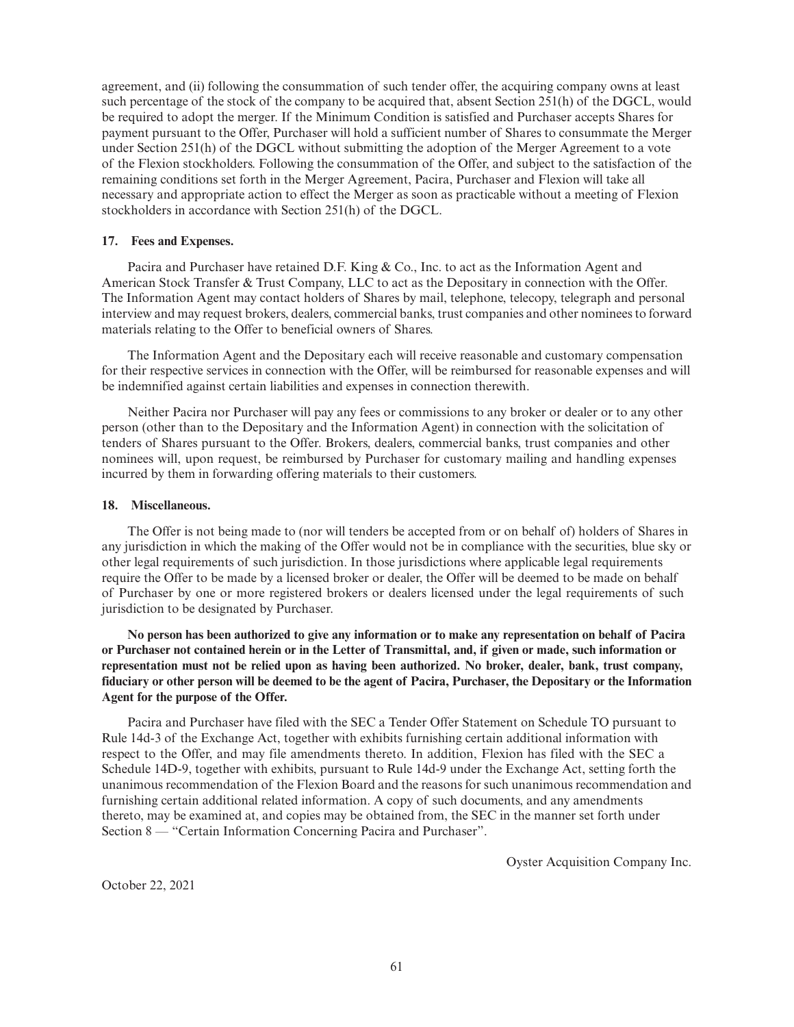agreement, and (ii) following the consummation of such tender offer, the acquiring company owns at least such percentage of the stock of the company to be acquired that, absent Section 251(h) of the DGCL, would be required to adopt the merger. If the Minimum Condition is satisfied and Purchaser accepts Shares for payment pursuant to the Offer, Purchaser will hold a sufficient number of Shares to consummate the Merger under Section 251(h) of the DGCL without submitting the adoption of the Merger Agreement to a vote of the Flexion stockholders. Following the consummation of the Offer, and subject to the satisfaction of the remaining conditions set forth in the Merger Agreement, Pacira, Purchaser and Flexion will take all necessary and appropriate action to effect the Merger as soon as practicable without a meeting of Flexion stockholders in accordance with Section 251(h) of the DGCL.

# **17. Fees and Expenses.**

Pacira and Purchaser have retained D.F. King & Co., Inc. to act as the Information Agent and American Stock Transfer & Trust Company, LLC to act as the Depositary in connection with the Offer. The Information Agent may contact holders of Shares by mail, telephone, telecopy, telegraph and personal interview and may request brokers, dealers, commercial banks, trust companies and other nominees to forward materials relating to the Offer to beneficial owners of Shares.

The Information Agent and the Depositary each will receive reasonable and customary compensation for their respective services in connection with the Offer, will be reimbursed for reasonable expenses and will be indemnified against certain liabilities and expenses in connection therewith.

Neither Pacira nor Purchaser will pay any fees or commissions to any broker or dealer or to any other person (other than to the Depositary and the Information Agent) in connection with the solicitation of tenders of Shares pursuant to the Offer. Brokers, dealers, commercial banks, trust companies and other nominees will, upon request, be reimbursed by Purchaser for customary mailing and handling expenses incurred by them in forwarding offering materials to their customers.

# **18. Miscellaneous.**

The Offer is not being made to (nor will tenders be accepted from or on behalf of) holders of Shares in any jurisdiction in which the making of the Offer would not be in compliance with the securities, blue sky or other legal requirements of such jurisdiction. In those jurisdictions where applicable legal requirements require the Offer to be made by a licensed broker or dealer, the Offer will be deemed to be made on behalf of Purchaser by one or more registered brokers or dealers licensed under the legal requirements of such jurisdiction to be designated by Purchaser.

**No person has been authorized to give any information or to make any representation on behalf of Pacira or Purchaser not contained herein or in the Letter of Transmittal, and, if given or made, such information or representation must not be relied upon as having been authorized. No broker, dealer, bank, trust company, fiduciary or other person will be deemed to be the agent of Pacira, Purchaser, the Depositary or the Information Agent for the purpose of the Offer.**

Pacira and Purchaser have filed with the SEC a Tender Offer Statement on Schedule TO pursuant to Rule 14d-3 of the Exchange Act, together with exhibits furnishing certain additional information with respect to the Offer, and may file amendments thereto. In addition, Flexion has filed with the SEC a Schedule 14D-9, together with exhibits, pursuant to Rule 14d-9 under the Exchange Act, setting forth the unanimous recommendation of the Flexion Board and the reasons for such unanimous recommendation and furnishing certain additional related information. A copy of such documents, and any amendments thereto, may be examined at, and copies may be obtained from, the SEC in the manner set forth under Section 8 — "Certain Information Concerning Pacira and Purchaser".

Oyster Acquisition Company Inc.

October 22, 2021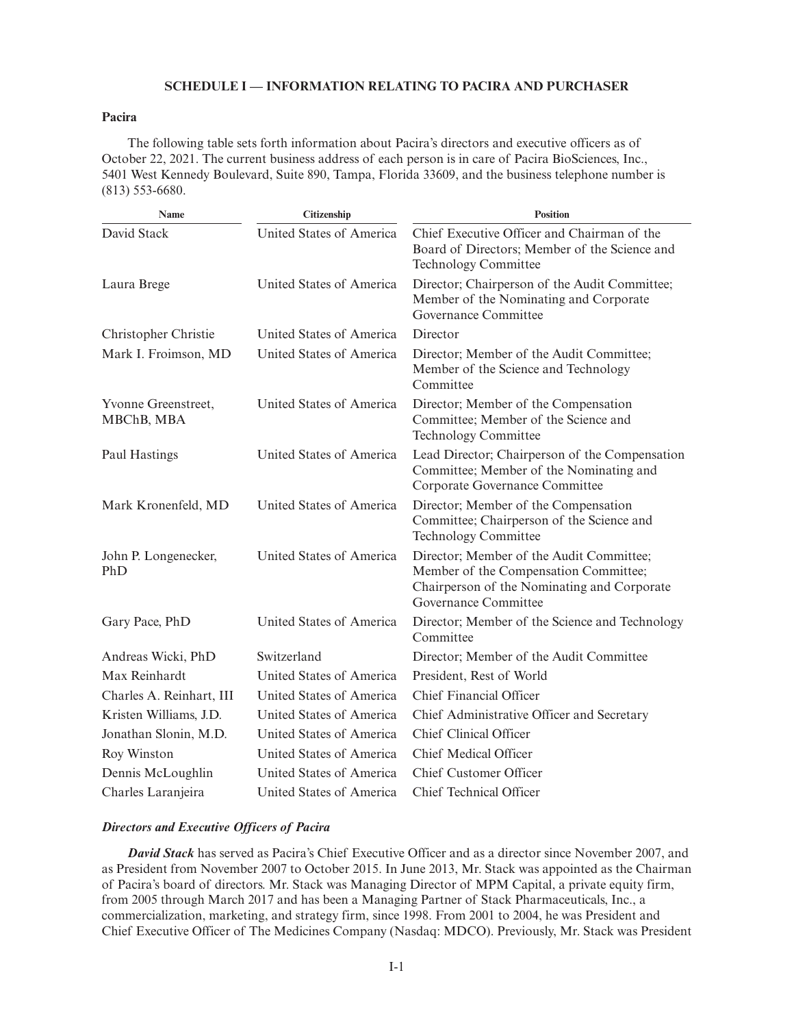# **SCHEDULE I — INFORMATION RELATING TO PACIRA AND PURCHASER**

# **Pacira**

The following table sets forth information about Pacira's directors and executive officers as of October 22, 2021. The current business address of each person is in care of Pacira BioSciences, Inc., 5401 West Kennedy Boulevard, Suite 890, Tampa, Florida 33609, and the business telephone number is (813) 553-6680.

| Name                              | Citizenship              | <b>Position</b>                                                                                                                                          |
|-----------------------------------|--------------------------|----------------------------------------------------------------------------------------------------------------------------------------------------------|
| David Stack                       | United States of America | Chief Executive Officer and Chairman of the<br>Board of Directors; Member of the Science and<br><b>Technology Committee</b>                              |
| Laura Brege                       | United States of America | Director; Chairperson of the Audit Committee;<br>Member of the Nominating and Corporate<br>Governance Committee                                          |
| Christopher Christie              | United States of America | Director                                                                                                                                                 |
| Mark I. Froimson, MD              | United States of America | Director; Member of the Audit Committee;<br>Member of the Science and Technology<br>Committee                                                            |
| Yvonne Greenstreet,<br>MBChB, MBA | United States of America | Director; Member of the Compensation<br>Committee; Member of the Science and<br><b>Technology Committee</b>                                              |
| Paul Hastings                     | United States of America | Lead Director; Chairperson of the Compensation<br>Committee; Member of the Nominating and<br>Corporate Governance Committee                              |
| Mark Kronenfeld, MD               | United States of America | Director; Member of the Compensation<br>Committee; Chairperson of the Science and<br>Technology Committee                                                |
| John P. Longenecker,<br>PhD       | United States of America | Director; Member of the Audit Committee;<br>Member of the Compensation Committee;<br>Chairperson of the Nominating and Corporate<br>Governance Committee |
| Gary Pace, PhD                    | United States of America | Director; Member of the Science and Technology<br>Committee                                                                                              |
| Andreas Wicki, PhD                | Switzerland              | Director; Member of the Audit Committee                                                                                                                  |
| Max Reinhardt                     | United States of America | President, Rest of World                                                                                                                                 |
| Charles A. Reinhart, III          | United States of America | Chief Financial Officer                                                                                                                                  |
| Kristen Williams, J.D.            | United States of America | Chief Administrative Officer and Secretary                                                                                                               |
| Jonathan Slonin, M.D.             | United States of America | <b>Chief Clinical Officer</b>                                                                                                                            |
| Roy Winston                       | United States of America | <b>Chief Medical Officer</b>                                                                                                                             |
| Dennis McLoughlin                 | United States of America | Chief Customer Officer                                                                                                                                   |
| Charles Laranjeira                | United States of America | Chief Technical Officer                                                                                                                                  |

# *Directors and Executive Officers of Pacira*

*David Stack* has served as Pacira's Chief Executive Officer and as a director since November 2007, and as President from November 2007 to October 2015. In June 2013, Mr. Stack was appointed as the Chairman of Pacira's board of directors. Mr. Stack was Managing Director of MPM Capital, a private equity firm, from 2005 through March 2017 and has been a Managing Partner of Stack Pharmaceuticals, Inc., a commercialization, marketing, and strategy firm, since 1998. From 2001 to 2004, he was President and Chief Executive Officer of The Medicines Company (Nasdaq: MDCO). Previously, Mr. Stack was President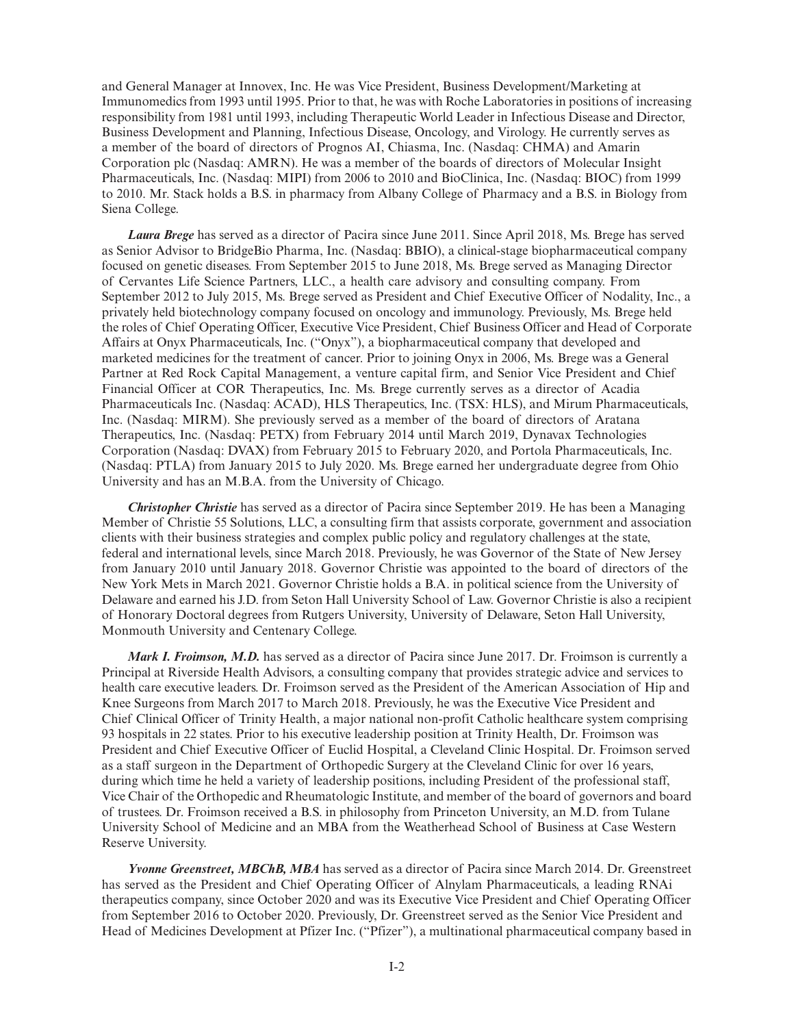and General Manager at Innovex, Inc. He was Vice President, Business Development/Marketing at Immunomedics from 1993 until 1995. Prior to that, he was with Roche Laboratories in positions of increasing responsibility from 1981 until 1993, including Therapeutic World Leader in Infectious Disease and Director, Business Development and Planning, Infectious Disease, Oncology, and Virology. He currently serves as a member of the board of directors of Prognos AI, Chiasma, Inc. (Nasdaq: CHMA) and Amarin Corporation plc (Nasdaq: AMRN). He was a member of the boards of directors of Molecular Insight Pharmaceuticals, Inc. (Nasdaq: MIPI) from 2006 to 2010 and BioClinica, Inc. (Nasdaq: BIOC) from 1999 to 2010. Mr. Stack holds a B.S. in pharmacy from Albany College of Pharmacy and a B.S. in Biology from Siena College.

*Laura Brege* has served as a director of Pacira since June 2011. Since April 2018, Ms. Brege has served as Senior Advisor to BridgeBio Pharma, Inc. (Nasdaq: BBIO), a clinical-stage biopharmaceutical company focused on genetic diseases. From September 2015 to June 2018, Ms. Brege served as Managing Director of Cervantes Life Science Partners, LLC., a health care advisory and consulting company. From September 2012 to July 2015, Ms. Brege served as President and Chief Executive Officer of Nodality, Inc., a privately held biotechnology company focused on oncology and immunology. Previously, Ms. Brege held the roles of Chief Operating Officer, Executive Vice President, Chief Business Officer and Head of Corporate Affairs at Onyx Pharmaceuticals, Inc. ("Onyx"), a biopharmaceutical company that developed and marketed medicines for the treatment of cancer. Prior to joining Onyx in 2006, Ms. Brege was a General Partner at Red Rock Capital Management, a venture capital firm, and Senior Vice President and Chief Financial Officer at COR Therapeutics, Inc. Ms. Brege currently serves as a director of Acadia Pharmaceuticals Inc. (Nasdaq: ACAD), HLS Therapeutics, Inc. (TSX: HLS), and Mirum Pharmaceuticals, Inc. (Nasdaq: MIRM). She previously served as a member of the board of directors of Aratana Therapeutics, Inc. (Nasdaq: PETX) from February 2014 until March 2019, Dynavax Technologies Corporation (Nasdaq: DVAX) from February 2015 to February 2020, and Portola Pharmaceuticals, Inc. (Nasdaq: PTLA) from January 2015 to July 2020. Ms. Brege earned her undergraduate degree from Ohio University and has an M.B.A. from the University of Chicago.

*Christopher Christie* has served as a director of Pacira since September 2019. He has been a Managing Member of Christie 55 Solutions, LLC, a consulting firm that assists corporate, government and association clients with their business strategies and complex public policy and regulatory challenges at the state, federal and international levels, since March 2018. Previously, he was Governor of the State of New Jersey from January 2010 until January 2018. Governor Christie was appointed to the board of directors of the New York Mets in March 2021. Governor Christie holds a B.A. in political science from the University of Delaware and earned his J.D. from Seton Hall University School of Law. Governor Christie is also a recipient of Honorary Doctoral degrees from Rutgers University, University of Delaware, Seton Hall University, Monmouth University and Centenary College.

*Mark I. Froimson, M.D.* has served as a director of Pacira since June 2017. Dr. Froimson is currently a Principal at Riverside Health Advisors, a consulting company that provides strategic advice and services to health care executive leaders. Dr. Froimson served as the President of the American Association of Hip and Knee Surgeons from March 2017 to March 2018. Previously, he was the Executive Vice President and Chief Clinical Officer of Trinity Health, a major national non-profit Catholic healthcare system comprising 93 hospitals in 22 states. Prior to his executive leadership position at Trinity Health, Dr. Froimson was President and Chief Executive Officer of Euclid Hospital, a Cleveland Clinic Hospital. Dr. Froimson served as a staff surgeon in the Department of Orthopedic Surgery at the Cleveland Clinic for over 16 years, during which time he held a variety of leadership positions, including President of the professional staff, Vice Chair of the Orthopedic and Rheumatologic Institute, and member of the board of governors and board of trustees. Dr. Froimson received a B.S. in philosophy from Princeton University, an M.D. from Tulane University School of Medicine and an MBA from the Weatherhead School of Business at Case Western Reserve University.

*Yvonne Greenstreet, MBChB, MBA* has served as a director of Pacira since March 2014. Dr. Greenstreet has served as the President and Chief Operating Officer of Alnylam Pharmaceuticals, a leading RNAi therapeutics company, since October 2020 and was its Executive Vice President and Chief Operating Officer from September 2016 to October 2020. Previously, Dr. Greenstreet served as the Senior Vice President and Head of Medicines Development at Pfizer Inc. ("Pfizer"), a multinational pharmaceutical company based in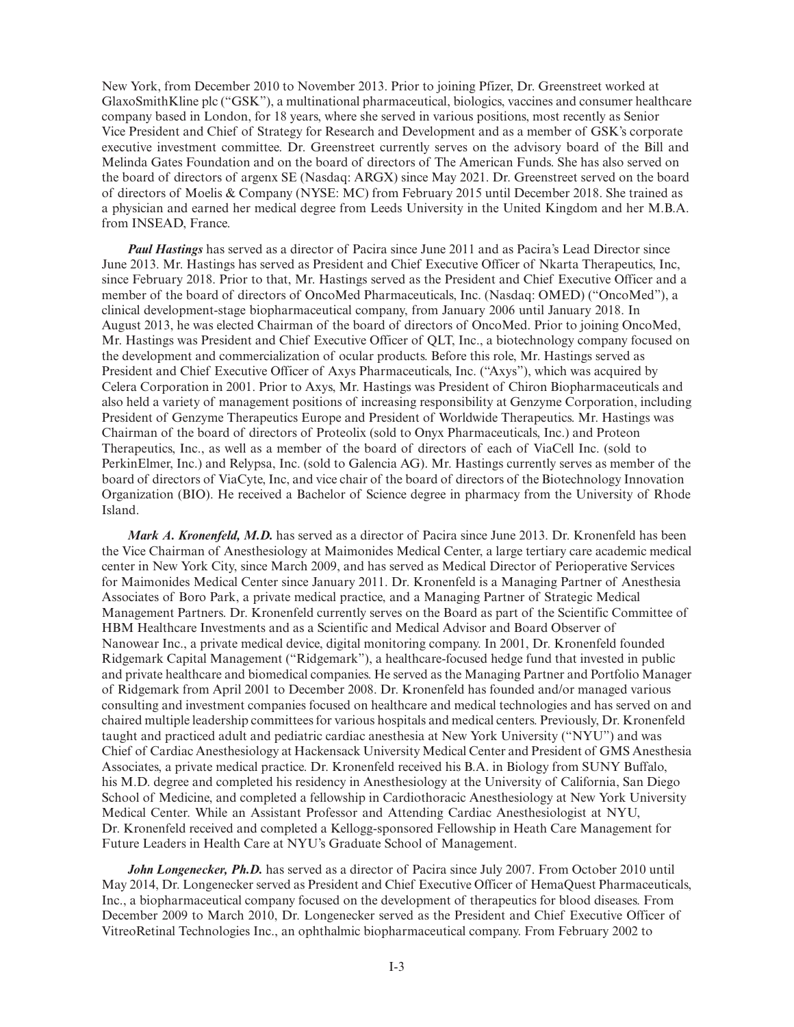New York, from December 2010 to November 2013. Prior to joining Pfizer, Dr. Greenstreet worked at GlaxoSmithKline plc ("GSK"), a multinational pharmaceutical, biologics, vaccines and consumer healthcare company based in London, for 18 years, where she served in various positions, most recently as Senior Vice President and Chief of Strategy for Research and Development and as a member of GSK's corporate executive investment committee. Dr. Greenstreet currently serves on the advisory board of the Bill and Melinda Gates Foundation and on the board of directors of The American Funds. She has also served on the board of directors of argenx SE (Nasdaq: ARGX) since May 2021. Dr. Greenstreet served on the board of directors of Moelis & Company (NYSE: MC) from February 2015 until December 2018. She trained as a physician and earned her medical degree from Leeds University in the United Kingdom and her M.B.A. from INSEAD, France.

*Paul Hastings* has served as a director of Pacira since June 2011 and as Pacira's Lead Director since June 2013. Mr. Hastings has served as President and Chief Executive Officer of Nkarta Therapeutics, Inc, since February 2018. Prior to that, Mr. Hastings served as the President and Chief Executive Officer and a member of the board of directors of OncoMed Pharmaceuticals, Inc. (Nasdaq: OMED) ("OncoMed"), a clinical development-stage biopharmaceutical company, from January 2006 until January 2018. In August 2013, he was elected Chairman of the board of directors of OncoMed. Prior to joining OncoMed, Mr. Hastings was President and Chief Executive Officer of QLT, Inc., a biotechnology company focused on the development and commercialization of ocular products. Before this role, Mr. Hastings served as President and Chief Executive Officer of Axys Pharmaceuticals, Inc. ("Axys"), which was acquired by Celera Corporation in 2001. Prior to Axys, Mr. Hastings was President of Chiron Biopharmaceuticals and also held a variety of management positions of increasing responsibility at Genzyme Corporation, including President of Genzyme Therapeutics Europe and President of Worldwide Therapeutics. Mr. Hastings was Chairman of the board of directors of Proteolix (sold to Onyx Pharmaceuticals, Inc.) and Proteon Therapeutics, Inc., as well as a member of the board of directors of each of ViaCell Inc. (sold to PerkinElmer, Inc.) and Relypsa, Inc. (sold to Galencia AG). Mr. Hastings currently serves as member of the board of directors of ViaCyte, Inc, and vice chair of the board of directors of the Biotechnology Innovation Organization (BIO). He received a Bachelor of Science degree in pharmacy from the University of Rhode Island.

*Mark A. Kronenfeld, M.D.* has served as a director of Pacira since June 2013. Dr. Kronenfeld has been the Vice Chairman of Anesthesiology at Maimonides Medical Center, a large tertiary care academic medical center in New York City, since March 2009, and has served as Medical Director of Perioperative Services for Maimonides Medical Center since January 2011. Dr. Kronenfeld is a Managing Partner of Anesthesia Associates of Boro Park, a private medical practice, and a Managing Partner of Strategic Medical Management Partners. Dr. Kronenfeld currently serves on the Board as part of the Scientific Committee of HBM Healthcare Investments and as a Scientific and Medical Advisor and Board Observer of Nanowear Inc., a private medical device, digital monitoring company. In 2001, Dr. Kronenfeld founded Ridgemark Capital Management ("Ridgemark"), a healthcare-focused hedge fund that invested in public and private healthcare and biomedical companies. He served as the Managing Partner and Portfolio Manager of Ridgemark from April 2001 to December 2008. Dr. Kronenfeld has founded and/or managed various consulting and investment companies focused on healthcare and medical technologies and has served on and chaired multiple leadership committees for various hospitals and medical centers. Previously, Dr. Kronenfeld taught and practiced adult and pediatric cardiac anesthesia at New York University ("NYU") and was Chief of Cardiac Anesthesiology at Hackensack University Medical Center and President of GMS Anesthesia Associates, a private medical practice. Dr. Kronenfeld received his B.A. in Biology from SUNY Buffalo, his M.D. degree and completed his residency in Anesthesiology at the University of California, San Diego School of Medicine, and completed a fellowship in Cardiothoracic Anesthesiology at New York University Medical Center. While an Assistant Professor and Attending Cardiac Anesthesiologist at NYU, Dr. Kronenfeld received and completed a Kellogg-sponsored Fellowship in Heath Care Management for Future Leaders in Health Care at NYU's Graduate School of Management.

*John Longenecker, Ph.D.* has served as a director of Pacira since July 2007. From October 2010 until May 2014, Dr. Longenecker served as President and Chief Executive Officer of HemaQuest Pharmaceuticals, Inc., a biopharmaceutical company focused on the development of therapeutics for blood diseases. From December 2009 to March 2010, Dr. Longenecker served as the President and Chief Executive Officer of VitreoRetinal Technologies Inc., an ophthalmic biopharmaceutical company. From February 2002 to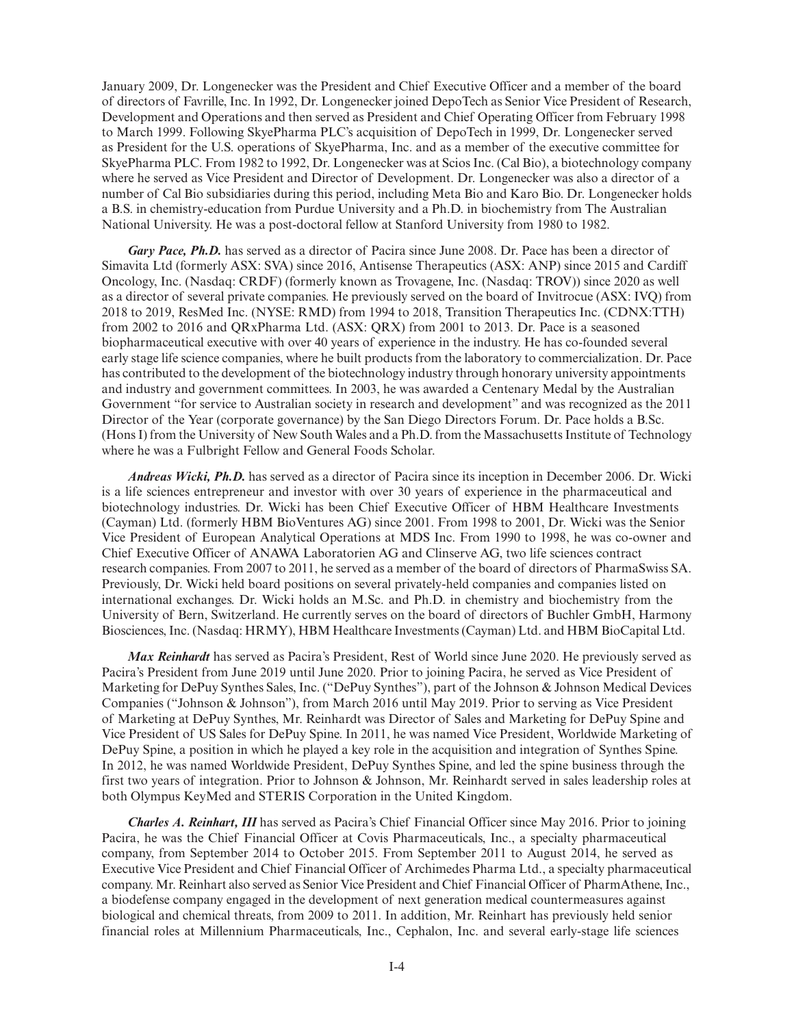January 2009, Dr. Longenecker was the President and Chief Executive Officer and a member of the board of directors of Favrille, Inc. In 1992, Dr. Longenecker joined DepoTech as Senior Vice President of Research, Development and Operations and then served as President and Chief Operating Officer from February 1998 to March 1999. Following SkyePharma PLC's acquisition of DepoTech in 1999, Dr. Longenecker served as President for the U.S. operations of SkyePharma, Inc. and as a member of the executive committee for SkyePharma PLC. From 1982 to 1992, Dr. Longenecker was at Scios Inc. (Cal Bio), a biotechnology company where he served as Vice President and Director of Development. Dr. Longenecker was also a director of a number of Cal Bio subsidiaries during this period, including Meta Bio and Karo Bio. Dr. Longenecker holds a B.S. in chemistry-education from Purdue University and a Ph.D. in biochemistry from The Australian National University. He was a post-doctoral fellow at Stanford University from 1980 to 1982.

*Gary Pace, Ph.D.* has served as a director of Pacira since June 2008. Dr. Pace has been a director of Simavita Ltd (formerly ASX: SVA) since 2016, Antisense Therapeutics (ASX: ANP) since 2015 and Cardiff Oncology, Inc. (Nasdaq: CRDF) (formerly known as Trovagene, Inc. (Nasdaq: TROV)) since 2020 as well as a director of several private companies. He previously served on the board of Invitrocue (ASX: IVQ) from 2018 to 2019, ResMed Inc. (NYSE: RMD) from 1994 to 2018, Transition Therapeutics Inc. (CDNX:TTH) from 2002 to 2016 and QRxPharma Ltd. (ASX: QRX) from 2001 to 2013. Dr. Pace is a seasoned biopharmaceutical executive with over 40 years of experience in the industry. He has co-founded several early stage life science companies, where he built products from the laboratory to commercialization. Dr. Pace has contributed to the development of the biotechnology industry through honorary university appointments and industry and government committees. In 2003, he was awarded a Centenary Medal by the Australian Government "for service to Australian society in research and development" and was recognized as the 2011 Director of the Year (corporate governance) by the San Diego Directors Forum. Dr. Pace holds a B.Sc. (Hons I) from the University of New South Wales and a Ph.D. from the Massachusetts Institute of Technology where he was a Fulbright Fellow and General Foods Scholar.

*Andreas Wicki, Ph.D.* has served as a director of Pacira since its inception in December 2006. Dr. Wicki is a life sciences entrepreneur and investor with over 30 years of experience in the pharmaceutical and biotechnology industries. Dr. Wicki has been Chief Executive Officer of HBM Healthcare Investments (Cayman) Ltd. (formerly HBM BioVentures AG) since 2001. From 1998 to 2001, Dr. Wicki was the Senior Vice President of European Analytical Operations at MDS Inc. From 1990 to 1998, he was co-owner and Chief Executive Officer of ANAWA Laboratorien AG and Clinserve AG, two life sciences contract research companies. From 2007 to 2011, he served as a member of the board of directors of PharmaSwiss SA. Previously, Dr. Wicki held board positions on several privately-held companies and companies listed on international exchanges. Dr. Wicki holds an M.Sc. and Ph.D. in chemistry and biochemistry from the University of Bern, Switzerland. He currently serves on the board of directors of Buchler GmbH, Harmony Biosciences, Inc. (Nasdaq: HRMY), HBM Healthcare Investments (Cayman) Ltd. and HBM BioCapital Ltd.

*Max Reinhardt* has served as Pacira's President, Rest of World since June 2020. He previously served as Pacira's President from June 2019 until June 2020. Prior to joining Pacira, he served as Vice President of Marketing for DePuy Synthes Sales, Inc. ("DePuy Synthes"), part of the Johnson & Johnson Medical Devices Companies ("Johnson & Johnson"), from March 2016 until May 2019. Prior to serving as Vice President of Marketing at DePuy Synthes, Mr. Reinhardt was Director of Sales and Marketing for DePuy Spine and Vice President of US Sales for DePuy Spine. In 2011, he was named Vice President, Worldwide Marketing of DePuy Spine, a position in which he played a key role in the acquisition and integration of Synthes Spine. In 2012, he was named Worldwide President, DePuy Synthes Spine, and led the spine business through the first two years of integration. Prior to Johnson & Johnson, Mr. Reinhardt served in sales leadership roles at both Olympus KeyMed and STERIS Corporation in the United Kingdom.

*Charles A. Reinhart, III* has served as Pacira's Chief Financial Officer since May 2016. Prior to joining Pacira, he was the Chief Financial Officer at Covis Pharmaceuticals, Inc., a specialty pharmaceutical company, from September 2014 to October 2015. From September 2011 to August 2014, he served as Executive Vice President and Chief Financial Officer of Archimedes Pharma Ltd., a specialty pharmaceutical company. Mr. Reinhart also served as Senior Vice President and Chief Financial Officer of PharmAthene, Inc., a biodefense company engaged in the development of next generation medical countermeasures against biological and chemical threats, from 2009 to 2011. In addition, Mr. Reinhart has previously held senior financial roles at Millennium Pharmaceuticals, Inc., Cephalon, Inc. and several early-stage life sciences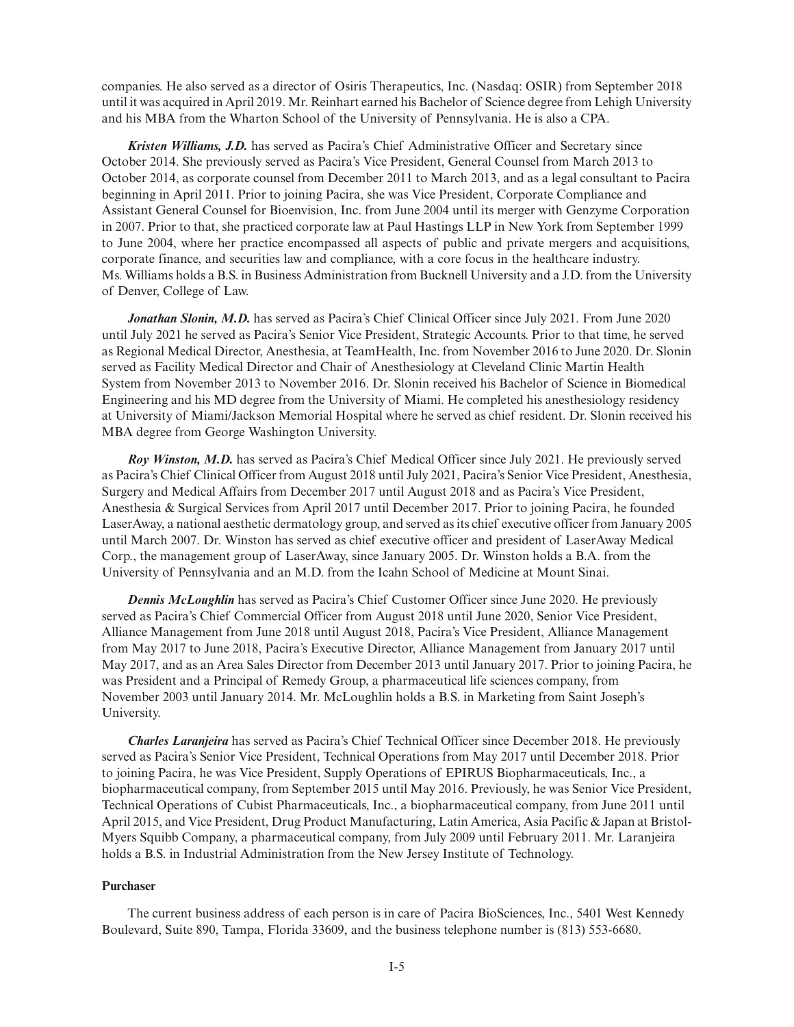companies. He also served as a director of Osiris Therapeutics, Inc. (Nasdaq: OSIR) from September 2018 until it was acquired in April 2019. Mr. Reinhart earned his Bachelor of Science degree from Lehigh University and his MBA from the Wharton School of the University of Pennsylvania. He is also a CPA.

*Kristen Williams, J.D.* has served as Pacira's Chief Administrative Officer and Secretary since October 2014. She previously served as Pacira's Vice President, General Counsel from March 2013 to October 2014, as corporate counsel from December 2011 to March 2013, and as a legal consultant to Pacira beginning in April 2011. Prior to joining Pacira, she was Vice President, Corporate Compliance and Assistant General Counsel for Bioenvision, Inc. from June 2004 until its merger with Genzyme Corporation in 2007. Prior to that, she practiced corporate law at Paul Hastings LLP in New York from September 1999 to June 2004, where her practice encompassed all aspects of public and private mergers and acquisitions, corporate finance, and securities law and compliance, with a core focus in the healthcare industry. Ms. Williams holds a B.S. in Business Administration from Bucknell University and a J.D. from the University of Denver, College of Law.

*Jonathan Slonin, M.D.* has served as Pacira's Chief Clinical Officer since July 2021. From June 2020 until July 2021 he served as Pacira's Senior Vice President, Strategic Accounts. Prior to that time, he served as Regional Medical Director, Anesthesia, at TeamHealth, Inc. from November 2016 to June 2020. Dr. Slonin served as Facility Medical Director and Chair of Anesthesiology at Cleveland Clinic Martin Health System from November 2013 to November 2016. Dr. Slonin received his Bachelor of Science in Biomedical Engineering and his MD degree from the University of Miami. He completed his anesthesiology residency at University of Miami/Jackson Memorial Hospital where he served as chief resident. Dr. Slonin received his MBA degree from George Washington University.

*Roy Winston, M.D.* has served as Pacira's Chief Medical Officer since July 2021. He previously served as Pacira's Chief Clinical Officer from August 2018 until July 2021, Pacira's Senior Vice President, Anesthesia, Surgery and Medical Affairs from December 2017 until August 2018 and as Pacira's Vice President, Anesthesia & Surgical Services from April 2017 until December 2017. Prior to joining Pacira, he founded LaserAway, a national aesthetic dermatology group, and served as its chief executive officer from January 2005 until March 2007. Dr. Winston has served as chief executive officer and president of LaserAway Medical Corp., the management group of LaserAway, since January 2005. Dr. Winston holds a B.A. from the University of Pennsylvania and an M.D. from the Icahn School of Medicine at Mount Sinai.

*Dennis McLoughlin* has served as Pacira's Chief Customer Officer since June 2020. He previously served as Pacira's Chief Commercial Officer from August 2018 until June 2020, Senior Vice President, Alliance Management from June 2018 until August 2018, Pacira's Vice President, Alliance Management from May 2017 to June 2018, Pacira's Executive Director, Alliance Management from January 2017 until May 2017, and as an Area Sales Director from December 2013 until January 2017. Prior to joining Pacira, he was President and a Principal of Remedy Group, a pharmaceutical life sciences company, from November 2003 until January 2014. Mr. McLoughlin holds a B.S. in Marketing from Saint Joseph's University.

*Charles Laranjeira* has served as Pacira's Chief Technical Officer since December 2018. He previously served as Pacira's Senior Vice President, Technical Operations from May 2017 until December 2018. Prior to joining Pacira, he was Vice President, Supply Operations of EPIRUS Biopharmaceuticals, Inc., a biopharmaceutical company, from September 2015 until May 2016. Previously, he was Senior Vice President, Technical Operations of Cubist Pharmaceuticals, Inc., a biopharmaceutical company, from June 2011 until April 2015, and Vice President, Drug Product Manufacturing, Latin America, Asia Pacific & Japan at Bristol-Myers Squibb Company, a pharmaceutical company, from July 2009 until February 2011. Mr. Laranjeira holds a B.S. in Industrial Administration from the New Jersey Institute of Technology.

# **Purchaser**

The current business address of each person is in care of Pacira BioSciences, Inc., 5401 West Kennedy Boulevard, Suite 890, Tampa, Florida 33609, and the business telephone number is (813) 553-6680.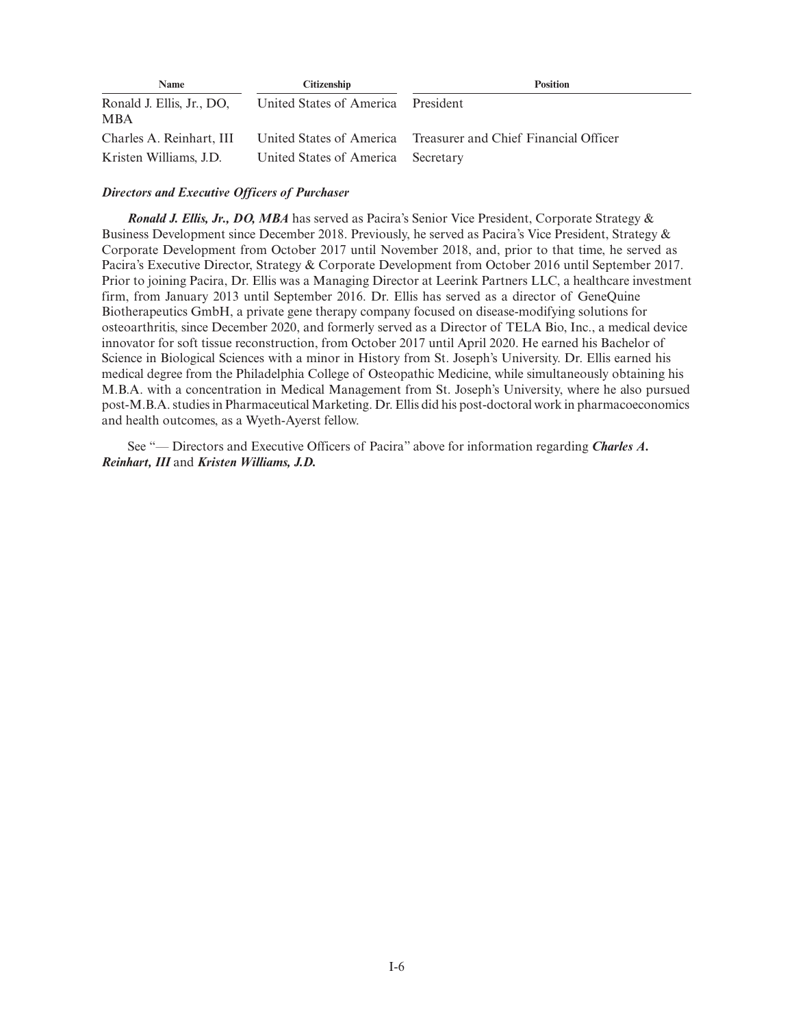| Name                                    | <b>Citizenship</b>                 | <b>Position</b>                                                |
|-----------------------------------------|------------------------------------|----------------------------------------------------------------|
| Ronald J. Ellis, Jr., DO,<br><b>MBA</b> | United States of America President |                                                                |
| Charles A. Reinhart, III                |                                    | United States of America Treasurer and Chief Financial Officer |
| Kristen Williams, J.D.                  | United States of America Secretary |                                                                |

# *Directors and Executive Officers of Purchaser*

*Ronald J. Ellis, Jr., DO, MBA* has served as Pacira's Senior Vice President, Corporate Strategy & Business Development since December 2018. Previously, he served as Pacira's Vice President, Strategy & Corporate Development from October 2017 until November 2018, and, prior to that time, he served as Pacira's Executive Director, Strategy & Corporate Development from October 2016 until September 2017. Prior to joining Pacira, Dr. Ellis was a Managing Director at Leerink Partners LLC, a healthcare investment firm, from January 2013 until September 2016. Dr. Ellis has served as a director of GeneQuine Biotherapeutics GmbH, a private gene therapy company focused on disease-modifying solutions for osteoarthritis, since December 2020, and formerly served as a Director of TELA Bio, Inc., a medical device innovator for soft tissue reconstruction, from October 2017 until April 2020. He earned his Bachelor of Science in Biological Sciences with a minor in History from St. Joseph's University. Dr. Ellis earned his medical degree from the Philadelphia College of Osteopathic Medicine, while simultaneously obtaining his M.B.A. with a concentration in Medical Management from St. Joseph's University, where he also pursued post-M.B.A. studies in Pharmaceutical Marketing. Dr. Ellis did his post-doctoral work in pharmacoeconomics and health outcomes, as a Wyeth-Ayerst fellow.

See "— Directors and Executive Officers of Pacira" above for information regarding *Charles A. Reinhart, III* and *Kristen Williams, J.D.*